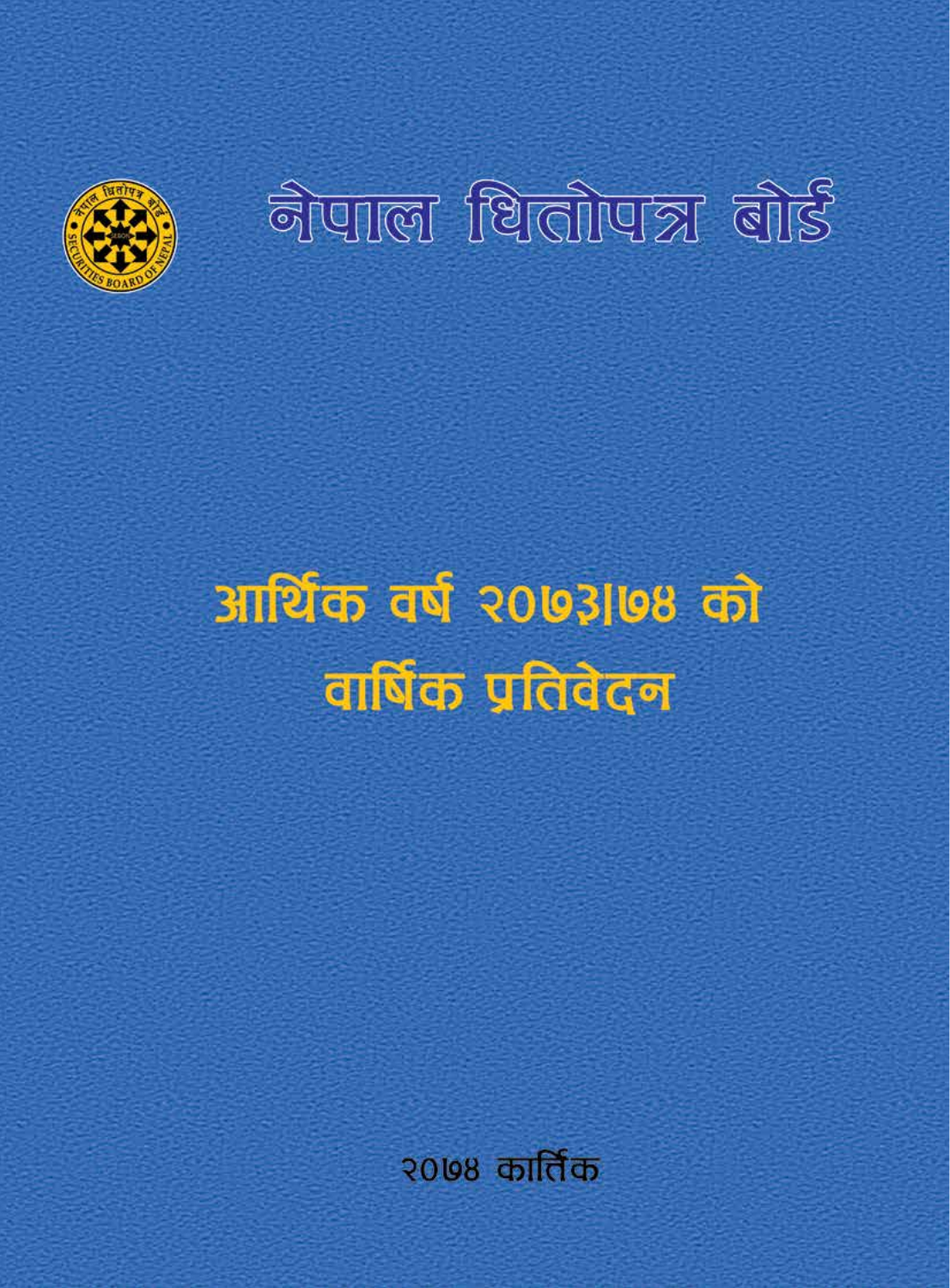

# **a ulle fürdiya dis**

# आर्थिक वर्ष २०७३।७४ को वार्षिक प्रतिवेदन

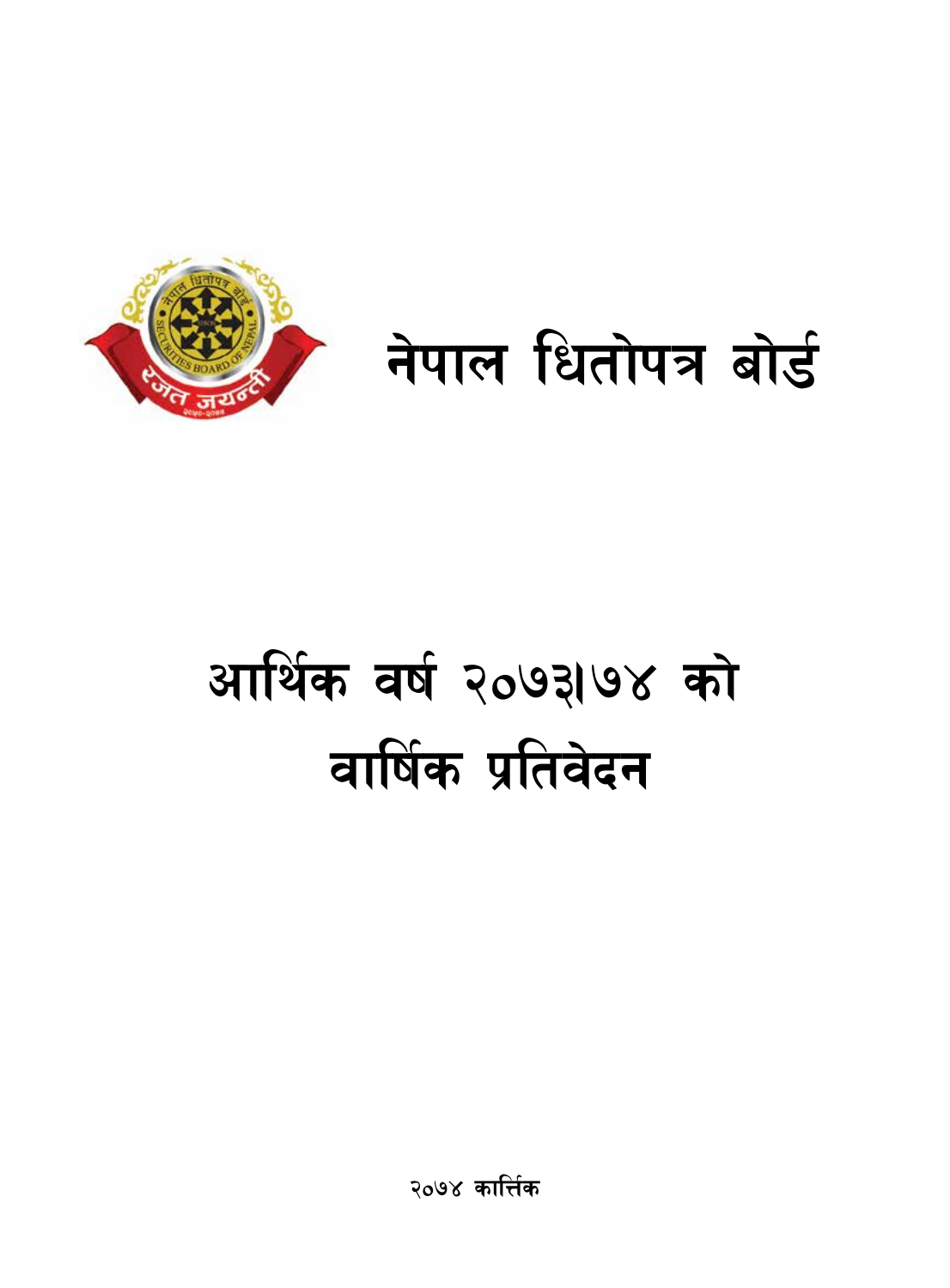

# आर्थिक वर्ष २०७३1७४ को वार्षिक प्रतिवेदन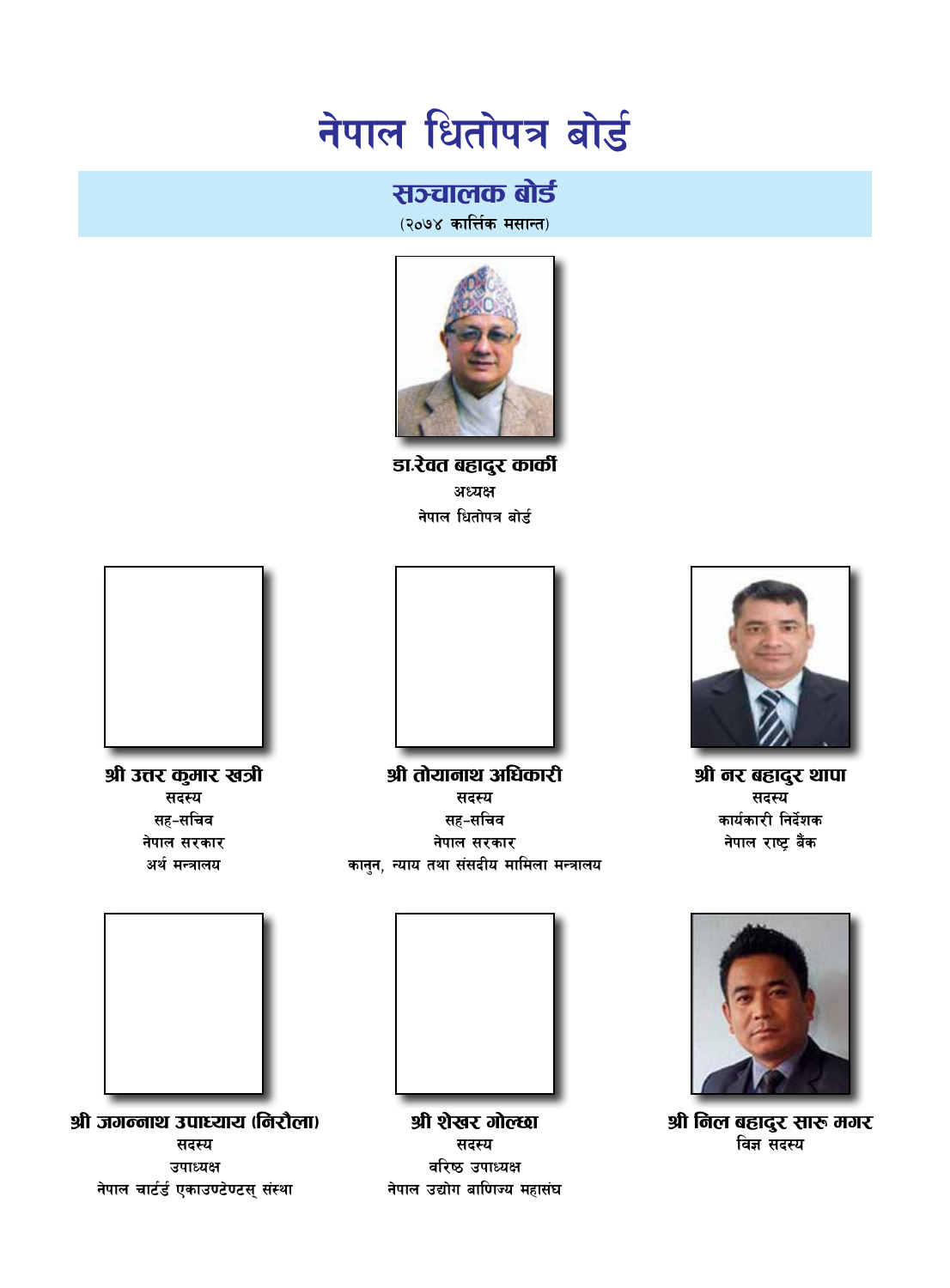# सञ्चालक बोर्ड

(२०७४ कार्त्तिक मसान्त)



डा.रेवत बहादुर कार्की अध्यक्ष नेपाल धितोपत्र बोर्ड







श्री नर बहादुर थापा सदस्य कार्यकारी निर्देशक नेपाल राष्ट बैंक



श्री निल बहादुर सारू मगर विज्ञ सदस्य

श्री उत्तर कुमार खत्री सदस्य सह-सचिव नेपाल सरकार अर्थ मन्त्रालय



श्री जगन्नाथ उपाध्याय (निरौला) सदस्य उपाध्यक्ष नेपाल चार्टर्ड एकाउण्टेण्टस् संस्था



श्री शेखर गोल्छा सदस्य वरिष्ठ उपाध्यक्ष नेपाल उद्योग बाणिज्य महासंघ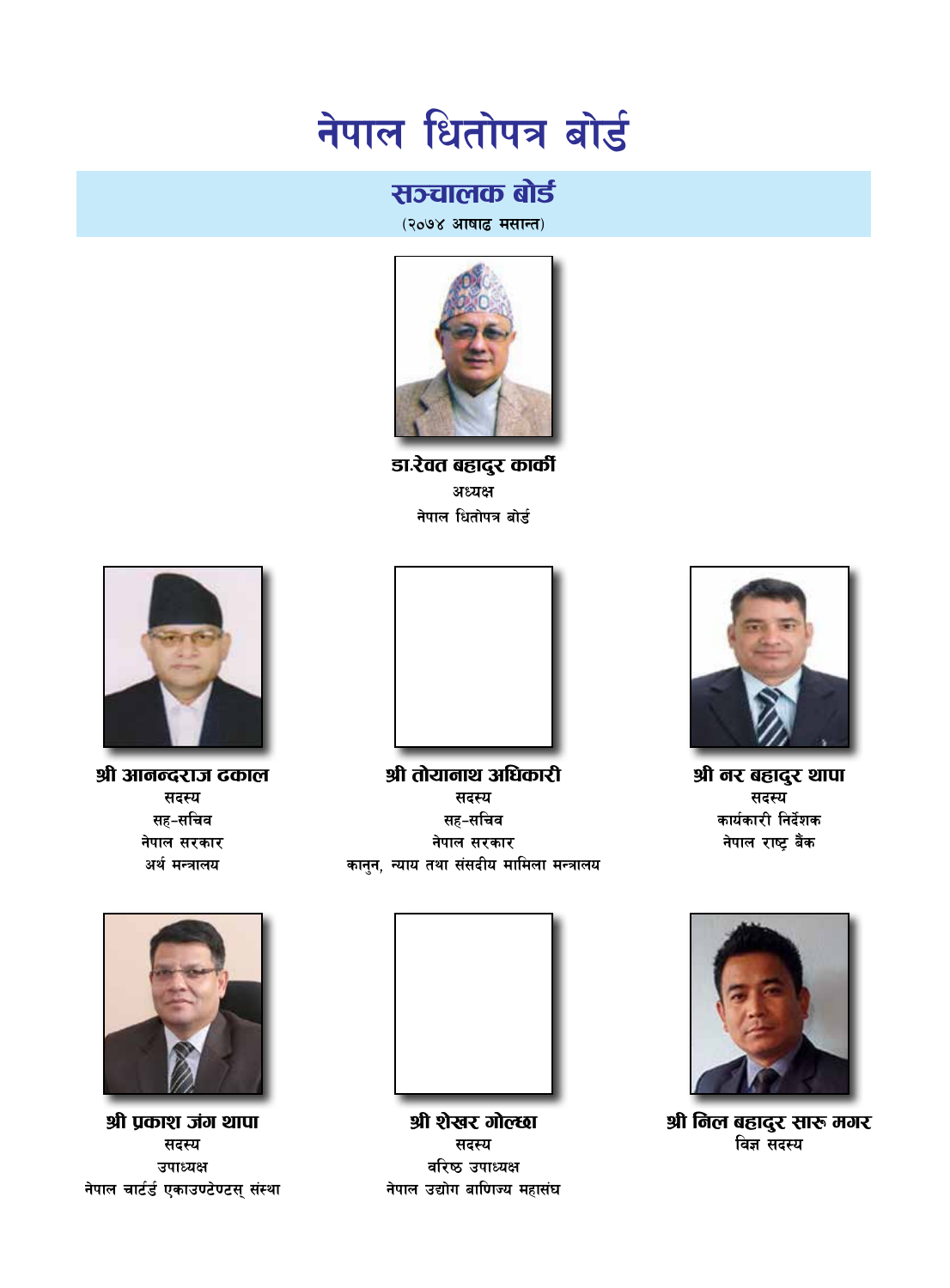# सञ्चालक बोर्ड

(२०७४ आषाढ मसान्त)



डा.रेवत बहादुर कार्की अध्यक्ष नेपाल धितोपत्र बोर्ड



श्री आनन्दराज दकाल सदस्य सह-सचिव नेपाल सरकार अर्थ मन्त्रालय



श्री तोयानाथ अधिकारी सदस्य सह-सचिव नेपाल सरकार कानन, न्याय तथा संसदीय मामिला मन्त्रालय



श्री नर बहादुर थापा सदस्य कार्यकारी निर्देशक नेपाल राष्ट्र बैंक



श्री निल बहादुर सारू मगर विज्ञ सदस्य



श्री प्रकाश जंग थापा सदस्य उपाध्यक्ष नेपाल चार्टर्ड एकाउण्टेण्टस् संस्था



श्री शेखर गोल्छा सदस्य वरिष्ठ उपाध्यक्ष नेपाल उद्योग बाणिज्य महासंघ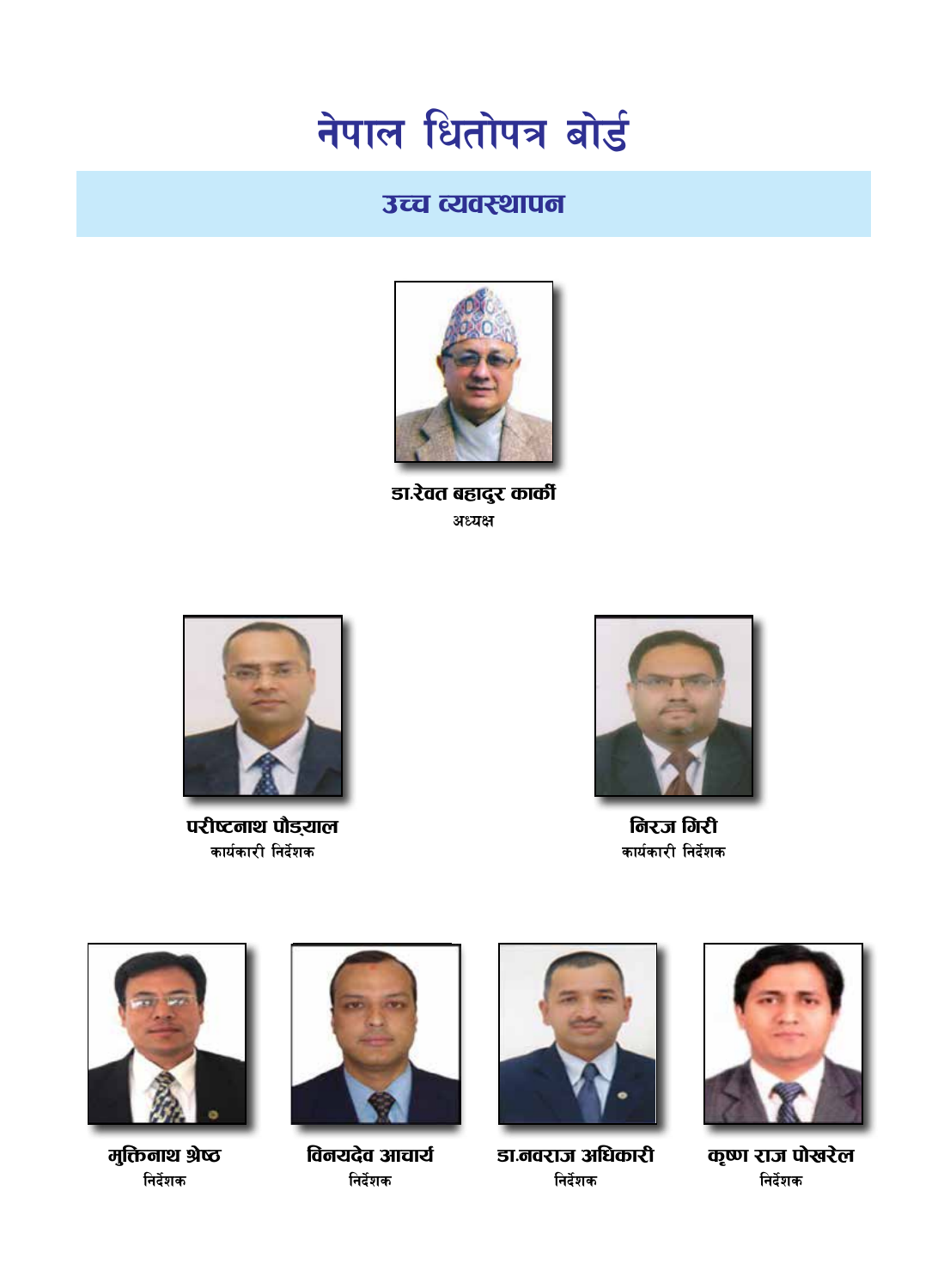# उच्च व्यवस्थापन



डा.रेवत बहादुर कार्की अध्यक्ष



परीष्टनाथ पौडयाल कार्यकारी निर्देशक



निरज गिरी कार्यकारी निर्देशक



मुक्तिनाथ श्रेष्ठ निर्देशक



विनयदेव आचार्य निर्देशक



डा.नवराज अधिकारी निर्देशक



कृष्ण राज पोखरेल निर्देशक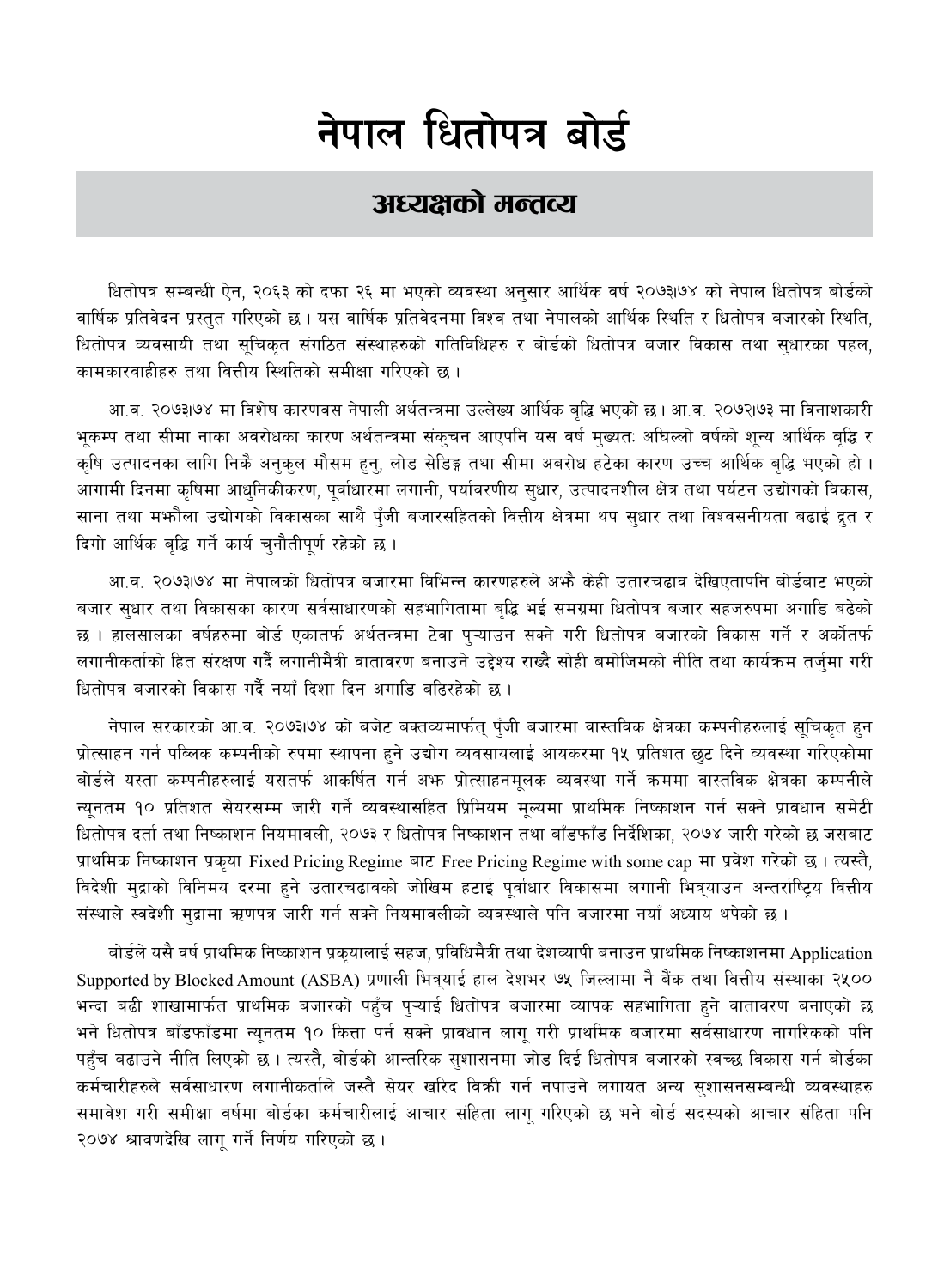# अध्यक्षको मन्तव्य

धितोपत्र सम्बन्धी ऐन, २०६३ को दफा २६ मा भएको व्यवस्था अनुसार आर्थिक वर्ष २०७३1७४ को नेपाल धितोपत्र बोर्डको वार्षिक प्रतिवेदन प्रस्तुत गरिएको छ । यस वार्षिक प्रतिवेदनमा विश्व तथा नेपालको आर्थिक स्थिति र धितोपत्र बजारको स्थिति, धितोपत्र व्यवसायी तथा सूचिकृत संगठित संस्थाहरुको गतिविधिहरु र बोर्डको धितोपत्र बजार विकास तथा सुधारका पहल, कामकारवाहीहरु तथा वित्तीय स्थितिको समीक्षा गरिएको छ।

आ.व. २०७३।७४ मा विशेष कारणवस नेपाली अर्थतन्त्रमा उल्लेख्य आर्थिक बुद्धि भएको छ। आ.व. २०७२।७३ मा विनाशकारी भूकम्प तथा सीमा नाका अवरोधका कारण अर्थतन्त्रमा संक्चन आएपनि यस वर्ष मुख्यत: अधिल्लो वर्षको शून्य आर्थिक बृद्धि र कृषि उत्पादनका लागि निकै अनुकुल मौसम हुनु, लोड सेडिङ्ग तथा सीमा अबरोध हटेका कारण उच्च आर्थिक बृद्धि भएको हो । आगामी दिनमा कृषिमा आधुनिकीकरण, पुर्वाधारमा लगानी, पर्यावरणीय सुधार, उत्पादनशील क्षेत्र तथा पर्यटन उद्योगको विकास, साना तथा मभ्कौला उद्योगको विकासका साथै पुँजी बजारसहितको वित्तीय क्षेत्रमा थप सुधार तथा विश्वसनीयता बढाई द्रुत र दिगो आर्थिक बुद्धि गर्ने कार्य चुनौतीपूर्ण रहेको छ ।

आ.व. २०७३।७४ मा नेपालको धितोपत्र बजारमा विभिन्न कारणहरुले अभै केही उतारचढाव देखिएतापनि बोर्डबाट भएको बजार सुधार तथा विकासका कारण सर्वसाधारणको सहभागितामा बुद्धि भई समग्रमा धितोपत्र बजार सहजरुपमा अगाडि बढेको छ । हालसालका वर्षहरुमा बोर्ड एकातर्फ अर्थतन्त्रमा टेवा प्ऱ्याउन सक्ने गरी धितोपत्र बजारको विकास गर्ने र अर्कोतर्फ लगानीकर्ताको हित संरक्षण गर्दै लगानीमैत्री वातावरण बनाउने उद्देश्य राख्दै सोही बमोजिमको नीति तथा कार्यक्रम तर्जुमा गरी धितोपत्र बजारको विकास गर्दै नयाँ दिशा दिन अगान्नि बढिरहेको छ ।

नेपाल सरकारको आ.व. २०७३।७४ को बजेट बक्तव्यमार्फत् पँजी बजारमा वास्तविक क्षेत्रका कम्पनीहरुलाई सूचिकृत हुन प्रोत्साहन गर्न पब्लिक कम्पनीको रुपमा स्थापना हुने उद्योग व्यवसायलाई आयकरमा १५ प्रतिशत छुट दिने व्यवस्था गरिएकोमा बोर्डले यस्ता कम्पनीहरुलाई यसतर्फ आकर्षित गर्न अफ प्रोत्साहनमूलक व्यवस्था गर्ने क्रममा वास्तविक क्षेत्रका कम्पनीले न्यनतम १० प्रतिशत सेयरसम्म जारी गर्ने व्यवस्थासहित प्रिमियम मुल्यमा प्राथमिक निष्काशन गर्न सक्ने प्रावधान समेटी धितोपत्र दर्ता तथा निष्काशन नियमावली, २०७३ र धितोपत्र निष्काशन तथा बाँडफाँड निर्देशिका, २०७४ जारी गरेको छ जसबाट प्राथमिक निष्काशन प्रकृया Fixed Pricing Regime बाट Free Pricing Regime with some cap मा प्रवेश गरेको छ। त्यस्तै, विदेशी मुद्राको विनिमय दरमा हुने उतारचढावको जोखिम हटाई पूर्वाधार विकासमा लगानी भित्र्याउन अन्तर्राष्ट्रिय वित्तीय संस्थाले स्वदेशी मुद्रामा ऋणपत्र जारी गर्न सक्ने नियमावलीको व्यवस्थाले पनि बजारमा नयाँ अध्याय थपेको छ।

बोर्डले यसै वर्ष प्राथमिक निष्काशन प्रकुयालाई सहज, प्रविधिमैत्री तथा देशव्यापी बनाउन प्राथमिक निष्काशनमा Application Supported by Blocked Amount (ASBA) प्रणाली भित्र्याई हाल देशभर ७५ जिल्लामा नै बैंक तथा वित्तीय संस्थाका २५०० भन्दा बढी शाखामार्फत प्राथमिक बजारको पहुँच प्ऱ्याई धितोपत्र बजारमा व्यापक सहभागिता हुने वातावरण बनाएको छ भने धितोपत्र बाँडफाँडमा न्यूनतम १० कित्ता पर्न सक्ने प्रावधान लागू गरी प्राथमिक बजारमा सर्वसाधारण नागरिकको पनि पहुँच बढाउने नीति लिएको छ । त्यस्तै, बोर्डको आन्तरिक सुशासनमा जोड दिई धितोपत्र बजारको स्वच्छ विकास गर्न बोर्डका कर्मचारीहरुले सर्वसाधारण लगानीकर्ताले जस्तै सेयर खरिद विक्री गर्न नपाउने लगायत अन्य सुशासनसम्बन्धी व्यवस्थाहरु समावेश गरी समीक्षा वर्षमा बोर्डका कर्मचारीलाई आचार संहिता लाग गरिएको छ भने बोर्ड सदस्यको आचार संहिता पनि २०७४ श्रावणदेखि लागू गर्ने निर्णय गरिएको छ।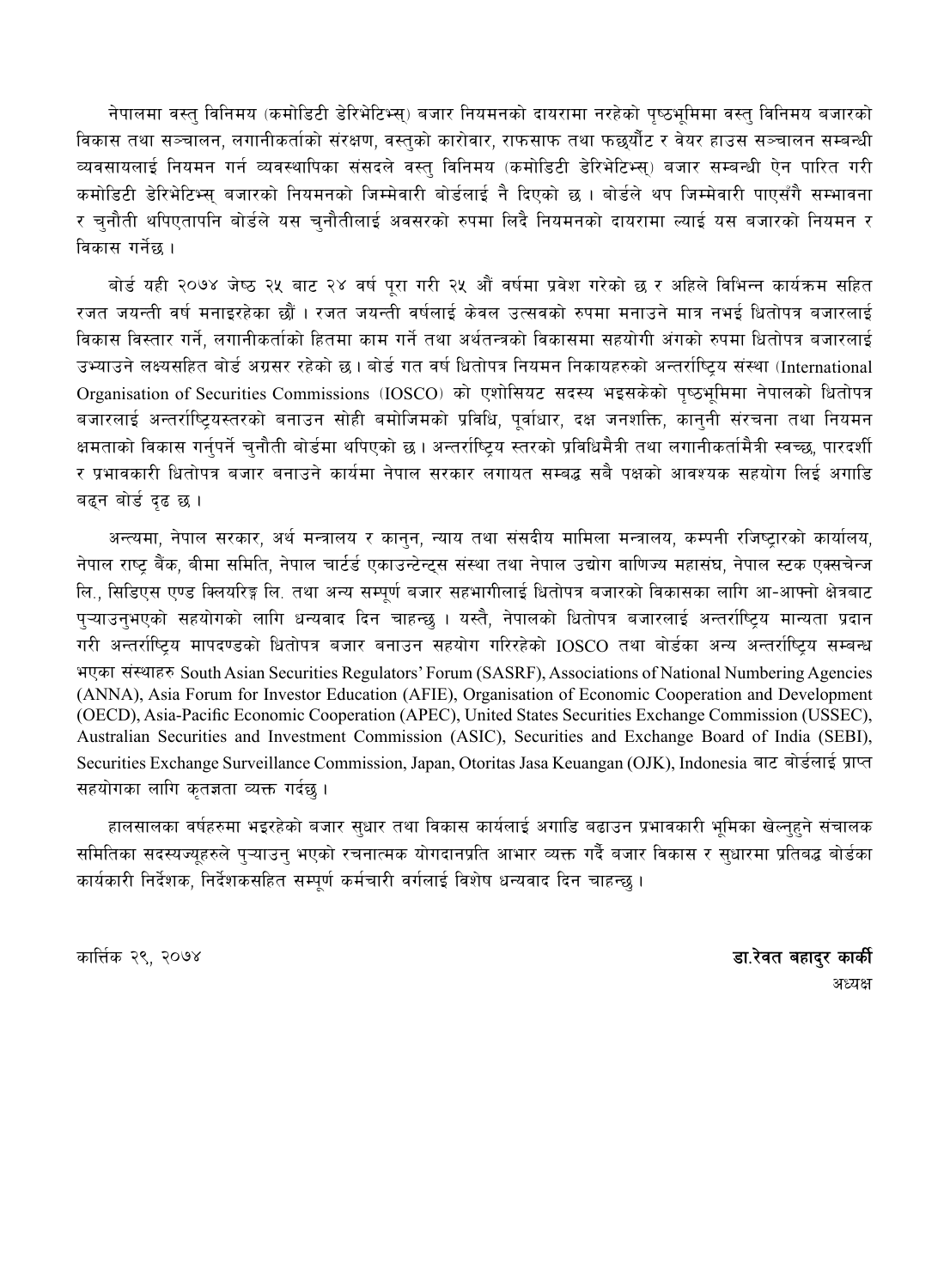नेपालमा वस्तु विनिमय (कमोडिटी डेरिभेटिभ्स्) बजार नियमनको दायरामा नरहेको पुष्ठभुमिमा वस्तु विनिमय बजारको विकास तथा सञ्चालन, लगानीकर्ताको संरक्षण, वस्तको कारोवार, राफसाफ तथा फछयौंट र वेयर हाउस सञ्चालन सम्बन्धी व्यवसायलाई नियमन गर्न व्यवस्थापिका संसदले वस्त विनिमय (कमोडिटी डेरिभेटिभ्स) बजार सम्बन्धी ऐन पारित गरी कमोडिटी डेरिभेटिभ्सु बजारको नियमनको जिम्मेवारी बोर्डलाई नै दिएको छ । बोर्डले थप जिम्मेवारी पाएसँगै सम्भावना र चुनौती थपिएतापनि बोर्डले यस चुनौतीलाई अवसरको रुपमा लिदै नियमनको दायरामा ल्याई यस बजारको नियमन र विकास गर्नेछ ।

बोर्ड यही २०७४ जेष्ठ २५ बाट २४ वर्ष पुरा गरी २५ औं वर्षमा प्रवेश गरेको छ र अहिले विभिन्न कार्यक्रम सहित रजत जयन्ती वर्ष मनाइरहेका छौं । रजत जयन्ती वर्षलाई केवल उत्सवको रुपमा मनाउने मात्र नभई धितोपत्र बजारलाई विकास विस्तार गर्ने, लगानीकर्ताको हितमा काम गर्ने तथा अर्थतन्त्रको विकासमा सहयोगी अंगको रुपमा धितोपत्र बजारलाई उभ्याउने लक्ष्यसहित बोर्ड अग्रसर रहेको छ । बोर्ड गत वर्ष धितोपत्र नियमन निकायहरुको अन्तर्राष्टिय संस्था (International Organisation of Securities Commissions (IOSCO) को एशोसियट सदस्य भइसकेको पुष्ठभूमिमा नेपालको धितोपत्र बजारलाई अन्तर्राष्टियस्तरको बनाउन सोही बमोजिमको प्रविधि, पर्वाधार, दक्ष जनशक्ति, काननी संरचना तथा नियमन क्षमताको विकास गर्नपर्ने चनौती बोर्डमा थपिएको छ । अन्तर्राष्टिय स्तरको प्रविधिमैत्री तथा लगानीकर्तामैत्री स्वच्छ, पारदर्शी र प्रभावकारी धितोपत्र बजार बनाउने कार्यमा नेपाल सरकार लगायत सम्बद्ध सबै पक्षको आवश्यक सहयोग लिई अगाडि बढन बोर्ड दृढ छ।

अन्त्यमा, नेपाल सरकार, अर्थ मन्त्रालय र कानुन, न्याय तथा संसदीय मामिला मन्त्रालय, कम्पनी रजिष्ट्रारको कार्यालय, नेपाल राष्ट्र बैंक, बीमा समिति, नेपाल चार्टर्ड एकाउन्टेन्टस संस्था तथा नेपाल उद्योग वाणिज्य महासंघ, नेपाल स्टक एक्सचेन्ज लि., सिडिएस एण्ड क्लियरिङ्ग लि. तथा अन्य सम्पूर्ण बजार सहभागीलाई धितोपत्र बजारको विकासका लागि आ-आफ्नो क्षेत्रबाट प्ऱ्याउन्भएको सहयोगको लागि धन्यवाद दिन चाहन्छ । यस्तै, नेपालको धितोपत्र बजारलाई अन्तर्राष्ट्रिय मान्यता प्रदान गरी अन्तर्राष्ट्रिय मापदण्डको धितोपत्र बजार बनाउन सहयोग गरिरहेको IOSCO तथा बोर्डका अन्य अन्तर्राष्ट्रिय सम्बन्ध भएका संस्थाहरु South Asian Securities Regulators' Forum (SASRF), Associations of National Numbering Agencies (ANNA), Asia Forum for Investor Education (AFIE), Organisation of Economic Cooperation and Development (OECD), Asia-Pacific Economic Cooperation (APEC), United States Securities Exchange Commission (USSEC), Australian Securities and Investment Commission (ASIC), Securities and Exchange Board of India (SEBI), Securities Exchange Surveillance Commission, Japan, Otoritas Jasa Keuangan (OJK), Indonesia बाट बोर्डलाई प्राप्त सहयोगका लागि कृतज्ञता व्यक्त गर्दछ ।

हालसालका वर्षहरुमा भइरहेको बजार सुधार तथा विकास कार्यलाई अगाडि बढाउन प्रभावकारी भूमिका खेल्नुहुने संचालक समितिका सदस्यज्यहरुले पऱ्याउन् भएको रचनात्मक योगदानप्रति आभार व्यक्त गर्दै बजार विकास र सुधारमा प्रतिबद्ध बोर्डका कार्यकारी निर्देशक, निर्देशकसहित सम्पर्ण कर्मचारी वर्गलाई विशेष धन्यवाद दिन चाहन्छ।

कार्त्तक २९. २०७४

डा.रेवत बहादर कार्की अध्यक्ष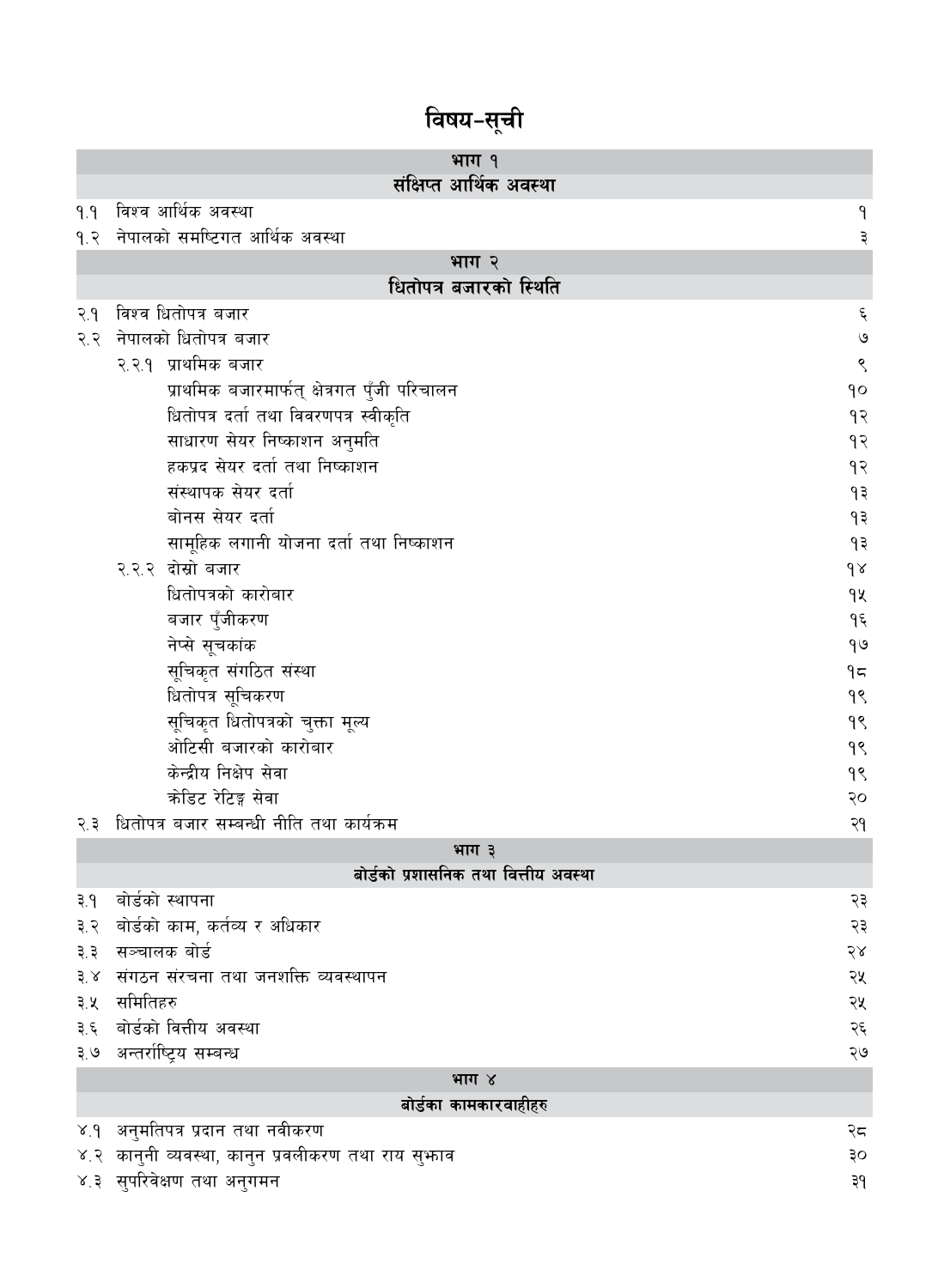|             | भाग १                                              |                          |
|-------------|----------------------------------------------------|--------------------------|
|             | संक्षिप्त आर्थिक अवस्था                            |                          |
| 9.9         | विश्व आर्थिक अवस्था                                | ٩                        |
| 9.3         | नेपालको समष्टिगत आर्थिक अवस्था                     | ३                        |
|             | भाग २                                              |                          |
|             | धितोपत्र बजारको स्थिति                             |                          |
| २.१         | विश्व धितोपत्र बजार                                | $\boldsymbol{\xi}$       |
| २.२         | नेपालको धितोपत्र बजार                              | $\mathsf{G}$             |
|             | २.२.१ प्राथमिक बजार                                | ९                        |
|             | प्राथमिक बजारमार्फत् क्षेत्रगत पुँजी परिचालन       | $\mathsf{q}\circ$        |
|             | धितोपत्र दर्ता तथा विवरणपत्र स्वीकृति              | १२                       |
|             | साधारण सेयर निष्काशन अनुमति                        | १२                       |
|             | हकप्रद सेयर दर्ता तथा निष्काशन                     | १२                       |
|             | संस्थापक सेयर दर्ता                                | ۹३                       |
|             | बोनस सेयर दर्ता                                    | १३                       |
|             | सामूहिक लगानी योजना दर्ता तथा निष्काशन             | ۹₹                       |
|             | २.२.२ दोस्रो बजार                                  | $\delta$                 |
|             | धितोपत्रको कारोबार                                 | qy                       |
|             | बजार पुँजीकरण                                      | ۹६                       |
|             | नेप्से सूचकांक                                     | 90                       |
|             | सूचिकृत संगठित संस्था                              | 95                       |
|             | धितोपत्र सूचिकरण                                   | 98                       |
|             | सूचिकृत धितोपत्रको चुक्ता मूल्य                    | 98                       |
|             | ओटिसी बजारको कारोबार                               | 98                       |
|             | केन्द्रीय निक्षेप सेवा                             | 98                       |
|             | क्रोडिट रेटिङ्ग सेवा                               | २०                       |
| २.३         | धितोपत्र बजार सम्बन्धी नीति तथा कार्यक्रम          | २१                       |
|             | भाग ३                                              |                          |
|             | बोर्डको प्रशासनिक तथा वित्तीय अवस्था               |                          |
| ३.१         | बोर्डको स्थापना                                    | २३                       |
| ३.२         | बोर्डको काम, कर्तव्य र अधिकार                      | २३                       |
| ३.३         | सञ्चालक बोर्ड                                      | २४                       |
| $3^{\circ}$ | संगठन संरचना तथा जनशक्ति व्यवस्थापन                | २५                       |
| ३.५         | समितिहरु                                           | २५                       |
| ३.६         | बोर्डको वित्तीय अवस्था                             | $\mathcal{S}\mathcal{E}$ |
|             | ३.७ अन्तर्राष्ट्रिय सम्बन्ध                        | २७                       |
|             | भाग ४                                              |                          |
|             | बोर्डका कामकारवाहीहरु                              |                          |
| 8.9         | अनुमतिपत्र प्रदान तथा नवीकरण                       | २८                       |
|             | ४.२ कानुनी व्यवस्था, कानुन प्रवलीकरण तथा राय सुफाव | ३०                       |
|             | ४.३ सुपरिवेक्षण तथा अनुगमन                         | ३१                       |

# विषय-सूची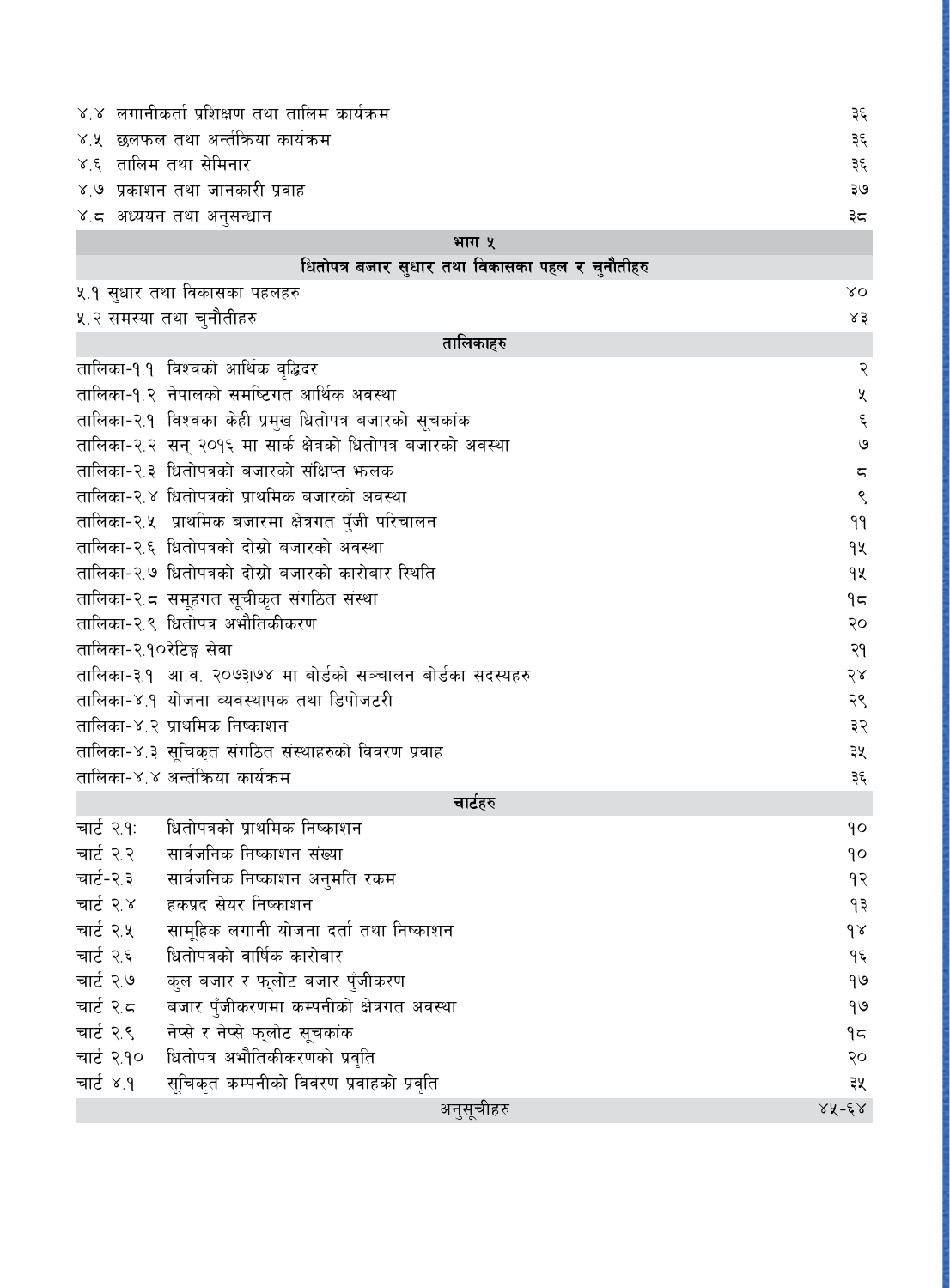| ४.४ लगानीकर्ता प्रशिक्षण तथा तालिम कार्यक्रम                  | ३६                      |
|---------------------------------------------------------------|-------------------------|
| ४.५  छलफल तथा अर्न्तकिया कार्यक्रम                            | ३६                      |
| ४.६ तालिम तथा सेमिनार                                         | ३६                      |
| ४.७ प्रकाशन तथा जानकारी प्रवाह                                | ३७                      |
| ४.८ अध्ययन तथा अनुसन्धान                                      | ३८                      |
| भाग ५                                                         |                         |
| धितोपत्र बजार सुधार तथा विकासका पहल र चुनौतीहरु               |                         |
| ५.१ सुधार तथा विकासका पहलहरु                                  | $X^{\mathbf{O}}$        |
| ५.२ समस्या तथा चुनौतीहरु                                      | x3                      |
| तालिकाहरु                                                     |                         |
| तालिका-१.१ विश्वको आर्थिक वृद्धिदर                            | २                       |
| तालिका-१.२ नेपालको समष्टिगत आर्थिक अवस्था                     | $\pmb{\mathsf{X}}$      |
| तालिका-२.१ विश्वका केही प्रमुख धितोपत्र बजारको सूचकांक        | $\boldsymbol{\xi}$      |
| तालिका-२.२ सन् २०१६ मा सार्क क्षेत्रको धितोपत्र बजारको अवस्था | $\circ$                 |
| तालिका-२.३ धितोपत्रको बजारको संक्षिप्त भनलक                   | $\overline{\mathbb{C}}$ |
| तालिका-२.४ धितोपत्रको प्राथमिक बजारको अवस्था                  | $\zeta$                 |
| तालिका-२.५ प्राथमिक बजारमा क्षेत्रगत पुँजी परिचालन            | 99                      |
| तालिका-२.६ धितोपत्रको दोस्रो बजारको अवस्था                    | qx                      |
| तालिका-२.७ धितोपत्रको दोस्रो बजारको कारोबार स्थिति            | qx                      |
| तालिका-२.८ समूहगत सूचीकृत संगठित संस्था                       | 95                      |
| तालिका-२.९ धितोपत्र अभौतिकीकरण                                | २०                      |
| तालिका-२.१०रेटिङ्ग सेवा                                       | २१                      |
| तालिका-३.१  आ.व. २०७३।७४ मा बोर्डको सञ्चालन बोर्डका सदस्यहरु  | २४                      |
| तालिका-४.१ योजना व्यवस्थापक तथा डिपोजटरी                      | २९                      |
| तालिका-४.२ प्राथमिक निष्काशन                                  | ३२                      |
| तालिका-४.३ सूचिकृत संगठित संस्थाहरुको विवरण प्रवाह            | ३५                      |
| तालिका-४.४ अर्न्तक्रिया कार्यक्रम                             | ३६                      |
| चार्टहरु                                                      |                         |
| धितोपत्रको प्राथमिक निष्काशन<br>चार्ट २.१:                    | ٩o                      |
| चार्ट २.२<br>सार्वजनिक निष्काशन संख्या                        | qo                      |
| चार्ट-२.३<br>सार्वजनिक निष्काशन अनुमति रकम                    | १२                      |
| चार्ट २.४<br>हकप्रद सेयर निष्काशन                             | ۶۹                      |
| चार्ट २.५<br>सामूहिक लगानी योजना दर्ता तथा निष्काशन           | $\delta$                |
| चार्ट २.६<br>धितोपत्रको वार्षिक कारोबार                       | ۹६                      |
| चार्ट २.७<br>कुल बजार र फलोट बजार पुँजीकरण                    | 9७                      |
| चार्ट २.८<br>बजार पुँजीकरणमा कम्पनीको क्षेत्रगत अवस्था        | 90                      |
| नेप्से र नेप्से फुलोट सूचकांक<br>चार्ट २.९                    | $9$ ج                   |
| धितोपत्र अभौतिकीकरणको प्रवृति<br>चार्ट २.१०                   | २०                      |
| सूचिकृत कम्पनीको विवरण प्रवाहको प्रवृति<br>चार्ट ४.१          | ३५                      |
| अनुसूचीहरु                                                    | $28 - 62$               |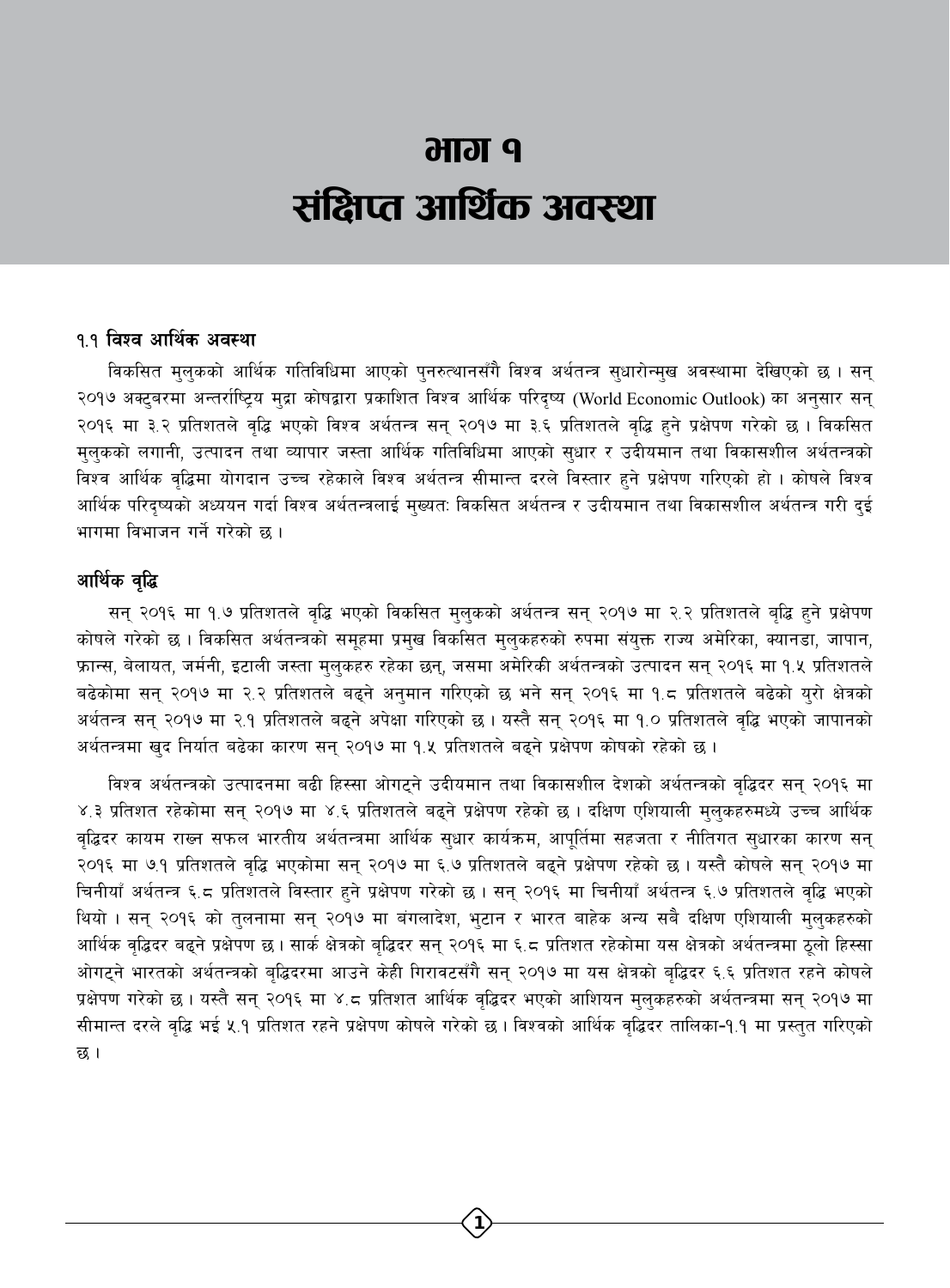# **P IGIRG** संक्षिप्त आर्थिक अवस्था

#### १.१ विश्व आर्थिक अवस्था

विकसित मुलुकको आर्थिक गतिविधिमा आएको पुनरुत्थानसँगै विश्व अर्थतन्त्र सुधारोन्मुख अवस्थामा देखिएको छ । सन् २०१७ अक्टूबरमा अन्तर्राष्ट्रिय मुद्रा कोषद्वारा प्रकाशित विश्व आर्थिक परिदृष्य (World Economic Outlook) का अनुसार सन् २०१६ मा ३.२ प्रतिशतले वृद्धि भएको विश्व अर्थतन्त्र सन् २०१७ मा ३.६ प्रतिशतले वृद्धि हुने प्रक्षेपण गरेको छ । विकसित मुलुकको लगानी, उत्पादन तथा व्यापार जस्ता आर्थिक गतिविधिमा आएको सुधार र उदीयमान तथा विकासशील अर्थतन्त्रको विश्व आर्थिक वृद्धिमा योगदान उच्च रहेकाले विश्व अर्थतन्त्र सीमान्त दरले विस्तार हुने प्रक्षेपण गरिएको हो । कोषले विश्व आर्थिक परिदृष्यको अध्ययन गर्दा विश्व अर्थतन्त्रलाई मुख्यतः विकसित अर्थतन्त्र र उदीयमान तथा विकासशील अर्थतन्त्र गरी दुई भागमा विभाजन गर्ने गरेको छ ।

#### आर्थिक वृद्धि

सन् २०१६ मा १.७ प्रतिशतले वृद्धि भएको विकसित मुलुकको अर्थतन्त्र सन् २०१७ मा २.२ प्रतिशतले बृद्धि हुने प्रक्षेपण कोषले गरेको छ । विकसित अर्थतन्त्रको समूहमा प्रमुख विकसित मुलुकहरुको रुपमा संयुक्त राज्य अमेरिका, क्यानडा, जापान, फ्रान्स, बेलायत, जर्मनी, इटाली जस्ता मुलुकहरु रहेका छन्, जसमा अमेरिकी अर्थतन्त्रको उत्पादन सन् २०१६ मा १.५ प्रतिशतले बढेकोमा सन् २०१७ मा २.२ प्रतिशतले बढ्ने अनुमान गरिएको छ भने सन् २०१६ मा १.८ प्रतिशतले बढेको युरो क्षेत्रको अर्थतन्त्र सन् २०१७ मा २.१ प्रतिशतले बढने अपेक्षा गरिएको छ । यस्तै सन् २०१६ मा १.० प्रतिशतले वद्धि भएको जापानको अर्थतन्त्रमा खुद निर्यात बढेका कारण सन् २०१७ मा १.५ प्रतिशतले बढ्ने प्रक्षेपण कोषको रहेको छ।

विश्व अर्थतन्त्रको उत्पादनमा बढी हिस्सा ओगटने उदीयमान तथा विकासशील देशको अर्थतन्त्रको वद्धिदर सन् २०१६ मा ४.३ प्रतिशत रहेकोमा सन् २०१७ मा ४.६ प्रतिशतले बढ्ने प्रक्षेपण रहेको छ । दक्षिण एशियाली मुलुकहरुमध्ये उच्च आर्थिक वद्धिदर कायम राख्न सफल भारतीय अर्थतन्त्रमा आर्थिक सुधार कार्यक्रम, आपुर्तिमा सहजता र नीतिगत सुधारका कारण सन् २०१६ मा ७.१ प्रतिशतले वृद्धि भएकोमा सन् २०१७ मा ६.७ प्रतिशतले बढ्ने प्रक्षेपण रहेको छ। यस्तै कोषले सन् २०१७ मा चिनीयाँ अर्थतन्त्र ६.८ प्रतिशतले विस्तार हुने प्रक्षेपण गरेको छ । सन् २०१६ मा चिनीयाँ अर्थतन्त्र ६.७ प्रतिशतले वृद्धि भएको थियो । सन् २०१६ को तुलनामा सन् २०१७ मा बंगलादेश, भुटान र भारत बाहेक अन्य सबै दक्षिण एशियाली मुलुकहरुको आर्थिक वृद्धिदर बढ्ने प्रक्षेपण छ । सार्क क्षेत्रको बृद्धिदर सन् २०१६ मा ६.८ प्रतिशत रहेकोमा यस क्षेत्रको अर्थतन्त्रमा ठूलो हिस्सा ओगट्ने भारतको अर्थतन्त्रको बृद्धिदरमा आउने केही गिरावटसँगै सन् २०१७ मा यस क्षेत्रको बृद्धिदर ६.६ प्रतिशत रहने कोषले प्रक्षेपण गरेको छ । यस्तै सन् २०१६ मा ४.८ प्रतिशत आर्थिक वृद्धिदर भएको आशियन मुलुकहरुको अर्थतन्त्रमा सन् २०१७ मा सीमान्त दरले वद्धि भई ५.१ प्रतिशत रहने प्रक्षेपण कोषले गरेको छ। विश्वको आर्थिक वद्धिदर तालिका-१.१ मा प्रस्तुत गरिएको छ ।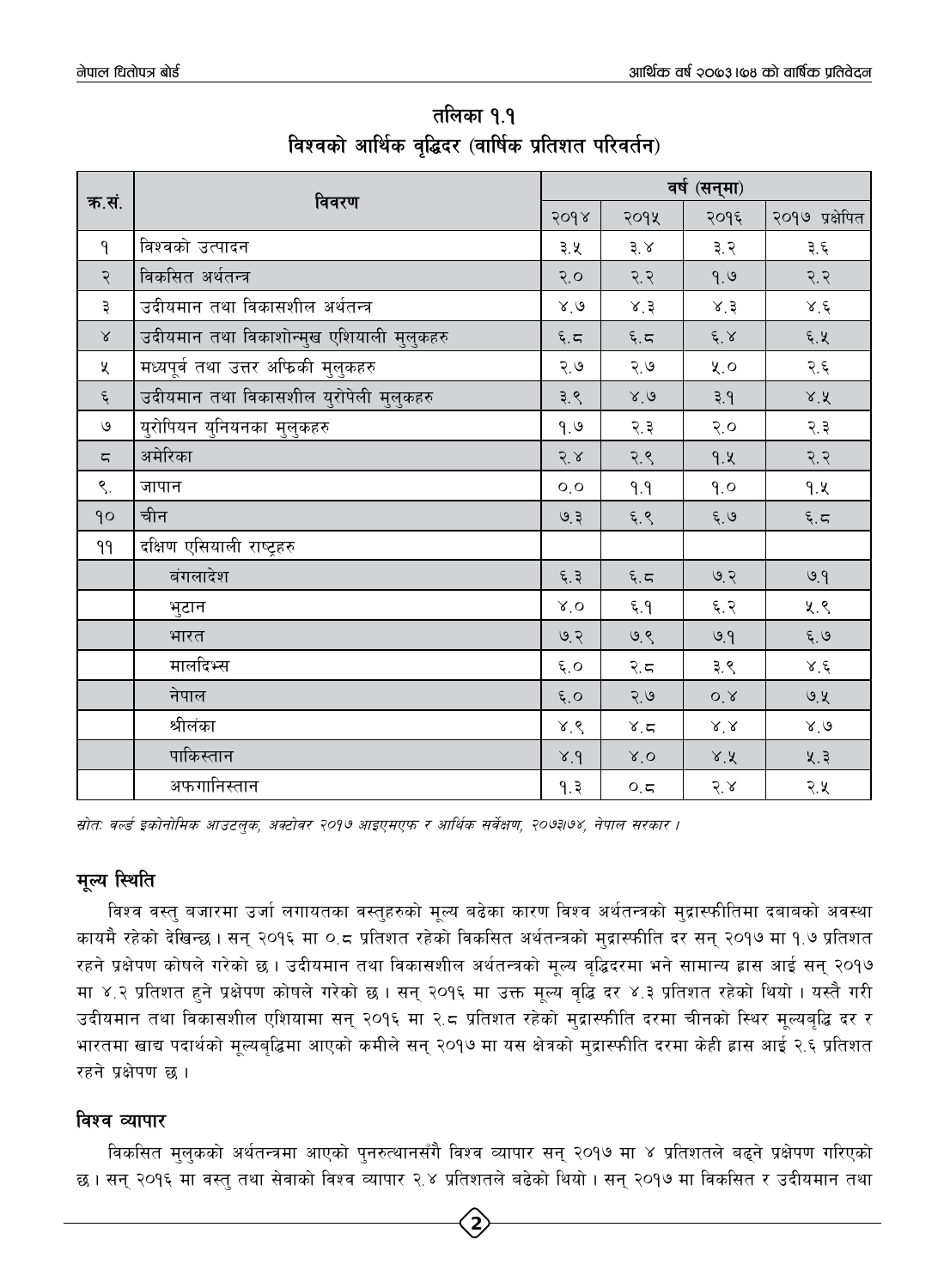|                    |                                          | वर्ष (सन्मा)                  |                 |                            |                       |  |
|--------------------|------------------------------------------|-------------------------------|-----------------|----------------------------|-----------------------|--|
| क.सं.              | विवरण                                    | 2098                          | २०१५            | २०१६                       | २०१७ प्रक्षेपित       |  |
| $\mathsf{P}$       | विश्वको उत्पादन                          | ३.५                           | ३.४             | ३.२                        | ३.६                   |  |
| २                  | विकसित अर्थतन्त्र                        | $Q, \mathcal{G}$              | 9.5             | 9.9                        | 5.5                   |  |
| ३                  | उदीयमान तथा विकासशील अर्थतन्त्र          | 8.6                           | 8.3             | 8.3                        | $\lambda^{\cdot} \xi$ |  |
| $\propto$          | उदीयमान तथा विकाशोन्मुख एशियाली मुलुकहरु | $\xi$ . $\zeta$               | $\xi, \zeta$    | $\xi$ . $\chi$             | ६.५                   |  |
| $\mathsf{\chi}$    | मध्यपूर्व तथा उत्तर अफिकी मुलुकहरु       | २.७                           | २.७             | $x^{\prime}$               | २.६                   |  |
| $\boldsymbol{\xi}$ | उदीयमान तथा विकासशील युरोपेली मुलुकहरु   | ३.९                           | 8.6             | 9.5                        | 8.8                   |  |
| $\mathcal{O}$      | युरोपियन युनियनका मुलुकहरु               | 9.9                           | २.३             | $\sqrt{2}$                 | २.३                   |  |
| ζ                  | अमेरिका                                  | 5.8                           | २.९             | 9.4                        | 9.5                   |  |
| $\mathcal{S}$ .    | जापान                                    | O, O                          | P.P             | 9.0                        | 9.4                   |  |
| 90                 | चीन                                      | 9.3                           | ६.९             | $\xi$ , ७                  | $\xi, \xi$            |  |
| ٩٩                 | दक्षिण एसियाली राष्ट्रहरु                |                               |                 |                            |                       |  |
|                    | बंगलादेश                                 | ६.३                           | $\xi$ , $\zeta$ | 9.3                        | 9.9                   |  |
|                    | भुटान                                    | $X^{\prime}$ O                | $f, \xi$        | ६.२                        | ५.९                   |  |
|                    | भारत                                     | 9.3                           | ७.९             | 9.9                        | $\xi$ . $9$           |  |
|                    | मालदिभ्स                                 | $\boldsymbol{\xi},\mathbf{O}$ | २. $5$          | ३.९                        | $\lambda^{\prime}$ ć  |  |
|                    | नेपाल                                    | $\xi$ .<br>O                  | 2.9             | O, 8                       | ७.५                   |  |
|                    | श्रीलंका                                 | 8.8                           | 8.5             | $\lambda^{\prime},\lambda$ | 8.9                   |  |
|                    | पाकिस्तान                                | Y.9                           | $X^{\prime}$ O  | 8.8                        | ५.३                   |  |
|                    | अफगानिस्तान                              | 9.3                           | $O, \sqrt{2}$   | 5.8                        | २.५                   |  |

तलिका १.१ विश्वको आर्थिक वृद्धिदर (वार्षिक प्रतिशत परिवर्तन)

स्रोतः वर्ल्ड इकोनोमिक आउटलुक, अक्टोवर २०१७ आइएमएफ र आर्थिक सर्वेक्षण, २०७३।७४, नेपाल सरकार ।

# मुल्य स्थिति

विश्व वस्तु बजारमा उर्जा लगायतका वस्तुहरुको मूल्य बढेका कारण विश्व अर्थतन्त्रको मुद्रास्फीतिमा दबाबको अवस्था कायमै रहेको देखिन्छ। सन् २०१६ मा ०.८ प्रतिशत रहेको विकसित अर्थतन्त्रको मुद्रास्फीति दर सन् २०१७ मा १.७ प्रतिशत रहने प्रक्षेपण कोषले गरेको छ। उदीयमान तथा विकासशील अर्थतन्त्रको मूल्य वृद्धिदरमा भने सामान्य ह्रास आई सन् २०१७ मा ४.२ प्रतिशत हुने प्रक्षेपण कोषले गरेको छ । सन् २०१६ मा उक्त मूल्य वृद्धि दर ४.३ प्रतिशत रहेको थियो । यस्तै गरी उदीयमान तथा विकासशील एशियामा सन् २०१६ मा २.८ प्रतिशत रहेको मुद्रास्फीति दरमा चीनको स्थिर मूल्यबृद्धि दर र भारतमा खाद्य पदार्थको मूल्यबृद्धिमा आएको कमीले सन् २०१७ मा यस क्षेत्रको मुद्रास्फीति दरमा केही ह्रास आई २.६ प्रतिशत रहने प्रक्षेपण छ।

# विश्व व्यापार

विकसित मुलुकको अर्थतन्त्रमा आएको पुनरुत्थानसँगै विश्व व्यापार सन् २०१७ मा ४ प्रतिशतले बढ्ने प्रक्षेपण गरिएको छ । सन् २०१६ मा वस्त् तथा सेवाको विश्व व्यापार २.४ प्रतिशतले बढेको थियो । सन् २०१७ मा विकसित र उदीयमान तथा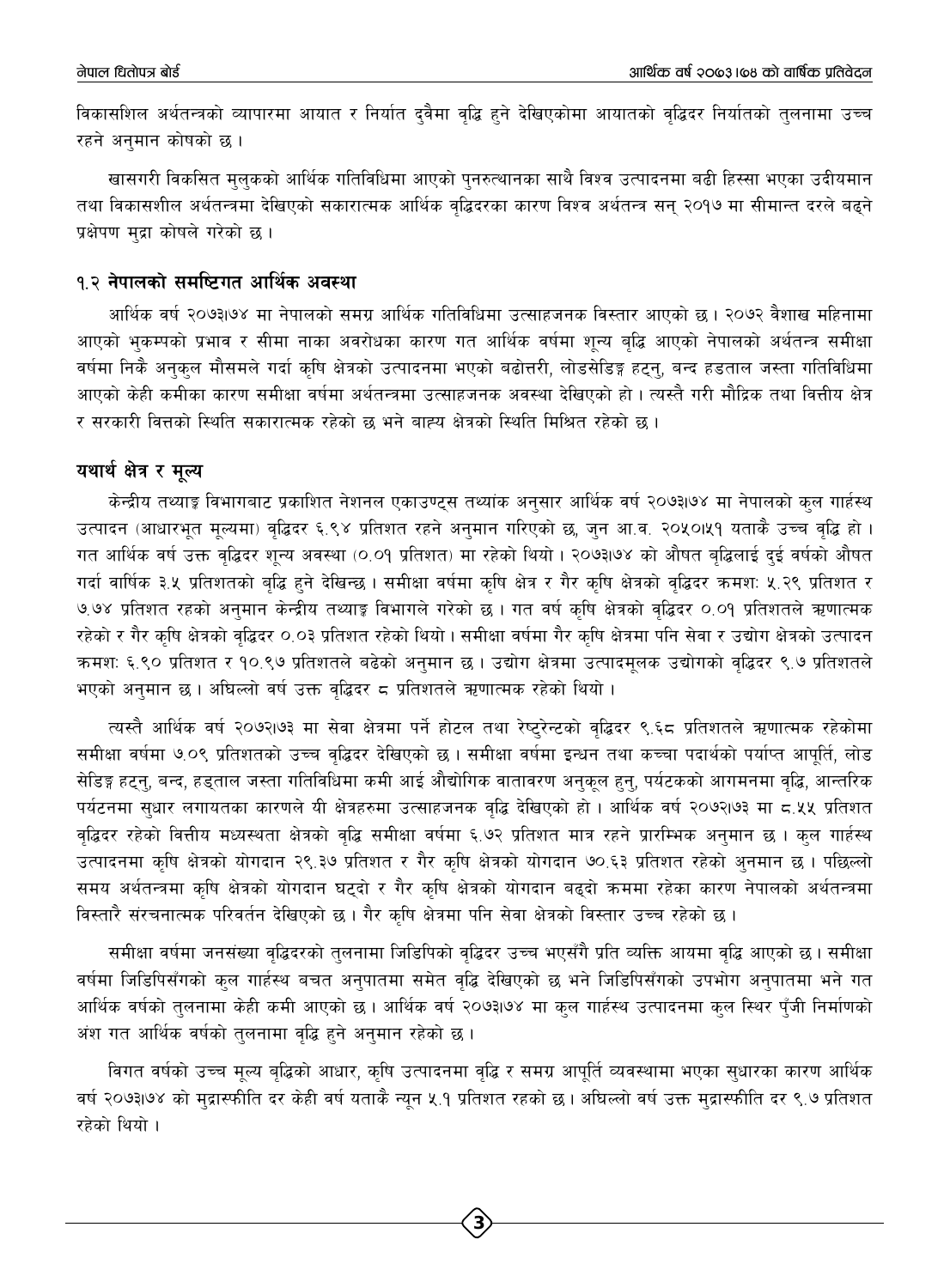विकासशिल अर्थतन्त्रको व्यापारमा आयात र निर्यात दुवैमा वृद्धि हुने देखिएकोमा आयातको वृद्धिदर निर्यातको तुलनामा उच्च रहने अनमान कोषको छ।

खासगरी विकसित मुलुकको आर्थिक गतिविधिमा आएको पुनरुत्थानका साथै विश्व उत्पादनमा बढी हिस्सा भएका उदीयमान तथा विकासशील अर्थतन्त्रमा देखिएको सकारात्मक आर्थिक वृद्धिदरका कारण विश्व अर्थतन्त्र सन् २०१७ मा सीमान्त दरले बढ्ने प्रक्षेपण मुद्रा कोषले गरेको छ।

#### १.२ नेपालको समष्टिगत आर्थिक अवस्था

आर्थिक वर्ष २०७३।७४ मा नेपालको समग्र आर्थिक गतिविधिमा उत्साहजनक विस्तार आएको छ । २०७२ वैशाख महिनामा आएको भकम्पको प्रभाव र सीमा नाका अवरोधका कारण गत आर्थिक वर्षमा शन्य बद्धि आएको नेपालको अर्थतन्त्र समीक्षा वर्षमा निकै अनुकुल मौसमले गर्दा कृषि क्षेत्रको उत्पादनमा भएको बढोत्तरी, लोडसेडिङ्ग हट्नु, बन्द हडताल जस्ता गतिविधिमा आएको केही कमीका कारण समीक्षा वर्षमा अर्थतन्त्रमा उत्साहजनक अवस्था देखिएको हो । त्यस्तै गरी मौद्रिक तथा वित्तीय क्षेत्र र सरकारी वित्तको स्थिति सकारात्मक रहेको छ भने बाह्य क्षेत्रको स्थिति मिश्रित रहेको छ।

#### यथार्थ क्षेत्र र मूल्य

केन्द्रीय तथ्याङ्ग विभागबाट प्रकाशित नेशनल एकाउण्ट्स तथ्यांक अनुसार आर्थिक वर्ष २०७३।७४ मा नेपालको कुल गार्हस्थ उत्पादन (आधारभूत मूल्यमा) वृद्धिदर ६.९४ प्रतिशत रहने अनुमान गरिएको छ, जुन आ.व. २०५०।५१ यताकै उच्च वृद्धि हो । गत आर्थिक वर्ष उक्त वृद्धिदर शुन्य अवस्था (०.०१ प्रतिशत) मा रहेको थियो । २०७३।७४ को औषत बुद्धिलाई दुई वर्षको औषत गर्दा वार्षिक ३.५ प्रतिशतको बद्धि हुने देखिन्छ । समीक्षा वर्षमा कृषि क्षेत्र र गैर कृषि क्षेत्रको वद्धिदर क्रमश: ५.२९ प्रतिशत र ७.७४ प्रतिशत रहको अनुमान केन्द्रीय तथ्याङ्ग विभागले गरेको छ । गत वर्ष कृषि क्षेत्रको वृद्धिदर ०.०१ प्रतिशतले ऋणात्मक रहेको र गैर कृषि क्षेत्रको वृद्धिदर ०.०३ प्रतिशत रहेको थियो। समीक्षा वर्षमा गैर कृषि क्षेत्रमा पनि सेवा र उद्योग क्षेत्रको उत्पादन कमशः ६.९० प्रतिशत र १०.९७ प्रतिशतले बढेको अनुमान छ । उद्योग क्षेत्रमा उत्पादमूलक उद्योगको वृद्धिदर ९.७ प्रतिशतले भएको अनुमान छ । अघिल्लो वर्ष उक्त वृद्धिदर ८ प्रतिशतले ऋणात्मक रहेको थियो ।

त्यस्तै आर्थिक वर्ष २०७२।७३ मा सेवा क्षेत्रमा पर्ने होटल तथा रेष्ट्रेन्टको वृद्धिदर ९.६८ प्रतिशतले ऋणात्मक रहेकोमा समीक्षा वर्षमा ७.०९ प्रतिशतको उच्च वृद्धिदर देखिएको छ । समीक्षा वर्षमा इन्धन तथा कच्चा पदार्थको पर्याप्त आपूर्ति, लोड सेडिङ्ग हट्नु, बन्द, हड्ताल जस्ता गतिविधिमा कमी आई औद्योगिक वातावरण अनुकूल हुनु, पर्यटकको आगमनमा वृद्धि, आन्तरिक पर्यटनमा सुधार लगायतका कारणले यी क्षेत्रहरुमा उत्साहजनक वृद्धि देखिएको हो । आर्थिक वर्ष २०७२।७३ मा ८.५५ प्रतिशत वृद्धिदर रहेको वित्तीय मध्यस्थता क्षेत्रको वृद्धि समीक्षा वर्षमा ६.७२ प्रतिशत मात्र रहने प्रारम्भिक अनुमान छ । कुल गार्हस्थ उत्पादनमा कृषि क्षेत्रको योगदान २९.३७ प्रतिशत र गैर कृषि क्षेत्रको योगदान ७०.६३ प्रतिशत रहेको अनमान छ । पछिल्लो समय अर्थतन्त्रमा कृषि क्षेत्रको योगदान घटुदो र गैर कृषि क्षेत्रको योगदान बढ्दो क्रममा रहेका कारण नेपालको अर्थतन्त्रमा विस्तारै संरचनात्मक परिवर्तन देखिएको छ । गैर कृषि क्षेत्रमा पनि सेवा क्षेत्रको विस्तार उच्च रहेको छ ।

समीक्षा वर्षमा जनसंख्या वृद्धिदरको तुलनामा जिडिपिको वृद्धिदर उच्च भएसँगै प्रति व्यक्ति आयमा वृद्धि आएको छ। समीक्षा वर्षमा जिडिपिसँगको कुल गार्हस्थ बचत अनुपातमा समेत वृद्धि देखिएको छ भने जिडिपिसँगको उपभोग अनुपातमा भने गत आर्थिक वर्षको तलनामा केही कमी आएको छ । आर्थिक वर्ष २०७३।७४ मा कल गार्हस्थ उत्पादनमा कुल स्थिर पुँजी निर्माणको अंश गत आर्थिक वर्षको तुलनामा वृद्धि हुने अनुमान रहेको छ ।

विगत वर्षको उच्च मूल्य बृद्धिको आधार, कृषि उत्पादनमा वृद्धि र समग्र आपूर्ति व्यवस्थामा भएका सुधारका कारण आर्थिक वर्ष २०७३।७४ को मुद्रास्फीति दर केही वर्ष यताकै न्यून ५.१ प्रतिशत रहको छ। अघिल्लो वर्ष उक्त मुद्रास्फीति दर ९.७ प्रतिशत रहेको थियो ।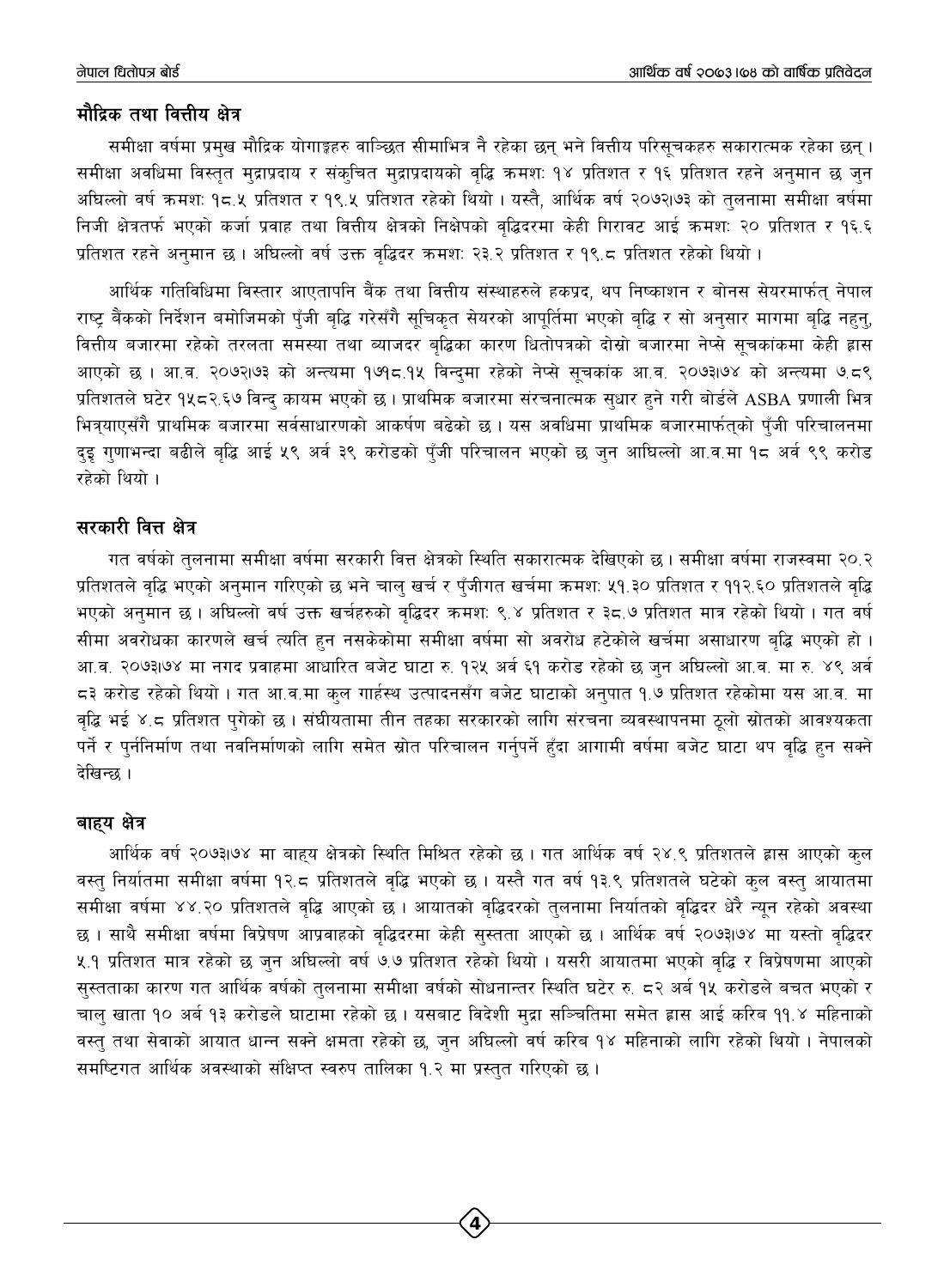### मौद्रिक तथा वित्तीय क्षेत्र

समीक्षा वर्षमा प्रमुख मौद्रिक योगाङ्कहरु वाञ्छित सीमाभित्र नै रहेका छन् भने वित्तीय परिसूचकहरु सकारात्मक रहेका छन्। समीक्षा अवधिमा विस्तुत मुद्राप्रदाय र संकुचित मुद्राप्रदायको वृद्धि क्रमश: १४ प्रतिशत र १६ प्रतिशत रहने अनुमान छ जुन अधिल्लो वर्ष क्रमश: १८.५ प्रतिशत र १९.५ प्रतिशत रहेको थियो । यस्तै, आर्थिक वर्ष २०७२।७३ को तुलनामा समीक्षा वर्षमा निजी क्षेत्रतर्फ भएको कर्जा प्रवाह तथा वित्तीय क्षेत्रको निक्षेपको वद्धिदरमा केही गिरावट आई क्रमश: २० प्रतिशत र १६.६ प्रतिशत रहने अनुमान छ। अधिल्लो वर्ष उक्त वृद्धिदर क्रमश: २३.२ प्रतिशत र १९.८ प्रतिशत रहेको थियो।

आर्थिक गतिविधिमा विस्तार आएतापनि बैंक तथा वित्तीय संस्थाहरुले हकप्रद, थप निष्काशन र बोनस सेयरमार्फत् नेपाल राष्ट बैंकको निर्देशन बमोजिमको पँजी बद्धि गरेसँगै सचिकत सेयरको आपर्तिमा भएको बद्धि र सो अनुसार मागमा बद्धि नहन, वित्तीय बजारमा रहेको तरलता समस्या तथा ब्याजदर बुद्धिका कारण धितोपत्रको दोस्रो बजारमा नेप्से सुचकांकमा केही ह्रास आएको छ । आ.व. २०७२।७३ को अन्त्यमा १७१८.१५ विन्दमा रहेको नेप्से सूचकांक आ.व. २०७३।७४ को अन्त्यमा ७.८९ प्रतिशतले घटेर १५८२.६७ विन्दु कायम भएको छ । प्राथमिक बजारमा संरचनात्मक सुधार हुने गरी बोर्डले ASBA प्रणाली भित्र भित्र्याएसँगै प्राथमिक बजारमा सर्वसाधारणको आकर्षण बढेको छ । यस अवधिमा प्राथमिक बजारमार्फतुको पँजी परिचालनमा दुइ गुणाभन्दा बढीले बृद्धि आई ५९ अर्व ३९ करोडको पुँजी परिचालन भएको छ जुन आघिल्लो आ.व.मा १८ अर्व ९९ करोड रहेको थियो ।

## सरकारी वित्त क्षेत्र

गत वर्षको तुलनामा समीक्षा वर्षमा सरकारी वित्त क्षेत्रको स्थिति सकारात्मक देखिएको छ । समीक्षा वर्षमा राजस्वमा २०.२ प्रतिशतले वृद्धि भएको अनुमान गरिएको छ भने चाल् खर्च र पुँजीगत खर्चमा क्रमश: ५१.३० प्रतिशत र ११२.६० प्रतिशतले वृद्धि भएको अनुमान छ । अधिल्लो वर्ष उक्त खर्चहरुको वृद्धिदर कमश: ९.४ प्रतिशत र ३८.७ प्रतिशत मात्र रहेको थियो । गत वर्ष सीमा अवरोधका कारणले खर्च त्यति हुन नसकेकोमा समीक्षा वर्षमा सो अवरोध हटेकोले खर्चमा असाधारण बृद्धि भएको हो । आ.व. २०७३।७४ मा नगद प्रवाहमा आधारित बजेट घाटा रु. १२५ अर्व ६१ करोड रहेको छ जुन अघिल्लो आ.व. मा रु. ४९ अर्व 5३ करोड रहेको थियो । गत आ.व.मा कुल गार्हस्थ उत्पादनसँग बजेट घाटाको अनुपात १.७ प्रतिशत रहेकोमा यस आ.व. मा वद्धि भई ४.८ प्रतिशत पुगेको छ । संघीयतामा तीन तहका सरकारको लागि संरचना व्यवस्थापनमा ठुलो स्रोतको आवश्यकता पर्ने र पुर्ननिर्माण तथा नवनिर्माणको लागि समेत स्रोत परिचालन गर्नुपर्ने हुँदा आगामी वर्षमा बजेट घाटा थप वृद्धि हुन सक्ने देखिन्छ ।

### बाह्य क्षेत्र

आर्थिक वर्ष २०७३।७४ मा बाहय क्षेत्रको स्थिति मिश्रित रहेको छ । गत आर्थिक वर्ष २४.९ प्रतिशतले ह्रास आएको कुल वस्त् निर्यातमा समीक्षा वर्षमा १२.८ प्रतिशतले वृद्धि भएको छ । यस्तै गत वर्ष १३.९ प्रतिशतले घटेको कुल वस्त् आयातमा समीक्षा वर्षमा ४४.२० प्रतिशतले वृद्धि आएको छ । आयातको वृद्धिदरको तुलनामा निर्यातको वृद्धिदर धेरै न्यून रहेको अवस्था छ । साथै समीक्षा वर्षमा विप्रेषण आप्रवाहको वृद्धिदरमा केही सुस्तता आएको छ । आर्थिक वर्ष २०७३।७४ मा यस्तो वृद्धिदर ५.१ प्रतिशत मात्र रहेको छ जुन अघिल्लो वर्ष ७.७ प्रतिशत रहेको थियो । यसरी आयातमा भएको वृद्धि र विप्रेषणमा आएको सुस्तताका कारण गत आर्थिक वर्षको तुलनामा समीक्षा वर्षको सोधनान्तर स्थिति घटेर रु. ८२ अर्ब १५ करोडले बचत भएको र चाल् खाता १० अर्ब १३ करोडले घाटामा रहेको छ। यसबाट विदेशी मुद्रा सञ्चितिमा समेत ह्रास आई करिब ११.४ महिनाको वस्त् तथा सेवाको आयात धान्न सक्ने क्षमता रहेको छ, जुन अघिल्लो वर्ष करिब १४ महिनाको लागि रहेको थियो । नेपालको समष्टिगत आर्थिक अवस्थाको संक्षिप्त स्वरुप तालिका १.२ मा प्रस्तुत गरिएको छ।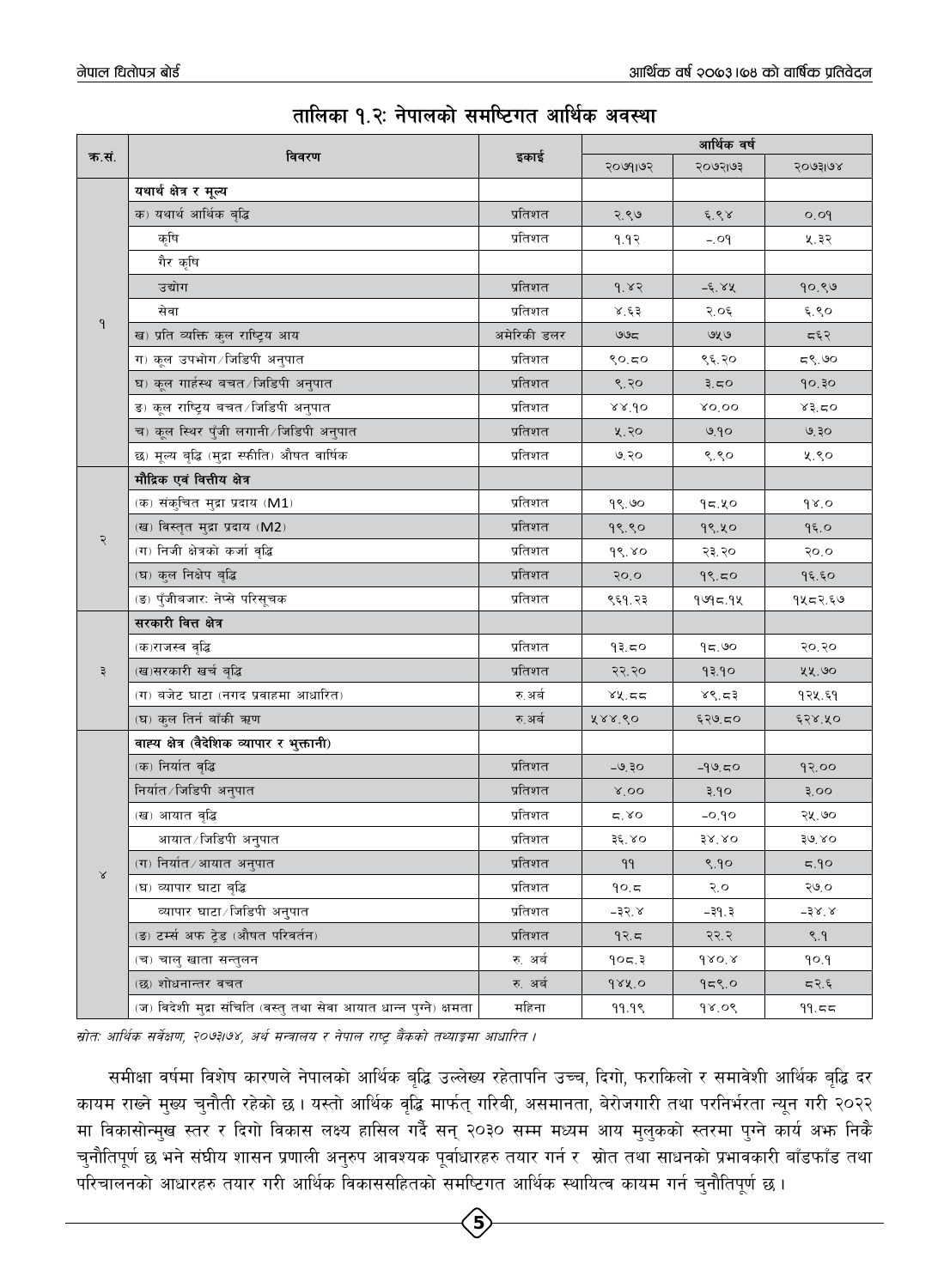|              |                                                                    |             | आर्थिक वर्ष            |                    |           |  |
|--------------|--------------------------------------------------------------------|-------------|------------------------|--------------------|-----------|--|
| क.सं.        | विवरण                                                              | इकाई        | २०७१।७२                | २०७२।७३            | २०७३।७४   |  |
|              | यथार्थ क्षेत्र र मूल्य                                             |             |                        |                    |           |  |
|              | क) यथार्थ आर्थिक बृद्धि                                            | प्रतिशत     | २.९७                   | $\xi$ . $\xi \chi$ | O.O       |  |
|              | कृषि                                                               | प्रतिशत     | १.१२                   | $-.09$             | ५.३२      |  |
|              | गैर कृषि                                                           |             |                        |                    |           |  |
|              | उद्योग                                                             | प्रतिशत     | 9.82                   | -६.४५              | 90.89     |  |
|              | सेवा                                                               | प्रतिशत     | 8.53                   | २.०६               | $\xi$ .९० |  |
| $\mathsf{P}$ | ख) प्रति व्यक्ति कुल राष्ट्रिय आय                                  | अमेरिकी डलर | ಅಅದ                    | ७५७                | द६२       |  |
|              | ग) कूल उपभोग ∕ जिडिपी अनुपात                                       | प्रतिशत     | 80.50                  | ९६.२०              | ದಳಿ. ಅಂ   |  |
|              | घ) कूल गार्हस्थ बचत ∕ जिडिपी अनुपात                                | प्रतिशत     | 8.80                   | ३.८ $\circ$        | 90,30     |  |
|              | ङ) कूल राष्ट्रिय बचत ∕ जिडिपी अनुपात                               | प्रतिशत     | 88.90                  | 80,00              | 83.50     |  |
|              | च) कूल स्थिर पुँजी लगानी ∕िजडिपी अनुपात                            | प्रतिशत     | ५.२०                   | ७.१०               | ७.३०      |  |
|              | छ) मूल्य बृद्धि (मुद्रा स्फीति) औषत वार्षिक                        | प्रतिशत     | ७.२०                   | 8.80               | ५.९०      |  |
|              | मौद्रिक एवं वित्तीय क्षेत्र                                        |             |                        |                    |           |  |
|              | (क) संकुचित मुद्रा प्रदाय (M1)                                     | प्रतिशत     | 98.90                  | १८.५०              | 98.0      |  |
|              | (ख) विस्तृत मुद्रा प्रदाय (M2)                                     | प्रतिशत     | 99.90                  | १९.५०              | 95.0      |  |
| २            | (ग) निजी क्षेत्रको कर्जा वृद्धि                                    | प्रतिशत     | $d\delta$ . $\delta$ o | २३.२०              | 50.0      |  |
|              | (घ) कुल निक्षेप बृद्धि                                             | प्रतिशत     | 50.0                   | 99.50              | 95.59     |  |
|              | (ङ) पुँजीबजार: नेप्से परिसूचक                                      | प्रतिशत     | ९६१.२३                 | १७१८.१५            | १५८२.६७   |  |
|              | सरकारी वित्त क्षेत्र                                               |             |                        |                    |           |  |
|              | (क)राजस्व वृद्धि                                                   | प्रतिशत     | १३.८०                  | 95.90              | २०.२०     |  |
| ३            | (ख)सरकारी खर्च बृद्धि                                              | प्रतिशत     | २२.२०                  | १३.१०              | ५५.७०     |  |
|              | (ग) बजेट घाटा (नगद प्रवाहमा आधारित)                                | रु.अर्ब     | 88.55                  | 88.53              | १२५.६१    |  |
|              | (घ) कुल तिर्न बाँकी ऋण                                             | रु अर्ब     | 888.60                 | ६२७.८०             | ६२४.५०    |  |
|              | वाह्य क्षेत्र (वैदेशिक व्यापार र भुक्तानी)                         |             |                        |                    |           |  |
|              | (क) निर्यात वृद्धि                                                 | प्रतिशत     | $-9.30$                | $-99.50$           | 9२.००     |  |
|              | निर्यात/जिडिपी अनुपात                                              | प्रतिशत     | $8'$ OO                | ३.१०               | 3.00      |  |
|              | (ख) आयात वृद्धि                                                    | प्रतिशत     | 5.80                   | $-0.90$            | २५.७०     |  |
|              | आयात ∕ जिडिपी अनुपात                                               | प्रतिशत     | ३६.४०                  | $38^{\circ}$ .80   | 30.80     |  |
|              | (ग) निर्यात ∕ आयात अनुपात                                          | प्रतिशत     | 99                     | 9.90               | 5.90      |  |
| $\propto$    | (घ) व्यापार घाटा बृद्धि                                            | प्रतिशत     | 90.5                   | २.०                | २७.०      |  |
|              | व्यापार घाटा /जिडिपी अनुपात                                        | प्रतिशत     | $-35^{\circ}$          | -३१.३              | $-38.8$   |  |
|              | (ङ) टर्म्स अफ ट्रेड (औषत परिवर्तन)                                 | प्रतिशत     | 92.5                   | २२.२               | 8.9       |  |
|              | (च) चालु खाता सन्तुलन                                              | रु. अर्ब    | 905.3                  | $680^{\circ}$      | 90.9      |  |
|              | (छ) शोधनान्तर वचत                                                  | रु. अर्ब    | 988.0                  | 959.0              | 5.97      |  |
|              | (ज) विदेशी मुद्रा संचिति (वस्तु तथा सेवा आयात धान्न पुग्ने) क्षमता | महिना       | 99.99                  | 98.09              | 99.55     |  |

# तालिका १.२: नेपालको समष्टिगत आर्थिक अवस्था

म्रोतः आर्थिक सर्वेक्षण, २०७३७४, अर्थ मन्त्रालय र नेपाल राष्ट्र बैंकको तथ्याङ्गमा आधारित ।

समीक्षा वर्षमा विशेष कारणले नेपालको आर्थिक बृद्धि उल्लेख्य रहेतापनि उच्च, दिगो, फराकिलो र समावेशी आर्थिक बृद्धि दर कायम राख्ने मुख्य चुनौती रहेको छ । यस्तो आर्थिक वृद्धि मार्फत् गरिबी, असमानता, बेरोजगारी तथा परनिर्भरता न्यून गरी २०२२ मा विकासोन्मुख स्तर र दिगो विकास लक्ष्य हासिल गर्दै सन् २०३० सम्म मध्यम आय मुलुकको स्तरमा पुग्ने कार्य अफ निकै चुनौतिपूर्ण छ भने संघीय शासन प्रणाली अनुरुप आवश्यक पूर्वाधारहरु तयार गर्न र स्रोत तथा साधनको प्रभावकारी बाँडफाँड तथा परिचालनको आधारहरु तयार गरी आर्थिक विकाससहितको समष्टिगत आर्थिक स्थायित्व कायम गर्न चुनौतिपूर्ण छ।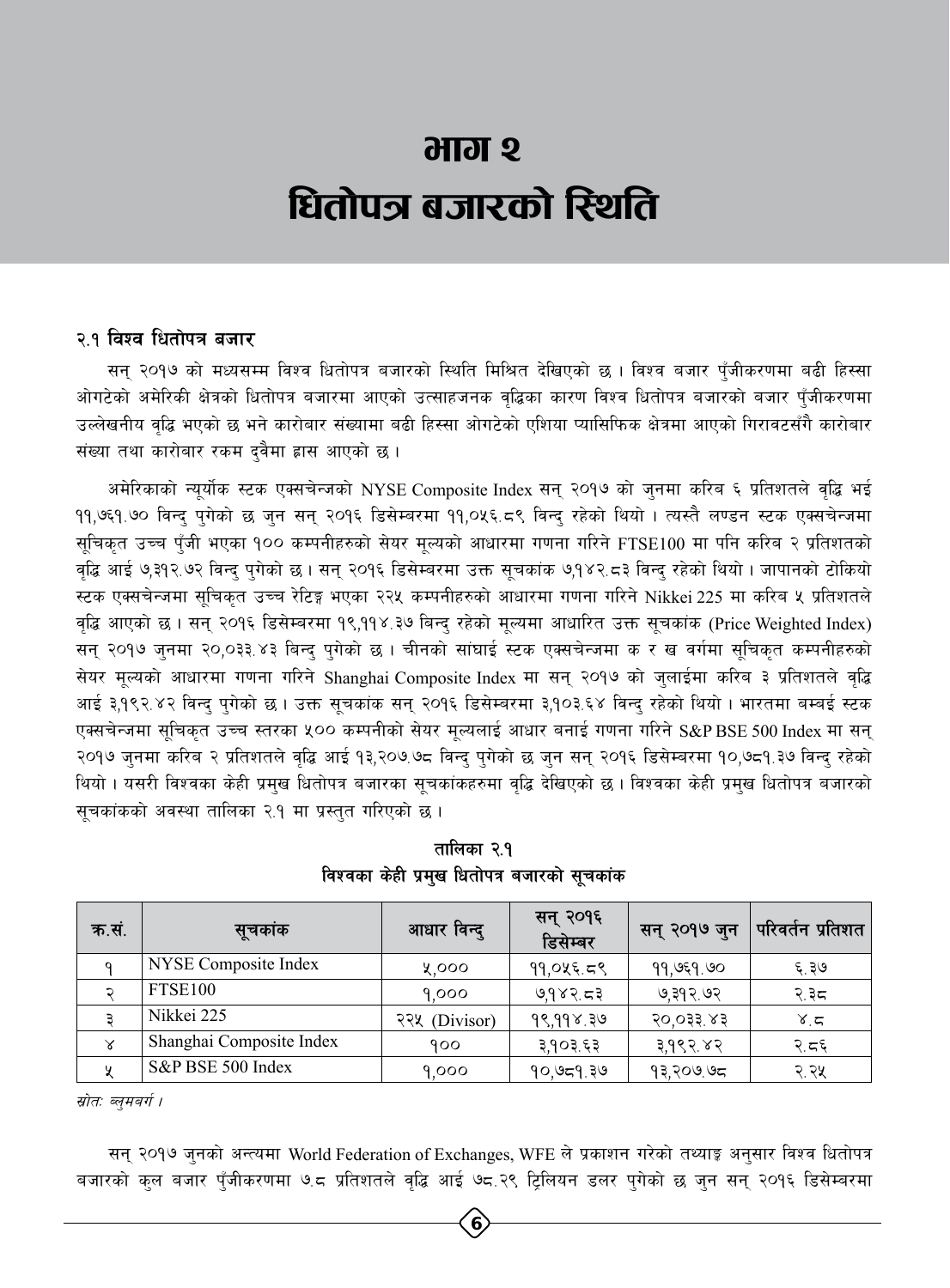# **भाग २** धितोपञ्र बजारको स्थिति

### २.१ विश्व धितोपत्र बजार

सन् २०१७ को मध्यसम्म विश्व धितोपत्र बजारको स्थिति मिश्रित देखिएको छ । विश्व बजार पँजीकरणमा बढी हिस्सा ओगटेको अमेरिकी क्षेत्रको धितोपत्र बजारमा आएको उत्साहजनक वृद्धिका कारण विश्व धितोपत्र बजारको बजार पुँजीकरणमा उल्लेखनीय वृद्धि भएको छ भने कारोबार संख्यामा बढी हिस्सा ओगटेको एशिया प्यासिफिक क्षेत्रमा आएको गिरावटसँगै कारोबार संख्या तथा कारोबार रकम दवैमा ह्रास आएको छ ।

अमेरिकाको न्यूर्योक स्टक एक्सचेन्जको NYSE Composite Index सन् २०१७ को जुनमा करिब ६ प्रतिशतले वृद्धि भई ११,७६१.७० विन्दु पुगेको छ जुन सन् २०१६ डिसेम्बरमा ११,०५६.८९ विन्दु रहेको थियो । त्यस्तै लण्डन स्टक एक्सचेन्जमा सूचिकृत उच्च पुँजी भएका १०० कम्पनीहरुको सेयर मूल्यको आधारमा गणना गरिने FTSE100 मा पनि करिब २ प्रतिशतको वृद्धि आई ७,३१२.७२ विन्द् प्गेको छ । सन् २०१६ डिसेम्बरमा उक्त सूचकांक ७,१४२.८३ विन्द् रहेको थियो । जापानको टोकियो स्टक एक्सचेन्जमा सुचिकृत उच्च रेटिङ्ग भएका २२५ कम्पनीहरुको आधारमा गणना गरिने Nikkei 225 मा करिब ५ प्रतिशतले वृद्धि आएको छ। सन् २०१६ डिसेम्बरमा १९,११४.३७ बिन्द् रहेको मूल्यमा आधारित उक्त सूचकांक (Price Weighted Index) सन् २०१७ जुनमा २०,०३३ ४३ बिन्दु पुगेको छ । चीनको सांघाई स्टक एक्सचेन्जमा क र ख वर्गमा सूचिकृत कम्पनीहरुको सेयर मूल्यको आधारमा गणना गरिने Shanghai Composite Index मा सन् २०१७ को जुलाईमा करिब ३ प्रतिशतले वृद्धि आई ३,१९२.४२ विन्दु पुगेको छ । उक्त सूचकांक सन् २०१६ डिसेम्बरमा ३,१०३.६४ विन्दु रहेको थियो । भारतमा बम्बई स्टक एक्सचेन्जमा सुचिकत उच्च स्तरका ५०० कम्पनीको सेयर मुल्यलाई आधार बनाई गणना गरिने S&P BSE 500 Index मा सन् २०१७ जुनमा करिब २ प्रतिशतले वृद्धि आई १३,२०७.७८ विन्द् पुगेको छ जुन सन् २०१६ डिसेम्बरमा १०,७८१.३७ विन्दु रहेको थियो । यसरी विश्वका केही प्रमुख धितोपत्र बजारका सुचकांकहरुमा वृद्धि देखिएको छ । विश्वका केही प्रमुख धितोपत्र बजारको सूचकांकको अवस्था तालिका २.१ मा प्रस्तुत गरिएको छ।

| क.सं. | सूचकांक                  | आधार विन्दु   | सन् २०१६<br>डिसेम्बर | सन् २०१७ जुन | परिवर्तन प्रतिशत |
|-------|--------------------------|---------------|----------------------|--------------|------------------|
|       | NYSE Composite Index     | ५,०००         | ११,०५६.८९            | ११,७६१.७०    | ६.३७             |
|       | <b>FTSE100</b>           | 9,000         | ७,१४२.८३             | ७,३१२.७२     | २.३८             |
|       | Nikkei 225               | २२५ (Divisor) | १९,११४.३७            | २०,०३३.४३    | 8.5              |
| Χ     | Shanghai Composite Index | 900           | ३,१०३.६३             | ३,१९२.४२     | २.८६             |
|       | S&P BSE 500 Index        | 9,000         | 90,959.39            | १३,२०७.७८    | २.२५             |

तालिका २.१ विश्वका केही प्रमुख धितोपत्र बजारको सुचकांक

स्रोत: ब्लमबर्ग ।

सन् २०१७ जुनको अन्त्यमा World Federation of Exchanges, WFE ले प्रकाशन गरेको तथ्याङ्क अनुसार विश्व धितोपत्र बजारको कुल बजार पुँजीकरणमा ७.८ प्रतिशतले वृद्धि आई ७८.२९ टि्लियन डलर पुगेको छ जुन सन् २०१६ डिसेम्बरमा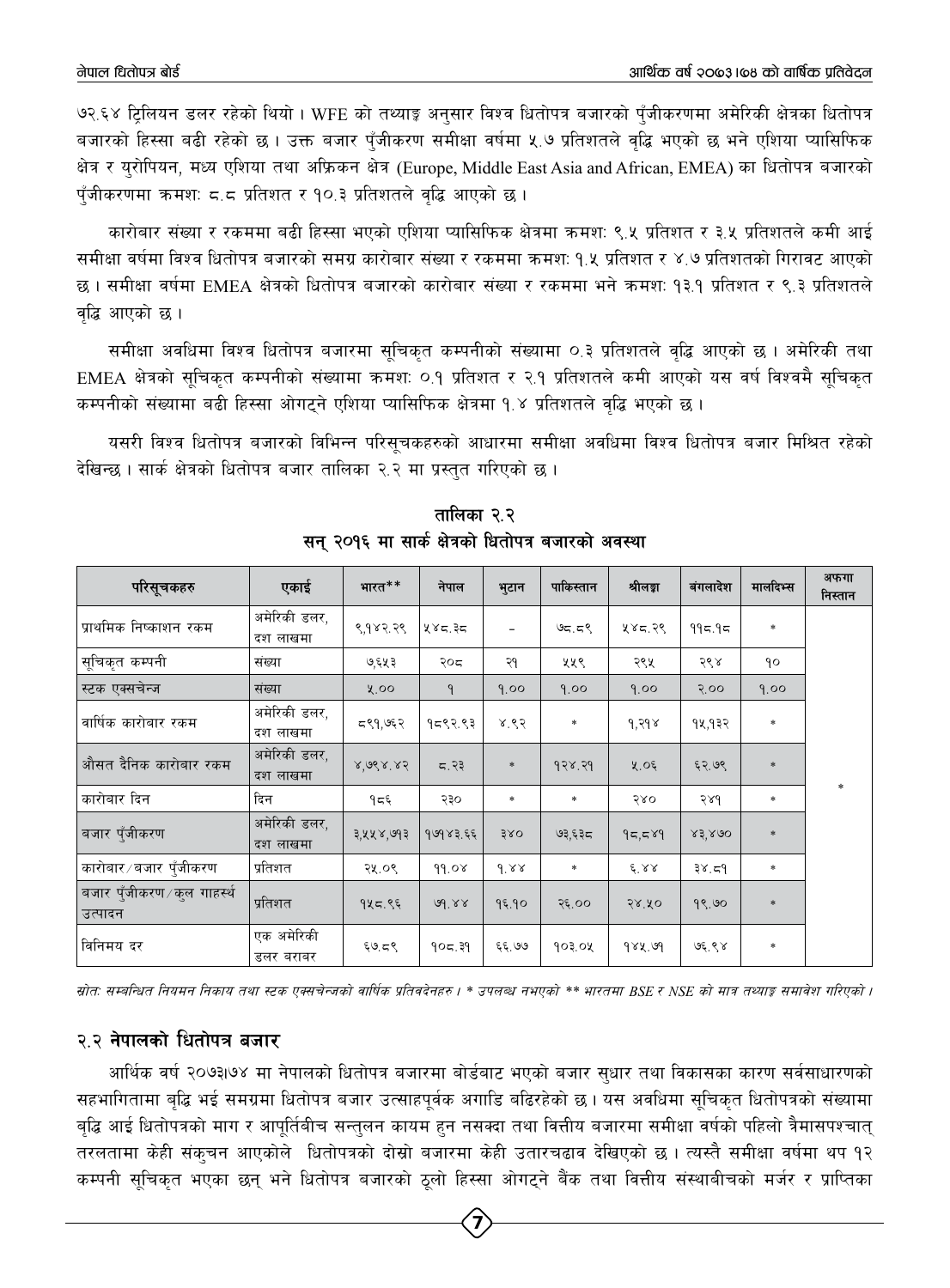७२.६४ टिलियन डलर रहेको थियो । WFE को तथ्याङ्क अनुसार विश्व धितोपत्र बजारको पँजीकरणमा अमेरिकी क्षेत्रका धितोपत्र बजारको हिस्सा बढी रहेको छ । उक्त बजार पँजीकरण समीक्षा वर्षमा ५.७ प्रतिशतले वद्धि भएको छ भने एशिया प्यासिफिक क्षेत्र र युरोपियन, मध्य एशिया तथा अफ्रिकन क्षेत्र (Europe, Middle East Asia and African, EMEA) का धितोपत्र बजारको पुँजीकरणमा क्रमश: ८.८ प्रतिशत र १०.३ प्रतिशतले वृद्धि आएको छ ।

कारोबार संख्या र रकममा बढी हिस्सा भएको एशिया प्यासिफिक क्षेत्रमा ऋमश: ९.५ प्रतिशत र ३.५ प्रतिशतले कमी आई समीक्षा वर्षमा विश्व धितोपत्र बजारको समग्र कारोबार संख्या र रकममा क्रमशः १.५ प्रतिशत र ४.७ प्रतिशतको गिरावट आएको छ । समीक्षा वर्षमा EMEA क्षेत्रको धितोपत्र बजारको कारोबार संख्या र रकममा भने क्रमश: १३.१ प्रतिशत र ९.३ प्रतिशतले वृद्धि आएको छ ।

समीक्षा अवधिमा विश्व धितोपत्र बजारमा सुचिकृत कम्पनीको संख्यामा ०.३ प्रतिशतले वृद्धि आएको छ । अमेरिकी तथा EMEA क्षेत्रको सूचिकृत कम्पनीको संख्यामा क्रमश: ०.१ प्रतिशत र २.१ प्रतिशतले कमी आएको यस वर्ष विश्वमै सूचिकृत कम्पनीको संख्यामा बढी हिस्सा ओगटने एशिया प्यासिफिक क्षेत्रमा १.४ प्रतिशतले वद्धि भएको छ।

यसरी विश्व धितोपत्र बजारको विभिन्न परिसूचकहरुको आधारमा समीक्षा अवधिमा विश्व धितोपत्र बजार मिश्रित रहेको देखिन्छ । सार्क क्षेत्रको धितोपत्र बजार तालिका २.२ मा प्रस्तुत गरिएको छ ।

| परिसूचकहरु                              | एकाई                     | भारत**    | नेपाल        | भुटान         | पाकिस्तान | श्रीलङ्का        | बंगलादेश | मालदिभ्स      | अफगा<br>निस्तान |
|-----------------------------------------|--------------------------|-----------|--------------|---------------|-----------|------------------|----------|---------------|-----------------|
| प्राथमिक निष्काशन रकम                   | अमेरिकी डलर,<br>दश लाखमा | ९,१४२.२९  | ५४८.३८       |               | ७८.८९     | ५४८.२९           | 995.95   | *             |                 |
| सूचिकृत कम्पनी                          | संख्या                   | ७,६५३     | २०८          | २१            | ५५९       | २९५              | २९४      | ٩o            |                 |
| स्टक एक्सचेन्ज                          | संख्या                   | 8.00      | $\mathsf{P}$ | 9.00          | 9.00      | 9.00             | 5.00     | 9.00          |                 |
| वार्षिक कारोबार रकम                     | अमेरिकी डलर,<br>दश लाखमा | द९१,७६२   | १८९२.९३      | 8.83          | *         | १,२१४            | १५,१३२   | *             |                 |
| औसत दैनिक कारोबार रकम                   | अमेरिकी डलर,<br>दश लाखमा | 8,988,85  | 5.33         | $\frac{1}{2}$ | 928.29    | ५.०६             | ६२.७९    | $\frac{1}{2}$ |                 |
| कारोबार दिन                             | दिन                      | १८६       | २३०          | *             | *         | २४०              | 586      | *             | *               |
| बजार पुँजीकरण                           | अमेरिकी डलर,<br>दश लाखमा | ३,५५४,७१३ | १७१४३.६६     | 380           | ७३,६३८    | 95,589           | 83,800   | $\frac{1}{2}$ |                 |
| कारोबार ∕ बजार पुँजीकरण                 | प्रतिशत                  | २५.०९     | 99.08        | 9.88          | $\ast$    | $E^{\prime}$ 8.8 | 38.59    | $\ast$        |                 |
| बजार पुँजीकरण ∕ कुल गाहर्स्थ<br>उत्पादन | प्रतिशत                  | १५८.९६    | 99.88        | 9६.90         | २६.००     | 58.50            | 98.90    | $\frac{1}{2}$ |                 |
| विनिमय दर                               | एक अमेरिकी<br>डलर बराबर  | ६७.८९     | १०८.३१       | ६६.७७         | १०३.०५    | 982.99           | ७६.९४    | $\ast$        |                 |

तालिका २.२ सन् २०१६ मा सार्क क्षेत्रको धितोपत्र बजारको अवस्था

स्रोतः सम्बन्धित नियमन निकाय तथा स्टक एक्सचेन्जको वार्षिक प्रतिवदेनहरु । \* उपलब्ध नभएको \*\* भारतमा BSE र NSE को मात्र तथ्याङ्ग समावेश गरिएको ।

### २.२ नेपालको धितोपत्र बजार

आर्थिक वर्ष २०७३।७४ मा नेपालको धितोपत्र बजारमा बोर्डबाट भएको बजार सुधार तथा विकासका कारण सर्वसाधारणको सहभागितामा बुद्धि भई समग्रमा धितोपत्र बजार उत्साहपूर्वक अगाडि बढिरहेको छ। यस अवधिमा सुचिकुत धितोपत्रको संख्यामा बृद्धि आई धितोपत्रको माग र आपूर्तिबीच सन्तुलन कायम हुन नसक्दा तथा वित्तीय बजारमा समीक्षा वर्षको पहिलो त्रैमासपश्चात् तरलतामा केही संक्चन आएकोले धितोपत्रको दोस्रो बजारमा केही उतारचढाव देखिएको छ । त्यस्तै समीक्षा वर्षमा थप १२ कम्पनी सूचिकृत भएका छन् भने धितोपत्र बजारको ठूलो हिस्सा ओगट्ने बैंक तथा वित्तीय संस्थाबीचको मर्जर र प्राप्तिका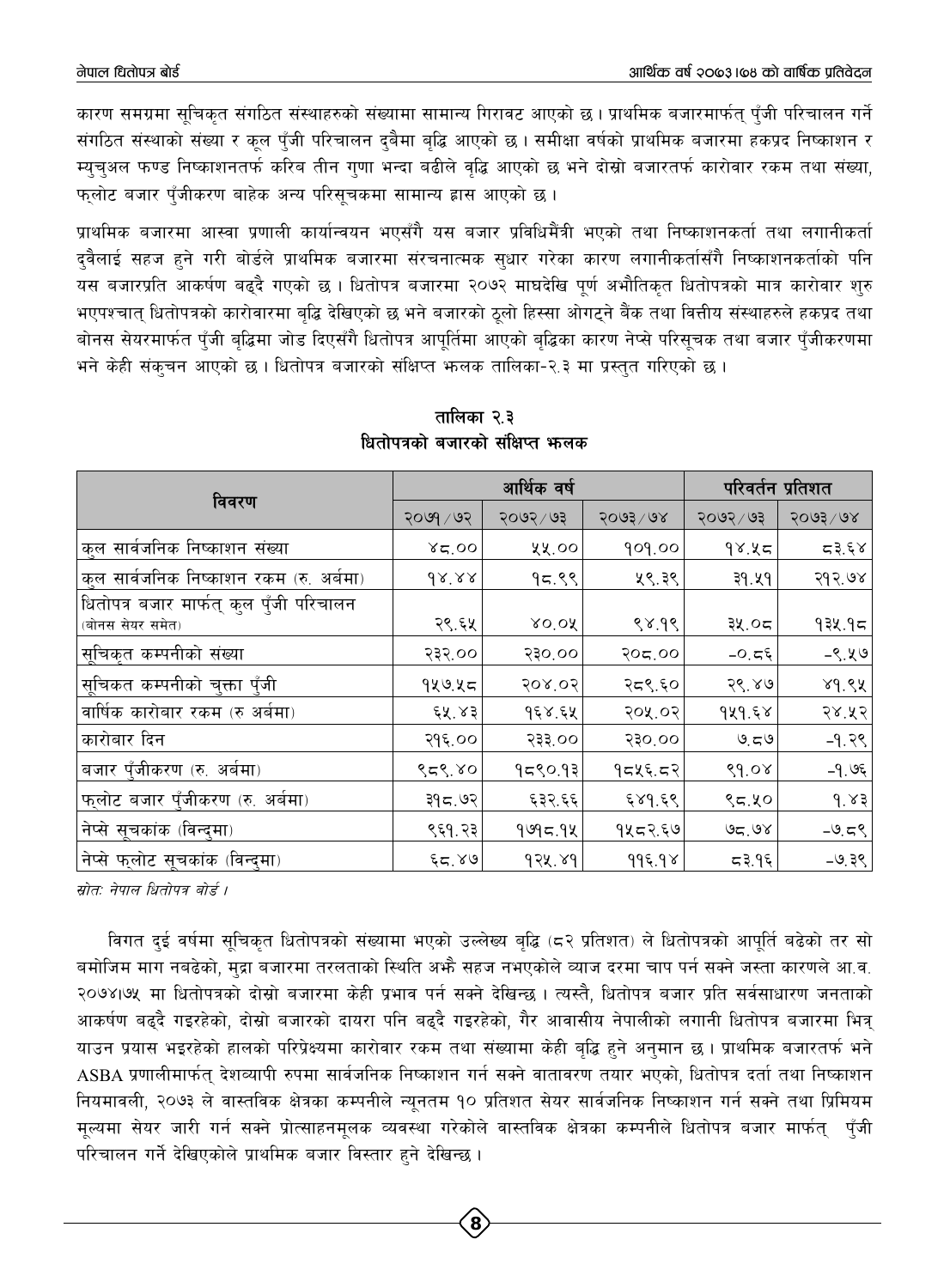कारण समग्रमा सुचिकत संगठित संस्थाहरुको संख्यामा सामान्य गिरावट आएको छ । प्राथमिक बजारमार्फतु पँजी परिचालन गर्ने संगठित संस्थाको संख्या र कल पँजी परिचालन दबैमा बद्धि आएको छ । समीक्षा वर्षको प्राथमिक बजारमा हकप्रद निष्काशन र म्यचुअल फण्ड निष्काशनतर्फ करिब तीन गुणा भन्दा बढीले वृद्धि आएको छ भने दोस्रो बजारतर्फ कारोवार रकम तथा संख्या, फुलोट बजार पँजीकरण बाहेक अन्य परिसूचकमा सामान्य ह्रास आएको छ।

प्राथमिक बजारमा आस्वा प्रणाली कार्यान्वयन भएसँगै यस बजार प्रविधिमैंत्री भएको तथा निष्काशनकर्ता तथा लगानीकर्ता दवैलाई सहज हने गरी बोर्डले प्राथमिक बजारमा संरचनात्मक सुधार गरेका कारण लगानीकर्तासँगै निष्काशनकर्ताको पनि यस बजारप्रति आकर्षण बढदै गएको छ । धितोपत्र बजारमा २०७२ माघदेखि पूर्ण अभौतिकृत धितोपत्रको मात्र कारोवार शुरु भएपश्चात धितोपत्रको कारोवारमा बद्धि देखिएको छ भने बजारको ठलो हिस्सा ओगटने बैंक तथा वित्तीय संस्थाहरुले हकप्रद तथा बोनस सेयरमार्फत पुँजी बुद्धिमा जोड दिएसँगै धितोपत्र आपुर्तिमा आएको बुद्धिका कारण नेप्से परिसूचक तथा बजार पुँजीकरणमा भने केही संकुचन आएको छ। धितोपत्र बजारको संक्षिप्त भूलक तालिका-२.३ मा प्रस्तुत गरिएको छ।

|                                         |             | आर्थिक वर्ष |                  | परिवर्तन प्रतिशत |                  |  |
|-----------------------------------------|-------------|-------------|------------------|------------------|------------------|--|
| विवरण                                   | २०७१ / ७२   | २०७२/७३     | $5003 \times 68$ | २०७२ / ७३        | $5003 \times 68$ |  |
| कुल सार्वजनिक निष्काशन संख्या           | 85.00       | ५५.००       | 909.00           | 98.45            | 53.58            |  |
| कुल सार्वजनिक निष्काशन रकम (रु. अर्बमा) | $dx$ xx     | 95.88       | ५९.३९            | 39.49            | २१२.७४           |  |
| धितोपत्र बजार मार्फत् कुल पुँजी परिचालन |             |             |                  |                  |                  |  |
| (बोनस सेयर समेत)                        | २९.६५       | XO'OR       | 88.98            | ३५.०८।           | १३५.१८           |  |
| सूचिकृत कम्पनीको संख्या                 | २३२.००      | 530.00      | २०८.००           | -0. $\pi$ ६      | $-9.49$          |  |
| सूचिकत कम्पनीको चुक्ता पुँजी            | १५७.५८      | 208.05      | २द९.६०           | 28.80            | 89.88            |  |
| वार्षिक कारोबार रकम (रु अबंमा)          | ६५.४३       | १६४.६५      | २०५.०२           | 9x9.58           | २४.५२            |  |
| कारोबार दिन                             | २१६.००      | २३३.००      | 530.00           | 9.59             | $-9.39$          |  |
| बजार पुँजीकरण (रु. अर्बमा)              | 959.80      | १८९०.१३     | १८५६.८२          | 89.08            | -१.७६            |  |
| <u>फलोट बजार पुँजी</u> करण (रु. अर्बमा) | ३१८.७२      | ६३२.६६      | $\xi$ 89. $\xi$  | ९८.५०            | d.83             |  |
| नेप्से सूचकांक (विन्दुमा)               | ९६१.२३      | 9995.98     | १५८२.६७          | 95.98            | $-9.59$          |  |
| नेप्से फुलोट सूचकांक (विन्दुमा)         | $\xi$ द, ४७ | 92X.89      | 995.98           | द३.१६            | $-9.38$          |  |

तालिका २.३ धितोपत्रको बजारको संक्षिप्त भालक

स्रोतः नेपाल धितोपत्र बोर्ड ।

विगत दुई वर्षमा सूचिकृत धितोपत्रको संख्यामा भएको उल्लेख्य बृद्धि (८२ प्रतिशत) ले धितोपत्रको आपूर्ति बढेको तर सो बमोजिम माग नबढेको, मुद्रा बजारमा तरलताको स्थिति अभ्रै सहज नभएकोले व्याज दरमा चाप पर्न सक्ने जस्ता कारणले आ.व. २०७४।७५ मा धितोपत्रको दोस्रो बजारमा केही प्रभाव पर्न सक्ने देखिन्छ । त्यस्तै, धितोपत्र बजार प्रति सर्वसाधारण जनताको आकर्षण बढदै गइरहेको, दोस्रो बजारको दायरा पनि बढदै गइरहेको, गैर आवासीय नेपालीको लगानी धितोपत्र बजारमा भित्र याउन प्रयास भइरहेको हालको परिप्रेक्ष्यमा कारोवार रकम तथा संख्यामा केही बृद्धि हने अनुमान छ । प्राथमिक बजारतर्फ भने ASBA प्रणालीमार्फत् देशव्यापी रुपमा सार्वजनिक निष्काशन गर्न सक्ने वातावरण तयार भएको, धितोपत्र दर्ता तथा निष्काशन नियमावली, २०७३ ले वास्तविक क्षेत्रका कम्पनीले न्यूनतम १० प्रतिशत सेयर सार्वजनिक निष्काशन गर्न सक्ने तथा प्रिमियम मुल्यमा सेयर जारी गर्न सक्ने प्रोत्साहनमुलक व्यवस्था गरेकोले वास्तविक क्षेत्रका कम्पनीले धितोपत्र बजार मार्फत् पुँजी परिचालन गर्ने देखिएकोले प्राथमिक बजार विस्तार हुने देखिन्छ ।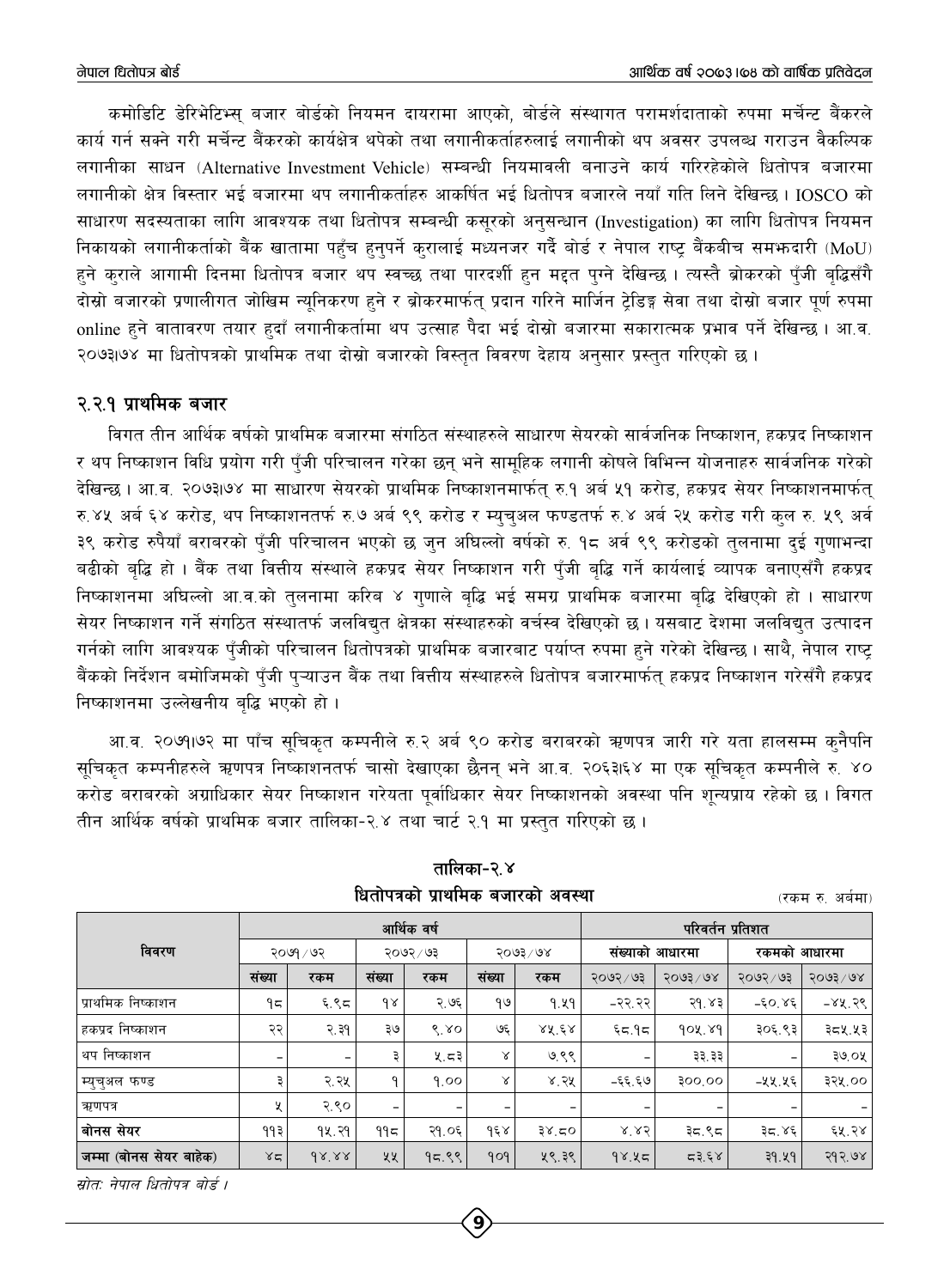कमोडिटि डेरिभेटिभ्स् बजार बोर्डको नियमन दायरामा आएको, बोर्डले संस्थागत परामर्शदाताको रुपमा मर्चेन्ट बैंकरले कार्य गर्न सक्ने गरी मर्चेन्ट बैंकरको कार्यक्षेत्र थपेको तथा लगानीकर्ताहरुलाई लगानीको थप अवसर उपलब्ध गराउन वैकल्पिक लगानीका साधन (Alternative Investment Vehicle) सम्बन्धी नियमावली बनाउने कार्य गरिरहेकोले धितोपत्र बजारमा लगानीको क्षेत्र विस्तार भई बजारमा थप लगानीकर्ताहरु आकर्षित भई धितोपत्र बजारले नयाँ गति लिने देखिन्छ। IOSCO को साधारण सदस्यताका लागि आवश्यक तथा धितोपत्र सम्बन्धी कसूरको अनुसन्धान (Investigation) का लागि धितोपत्र नियमन निकायको लगानीकर्ताको बैंक खातामा पहुँच हुनुपर्ने करालाई मध्यनजर गर्दै बोर्ड र नेपाल राष्ट बैंकबीच समभ्रुदारी (MoU) हने कराले आगामी दिनमा धितोपत्र बजार थप स्वच्छ तथा पारदर्शी हुन मद्दत पुग्ने देखिन्छ । त्यस्तै ब्रोकरको पुँजी बृद्धिसँगै दोस्रो बजारको प्रणालीगत जोखिम न्युनिकरण हुने र ब्रोकरमार्फत् प्रदान गरिने मार्जिन टेडिङ्ग सेवा तथा दोस्रो बजार पुर्ण रुपमा online हुने वातावरण तयार हुदाँ लगानीकर्तामा थप उत्साह पैदा भई दोस्रो बजारमा सकारात्मक प्रभाव पर्ने देखिन्छ। आ.व. २०७३।७४ मा धितोपत्रको प्राथमिक तथा दोस्रो बजारको विस्तुत विवरण देहाय अनुसार प्रस्तुत गरिएको छ।

### २.२.१ प्राथमिक बजार

विगत तीन आर्थिक वर्षको प्राथमिक बजारमा संगठित संस्थाहरुले साधारण सेयरको सार्वजनिक निष्काशन, हकप्रद निष्काशन र थप निष्काशन विधि प्रयोग गरी पँजी परिचालन गरेका छन् भने सामहिक लगानी कोषले विभिन्न योजनाहरु सार्वजनिक गरेको देखिन्छ । आ.व. २०७३७४ मा साधारण सेयरको प्राथमिक निष्काशनमार्फत रु.१ अर्ब ५१ करोड, हकप्रद सेयर निष्काशनमार्फत रु.४५ अर्ब ६४ करोड, थप निष्काशनतर्फ रु.७ अर्ब ९९ करोड र म्यचुअल फण्डतर्फ रु.४ अर्ब २५ करोड गरी कुल रु. ५९ अर्व ३९ करोड रुपैयाँ बराबरको पुँजी परिचालन भएको छ जुन अघिल्लो वर्षको रु. १८ अर्व ९९ करोडको तुलनामा दुई गुणाभन्दा बढीको बद्धि हो । बैंक तथा वित्तीय संस्थाले हकप्रद सेयर निष्काशन गरी पँजी बद्धि गर्ने कार्यलाई व्यापक बनाएसँगै हकप्रद निष्काशनमा अघिल्लो आ.व.को तुलनामा करिब ४ गुणाले बुद्धि भई समग्र प्राथमिक बजारमा बुद्धि देखिएको हो । साधारण सेयर निष्काशन गर्ने संगठित संस्थातर्फ जलविद्युत क्षेत्रका संस्थाहरुको वर्चस्व देखिएको छ। यसबाट देशमा जलविद्युत उत्पादन गर्नको लागि आवश्यक पँजीको परिचालन धितोपत्रको प्राथमिक बजारबाट पर्याप्त रुपमा हुने गरेको देखिन्छ । साथै, नेपाल राष्ट बैंकको निर्देशन बमोजिमको पुँजी पुऱ्याउन बैंक तथा वित्तीय संस्थाहरुले धितोपत्र बजारमार्फत् हकप्रद निष्काशन गरेसँगै हकप्रद निष्काशनमा उल्लेखनीय बद्धि भएको हो।

आ.व. २०७१।७२ मा पाँच सुचिकृत कम्पनीले रु.२ अर्ब ९० करोड बराबरको ऋणपत्र जारी गरे यता हालसम्म कुनैपनि सुचिकत कम्पनीहरुले ऋणपत्र निष्काशनतर्फ चासो देखाएका छैनन् भने आ.व. २०६३।६४ मा एक सुचिकत कम्पनीले रु. ४० करोड बराबरको अग्राधिकार सेयर निष्काशन गरेयता पुर्वाधिकार सेयर निष्काशनको अवस्था पनि शुन्यप्राय रहेको छ । विगत तीन आर्थिक वर्षको प्राथमिक बजार तालिका-२.४ तथा चार्ट २.१ मा प्रस्तुत गरिएको छ।

|                         |                          |                          |           | आर्थिक वर्ष |                      | परिवर्तन प्रतिशत             |                          |         |              |          |
|-------------------------|--------------------------|--------------------------|-----------|-------------|----------------------|------------------------------|--------------------------|---------|--------------|----------|
| विवरण                   | २०७१ / ७२                |                          | २०७२ ⁄ ७३ |             | $5003 \backslash 68$ |                              | संख्याको आधारमा          |         | रकमको आधारमा |          |
|                         | संख्या                   | रकम                      | संख्या    | रकम         | संख्या               | रकम                          | २०७२ / ७३                | 2003/08 | २०७२ / ७३    | 3003/08  |
| प्राथमिक निष्काशन       | ۹ς                       | ६.९८                     | $\delta$  | २.७६        | १७                   | 9.49                         | -२२.२२                   | २१.४३   | $-50.85$     | $-88.56$ |
| हकप्रद निष्काशन         | २२                       | २.३१                     | ३७        | 6.80        | ও६                   | 25.58                        | 59.75                    | 904.89  | ३०६.९३       | ३८५.५३   |
| थप निष्काशन             | $\overline{\phantom{m}}$ | $\overline{\phantom{m}}$ | ₹         | ५.८३        | Χ                    | ७.९९                         | $\overline{\phantom{m}}$ | ३३.३३   |              | ३७.०५    |
| म्युच्अल फण्ड           | З                        | २.२५                     | Q         | 9.00        | Χ                    | ४.२५                         | -६६.६७                   | 300,00  | –५५.५६       | ३२५.००   |
| ऋणपत्र                  | X                        | २.९०                     |           |             | -                    | $\qquad \qquad \blacksquare$ |                          |         |              |          |
| बोनस सेयर               | ११३                      | १५.२१                    | ۹۹८       | २१.०६       | १६४                  | 38.50                        | 8.85                     | ३८.९८   | ३द.४६        | ६५.२४    |
| जम्मा (बोनस सेयर बाहेक) | 85                       | $dX^{\prime}XX$          | ५५        | 95.88       | 909                  | ५९.३९                        | 98.45                    | 53.58   | 39.49        | २१२.७४   |

तालिका-२.४ धितोपत्रको प्राथमिक बजारको अवस्था

(रकम रु. अर्बमा)

स्रोतः नेपाल धितोपत्र बोर्ड ।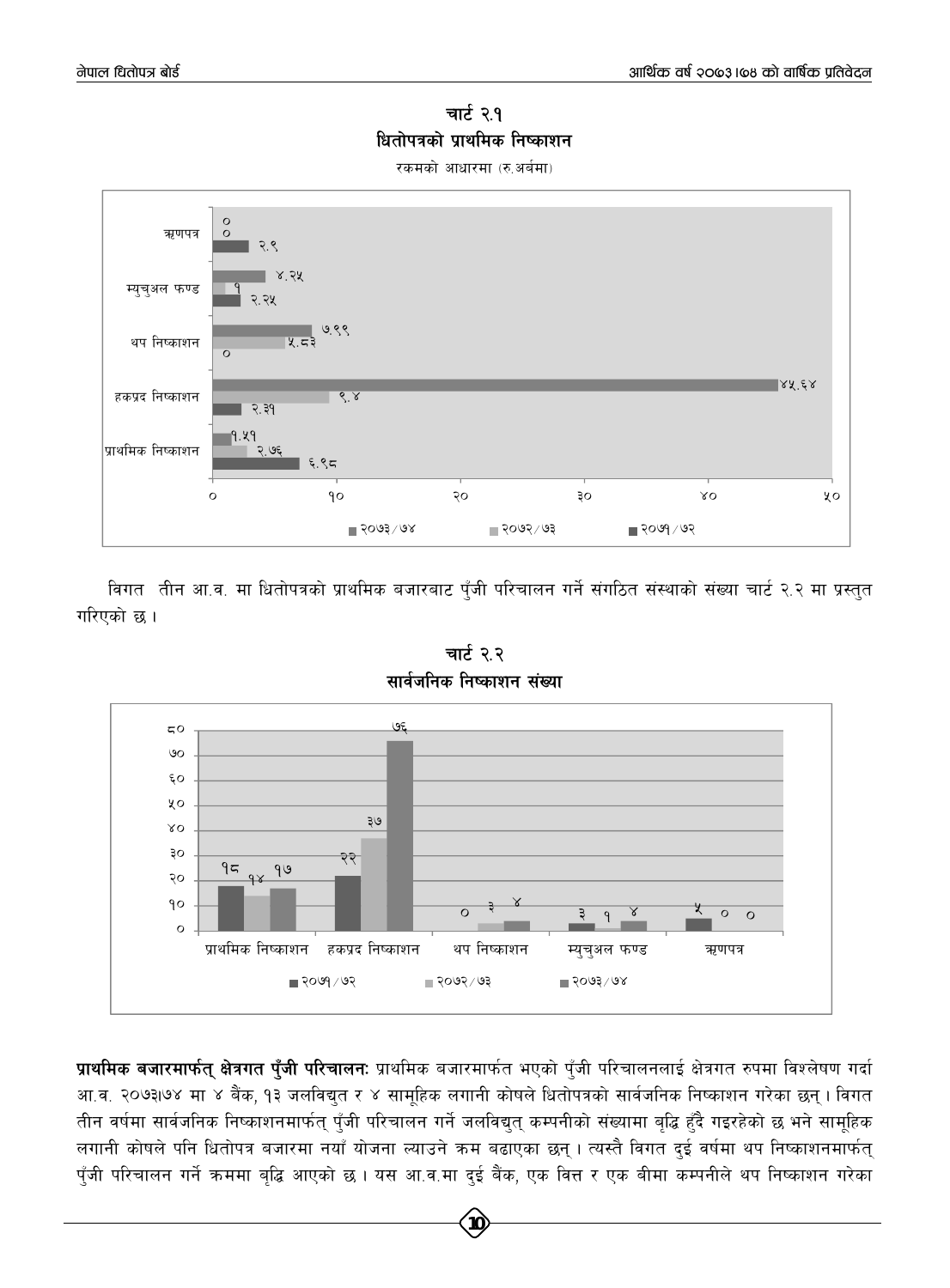चार्ट २.१ धितोपत्रको प्राथमिक निष्काशन

रकमको आधारमा (रु.अर्बमा)



विगत तीन आ.व. मा धितोपत्रको प्राथमिक बजारबाट पुँजी परिचालन गर्ने संगठित संस्थाको संख्या चार्ट २.२ मा प्रस्तुत गरिएको छ ।



चार्ट २.२ सार्वजनिक निष्काशन संख्या

प्राथमिक बजारमार्फत् क्षेत्रगत पुँजी परिचालनः प्राथमिक बजारमार्फत भएको पुँजी परिचालनलाई क्षेत्रगत रुपमा विश्लेषण गर्दा आ.व. २०७३।७४ मा ४ बैंक, १३ जलविद्युत र ४ सामूहिक लगानी कोषले धितोपत्रको सार्वजनिक निष्काशन गरेका छन् । विगत तीन वर्षमा सार्वजनिक निष्काशनमार्फत् पुँजी परिचालन गर्ने जलविद्युत् कम्पनीको संख्यामा बृद्धि हुँदै गइरहेको छ भने सामूहिक लगानी कोषले पनि धितोपत्र बजारमा नयाँ योजना ल्याउने क्रम बढाएका छन् । त्यस्तै विगत दुई वर्षमा थप निष्काशनमार्फत् पुँजी परिचालन गर्ने क्रममा बृद्धि आएको छ । यस आ.व.मा दुई बैंक, एक वित्त र एक बीमा कम्पनीले थप निष्काशन गरेका

 $10$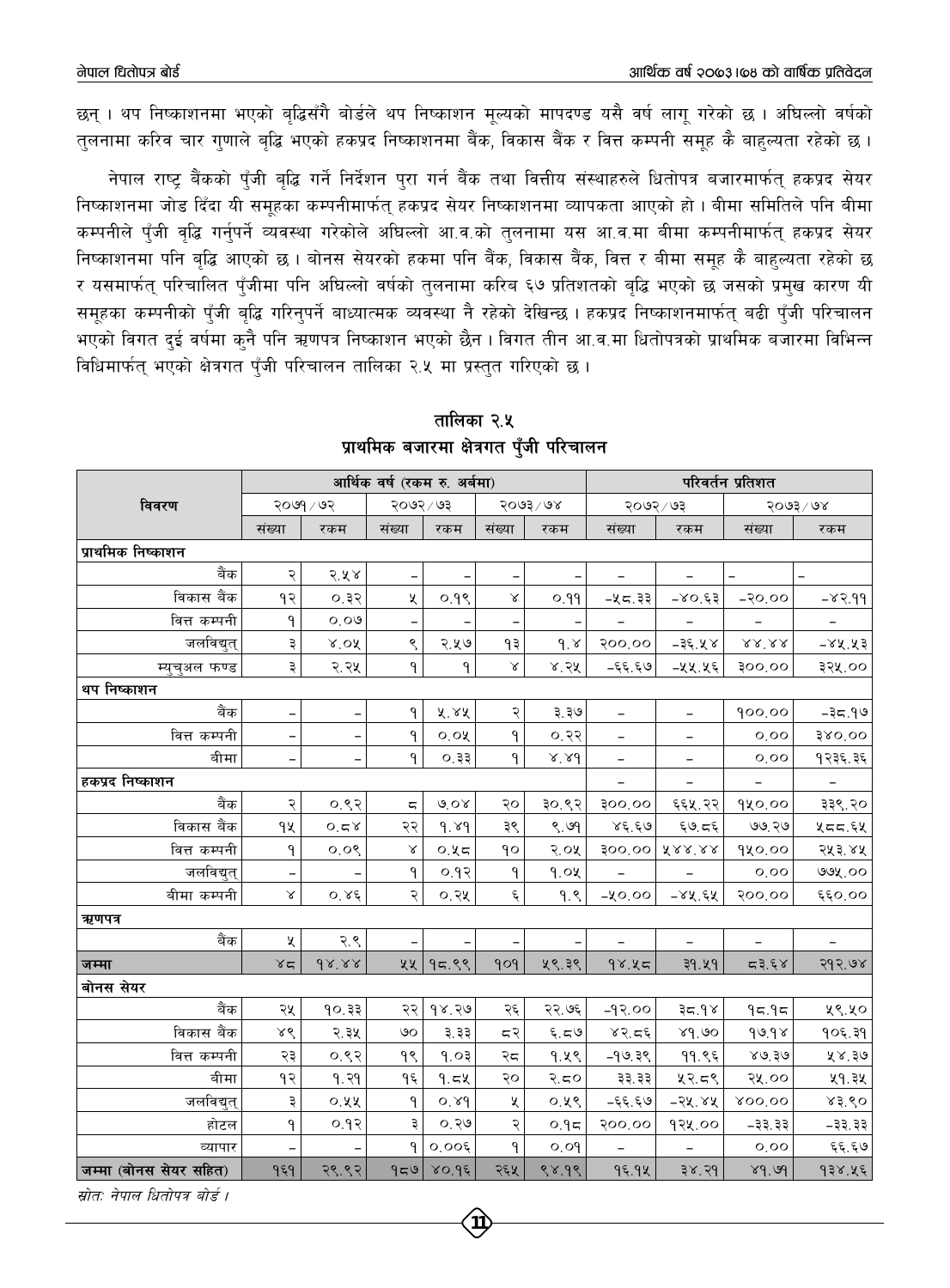छन् । थप निष्काशनमा भएको बद्धिसँगै बोर्डले थप निष्काशन मुल्यको मापदण्ड यसै वर्ष लागु गरेको छ । अघिल्लो वर्षको तलनामा करिव चार गणाले बद्धि भएको हकप्रद निष्काशनमा बैंक, विकास बैंक र वित्त कम्पनी समह कै बाहल्यता रहेको छ ।

नेपाल राष्ट्र बैंकको पुँजी बृद्धि गर्ने निर्देशन पुरा गर्न बैंक तथा वित्तीय संस्थाहरुले धितोपत्र बजारमार्फत् हकप्रद सेयर निष्काशनमा जोड दिँदा यी समुहका कम्पनीमार्फत् हकप्रद सेयर निष्काशनमा व्यापकता आएको हो । बीमा समितिले पनि बीमा कम्पनीले पुँजी वृद्धि गर्नुपर्ने व्यवस्था गरेकोले अधिल्लो आ.व.को तुलनामा यस आ.व.मा बीमा कम्पनीमार्फत् हकप्रद सेयर निष्काशनमा पनि बुद्धि आएको छ । बोनस सेयरको हकमा पनि बैंक, विकास बैंक, वित्त र बीमा समुह कै बाहल्यता रहेको छ र यसमार्फत परिचालित पँजीमा पनि अधिल्लो वर्षको तुलनामा करिब ६७ प्रतिशतको बद्धि भएको छ जसको प्रमुख कारण यी समहका कम्पनीको पँजी बद्धि गरिनपर्ने बाध्यात्मक व्यवस्था नै रहेको देखिन्छ । हकप्रद निष्काशनमार्फत बढी पँजी परिचालन भएको विगत दुई वर्षमा कुनै पनि ऋणपत्र निष्काशन भएको छैन । विगत तीन आ.व.मा धितोपत्रको प्राथमिक बजारमा विभिन्न विधिमार्फतु भएको क्षेत्रगत पँजी परिचालन तालिका २.५ मा प्रस्तुत गरिएको छ।

|                        |                          |                          |                           | आर्थिक वर्ष (रकम रु. अर्बमा) |                    |                  |                          | परिवर्तन प्रतिशत              |                          |                     |  |
|------------------------|--------------------------|--------------------------|---------------------------|------------------------------|--------------------|------------------|--------------------------|-------------------------------|--------------------------|---------------------|--|
| विवरण                  |                          | २०७१ / ७२                | २०७२ / ७३                 |                              |                    | $5003 \times 68$ |                          | २०७२ / ७३                     |                          | २०७३/७४             |  |
|                        | संख्या                   | रकम                      | संख्या                    | रकम                          | संख्या             | रकम              | संख्या                   | रकम                           | संख्या                   | रकम                 |  |
| प्राथमिक निष्काशन      |                          |                          |                           |                              |                    |                  |                          |                               |                          |                     |  |
| बैंक                   | २                        | २.५४                     |                           |                              |                    |                  |                          |                               |                          |                     |  |
| विकास बैंक             | १२                       | ०.३२                     | X                         | ०.१९                         | Χ                  | ०.११             | -५८.३३                   | $-80.65$                      | $-50.00$                 | $-83.99$            |  |
| वित्त कम्पनी           | ۹                        | 0.09                     |                           |                              |                    |                  |                          |                               |                          |                     |  |
| जलविद्युत्             | ३                        | $x$ of                   | ९                         | २.५७                         | ۹३                 | 9.8              | 900.00                   | $-35.48$                      | $8.8^\circ\!.8.8$        | $-88.85$            |  |
| म्युचुअल फण्ड          | ३                        | २.२५                     | ٩                         | ٩                            | $\propto$          | ४.२५             | -६६.६७                   | –५५.५६                        | 300'00                   | ३२५.००              |  |
| थप निष्काशन            |                          |                          |                           |                              |                    |                  |                          |                               |                          |                     |  |
| बैंक                   | $\overline{\phantom{0}}$ | $\qquad \qquad -$        | ۹                         | ४.४४                         | २                  | ३.३७             | -                        | -                             | 900.00                   | -३८.१७              |  |
| वित्त कम्पनी           |                          |                          | $\mathsf{P}$              | 0.0                          | ٩                  | ०.२२             |                          |                               | 0,00                     | 380'00              |  |
| बीमा                   | $\overline{\phantom{0}}$ |                          | ٩                         | ०.३३                         | ٩                  | $x'$ $8d$        | $\overline{\phantom{a}}$ | $\overline{\phantom{0}}$      | 0,00                     | १२३६.३६             |  |
| हकप्रद निष्काशन        |                          |                          |                           |                              |                    |                  | $\overline{\phantom{m}}$ | $\overline{\phantom{a}}$      | $\overline{\phantom{a}}$ | $\bar{\mathcal{L}}$ |  |
| बैंक                   | २                        | 0.82                     | $\overline{\mathbb{C}_1}$ | 6.08                         | २०                 | ३०.९२            | 300'00                   | ६६५.२२                        | 920.00                   | ३३९.२०              |  |
| विकास बैंक             | ٩X                       | 0.58                     | २२                        | 9.89                         | ३९                 | 8.99             | 86.60                    | $\xi \partial$ , $\sigma \xi$ | ७७.२७                    | ५८८.६५              |  |
| वित्त कम्पनी           | ٩                        | 0.08                     | Χ                         | 0.35                         | ٩o                 | 5.07             | <b>900.00</b>            | XXX'XX                        | १५०.००                   | २५३.४५              |  |
| जलविद्युत्             |                          |                          | ٩                         | ०.१२                         | ٩                  | 9.0x             |                          |                               | 0.00                     | ७७५.००              |  |
| बीमा कम्पनी            | $\propto$                | $O^{\prime} \lambda \xi$ | २                         | ०.२५                         | $\boldsymbol{\xi}$ | 9.8              | -४०.००                   | $-84.54$                      | २००.००                   | ६६०,००              |  |
| ऋणपत्र                 |                          |                          |                           |                              |                    |                  |                          |                               |                          |                     |  |
| बैंक                   | χ                        | २.९                      |                           |                              |                    |                  |                          |                               |                          |                     |  |
| जम्मा                  | 85                       | $dX^{\prime}XX$          | ५५                        | 95.88                        | 909                | ५९.३९            | 98.85                    | ३१.५१                         | 53.58                    | २१२.७४              |  |
| बोनस सेयर              |                          |                          |                           |                              |                    |                  |                          |                               |                          |                     |  |
| बैंक                   | २५                       | 90.33                    | २२                        | १४.२७                        | २६                 | २२.७६            | $-99.00$                 | 89.75                         | 95.95                    | ५९.५०               |  |
| विकास बैंक             | ४९                       | २.३५                     | ৩০                        | ३.३३                         | द२                 | $\xi, \xi$       | 85.55                    | 89.90                         | 99.98                    | १०६.३१              |  |
| वित्त कम्पनी           | २३                       | 0.88                     | ٩Ś                        | 9.03                         | २८                 | १.५९             | $-9$ ७.३९                | 99.85                         | 80.50                    | ५४.३७               |  |
| बीमा                   | १२                       | 9.39                     | ۹६                        | 9.5x                         | २०                 | २.८०             | ३३.३३                    | ५२.८९                         | २५.००                    | ५१.३५               |  |
| जलविद्युत्             | ३                        | ०.५५                     | $\mathsf{P}$              | 0.89                         | ५                  | ०.५९             | -६६.६७                   | $-24.84$                      | 800.00                   | 83.80               |  |
| होटल                   | ۹                        | ०.१२                     | ३                         | ०.२७                         | २                  | 0.95             | 500.00                   | १२५.००                        | $-33.33$                 | -३३.३३              |  |
| व्यापार                | $\overline{\phantom{0}}$ |                          | $\mathsf{P}$              | 0.005                        | ٩                  | 0.09             | $\equiv$                 | $\overline{\phantom{m}}$      | 0,00                     | ६६.६७               |  |
| जम्मा (बोनस सेयर सहित) | १६१                      | २९.९२                    | 959                       | 80.96                        | २६५                | ९४.१९            | १६.१५                    | 38.39                         | 89.99                    | १३४.५६              |  |

तालिका २.५ प्राथमिक बजारमा क्षेत्रगत पँजी परिचालन

स्रोतः नेपाल धितोपत्र बोर्ड ।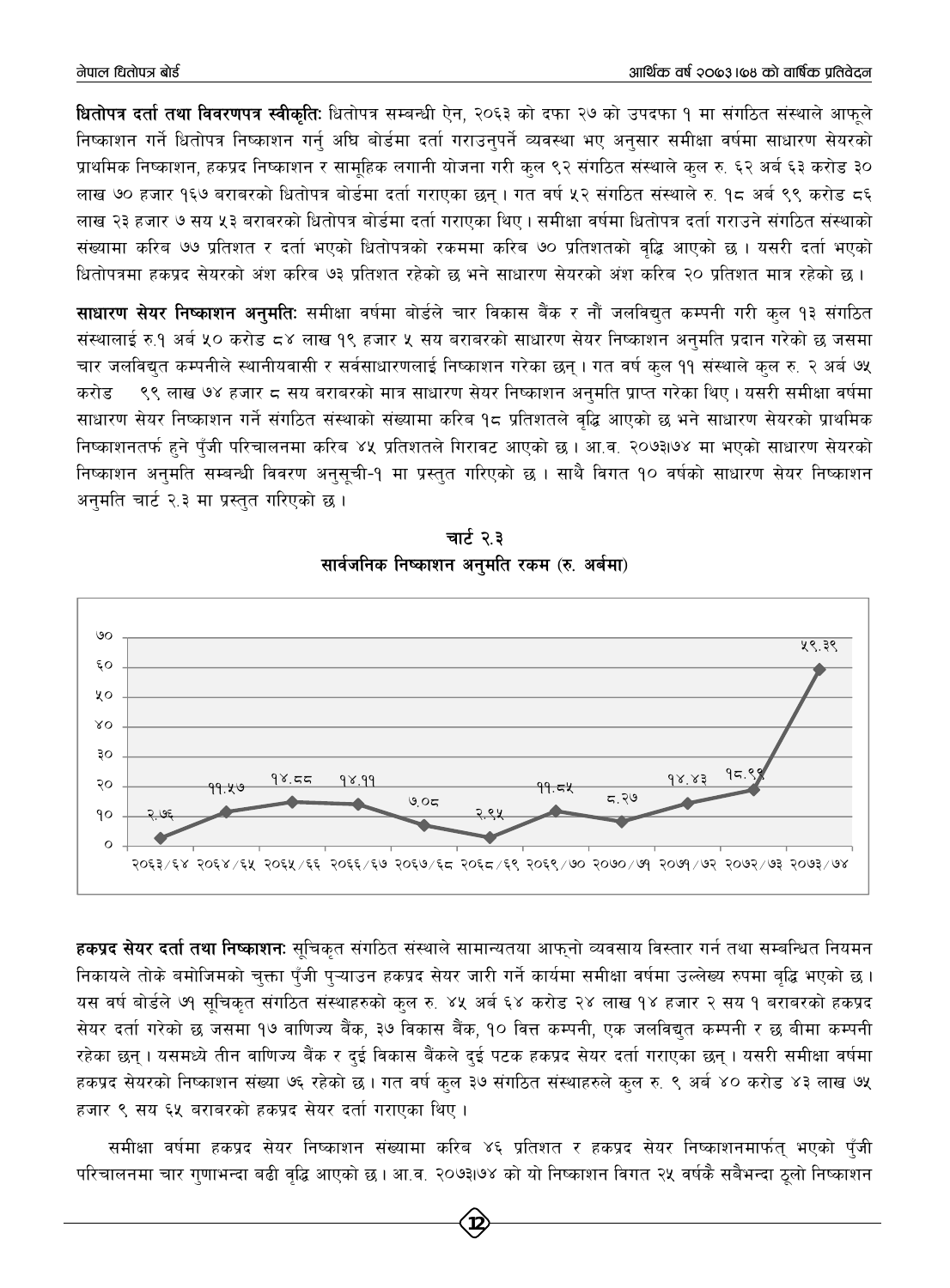**धितोपत्र दर्ता तथा विवरणपत्र स्वीकतिः** धितोपत्र सम्बन्धी ऐन, २०६३ को दफा २७ को उपदफा १ मा संगठित संस्थाले आफले निष्काशन गर्ने धितोपत्र निष्काशन गर्न अघि बोर्डमा दर्ता गराउनपर्ने व्यवस्था भए अनसार समीक्षा वर्षमा साधारण सेयरको प्राथमिक निष्काशन, हकप्रद निष्काशन र सामहिक लगानी योजना गरी कल ९२ संगठित संस्थाले कल रु. ६२ अर्ब ६३ करोड ३० लाख ७० हजार १६७ बराबरको धितोपत्र बोर्डमा दर्ता गराएका छन् । गत वर्ष ५२ संगठित संस्थाले रु. १८ अर्ब ९९ करोड ८६ लाख २३ हजार ७ सय ५३ बराबरको धितोपत्र बोर्डमा दर्ता गराएका थिए । समीक्षा वर्षमा धितोपत्र दर्ता गराउने संगठित संस्थाको संख्यामा करिब ७७ प्रतिशत र दर्ता भएको धितोपत्रको रकममा करिब ७० प्रतिशतको वद्धि आएको छ । यसरी दर्ता भएको धितोपत्रमा हकप्रद सेयरको अंश करिब ७३ प्रतिशत रहेको छ भने साधारण सेयरको अंश करिब २० प्रतिशत मात्र रहेको छ ।

साधारण सेयर निष्काशन अनुमति: समीक्षा वर्षमा बोर्डले चार विकास बैंक र नौं जलविद्युत कम्पनी गरी कुल १३ संगठित संस्थालाई रु.१ अर्ब ५० करोड ८४ लाख १९ हजार ५ सय बराबरको साधारण सेयर निष्काशन अनुमति प्रदान गरेको छ जसमा चार जलविद्यत कम्पनीले स्थानीयवासी र सर्वसाधारणलाई निष्काशन गरेका छन् । गत वर्ष कुल ११ संस्थाले कुल रु. २ अर्ब ७५ ९९ लाख ७४ हजार ८ सय बराबरको मात्र साधारण सेयर निष्काशन अनुमति प्राप्त गरेका थिए । यसरी समीक्षा वर्षमा करोड साधारण सेयर निष्काशन गर्ने संगठित संस्थाको संख्यामा करिब १८ प्रतिशतले वृद्धि आएको छ भने साधारण सेयरको प्राथमिक निष्काशनतर्फ हुने पँजी परिचालनमा करिब ४५ प्रतिशतले गिरावट आएको छ । आ.व. २०७३।७४ मा भएको साधारण सेयरको निष्काशन अनुमति सम्बन्धी विवरण अनुसूची-१ मा प्रस्तुत गरिएको छ । साथै विगत १० वर्षको साधारण सेयर निष्काशन अनुमति चार्ट २.३ मा प्रस्तुत गरिएको छ।



चार्ट २.३ सार्वजनिक निष्काशन अनुमति रकम (रु. अर्बमा)

हकप्रद सेयर दर्ता तथा निष्काशनः सूचिकृत संगठित संस्थाले सामान्यतया आफ्नो व्यवसाय विस्तार गर्न तथा सम्बन्धित नियमन निकायले तोके बमोजिमको चुक्ता पुँजी पुऱ्याउन हकप्रद सेयर जारी गर्ने कार्यमा समीक्षा वर्षमा उल्लेख्य रुपमा बृद्धि भएको छ। यस वर्ष बोर्डले ७१ सूचिकृत संगठित संस्थाहरुको कुल रु. ४५ अर्ब ६४ करोड २४ लाख १४ हजार २ सय १ बराबरको हकप्रद सेयर दर्ता गरेको छ जसमा १७ वाणिज्य बैंक, ३७ विकास बैंक, १० वित्त कम्पनी, एक जलविद्युत कम्पनी र छ बीमा कम्पनी रहेका छन्। यसमध्ये तीन वाणिज्य बैंक र दुई विकास बैंकले दुई पटक हकप्रद सेयर दर्ता गराएका छन्। यसरी समीक्षा वर्षमा हकप्रद सेयरको निष्काशन संख्या ७६ रहेको छ । गत वर्ष कुल ३७ संगठित संस्थाहरुले कुल रु. ९ अर्ब ४० करोड ४३ लाख ७५ हजार ९ सय ६५ बराबरको हकप्रद सेयर दर्ता गराएका थिए।

समीक्षा वर्षमा हकप्रद सेयर निष्काशन संख्यामा करिब ४६ प्रतिशत र हकप्रद सेयर निष्काशनमार्फत् भएको पुँजी परिचालनमा चार गुणाभन्दा बढी वृद्धि आएको छ । आ.व. २०७३।७४ को यो निष्काशन विगत २५ वर्षकै सबैभन्दा ठूलो निष्काशन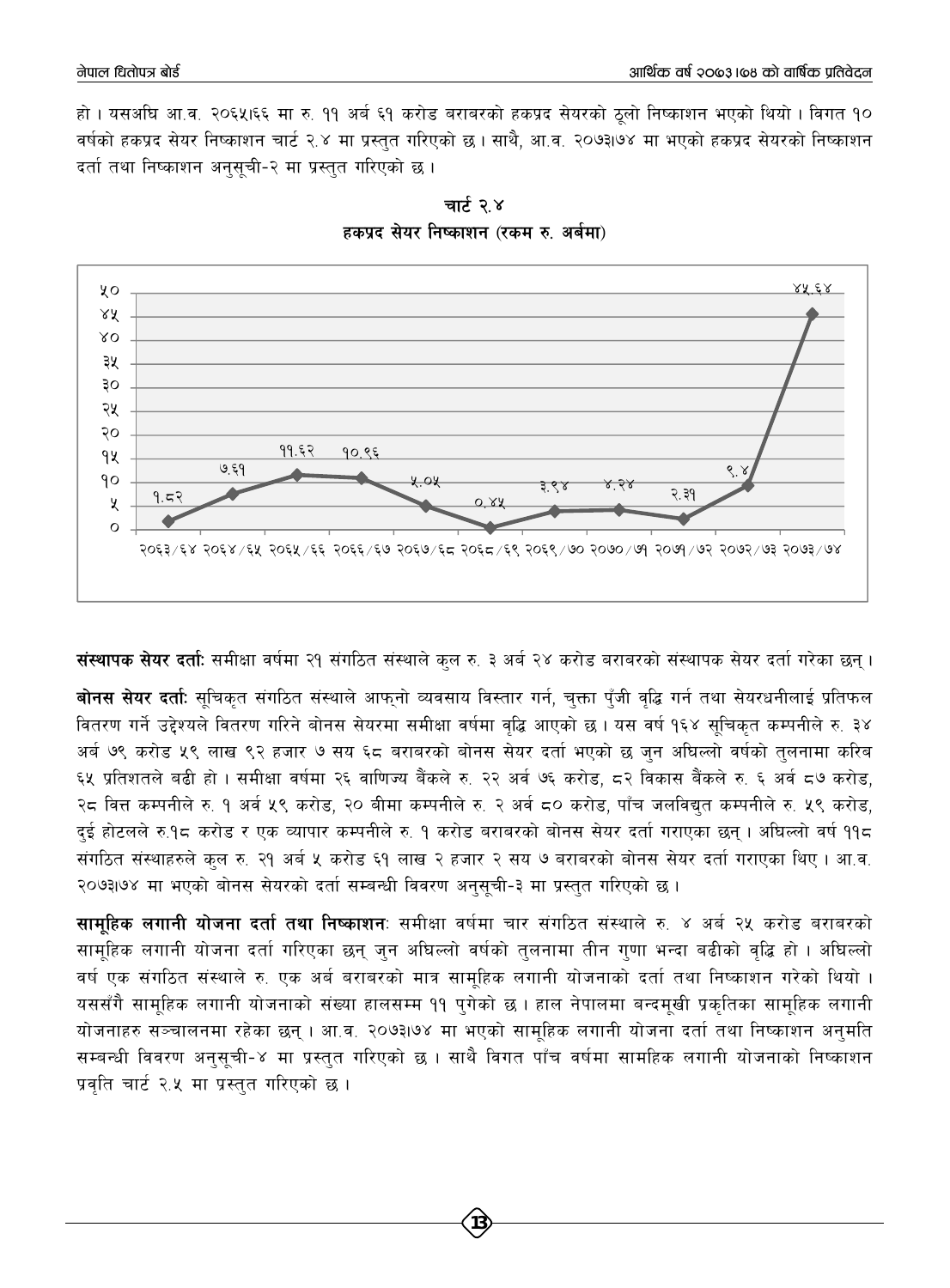हो । यसअघि आ.व. २०६५।६६ मा रु. ११ अर्ब ६१ करोड बराबरको हकप्रद सेयरको ठलो निष्काशन भएको थियो । विगत १० वर्षको हकप्रद सेयर निष्काशन चार्ट २.४ मा प्रस्तत गरिएको छ । साथै. आ.व. २०७३।७४ मा भएको हकप्रद सेयरको निष्काशन दर्ता तथा निष्काशन अनुसूची-२ मा प्रस्तुत गरिएको छ।





**; संस्थापक सेयर दर्ता:** समीक्षा वर्षमा २१ संगठित संस्थाले कल रु. ३ अर्ब २४ करोड बराबरको संस्थापक सेयर दर्ता गरेका छन् ।

बोनस सेयर दर्ताः सूचिकृत संगठित संस्थाले आफ्**नो व्यवसाय विस्तार गर्न, चुक्ता पुँजी वृ**द्धि गर्न तथा सेयरधनीलाई प्रतिफल वितरण गर्ने उद्देश्यले वितरण गरिने बोनस सेयरमा समीक्षा वर्षमा वद्धि आएको छ । यस वर्ष १६४ सचिकत कम्पनीले रु. ३४ अर्ब ७९ करोड ५९ लाख ९२ हजार ७ सय ६८ बराबरको बोनस सेयर दर्ता भएको छ जुन अघिल्लो वर्षको तुलनामा करिब ६५ प्रतिशतले बढी हो । समीक्षा वर्षमा २६ वाणिज्य बैंकले रु. २२ अर्व ७६ करोड, ८२ विकास बैंकले रु. ६ अर्व ८७ करोड, २८ वित्त कम्पनीले रु. १ अर्व ५९ करोड, २० बीमा कम्पनीले रु. २ अर्व ८० करोड, पाँच जलविद्युत कम्पनीले रु. ५९ करोड, दुई होटलले रु.१८ करोड र एक व्यापार कम्पनीले रु. १ करोड बराबरको बोनस सेयर दर्ता गराएका छन् । अघिल्लो वर्ष ११८ संगठित संस्थाहरुले कल रु. २१ अर्ब ५ करोड ६१ लाख २ हजार २ सय ७ बराबरको बोनस सेयर दर्ता गराएका थिए । आ.व. २०७३७४ मा भएको बोनस सेयरको दर्ता सम्बन्धी विवरण अनुसूची-३ मा प्रस्तुत गरिएको छ।

सामू<mark>हिक लगानी योजना दर्ता तथा निष्काशन</mark>ः समीक्षा वर्षमा चार संगठित संस्थाले रु. ४ अर्ब २५ करोड बराबरको सामूहिक लगानी योजना दर्ता गरिएका छन् जुन अघिल्लो वर्षको तुलनामा तीन गुणा भन्दा बढीको वृद्धि हो । अघिल्लो वर्ष एक संगठित संस्थाले रु. एक अर्ब बराबरको मात्र सामूहिक लगानी योजनाको दर्ता तथा निष्काशन गरेको थियो । यससँगै सामूहिक लगानी योजनाको संख्या हालसम्म ११ पुगेको छ । हाल नेपालमा बन्दमूखी प्रकृतिका सामूहिक लगानी योजनाहरु सञ्चालनमा रहेका छन् । आ.व. २०७३।७४ मा भएको सामूहिक लगानी योजना दर्ता तथा निष्काशन अनुमति सम्बन्धी विवरण अनुसुची-४ मा प्रस्तुत गरिएको छ । साथै विगत पाँच वर्षमा सामहिक लगानी योजनाको निष्काशन प्रवति चार्ट २.५ मा प्रस्तुत गरिएको छ ।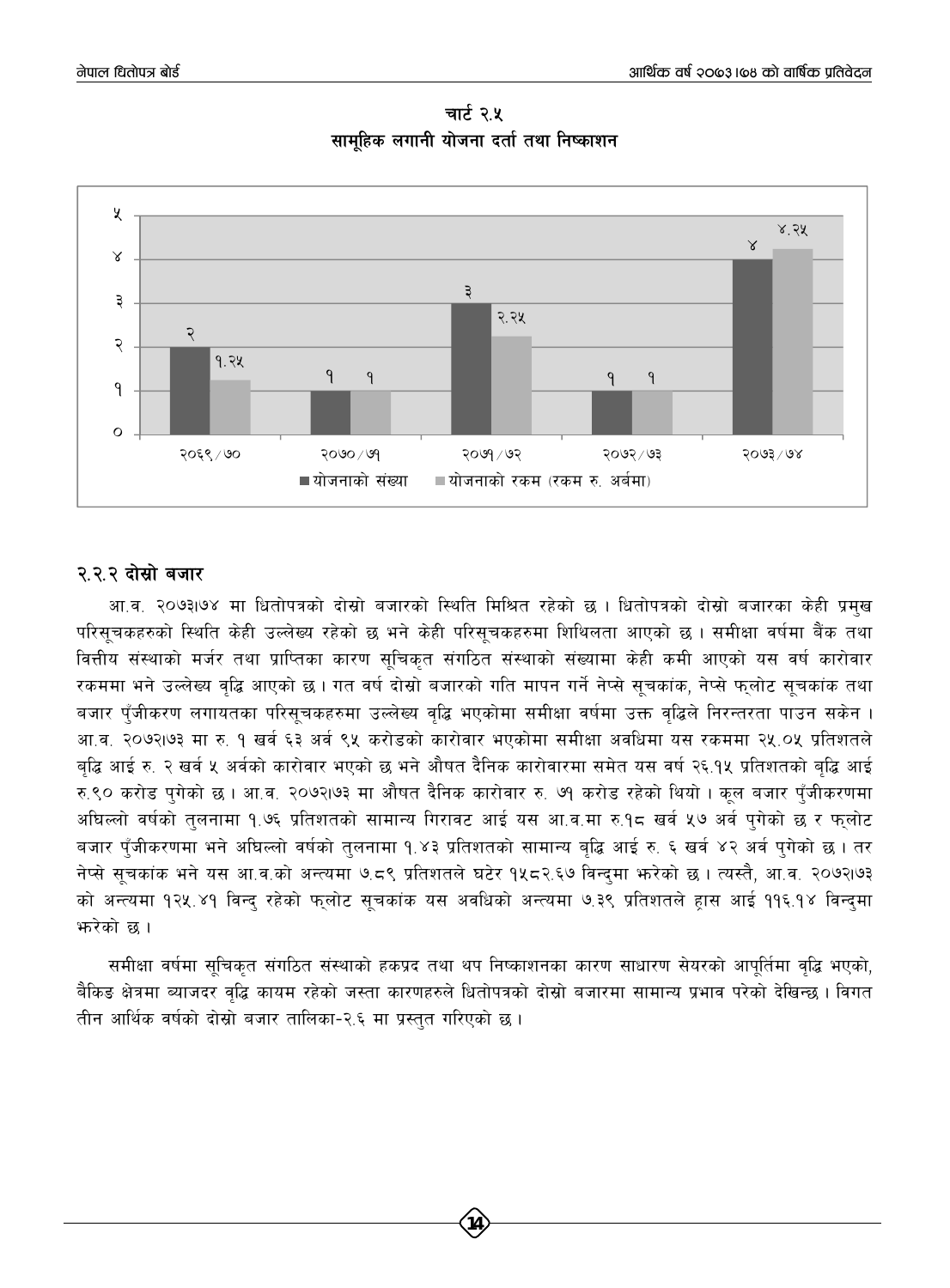

चार्ट २.५ सामहिक लगानी योजना दर्ता तथा निष्काशन

#### २२२ दोस्रो बजार

आ.व. २०७३।७४ मा धितोपत्रको दोस्रो बजारको स्थिति मिश्रित रहेको छ । धितोपत्रको दोस्रो बजारका केही प्रमुख परिसूचकहरुको स्थिति केही उल्लेख्य रहेको छ भने केही परिसूचकहरुमा शिथिलता आएको छ । समीक्षा वर्षमा बैंक तथा वित्तीय संस्थाको मर्जर तथा प्राप्तिका कारण सूचिकृत संगठित संस्थाको संख्यामा केही कमी आएको यस वर्ष कारोवार रकममा भने उल्लेख्य वृद्धि आएको छ । गत वर्ष दोस्रो बजारको गति मापन गर्ने नेप्से सूचकांक, नेप्से फुलोट सूचकांक तथा बजार पँजीकरण लगायतका परिसूचकहरुमा उल्लेख्य वृद्धि भएकोमा समीक्षा वर्षमा उक्त वृद्धिले निरन्तरता पाउन सकेन । आ.व. २०७२।७३ मा रु. १ खर्व ६३ अर्व ९५ करोडको कारोवार भएकोमा समीक्षा अवधिमा यस रकममा २५.०५ प्रतिशतले बढ़ि आई रु. २ खर्व ५ अर्वको कारोवार भएको छ भने औषत दैनिक कारोवारमा समेत यस वर्ष २६.१५ प्रतिशतको बढ़ि आई रु.९० करोड पुगेको छ । आ.व. २०७२।७३ मा औषत दैनिक कारोवार रु. ७१ करोड रहेको थियो । कुल बजार पुँजीकरणमा अधिल्लो वर्षको तुलनामा १.७६ प्रतिशतको सामान्य गिरावट आई यस आ.व.मा रु.१८ खर्व ५७ अर्व पुगेको छ र फुलोट बजार पुँजीकरणमा भने अधिल्लो वर्षको तुलनामा १.४३ प्रतिशतको सामान्य बृद्धि आई रु. ६ खर्व ४२ अर्व पुगेको छ । तर नेप्से सुचकांक भने यस आ.व.को अन्त्यमा ७.८९ प्रतिशतले घटेर १५८२.६७ विन्दमा भरेको छ । त्यस्तै, आ.व. २०७२।७३ को अन्त्यमा १२५.४१ विन्द रहेको फुलोट सूचकांक यस अवधिको अन्त्यमा ७.३९ प्रतिशतले हास आई ११६.१४ विन्दमा भारेको छ ।

समीक्षा वर्षमा सूचिकृत संगठित संस्थाको हकप्रद तथा थप निष्काशनका कारण साधारण सेयरको आपूर्तिमा वृद्धि भएको, बैकिड क्षेत्रमा ब्याजदर वृद्धि कायम रहेको जस्ता कारणहरुले धितोपत्रको दोस्रो बजारमा सामान्य प्रभाव परेको देखिन्छ। विगत तीन आर्थिक वर्षको दोस्रो बजार तालिका-२.६ मा प्रस्तुत गरिएको छ।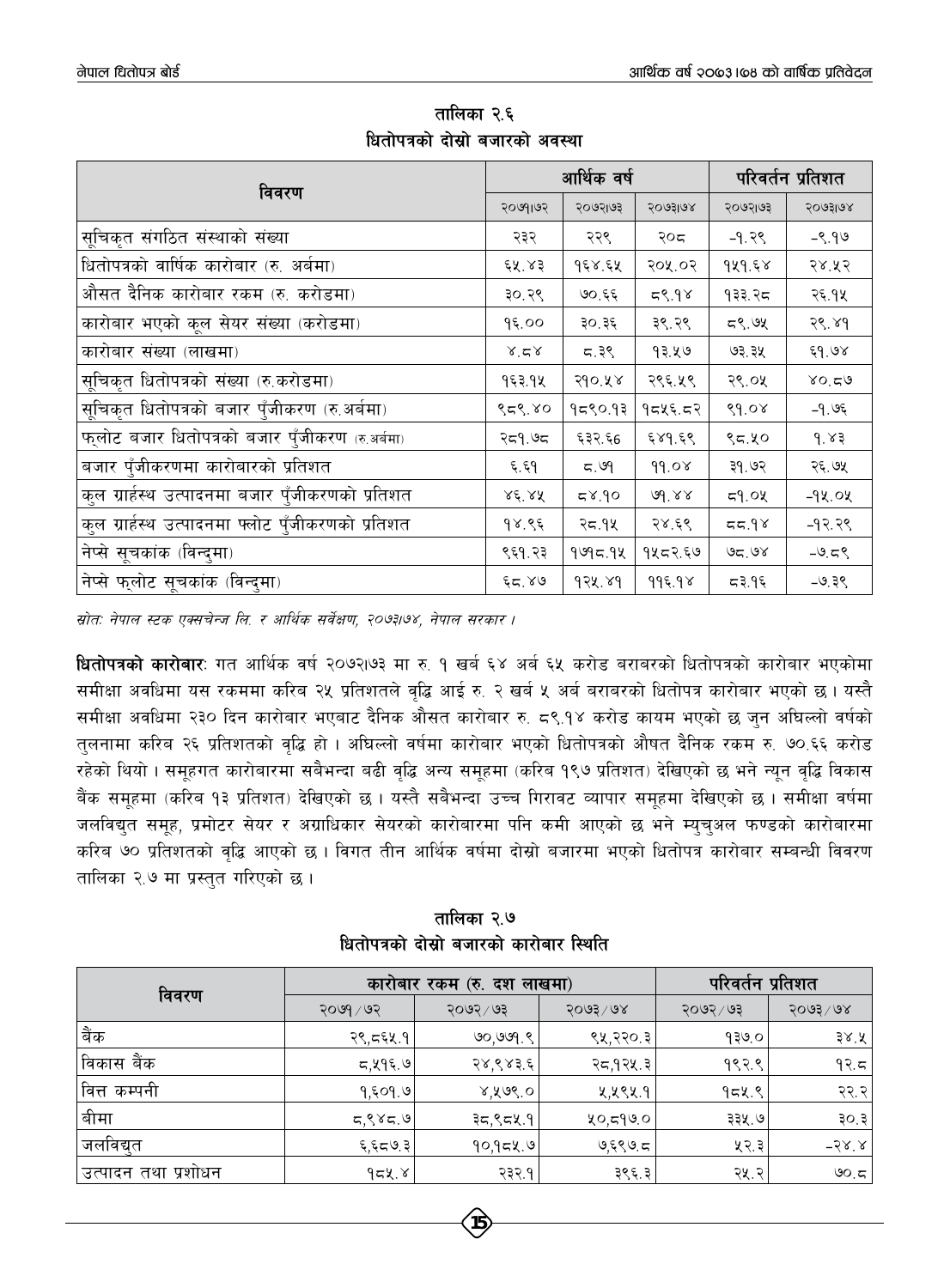|                                                   |                      | आर्थिक वर्ष  |         | परिवर्तन प्रतिशत |          |  |
|---------------------------------------------------|----------------------|--------------|---------|------------------|----------|--|
| विवरण                                             | २०७१।७२              | २०७२।७३      | २०७३।७४ | २०७२।७३          | २०७३।७४  |  |
| सूचिकृत संगठित संस्थाको संख्या                    | २३२                  | २२९          | २०द     | $-9.39$          | $-9.99$  |  |
| धितोपत्रको वार्षिक कारोबार (रु. अर्बमा)           | ६५.४३                | १६४.६५       | २०५.०२  | 949.58           | २४.५२    |  |
| औसत दैनिक कारोबार रकम (रु. करोडमा)                | ३०.२९                | ७०.६६        | 59.98   | १३३.२८           | २६.१५    |  |
| कारोबार भएको कूल सेयर संख्या (करोडमा)             | 95.00                | ३०.३६        | ३९.२९   | ८९.७५            | २९.४१    |  |
| कारोबार संख्या (लाखमा)                            | $x^2 \times$         | <b>5.</b> ३९ | १३.५७   | ७३.३५            | ६१.७४    |  |
| सूचिकृत धितोपत्रको संख्या (रु.करोडमा)             | १६३.१५               | २१०.५४       | २९६.५९  | २९.०५            | 80.59    |  |
| सूचिकृत धितोपत्रको बजार पुँजीकरण (रु.अर्बमा)      | ९८९.४०               | १८९०.१३      | १८५६.८२ | 89.08            | -१.७६    |  |
| फ्लोट बजार धितोपत्रको बजार पुँजीकरण (रु.अर्बमा)   | २द१.७द               | ६३२.६6       | ६४१.६९  | ९८.५०            | 9.83     |  |
| बजार पुँजीकरणमा कारोबारको प्रतिशत                 | ६.६१                 | ದ. ಅ9        | 99.08   | ३१.७२            | २६.७५    |  |
| कुल ग्रार्हस्थ उत्पादनमा बजार पुँजीकरणको प्रतिशत  | $X\xi'$ $X\tilde{X}$ | 6.87         | 6d.88   | 59.04            | -१५.०५   |  |
| कुल ग्रार्हस्थ उत्पादनमा फ्लोट पुँजीकरणको प्रतिशत | १४.९६                | २८.१५        | २४.६९   | 89.75            | $-97.79$ |  |
| नेप्से सूचकांक (विन्दुमा)                         | ९६१.२३               | 9995.98      | १५८२.६७ | 95.98            | $-9.59$  |  |
| नेप्से फुलोट सूचकांक (विन्दुमा)                   | ६८.४७                | 924.89       | 995.98  | 59.95            | $-9.38$  |  |

तालिका २.६ धितोपत्रको दोस्रो बजारको अवस्था

म्रोतः नेपाल स्टक एक्सचेन्ज लि. र आर्थिक सर्वेक्षण, २०७३।७४, नेपाल सरकार ।

**धितोपत्रको कारोबार**: गत आर्थिक वर्ष २०७२।७३ मा रु. १ खर्ब ६४ अर्ब ६५ करोड बराबरको धितोपत्रको कारोबार भएकोमा समीक्षा अवधिमा यस रकममा करिब २५ प्रतिशतले वृद्धि आई रु. २ खर्ब ५ अर्ब बराबरको धितोपत्र कारोबार भएको छ। यस्तै समीक्षा अवधिमा २३० दिन कारोबार भएबाट दैनिक औसत कारोबार रु. ८९.१४ करोड कायम भएको छ जुन अघिल्लो वर्षको तुलनामा करिब २६ प्रतिशतको वृद्धि हो । अघिल्लो वर्षमा कारोबार भएको धितोपत्रको औषत दैनिक रकम रु. ७०.६६ करोड रहेको थियो । समूहगत कारोबारमा सबैभन्दा बढी वृद्धि अन्य समूहमा (करिब १९७ प्रतिशत) देखिएको छ भने न्यून वृद्धि विकास बैंक समूहमा (करिब १३ प्रतिशत) देखिएको छ । यस्तै सबैभन्दा उच्च गिरावट व्यापार समूहमा देखिएको छ । समीक्षा वर्षमा जलविद्युत समूह, प्रमोटर सेयर र अग्राधिकार सेयरको कारोबारमा पनि कमी आएको छ भने म्युचुअल फण्डको कारोबारमा करिब ७० प्रतिशतको वद्धि आएको छ । विगत तीन आर्थिक वर्षमा दोस्रो बजारमा भएको धितोपत्र कारोबार सम्बन्धी विवरण तालिका २.७ मा प्रस्तुत गरिएको छ।

तालिका २.७ धितोपत्रको दोस्रो बजारको कारोबार स्थिति

| विवरण                |           | कारोबार रकम (रु. दश लाखमा) | परिवर्तन प्रतिशत     |           |              |
|----------------------|-----------|----------------------------|----------------------|-----------|--------------|
|                      | २०७१ / ७२ | २०७२ / ७३                  | $5003 \backslash 68$ | २०७२ / ७३ | २०७३/७४      |
| बैंक                 | २९,द६५.१  | 90,999.8                   | ९५,२२०.३             | १३७.०     | ३४.४ $ $     |
| विकास बैंक           | 5,495.9   | २४,९४३.६                   | २८,१२५.३             | १९२.९     | 92.5         |
| वित्त कम्पनी         | 9,509.9   | 8,808.0                    | ४,५९५.१              | 9529      | २२.२         |
| बीमा                 | 5,885.9   | ३८,९८५.१                   | 20,599.0             | ३३५.७     | ३०.३ $ $     |
| जलविद्युत            | 5.97,7    | 90,958.9                   | ७,६९७.८              | ५२.३      | $-58.8$      |
| 'उत्पादन तथा प्रशोधन | 952.8     | २३२.१                      | ३९६.३                | २५.२      | <b>७</b> ೦.ದ |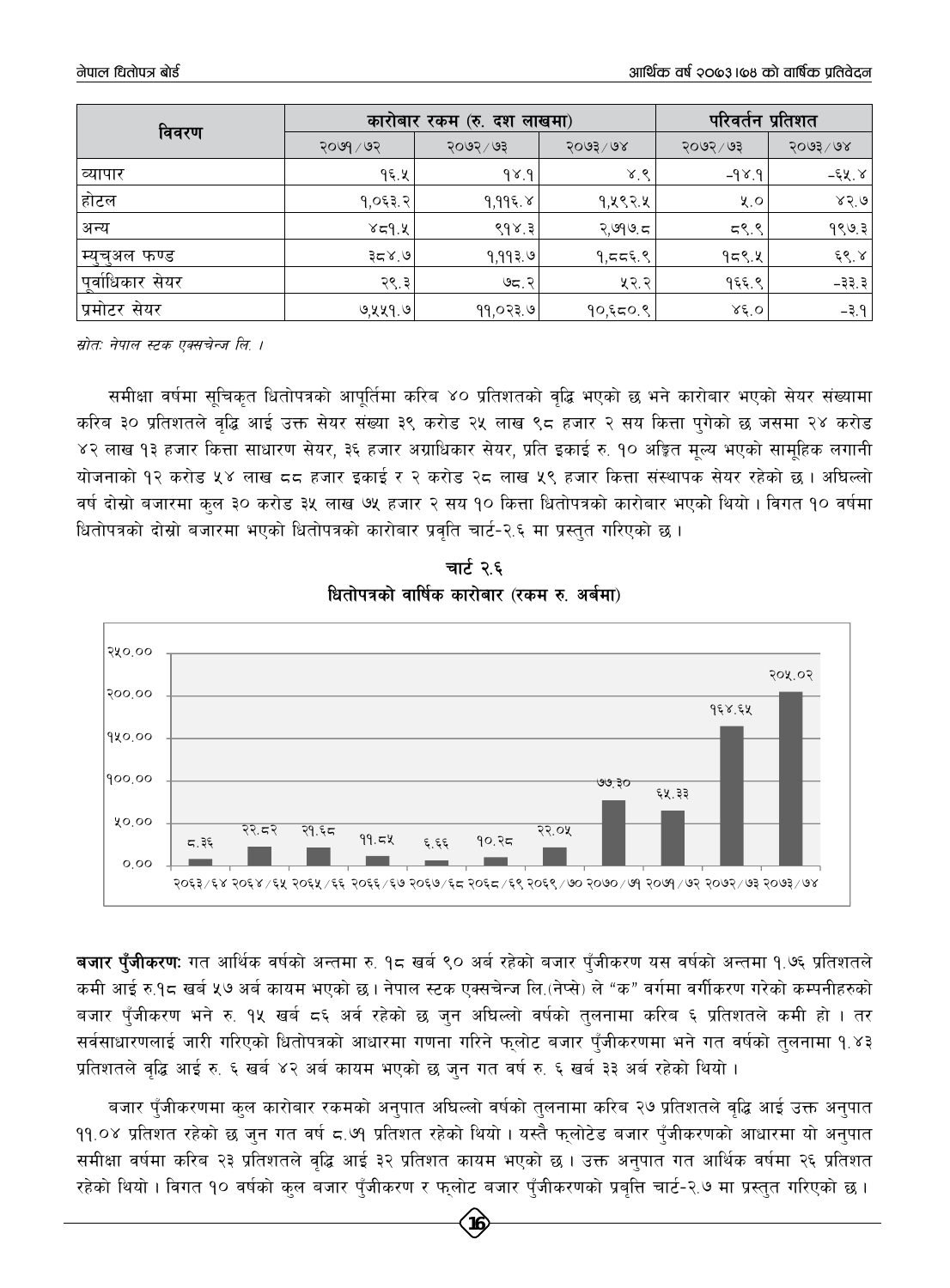| विवरण            |           | कारोबार रकम (रु. दश लाखमा) | परिवर्तन प्रतिशत     |                      |                      |
|------------------|-----------|----------------------------|----------------------|----------------------|----------------------|
|                  | २०७१ / ७२ | २०७२ / ७३                  | $5003 \backslash 68$ | २०७२ / ७३            | $5003 \backslash 68$ |
| व्यापार          | 95.4      | 9.89                       | 8.8                  | $-9$ $\times$ $9$    | -६५.४                |
| होटल             | 9,053.2   | 9,995.8                    | १,५९२.५              | $x^{\prime}$         | 85.0                 |
| अन्य             | 8.978     | 898.3                      | २,७१७.८              | 5.97                 | 9893                 |
| म्युच्अल फण्ड    | 9.87      | १,११३.७                    | 9.5559               | $95$ ९.५             | $\xi$ $\xi$ , $\xi$  |
| पूर्वाधिकार सेयर | २९.३      | ७८.२                       | ५२.२                 | १६६.९                | $-33.3$              |
| प्रमोटर सेयर     | ७,५५१.७   | ११,०२३.७                   | १०,६८०.९             | $\lambda \epsilon$ o | $-3.9$               |

स्रोतः नेपाल स्टक एक्सचेन्ज लि. ।

समीक्षा वर्षमा सुचिकृत धितोपत्रको आपूर्तिमा करिब ४० प्रतिशतको वृद्धि भएको छ भने कारोबार भएको सेयर संख्यामा करिब ३० प्रतिशतले वृद्धि आई उक्त सेयर संख्या ३९ करोड २५ लाख ९८ हजार २ सय कित्ता पुगेको छ जसमा २४ करोड ४२ लाख १३ हजार कित्ता साधारण सेयर, ३६ हजार अग्राधिकार सेयर, प्रति इकाई रु. १० अङ्कित मुल्य भएको सामहिक लगानी योजनाको १२ करोड ५४ लाख ८८ हजार इकाई र २ करोड २८ लाख ५९ हजार कित्ता संस्थापक सेयर रहेको छ। अघिल्लो वर्ष दोस्रो बजारमा कुल ३० करोड ३५ लाख ७५ हजार २ सय १० कित्ता धितोपत्रको कारोबार भएको थियो । विगत १० वर्षमा धितोपत्रको दोस्रो बजारमा भएको धितोपत्रको कारोबार प्रवति चार्ट-२.६ मा प्रस्तत गरिएको छ ।





**बजार पँजीकरण:** गत आर्थिक वर्षको अन्तमा रु. १८ खर्ब ९० अर्ब रहेको बजार पँजीकरण यस वर्षको अन्तमा १.७६ प्रतिशतले कमी आई रु.१८ खर्ब ५७ अर्ब कायम भएको छ। नेपाल स्टक एक्सचेन्ज लि.(नेप्से) ले "क" वर्गमा वर्गीकरण गरेको कम्पनीहरुको बजार पुँजीकरण भने रु. १५ खर्ब ८६ अर्व रहेको छ जुन अघिल्लो वर्षको तुलनामा करिब ६ प्रतिशतले कमी हो । तर सर्वसाधारणलाई जारी गरिएको धितोपत्रको आधारमा गणना गरिने फुलोट बजार पुँजीकरणमा भने गत वर्षको तुलनामा १.४३ प्रतिशतले वृद्धि आई रु. ६ खर्ब ४२ अर्ब कायम भएको छ जन गत वर्ष रु. ६ खर्ब ३३ अर्ब रहेको थियो ।

बजार पँजीकरणमा कुल कारोबार रकमको अनुपात अघिल्लो वर्षको तुलनामा करिब २७ प्रतिशतले वृद्धि आई उक्त अनुपात ११.०४ प्रतिशत रहेको छ जुन गत वर्ष ८.७१ प्रतिशत रहेको थियो । यस्तै फुलोटेड बजार पुँजीकरणको आधारमा यो अनुपात समीक्षा वर्षमा करिब २३ प्रतिशतले वृद्धि आई ३२ प्रतिशत कायम भएको छ । उक्त अनुपात गत आर्थिक वर्षमा २६ प्रतिशत रहेको थियो । विगत १० वर्षको कुल बजार पुँजीकरण र फुलोट बजार पुँजीकरणको प्रबृत्ति चार्ट-२.७ मा प्रस्तुत गरिएको छ ।

16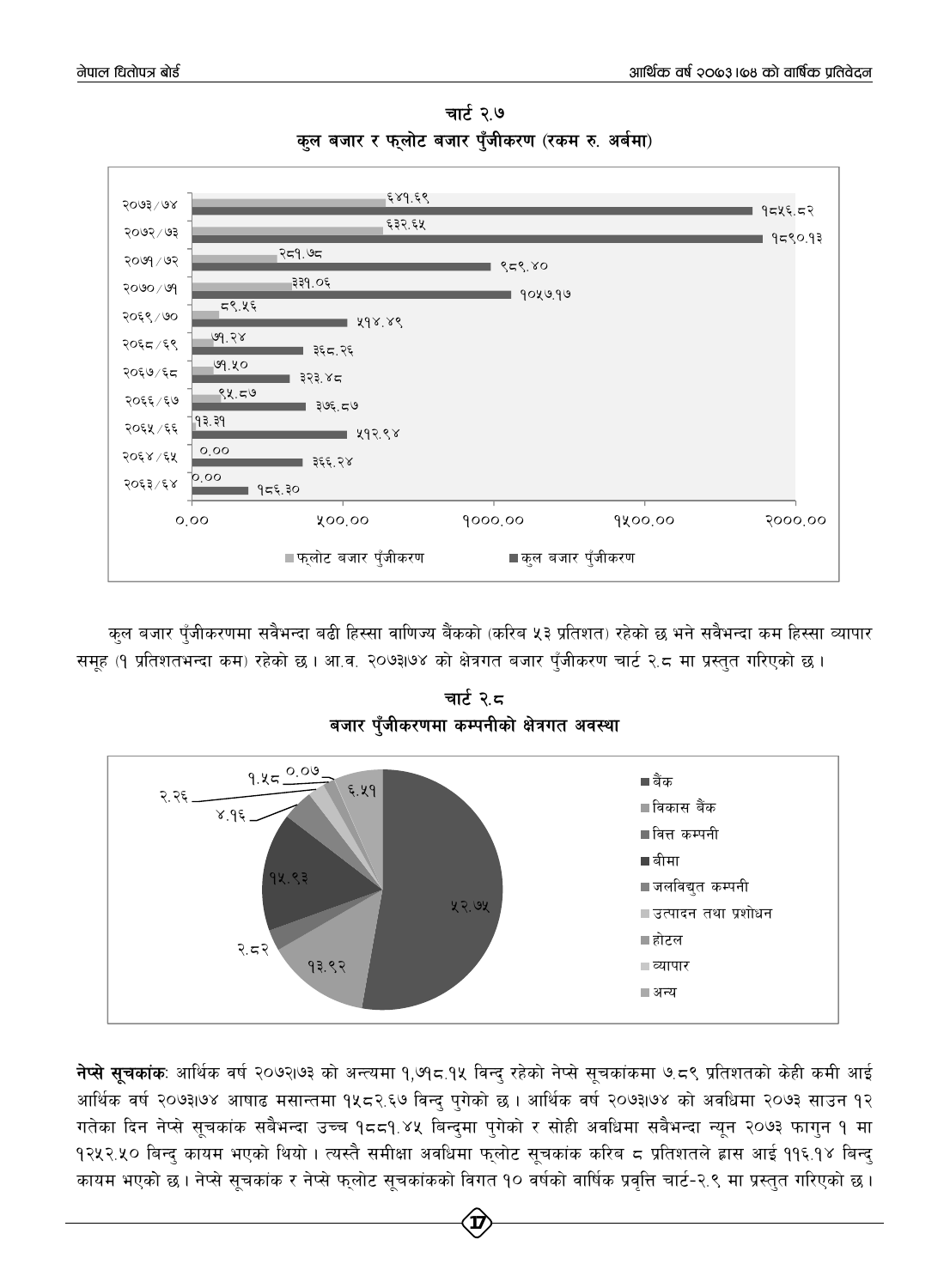

चार्ट २.७ कुल बजार र फुलोट बजार पँजीकरण (रकम रु. अर्बमा)

कुल बजार पुँजीकरणमा सवैभन्दा बढी हिस्सा वाणिज्य बैंकको (करिब ५३ प्रतिशत) रहेको छ भने सवैभन्दा कम हिस्सा व्यापार समूह (१ प्रतिशतभन्दा कम) रहेको छ । आ.व. २०७३।७४ को क्षेत्रगत बजार पुँजीकरण चार्ट २.८ मा प्रस्तुत गरिएको छ ।



चार्ट २.८

**नेप्से सूचकांक**: आर्थिक वर्ष २०७२।७३ को अन्त्यमा १,७१८.१५ विन्दु रहेको नेप्से सूचकांकमा ७.८९ प्रतिशतको केही कमी आई आर्थिक वर्ष २०७३1७४ आषाढ मसान्तमा १५८२.६७ विन्द् पुगेको छ । आर्थिक वर्ष २०७३1७४ को अवधिमा २०७३ साउन १२ गतेका दिन नेप्से सूचकांक सबैभन्दा उच्च १८८१.४५ बिन्दुमा पुगेको र सोही अवधिमा सबैभन्दा न्यून २०७३ फागुन १ मा १२५२.५० बिन्दु कायम भएको थियो । त्यस्तै समीक्षा अवधिमा फुलोट सूचकांक करिब ८ प्रतिशतले ह्रास आई ११६.१४ बिन्दु कायम भएको छ । नेप्से सूचकांक र नेप्से फ्लोट सूचकांकको विगत १० वर्षको वार्षिक प्रवृत्ति चार्ट-२.९ मा प्रस्तुत गरिएको छ ।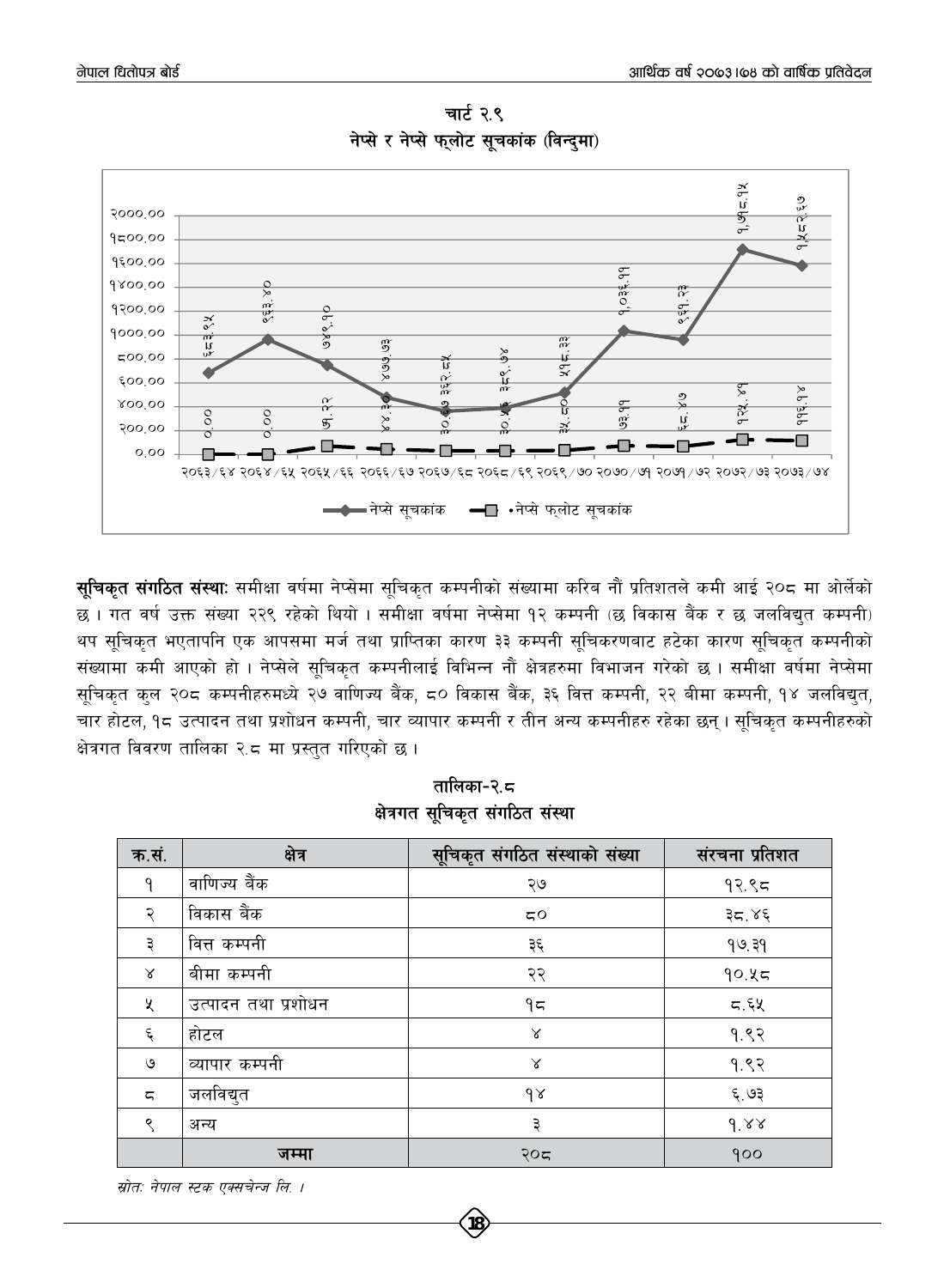

चार्ट २.९ नेप्से र नेप्से फलोट सचकांक (विन्दमा)

**सुचिकृत संगठित संस्थाः** समीक्षा वर्षमा नेप्सेमा सूचिकृत कम्पनीको संख्यामा करिब नौं प्रतिशतले कमी आई २०८ मा ओर्लेको छ । गत वर्ष उक्त संख्या २२९ रहेको थियो । समीक्षा वर्षमा नेप्सेमा १२ कम्पनी (छ विकास बैंक र छ जलविद्युत कम्पनी) थप सूचिकृत भएतापनि एक आपसमा मर्ज तथा प्राप्तिका कारण ३३ कम्पनी सूचिकरणबाट हटेका कारण सूचिकृत कम्पनीको संख्यामा कमी आएको हो । नेप्सेले सुचिकृत कम्पनीलाई विभिन्न नौं क्षेत्रहरुमा विभाजन गरेको छ । समीक्षा वर्षमा नेप्सेमा सूचिकृत कुल २०८ कम्पनीहरुमध्ये २७ वाणिज्य बैंक, ८० विकास बैंक, ३६ वित्त कम्पनी, २२ बीमा कम्पनी, १४ जलविद्युत, चार होटल, १८ उत्पादन तथा प्रशोधन कम्पनी, चार व्यापार कम्पनी र तीन अन्य कम्पनीहरु रहेका छन्। सूचिकृत कम्पनीहरुको क्षेत्रगत विवरण तालिका २.८ मा प्रस्तुत गरिएको छ ।

| क.सं.          | क्षेत्र             | सूचिकृत संगठित संस्थाको संख्या | संरचना प्रतिशत |
|----------------|---------------------|--------------------------------|----------------|
| ٩              | वाणिज्य बैंक        | ২७                             | 92.95          |
| २              | विकास बैंक          | 50                             | ३८.४६          |
| ३              | वित्त कम्पनी        | ३६                             | 99.39          |
| $\propto$      | बीमा कम्पनी         | २२                             | 90.85          |
| X              | उत्पादन तथा प्रशोधन | ۹≂                             | 5.5            |
| $\xi$          | होटल                | $\propto$                      | 9.82           |
| ৩              | व्यापार कम्पनी      | $\lambda$                      | 9.82           |
| $\overline{5}$ | जलविद्युत           | $\delta$                       | ६.७३           |
| ९              | अन्य                | ३                              | 9.88           |
|                | जम्मा               | २०८                            | 900            |

तालिका-२.८ क्षेत्रगत सुचिकृत संगठित संस्था

स्रोतः नेपाल स्टक एक्सचेन्ज लि. ।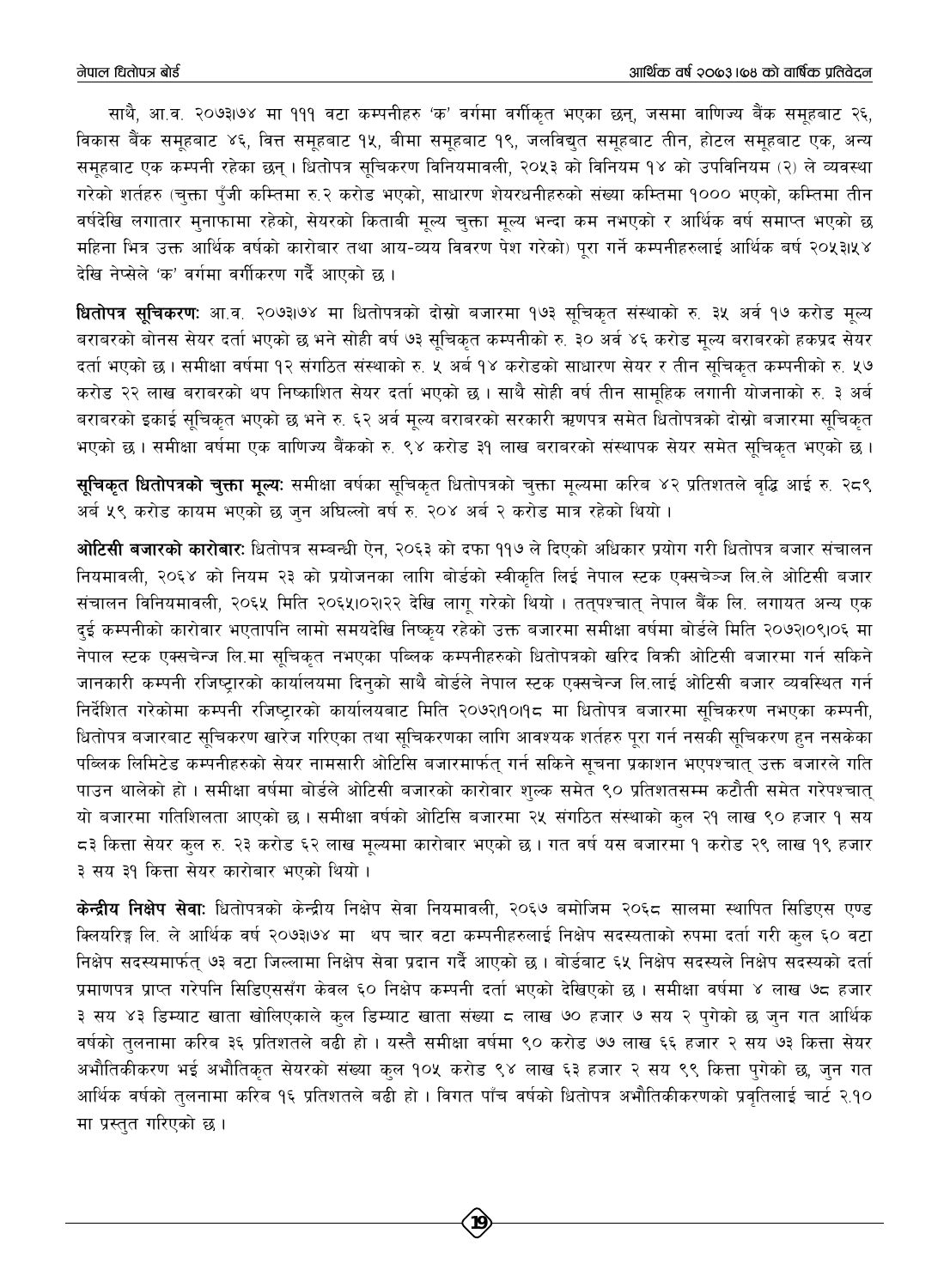साथै, आ.व. २०७३1७४ मा १११ वटा कम्पनीहरु 'क' वर्गमा वर्गीकृत भएका छन्, जसमा वाणिज्य बैंक समुहबाट २६, विकास बैंक समहबाट ४६, वित्त समहबाट १४, बीमा समहबाट १९, जलविद्यत समहबाट तीन, होटल समहबाट एक, अन्य समूहबाट एक कम्पनी रहेका छन् । धितोपत्र सूचिकरण विनियमावली, २०५३ को विनियम १४ को उपविनियम (२) ले व्यवस्था गरेको शर्तहरु (चुक्ता पँजी कम्तिमा रु.२ करोड भएको, साधारण शेयरधनीहरुको संख्या कम्तिमा १००० भएको, कम्तिमा तीन वर्षदेखि लगातार मुनाफामा रहेको, सेयरको किताबी मूल्य चुक्ता मूल्य भन्दा कम नभएको र आर्थिक वर्ष समाप्त भएको छ महिना भित्र उक्त आर्थिक वर्षको कारोबार तथा आय-व्यय विवरण पेश गरेको) पुरा गर्ने कम्पनीहरुलाई आर्थिक बर्ष २०५३।५४ देखि नेप्सेले 'क' वर्गमा वर्गीकरण गर्दै आएको छ।

धितोपत्र सचिकरण: आ.व. २०७३।७४ मा धितोपत्रको दोस्रो बजारमा १७३ सूचिकृत संस्थाको रु. ३५ अर्व १७ करोड मूल्य बराबरको बोनस सेयर दर्ता भएको छ भने सोही वर्ष ७३ सुचिकुत कम्पनीको रु. ३० अर्व ४६ करोड मुल्य बराबरको हकप्रद सेयर दर्ता भएको छ। समीक्षा वर्षमा १२ संगठित संस्थाको रु. ५ अर्ब १४ करोडको साधारण सेयर र तीन सूचिकृत कम्पनीको रु. ५७ करोड़ २२ लाख बराबरको थप निष्काशित सेयर दर्ता भएको छ। साथै सोही वर्ष तीन सामुहिक लगानी योजनाको रु. ३ अर्ब बराबरको इकाई सुचिकृत भएको छ भने रु. ६२ अर्व मूल्य बराबरको सरकारी ऋणपत्र समेत धितोपत्रको दोस्रो बजारमा सूचिकृत भएको छ। समीक्षा वर्षमा एक वाणिज्य बैंकको रु. ९४ करोड ३१ लाख बराबरको संस्थापक सेयर समेत सचिकत भएको छ।

**सुचिकृत धितोपत्रको चुक्ता मुल्यः** समीक्षा वर्षका सुचिकृत धितोपत्रको चुक्ता मूल्यमा करिब ४२ प्रतिशतले वृद्धि आई रु. २८९ अर्ब ५९ करोड कायम भएको छ जुन अघिल्लो वर्ष रु. २०४ अर्ब २ करोड मात्र रहेको थियो ।

ओटिसी बजारको कारोबार: धितोपत्र सम्बन्धी ऐन, २०६३ को दफा ११७ ले दिएको अधिकार प्रयोग गरी धितोपत्र बजार संचालन नियमावली, २०६४ को नियम २३ को प्रयोजनका लागि बोर्डको स्वीकृति लिई नेपाल स्टक एक्सचेञ्ज लि.ले ओटिसी बजार संचालन विनियमावली, २०६५ मिति २०६५।०२।२२ देखि लागू गरेको थियो । तत्पश्चात् नेपाल बैंक लि. लगायत अन्य एक दुई कम्पनीको कारोवार भएतापनि लामो समयदेखि निष्कुय रहेको उक्त बजारमा समीक्षा वर्षमा बोर्डले मिति २०७२।०९।०६ मा नेपाल स्टक एक्सचेन्ज लि.मा सचिकत नभएका पब्लिक कम्पनीहरुको धितोपत्रको खरिद विक्री ओटिसी बजारमा गर्न सकिने जानकारी कम्पनी रजिष्ट्रारको कार्यालयमा दिनुको साथै बोर्डले नेपाल स्टक एक्सचेन्ज लि.लाई ओटिसी बजार व्यवस्थित गर्न निर्देशित गरेकोमा कम्पनी रजिष्टारको कार्यालयबाट मिति २०७२।१०।१८ मा धितोपत्र बजारमा सुचिकरण नभएका कम्पनी, धितोपत्र बजारबाट सूचिकरण खारेज गरिएका तथा सूचिकरणका लागि आवश्यक शर्तहरु पूरा गर्न नसकी सूचिकरण हुन नसकेका पब्लिक लिमिटेड कम्पनीहरुको सेयर नामसारी ओटिसि बजारमार्फत् गर्न सकिने सूचना प्रकाशन भएपश्चात् उक्त बजारले गति पाउन थालेको हो। समीक्षा वर्षमा बोर्डले ओटिसी बजारको कारोवार शुल्क समेत ९० प्रतिशतसम्म कटौती समेत गरेपश्चात् यो बजारमा गतिशिलता आएको छ । समीक्षा वर्षको ओटिसि बजारमा २५ संगठित संस्थाको कुल २१ लाख ९० हजार १ सय ८३ कित्ता सेयर कुल रु. २३ करोड ६२ लाख मूल्यमा कारोबार भएको छ। गत वर्ष यस बजारमा १ करोड २९ लाख १९ हजार ३ सय ३१ कित्ता सेयर कारोबार भएको थियो।

**केन्द्रीय निक्षेप सेवाः** धितोपत्रको केन्द्रीय निक्षेप सेवा नियमावली, २०६७ बमोजिम २०६८ सालमा स्थापित सिडिएस एण्ड क्लियरिङ्ग लि. ले आर्थिक वर्ष २०७३।७४ मा थप चार वटा कम्पनीहरुलाई निक्षेप सदस्यताको रुपमा दर्ता गरी कुल ६० वटा निक्षेप सदस्यमार्फत् ७३ वटा जिल्लामा निक्षेप सेवा प्रदान गर्दै आएको छ। बोर्डबाट ६५ निक्षेप सदस्यले निक्षेप सदस्यको दर्ता प्रमाणपत्र प्राप्त गरेपनि सिडिएससँग केवल ६० निक्षेप कम्पनी दर्ता भएको देखिएको छ । समीक्षा वर्षमा ४ लाख ७८ हजार ३ सय ४३ डिम्याट खाता खोलिएकाले कुल डिम्याट खाता संख्या ८ लाख ७० हजार ७ सय २ पुगेको छ जुन गत आर्थिक वर्षको तुलनामा करिब ३६ प्रतिशतले बढी हो । यस्तै समीक्षा वर्षमा ९० करोड ७७ लाख ६६ हजार २ सय ७३ कित्ता सेयर अभौतिकीकरण भई अभौतिकृत सेयरको संख्या कुल १०५ करोड ९४ लाख ६३ हजार २ सय ९९ कित्ता पुगेको छ, जुन गत आर्थिक वर्षको तुलनामा करिब १६ प्रतिशतले बढी हो । विगत पाँच वर्षको धितोपत्र अभौतिकीकरणको प्रवृतिलाई चार्ट २.१० मा प्रस्तुत गरिएको छ।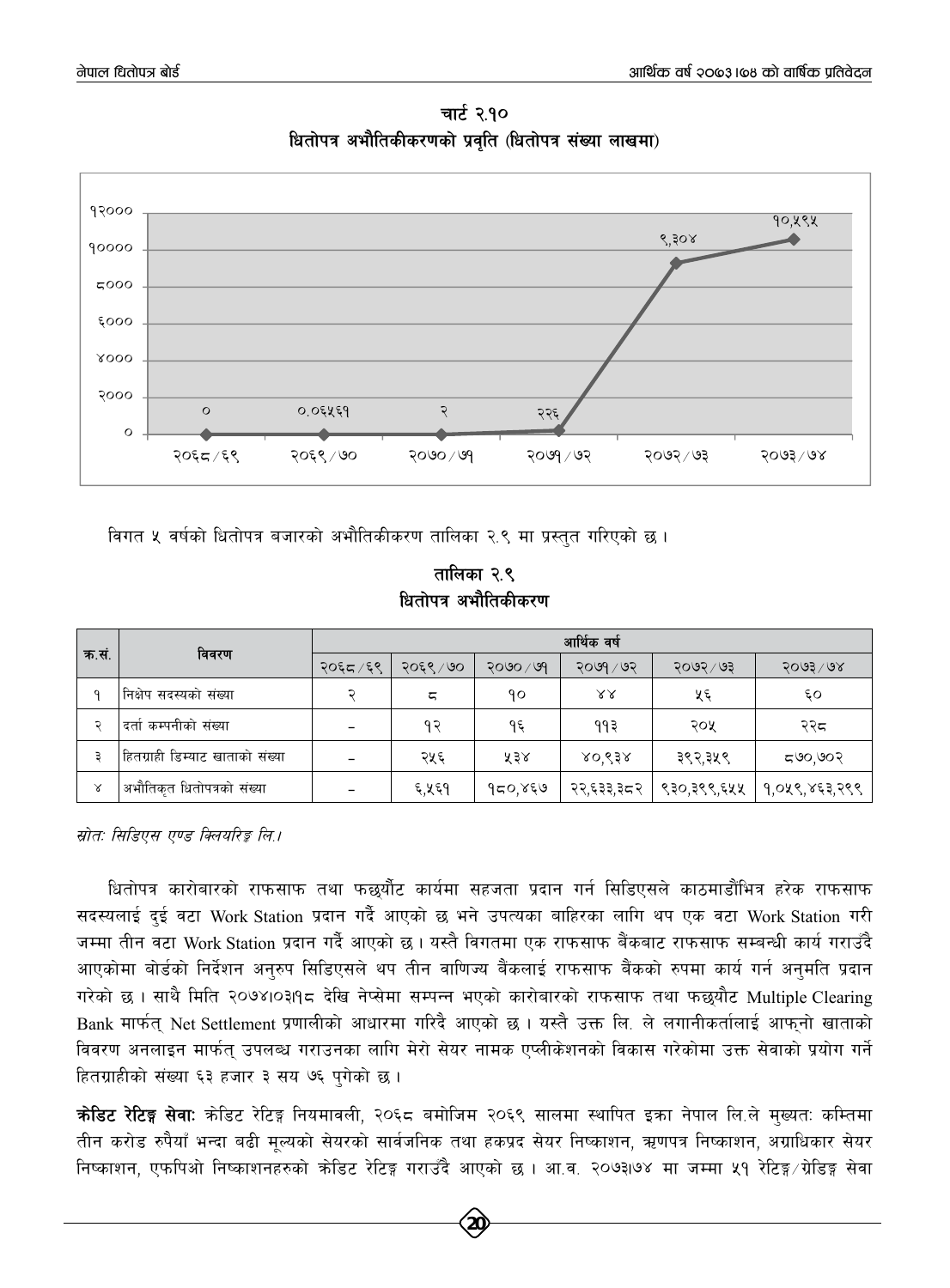

**चार्ट २.१० धितोपत्र अभौतिकीकरणको प्रवति (धितोपत्र संख्या लाखमा)** 

विगत ५ वर्षको धितोपत्र बजारको अभौतिकीकरण तालिका २.९ मा प्रस्तुत गरिएको छ।

**तालिका २.९** *धितोपत्र अ*भौतिकीकरण

|       | विवरण                           | आर्थिक वर्ष |           |                  |            |             |                      |  |
|-------|---------------------------------|-------------|-----------|------------------|------------|-------------|----------------------|--|
| क.सं. |                                 | २०६८/६९     | २०६९ / ७० | $2000 \times 99$ | २०७१ / ७२  | २०७२ ⁄ ७३   | $5003 \backslash 68$ |  |
|       | निक्षेप सदस्यको संख्या          |             | ς         | ۹٥               | ४४         | ५६          | ٤O                   |  |
|       | दर्ता कम्पनीको संख्या           |             | १२        | १६               | ११३        | २०५         | २२द                  |  |
|       | हितग्राही डिम्याट खाताको संख्या |             | २५६       | ५३४              | ४०,९३४     | ३९२,३५९     | ८७०,७०२              |  |
| Χ     | अभौतिकृत धितोपत्रको संख्या      |             | ६,५६१     | १८०,४६७          | २२,६३३,३८२ | ९३०,३९९,६५५ | १,०५९,४६३,२९९        |  |

*म्रोतः सिडिएस एण्ड क्लियरिङ्क लि.।* 

धितोपत्र कारोबारको राफसाफ तथा फछर्यौट कार्यमा सहजता प्रदान गर्न सिडिएसले काठमाडौंभित्र हरेक राफसाफ सदस्यलाई दुई वटा Work Station प्रदान गर्दै आएको छ भने उपत्यका बाहिरका लागि थप एक वटा Work Station गरी जम्मा तीन वटा Work Station प्रदान गर्दै आएको छ । यस्तै विगतमा एक राफसाफ बैंकबाट राफसाफ सम्बन्धी कार्य गराउँदै आएकोमा बोर्डको निर्देशन अनुरुप सिडिएसले थप तीन वाणिज्य बैंकलाई राफसाफ बैंकको रुपमा कार्य गर्न अनुमति प्रदान गरेको छ । साथै मिति २०७४।०३१९८ देखि नेप्सेमा सम्पन्न भएको कारोबारको राफसाफ तथा फछयौट Multiple Clearing Bank मार्फत् Net Settlement प्रणालीको आधारमा गरिदै आएको छ । यस्तै उक्त लि. ले लगानीकर्तालाई आफ्नो खाताको विवरण अनलाइन मार्फत् उपलब्ध गराउनका लागि मेरो सेयर नामक एप्लीकेशनको विकास गरेकोमा उक्त सेवाको प्रयोग गर्ने हितग्राहीको संख्या ६३ हजार ३ सय ७६ पुगेको छ।

**क्रेडिट रेटिङ्ग सेवाः** क्रेडिट रेटिङ्ग नियमावली, २०६८ बमोजिम २०६९ सालमा स्थापित इका नेपाल लि.ले मुख्यतः कम्तिमा तीन करोड रुपैयाँ भन्दा बढी मूल्यको सेयरको सार्वजनिक तथा हकप्रद सेयर निष्काशन, ऋणपत्र निष्काशन, अग्राधिकार सेयर निष्काशन, एफपिओ निष्काशनहरुको कोडिट रेटिङ्ग गराउँदै आएको छ । आ.व. २०७३।७४ मा जम्मा ५१ रेटिङ्ग /ग्रेडिङ्ग सेवा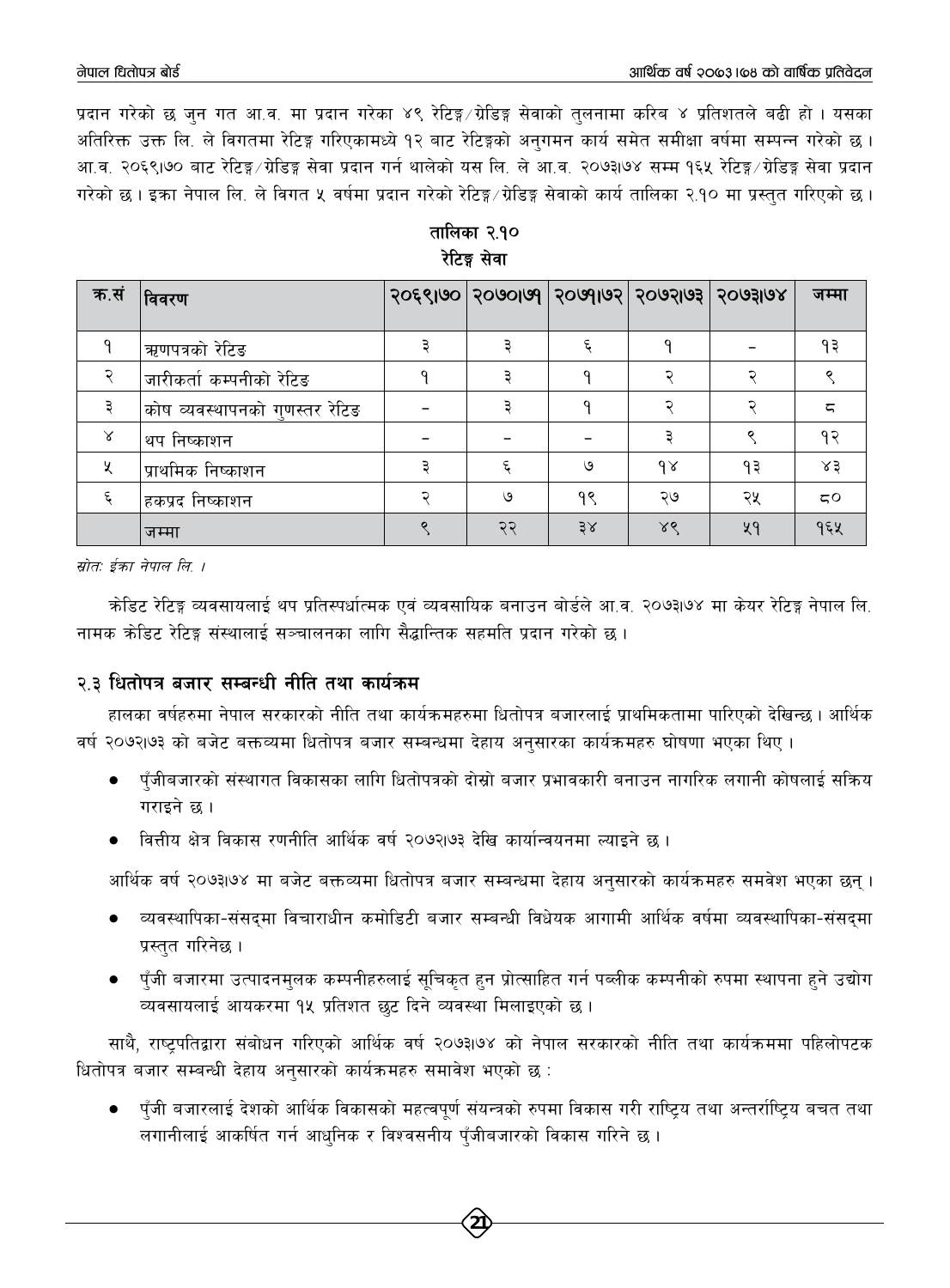प्रदान गरेको छ जन गत आ.व. मा प्रदान गरेका ४९ रेटिङ्ग⁄ग्रेडिङ्ग सेवाको तुलनामा करिब ४ प्रतिशतले बढी हो । यसका अतिरिक्त उक्त लि. ले विगतमा रेटिङ्ग गरिएकामध्ये १२ बाट रेटिङ्गको अनगमन कार्य समेत समीक्षा वर्षमा सम्पन्न गरेको छ। आ.व. २०६९।७० बाट रेटिङ्ग∕ग्रेडिङ्ग सेवा प्रदान गर्न थालेको यस लि. ले आ.व. २०७३।७४ सम्म १६५ रेटिङ्ग∕ग्रेडिङ्ग सेवा प्रदान गरेको छ । इका नेपाल लि. ले विगत ५ वर्षमा प्रदान गरेको रेटिङ्ग⁄ग्रेडिङ्ग सेवाको कार्य तालिका २.१० मा प्रस्तुत गरिएको छ ।

| क.सं | विवरण                          | 2028160   20100160   20106103   20108108 |    |          |    | जम्मा |
|------|--------------------------------|------------------------------------------|----|----------|----|-------|
|      | ऋणपत्रको रेटिङ                 |                                          |    |          |    | ۹₹    |
|      | जारीकर्ता कम्पनीको रेटिङ       |                                          | n  |          |    |       |
|      | कोष व्यवस्थापनको गुणस्तर रेटिङ |                                          | റ  |          |    | ζ     |
| γ    | थप निष्काशन                    |                                          |    |          |    | १२    |
| Χ    | प्राथमिक निष्काशन              |                                          | ৩  | $\delta$ | ۹३ | ४३    |
|      | हकप्रद निष्काशन                | ৩                                        | १९ | ২७       | २५ | 50    |
|      | जम्मा                          | ನ                                        | 38 | ४९       | ५१ | १६५   |

तालिका २.१० रेटिङ्ग सेवा

स्रोत: ईक्रा नेपाल लि ।

कोडिट रेटिङ्ग व्यवसायलाई थप प्रतिस्पर्धात्मक एवं व्यवसायिक बनाउन बोर्डले आ.व. २०७३७४ मा केयर रेटिङ्ग नेपाल लि. नामक क्रेडिट रेटिङ्ग संस्थालाई सञ्चालनका लागि सैद्धान्तिक सहमति प्रदान गरेको छ ।

# २.३ धितोपत्र बजार सम्बन्धी नीति तथा कार्यक्रम

हालका वर्षहरुमा नेपाल सरकारको नीति तथा कार्यक्रमहरुमा धितोपत्र बजारलाई प्राथमिकतामा पारिएको देखिन्छ । आर्थिक वर्ष २०७२।७३ को बजेट बक्तव्यमा धितोपत्र बजार सम्बन्धमा देहाय अनुसारका कार्यक्रमहरु घोषणा भएका थिए ।

- पुँजीबजारको संस्थागत विकासका लागि धितोपत्रको दोस्रो बजार प्रभावकारी बनाउन नागरिक लगानी कोषलाई सक्रिय गराइने छ ।
- वित्तीय क्षेत्र विकास रणनीति आर्थिक वर्ष २०७२।७३ देखि कार्यान्वयनमा ल्याइने छ ।

आर्थिक वर्ष २०७३।७४ मा बजेट बक्तव्यमा धितोपत्र बजार सम्बन्धमा देहाय अनुसारको कार्यक्रमहरु समवेश भएका छन् ।

- व्यवस्थापिका-संसद्मा विचाराधीन कमोडिटी बजार सम्बन्धी विधेयक आगामी आर्थिक वर्षमा व्यवस्थापिका-संसद्मा प्रस्तुत गरिनेछ ।
- ्पँजी बजारमा उत्पादनम्लक कम्पनीहरुलाई सुचिकृत हुन प्रोत्साहित गर्न पब्लीक कम्पनीको रुपमा स्थापना हुने उद्योग व्यवसायलाई आयकरमा १५ प्रतिशत छट दिने व्यवस्था मिलाइएको छ।

साथै, राष्ट्रपतिद्वारा संबोधन गरिएको आर्थिक वर्ष २०७३।७४ को नेपाल सरकारको नीति तथा कार्यक्रममा पहिलोपटक धितोपत्र बजार सम्बन्धी देहाय अनुसारको कार्यक्रमहरु समावेश भएको छ :

पूँजी बजारलाई देशको आर्थिक विकासको महत्वपूर्ण संयन्त्रको रुपमा विकास गरी राष्ट्रिय तथा अन्तर्राष्ट्रिय बचत तथा  $\bullet$ लगानीलाई आकर्षित गर्न आधुनिक र विश्वसनीय पँजीबजारको विकास गरिने छ ।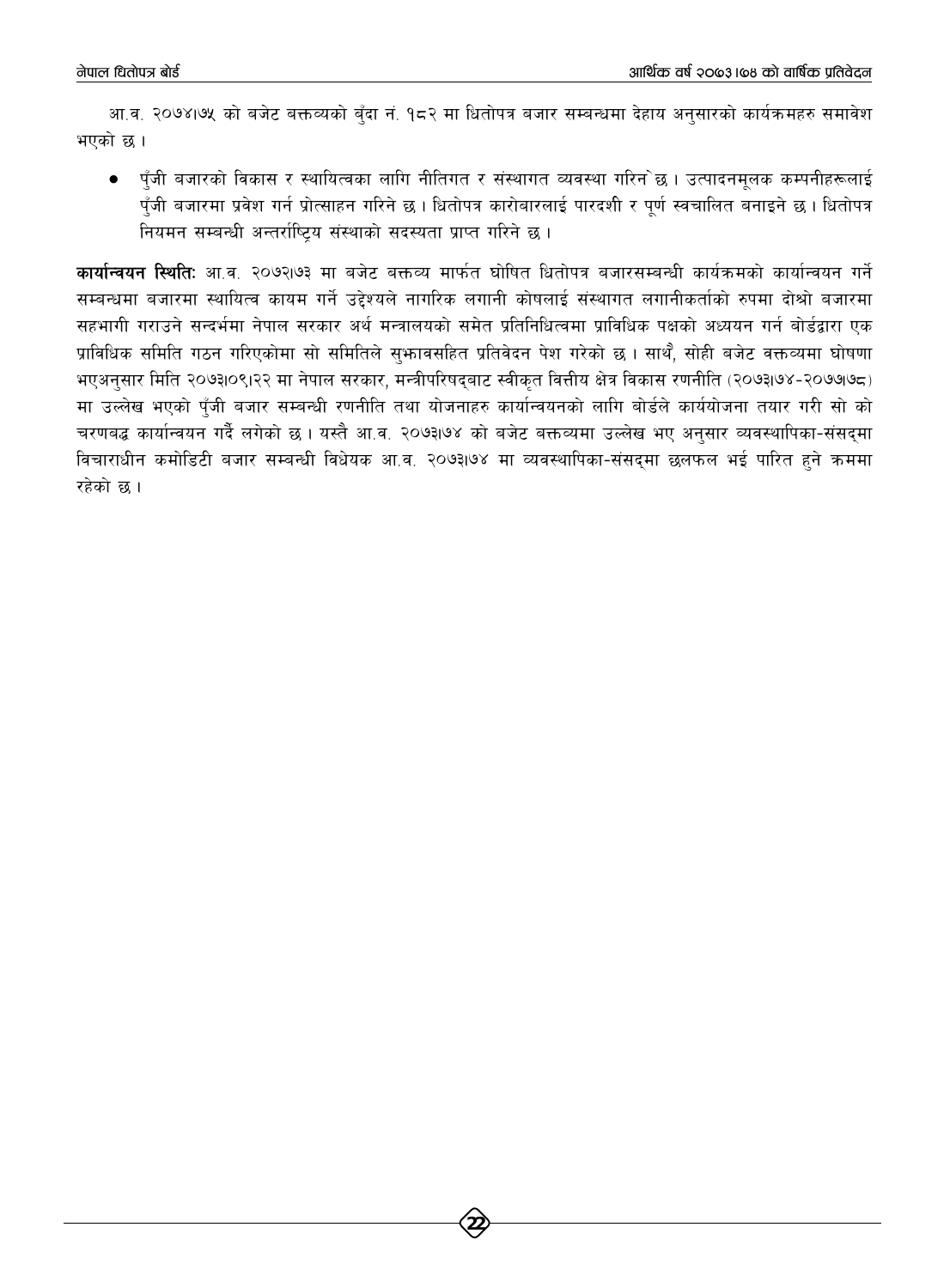आ.व. २०७४।७५ को बजेट बक्तव्यको बुँदा नं. १८२ मा धितोपत्र बजार सम्बन्धमा देहाय अनुसारको कार्यक्रमहरु समावेश भएको छ।

● पुँजी बजारको विकास र स्थायित्वका लागि नीतिगत र संस्थागत व्यवस्था गरिन`छ । उत्पादनमूलक कम्पनीहरूलाई पुँजी बजारमा प्रवेश गर्न प्रोत्साहन गरिने छ । धितोपत्र कारोबारलाई पारदशी र पुर्ण स्वचालित बनाइने छ । धितोपत्र नियमन सम्बन्धी अन्तर्राष्टिय संस्थाको सदस्यता प्राप्त गरिने छ।

<mark>कार्यान्वयन स्थिति</mark>: आ.व. २०७२।७३ मा बजेट बक्तव्य मार्फत घोषित धितोपत्र बजारसम्बन्धी कार्यक्रमको कार्यान्वयन गर्ने सम्बन्धमा बजारमा स्थायित्व कायम गर्ने उद्देश्यले नागरिक लगानी कोषलाई संस्थागत लगानीकर्ताको रुपमा दोश्रो बजारमा सहभागी गराउने सन्दर्भमा नेपाल सरकार अर्थ मन्त्रालयको समेत प्रतिनिधित्वमा प्राविधिक पक्षको अध्ययन गर्न बोर्डद्वारा एक प्राविधिक समिति गठन गरिएकोमा सो समितिले सुभ्रावसहित प्रतिवेदन पेश गरेको छ । साथै, सोही बजेट वक्तव्यमा घोषणा भएअनुसार मिति २०७३।०९।२२ मा नेपाल सरकार, मन्त्रीपरिषद्बाट स्वीकृत वित्तीय क्षेत्र विकास रणनीति (२०७३।७४-२०७७।७८) मा उल्लेख भएको पँजी बजार सम्बन्धी रणनीति तथा योजनाहरु कार्यान्वयनको लागि बोर्डले कार्ययोजना तयार गरी सो को चरणबद्ध कार्यान्वयन गर्दै लगेको छ । यस्तै आ.व. २०७३।७४ को बजेट बक्तव्यमा उल्लेख भए अनुसार व्यवस्थापिका-संसद्मा विचाराधीन कमोडिटी बजार सम्बन्धी विधेयक आ.व. २०७३।७४ मा व्यवस्थापिका-संसदमा छलफल भई पारित हुने क्रममा रहेको छ।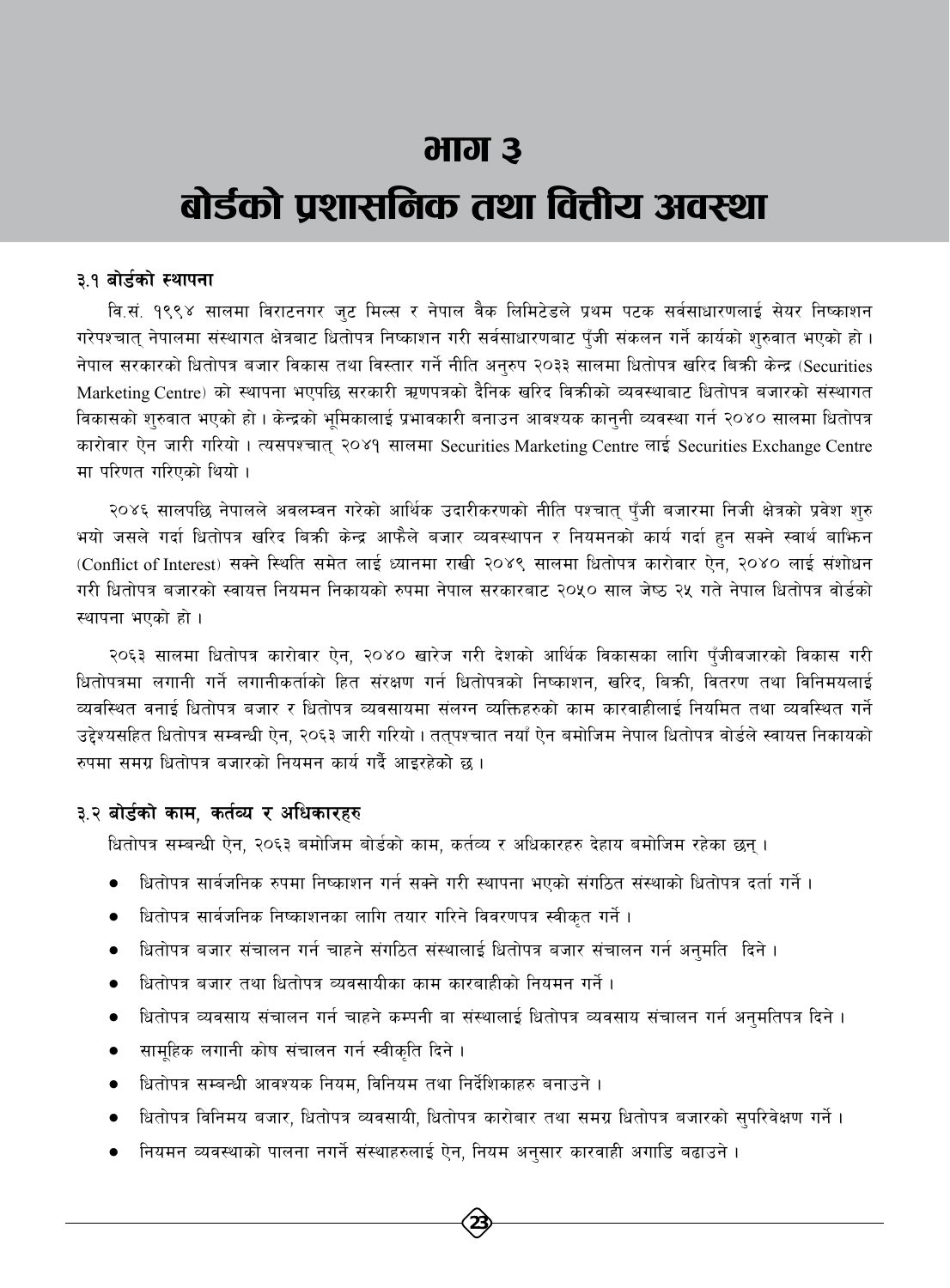# भाग ३

# बोर्डको प्रशासनिक तथा वित्तीय अवस्था

#### ३.१ बोर्डको स्थापना

वि.सं. १९९४ सालमा विराटनगर जट मिल्स र नेपाल वैक लिमिटेडले प्रथम पटक सर्वसाधारणलाई सेयर निष्काशन गरेपश्चात् नेपालमा संस्थागत क्षेत्रबाट धितोपत्र निष्काशन गरी सर्वसाधारणबाट पुँजी संकलन गर्ने कार्यको शुरुवात भएको हो। नेपाल सरकारको धितोपत्र बजार विकास तथा विस्तार गर्ने नीति अनुरुप २०३३ सालमा धितोपत्र खरिद बिक्री केन्द्र (Securities Marketing Centre) को स्थापना भएपछि सरकारी ऋणपत्रको दैनिक खरिद विक्रीको व्यवस्थाबाट धितोपत्र बजारको संस्थागत विकासको शुरुवात भएको हो । केन्द्रको भूमिकालाई प्रभावकारी बनाउन आवश्यक कानुनी व्यवस्था गर्न २०४० सालमा धितोपत्र कारोवार ऐन जारी गरियो। त्यसपश्चात् २०४१ सालमा Securities Marketing Centre लाई Securities Exchange Centre मा परिणत गरिएको थियो ।

२०४६ सालपछि नेपालले अवलम्वन गरेको आर्थिक उदारीकरणको नीति पश्चात् पुँजी बजारमा निजी क्षेत्रको प्रवेश शुरु भयो जसले गर्दा धितोपत्र खरिद बिक्री केन्द्र आफैले बजार व्यवस्थापन र नियमनको कार्य गर्दा हन सक्ने स्वार्थ बाफिन (Conflict of Interest) सक्ने स्थिति समेत लाई ध्यानमा राखी २०४९ सालमा धितोपत्र कारोवार ऐन, २०४० लाई संशोधन गरी धितोपत्र बजारको स्वायत्त नियमन निकायको रुपमा नेपाल सरकारबाट २०५० साल जेष्ठ २५ गते नेपाल धितोपत्र वोर्डको स्थापना भएको हो ।

२०६३ सालमा धितोपत्र कारोवार ऐन, २०४० खारेज गरी देशको आर्थिक विकासका लागि पुँजीबजारको विकास गरी धितोपत्रमा लगानी गर्ने लगानीकर्ताको हित संरक्षण गर्न धितोपत्रको निष्काशन, खरिद, बिक्री, वितरण तथा विनिमयलाई व्यवस्थित वनाई धितोपत्र बजार र धितोपत्र व्यवसायमा संलग्न व्यक्तिहरुको काम कारवाहीलाई नियमित तथा व्यवस्थित गर्ने उद्देश्यसहित धितोपत्र सम्वन्धी ऐन, २०६३ जारी गरियो । ततुपश्चात नयाँ ऐन बमोजिम नेपाल धितोपत्र वोर्डले स्वायत्त निकायको रुपमा समग्र धितोपत्र बजारको नियमन कार्य गर्दै आइरहेको छ ।

### ३.२ बोर्डको काम, कर्तव्य र अधिकारहरु

धितोपत्र सम्बन्धी ऐन, २०६३ बमोजिम बोर्डको काम, कर्तव्य र अधिकारहरु देहाय बमोजिम रहेका छन्।

- धितोपत्र सार्वजनिक रुपमा निष्काशन गर्न सक्ने गरी स्थापना भएको संगठित संस्थाको धितोपत्र दर्ता गर्ने ।
- धितोपत्र सार्वजनिक निष्काशनका लागि तयार गरिने विवरणपत्र स्वीकृत गर्ने ।
- धितोपत्र बजार संचालन गर्न चाहने संगठित संस्थालाई धितोपत्र बजार संचालन गर्न अनुमति दिने ।
- धितोपत्र बजार तथा धितोपत्र व्यवसायीका काम कारबाहीको नियमन गर्ने।
- धितोपत्र व्यवसाय संचालन गर्न चाहने कम्पनी वा संस्थालाई धितोपत्र व्यवसाय संचालन गर्न अनुमतिपत्र दिने ।
- सामहिक लगानी कोष संचालन गर्न स्वीकृति दिने।
- धितोपत्र सम्बन्धी आवश्यक नियम, विनियम तथा निर्देशिकाहरु बनाउने ।
- धितोपत्र विनिमय बजार, धितोपत्र व्यवसायी, धितोपत्र कारोबार तथा समग्र धितोपत्र बजारको सुपरिवेक्षण गर्ने ।
- नियमन व्यवस्थाको पालना नगर्ने संस्थाहरुलाई ऐन, नियम अनुसार कारवाही अगाडि बढाउने ।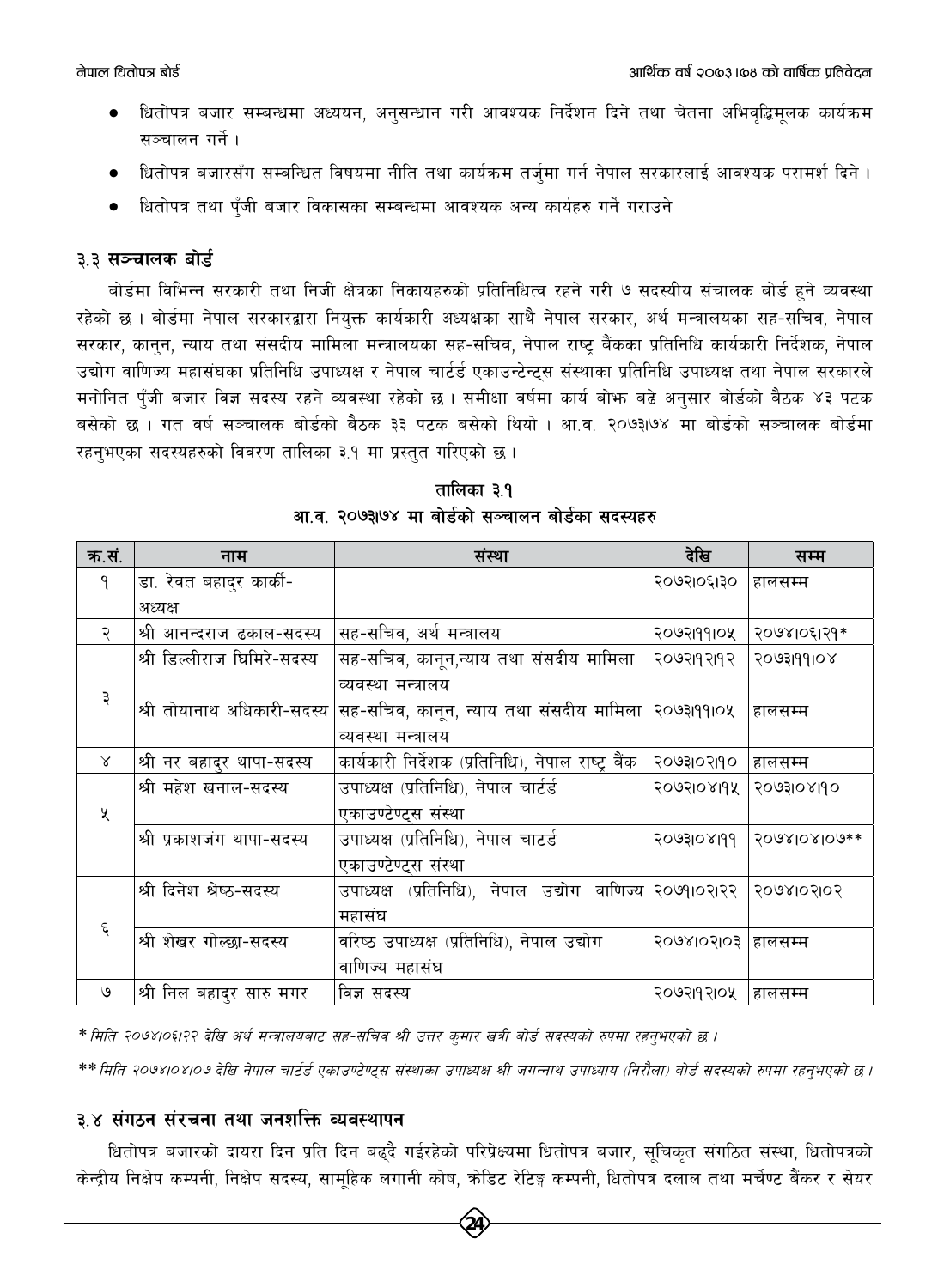- धितोपत्र बजार सम्बन्धमा अध्ययन, अनुसन्धान गरी आवश्यक निर्देशन दिने तथा चेतना अभिवद्धिमुलक कार्यक्रम  $\bullet$ सञ्चालन गर्ने ।
- धितोपत्र बजारसँग सम्बन्धित विषयमा नीति तथा कार्यक्रम तर्जमा गर्न नेपाल सरकारलाई आवश्यक परामर्श दिने ।
- धितोपत्र तथा पुँजी बजार विकासका सम्बन्धमा आवश्यक अन्य कार्यहरु गर्ने गराउने

## ३.३ सञ्चालक बोर्ड

बोर्डमा विभिन्न सरकारी तथा निजी क्षेत्रका निकायहरुको प्रतिनिधित्व रहने गरी ७ सदस्यीय संचालक बोर्ड हुने व्यवस्था रहेको छ । बोर्डमा नेपाल सरकारद्वारा नियुक्त कार्यकारी अध्यक्षका साथै नेपाल सरकार, अर्थ मन्त्रालयका सह-सचिव, नेपाल सरकार, कानुन, न्याय तथा संसदीय मामिला मन्त्रालयका सह-सचिव, नेपाल राष्ट्र बैंकका प्रतिनिधि कार्यकारी निर्देशक, नेपाल उद्योग वाणिज्य महासंघका प्रतिनिधि उपाध्यक्ष र नेपाल चार्टर्ड एकाउन्टेन्ट्स संस्थाका प्रतिनिधि उपाध्यक्ष तथा नेपाल सरकारले मनोनित पँजी बजार विज्ञ सदस्य रहने व्यवस्था रहेको छ । समीक्षा वर्षमा कार्य बोभ्रु बढे अनुसार बोर्डको बैठक ४३ पटक बसेको छ । गत वर्ष सञ्चालक बोर्डको बैठक ३३ पटक बसेको थियो । आ.व. २०७३।७४ मा बोर्डको सञ्चालक बोर्डमा रहनुभएका सदस्यहरुको विवरण तालिका ३.१ मा प्रस्तुत गरिएको छ।

| क.सं. | नाम                         | संस्था                                                                | देखि       | सम्म         |
|-------|-----------------------------|-----------------------------------------------------------------------|------------|--------------|
| 9     | डा. रेवत बहादुर कार्की-     |                                                                       | २०७२१०६१३० | हालसम्म      |
|       | अध्यक्ष                     |                                                                       |            |              |
| २     | श्री आनन्दराज ढकाल-सदस्य    | सह-सचिव, अर्थ मन्त्रालय                                               | २०७२।११।०५ | २०७४।०६।२१*  |
|       | श्री डिल्लीराज घिमिरे-सदस्य | सह-सचिव, कानून,न्याय तथा संसदीय मामिला                                | २०७२११२१२  | २०७३।११०४    |
|       |                             | व्यवस्था मन्त्रालय                                                    |            |              |
| ३     | श्री तोयानाथ अधिकारी-सदस्य  | सह-सचिव, कानून, न्याय तथा संसदीय मामिला  २०७३।११।०५                   |            | हालसम्म      |
|       |                             | व्यवस्था मन्त्रालय                                                    |            |              |
| Χ     | श्री नर बहादुर थापा-सदस्य   | कार्यकारी निर्देशक (प्रतिनिधि), नेपाल राष्ट्र बैंक                    | २०७३।०२।१० | हालसम्म      |
|       | श्री महेश खनाल-सदस्य        | उपाध्यक्ष (प्रतिनिधि), नेपाल चार्टर्ड                                 | २०७२१०४११५ | २०७३१०४११०   |
| X     |                             | एकाउण्टेण्ट्स संस्था                                                  |            |              |
|       | श्री प्रकाशजंग थापा-सदस्य   | उपाध्यक्ष (प्रतिनिधि), नेपाल चाटर्ड                                   | PPIYOIFUOS | 2098108109** |
|       |                             | एकाउण्टेण्ट्स संस्था                                                  |            |              |
|       | श्री दिनेश श्रेष्ठ-सदस्य    | उपाध्यक्ष (प्रतिनिधि), नेपाल उद्योग वाणिज्य $  \mathcal{R}$ ०७१।०२।२२ |            | २०७४।०२।०२   |
|       |                             | महासंघ                                                                |            |              |
| ६     | श्री शेखर गोल्छा-सदस्य      | वरिष्ठ उपाध्यक्ष (प्रतिनिधि), नेपाल उद्योग                            | २०७४।०२।०३ | हालसम्म      |
|       |                             | वाणिज्य महासंघ                                                        |            |              |
| ও     | श्री निल बहादुर सारु मगर    | विज्ञ सदस्य                                                           | २०७२।१२।०५ | हालसम्म      |

तालिका ३.१ आ.व. २०७३७४ मा बोर्डको सञ्चालन बोर्डका सदस्यहरु

\* मिति २०७४।०६।२२ देखि अर्थ मन्त्रालयबाट सह-सचिव श्री उत्तर कुमार खत्री बोर्ड सदस्यको रुपमा रहनुभएको छ ।

\*\* मिति २०७४।०४।०७ देखि नेपाल चार्टर्ड एकाउण्टेण्ट्स संस्थाका उपाध्यक्ष श्री जगन्नाथ उपाध्याय (निरौला) बोर्ड सदस्यको रुपमा रहन्भएको छ।

## ३.४ संगठन संरचना तथा जनशक्ति व्यवस्थापन

धितोपत्र बजारको दायरा दिन प्रति दिन बढ्दै गईरहेको परिप्रेक्ष्यमा धितोपत्र बजार, सूचिकृत संगठित संस्था, धितोपत्रको केन्द्रीय निक्षेप कम्पनी, निक्षेप सदस्य, सामुहिक लगानी कोष, क्रेडिट रेटिङ्ग कम्पनी, धितोपत्र दलाल तथा मर्चेण्ट बैंकर र सेयर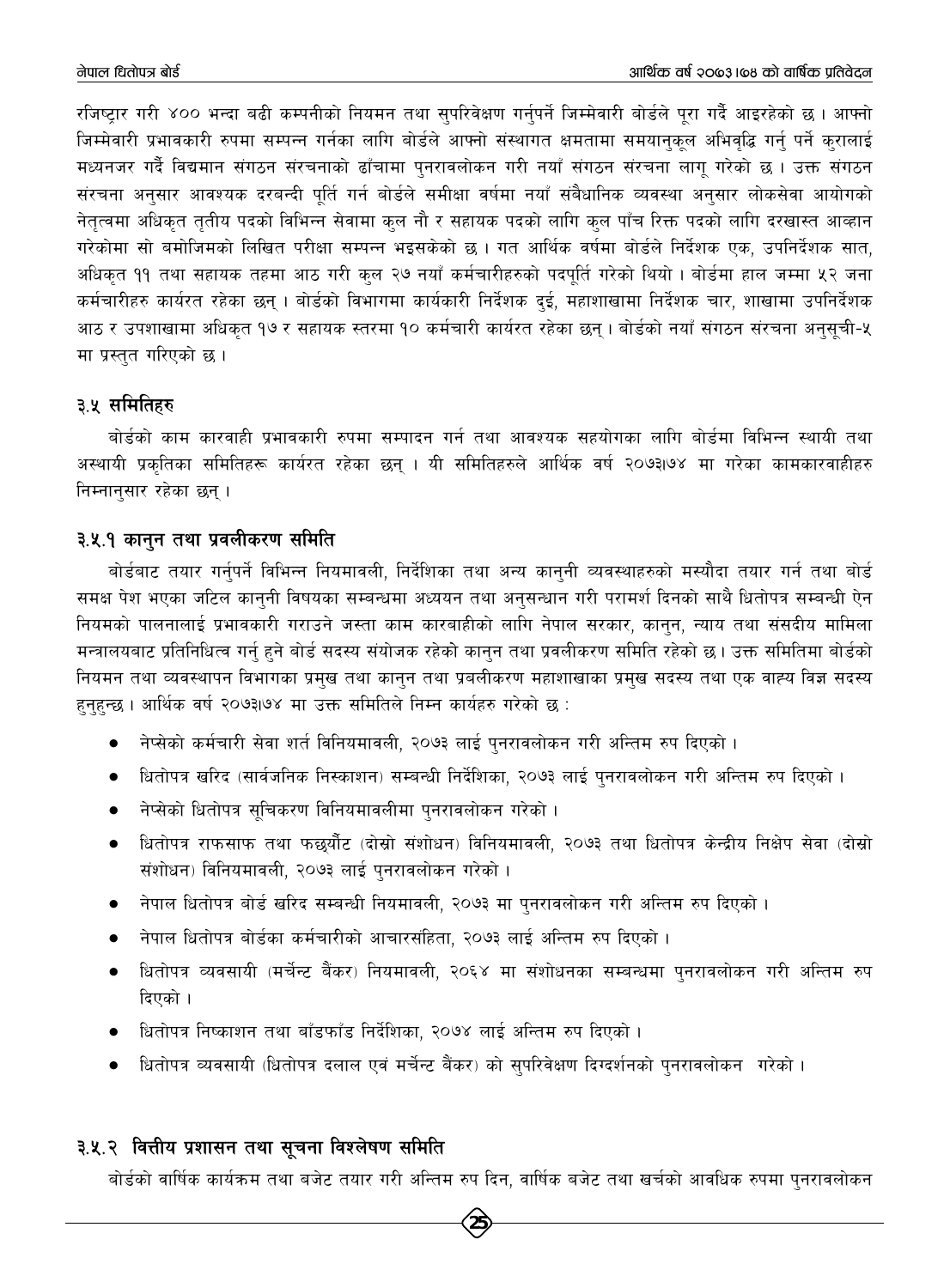रजिष्टार गरी ४०० भन्दा बढी कम्पनीको नियमन तथा सुपरिवेक्षण गर्नुपर्ने जिम्मेवारी बोर्डले पुरा गर्दै आइरहेको छ। आफ्नो जिम्मेवारी प्रभावकारी रुपमा सम्पन्न गर्नका लागि बोर्डले आफ्नो संस्थागत क्षमतामा समयानकल अभिवद्धि गर्न पर्ने करालाई मध्यनजर गर्दै विद्यमान संगठन संरचनाको ढाँचामा पुनरावलोकन गरी नयाँ संगठन संरचना लागू गरेको छ । उक्त संगठन संरचना अनुसार आवश्यक दरबन्दी पुर्ति गर्न बोर्डले समीक्षा वर्षमा नयाँ संबैधानिक व्यवस्था अनुसार लोकसेवा आयोगको नेतृत्वमा अधिकृत तृतीय पदको विभिन्न सेवामा कुल नौ र सहायक पदको लागि कुल पाँच रिक्त पदको लागि दरखास्त आव्हान गरेकोमा सो बमोजिमको लिखित परीक्षा सम्पन्न भइसकेको छ । गत आर्थिक वर्षमा बोर्डले निर्देशक एक, उपनिर्देशक सात, अधिकृत ११ तथा सहायक तहमा आठ गरी कुल २७ नयाँ कर्मचारीहरुको पदपूर्ति गरेको थियो । बोर्डमा हाल जम्मा ५२ जना कर्मचारीहरु कार्यरत रहेका छन् । बोर्डको विभागमा कार्यकारी निर्देशक दुई, महाशाखामा निर्देशक चार, शाखामा उपनिर्देशक आठ र उपशाखामा अधिकृत १७ र सहायक स्तरमा १० कर्मचारी कार्यरत रहेका छन् । बोर्डको नयाँ संगठन संरचना अनुसूची-५ मा प्रस्तुत गरिएको छ।

# ३.५ समितिहरु

बोर्डको काम कारवाही प्रभावकारी रुपमा सम्पादन गर्न तथा आवश्यक सहयोगका लागि बोर्डमा विभिन्न स्थायी तथा अस्थायी प्रकृतिका समितिहरू कार्यरत रहेका छन् । यी समितिहरुले आर्थिक वर्ष २०७३।७४ मा गरेका कामकारवाहीहरु निम्नानुसार रहेका छन्।

## ३.५.१ कानून तथा प्रवलीकरण समिति

बोर्डबाट तयार गर्नुपर्ने विभिन्न नियमावली, निर्देशिका तथा अन्य कानुनी व्यवस्थाहरुको मस्यौदा तयार गर्न तथा बोर्ड समक्ष पेश भएका जटिल कानुनी विषयका सम्बन्धमा अध्ययन तथा अनुसन्धान गरी परामर्श दिनको साथै धितोपत्र सम्बन्धी ऐन नियमको पालनालाई प्रभावकारी गराउने जस्ता काम कारबाहीको लागि नेपाल सरकार, कानुन, न्याय तथा संसदीय मामिला मन्त्रालयबाट प्रतिनिधित्व गर्नु हुने बोर्ड सदस्य संयोजक रहेको कानुन तथा प्रवलीकरण समिति रहेको छ। उक्त समितिमा बोर्डको नियमन तथा व्यवस्थापन विभागका प्रमुख तथा कानुन तथा प्रबलीकरण महाशाखाका प्रमुख सदस्य तथा एक वाह्य विज्ञ सदस्य हुनुहुन्छ । आर्थिक वर्ष २०७३।७४ मा उक्त समितिले निम्न कार्यहरु गरेको छ :

- नेप्सेको कर्मचारी सेवा शर्त विनियमावली, २०७३ लाई पुनरावलोकन गरी अन्तिम रुप दिएको ।
- धितोपत्र खरिद (सार्वजनिक निस्काशन) सम्बन्धी निर्देशिका, २०७३ लाई पुनरावलोकन गरी अन्तिम रुप दिएको ।
- नेप्सेको धितोपत्र सूचिकरण विनियमावलीमा पुनरावलोकन गरेको ।
- धितोपत्र राफसाफ तथा फछुर्यौट (दोस्रो संशोधन) विनियमावली, २०७३ तथा धितोपत्र केन्द्रीय निक्षेप सेवा (दोस्रो संशोधन) विनियमावली, २०७३ लाई पुनरावलोकन गरेको ।
- नेपाल धितोपत्र बोर्ड खरिद सम्बन्धी नियमावली, २०७३ मा पुनरावलोकन गरी अन्तिम रुप दिएको ।
- नेपाल धितोपत्र बोर्डका कर्मचारीको आचारसंहिता, २०७३ लाई अन्तिम रुप दिएको ।
- धितोपत्र व्यवसायी (मर्चेन्ट बैंकर) नियमावली, २०६४ मा संशोधनका सम्बन्धमा पुनरावलोकन गरी अन्तिम रुप दिएको ।
- धितोपत्र निष्काशन तथा बाँडफाँड निर्देशिका, २०७४ लाई अन्तिम रुप दिएको ।
- धितोपत्र व्यवसायी (धितोपत्र दलाल एवं मर्चेन्ट बैंकर) को सुपरिवेक्षण दिग्दर्शनको पुनरावलोकन गरेको ।

# ३.५.२ वित्तीय प्रशासन तथा सूचना विश्लेषण समिति

बोर्डको वार्षिक कार्यक्रम तथा बजेट तयार गरी अन्तिम रुप दिन, वार्षिक बजेट तथा खर्चको आवधिक रुपमा पुनरावलोकन

 $\left(25\right)$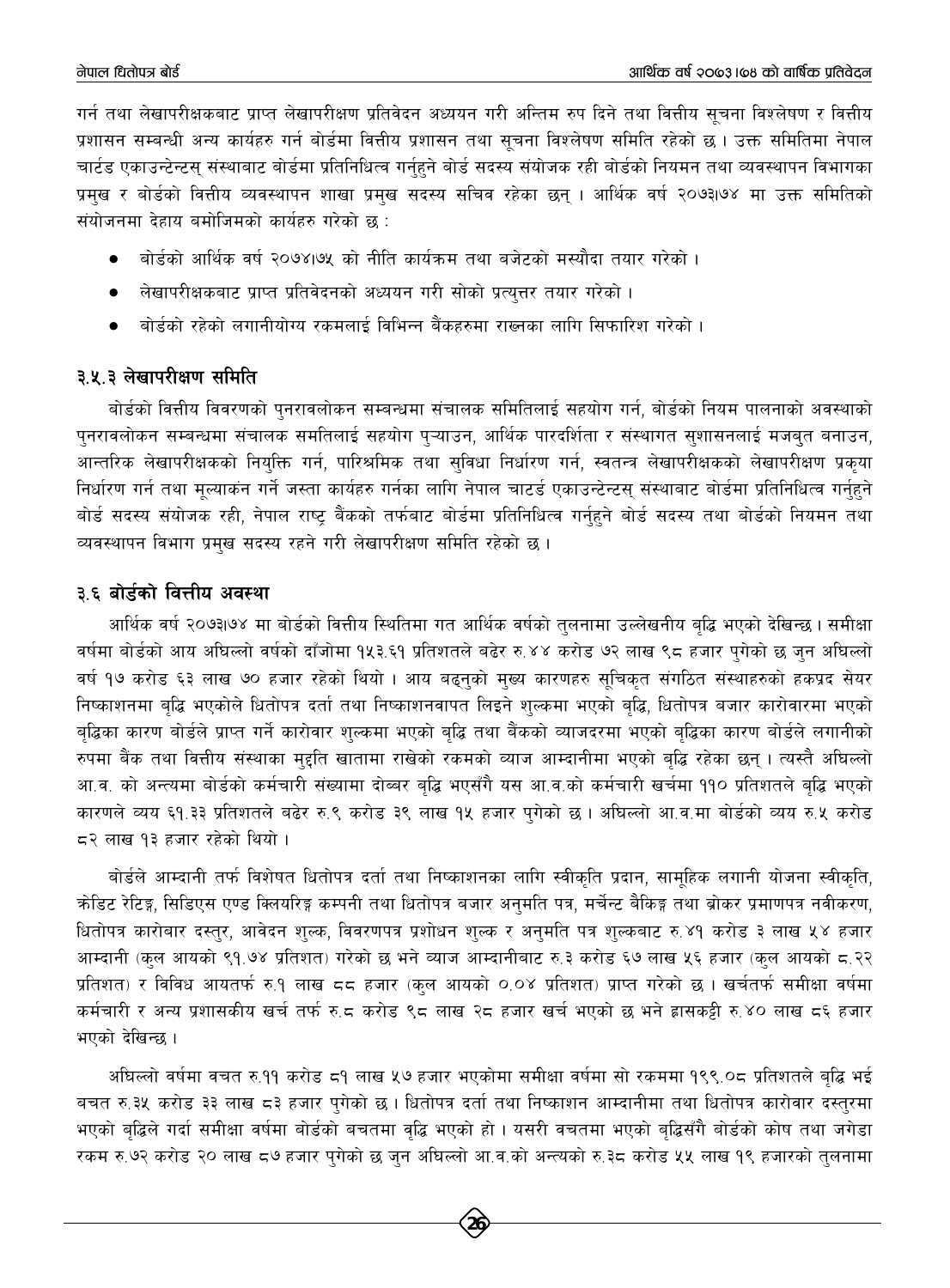गर्न तथा लेखापरीक्षकबाट प्राप्त लेखापरीक्षण प्रतिवेदन अध्ययन गरी अन्तिम रुप दिने तथा वित्तीय सूचना विश्लेषण र वित्तीय प्रशासन सम्बन्धी अन्य कार्यहरु गर्न बोर्डमा वित्तीय प्रशासन तथा सचना विश्लेषण समिति रहेको छ । उक्त समितिमा नेपाल चार्टड एकाउन्टेन्टस् संस्थाबाट बोर्डमा प्रतिनिधित्व गर्नहने बोर्ड सदस्य संयोजक रही बोर्डको नियमन तथा व्यवस्थापन विभागका प्रमुख र बोर्डको वित्तीय व्यवस्थापन शाखा प्रमुख सदस्य सचिव रहेका छन् । आर्थिक वर्ष २०७३।७४ मा उक्त समितिको संयोजनमा देहाय बमोजिमको कार्यहरु गरेको छ:

- बोर्डको आर्थिक वर्ष २०७४।७५ को नीति कार्यक्रम तथा बजेटको मस्यौदा तयार गरेको ।
- लेखापरीक्षकबाट प्राप्त प्रतिवेदनको अध्ययन गरी सोको प्रत्युत्तर तयार गरेको ।
- बोर्डको रहेको लगानीयोग्य रकमलाई विभिन्न बैंकहरुमा राख्नका लागि सिफारिश गरेको ।

# ३.५.३ लेखापरीक्षण समिति

बोर्डको वित्तीय विवरणको पुनरावलोकन सम्बन्धमा संचालक समितिलाई सहयोग गर्न, बोर्डको नियम पालनाको अवस्थाको पुनरावलोकन सम्बन्धमा संचालक समतिलाई सहयोग प्ऱ्याउन, आर्थिक पारदर्शिता र संस्थागत सुशासनलाई मजबुत बनाउन, आन्तरिक लेखापरीक्षकको नियुक्ति गर्न, पारिश्रमिक तथा सुविधा निर्धारण गर्न, स्वतन्त्र लेखापरीक्षकको लेखापरीक्षण प्रकृया निर्धारण गर्न तथा मुल्याकंन गर्ने जस्ता कार्यहरु गर्नका लागि नेपाल चाटर्ड एकाउन्टेन्टस् संस्थाबाट बोर्डमा प्रतिनिधित्व गर्नहने बोर्ड सदस्य संयोजक रही, नेपाल राष्ट्र बैंकको तर्फबाट बोर्डमा प्रतिनिधित्व गर्नुहुने बोर्ड सदस्य तथा बोर्डको नियमन तथा व्यवस्थापन विभाग प्रमुख सदस्य रहने गरी लेखापरीक्षण समिति रहेको छ।

# ३.६ बोर्डको वित्तीय अवस्था

आर्थिक वर्ष २०७३।७४ मा बोर्डको वित्तीय स्थितिमा गत आर्थिक वर्षको तुलनामा उल्लेखनीय बुद्धि भएको देखिन्छ। समीक्षा वर्षमा बोर्डको आय अघिल्लो वर्षको दाँजोमा १५३.६१ प्रतिशतले बढेर रु.४४ करोड ७२ लाख ९८ हजार पुगेको छ जुन अघिल्लो वर्ष १७ करोड ६३ लाख ७० हजार रहेको थियो । आय बढ्नुको मुख्य कारणहरु सुचिकुत संगठित संस्थाहरुको हकप्रद सेयर निष्काशनमा बृद्धि भएकोले धितोपत्र दर्ता तथा निष्काशनवापत लिइने शुल्कमा भएको बृद्धि, धितोपत्र बजार कारोवारमा भएको बद्धिका कारण बोर्डले प्राप्त गर्ने कारोवार शल्कमा भएको बद्धि तथा बैंकको व्याजदरमा भएको बद्धिका कारण बोर्डले लगानीको रुपमा बैंक तथा वित्तीय संस्थाका मुद्दति खातामा राखेको रकमको व्याज आम्दानीमा भएको बुद्धि रहेका छन् । त्यस्तै अधिल्लो आ.व. को अन्त्यमा बोर्डको कर्मचारी संख्यामा दोब्बर बृद्धि भएसँगै यस आ.व.को कर्मचारी खर्चमा ११० प्रतिशतले बृद्धि भएको कारणले व्यय ६१.३३ प्रतिशतले बढेर रु.९ करोड ३९ लाख १५ हजार पुगेको छ । अधिल्लो आ.व.मा बोर्डको व्यय रु.५ करोड  $\leq$ २ लाख १३ हजार रहेको थियो।

बोर्डले आम्दानी तर्फ विशेषत धितोपत्र दर्ता तथा निष्काशनका लागि स्वीकृति प्रदान, सामूहिक लगानी योजना स्वीकृति, क्रोडिट रेटिङ्ग, सिडिएस एण्ड क्लियरिङ्ग कम्पनी तथा धितोपत्र बजार अनुमति पत्र, मर्चेन्ट बैकिङ्ग तथा ब्रोकर प्रमाणपत्र नवीकरण, धितोपत्र कारोबार दस्तुर, आवेदन शुल्क, विवरणपत्र प्रशोधन शुल्क र अनुमति पत्र शुल्कबाट रु.४१ करोड ३ लाख ५४ हजार आम्दानी (कुल आयको ९१.७४ प्रतिशत) गरेको छ भने व्याज आम्दानीबाट रु.३ करोड ६७ लाख ५६ हजार (कुल आयको ८.२२ प्रतिशत) र विविध आयतर्फ रु.१ लाख ८८ हजार (कुल आयको ०.०४ प्रतिशत) प्राप्त गरेको छ । खर्चतर्फ समीक्षा वर्षमा कर्मचारी र अन्य प्रशासकीय खर्च तर्फ रु.८ करोड ९८ लाख २८ हजार खर्च भएको छ भने ह्रासकट्टी रु.४० लाख ८६ हजार भएको देखिन्छ ।

अधिल्लो वर्षमा वचत रु.११ करोड ८१ लाख ५७ हजार भएकोमा समीक्षा वर्षमा सो रकममा १९९.०८ प्रतिशतले बृद्धि भई बचत रु.३५ करोड ३३ लाख ८३ हजार पुगेको छ । धितोपत्र दर्ता तथा निष्काशन आम्दानीमा तथा धितोपत्र कारोवार दस्तुरमा भएको बृद्धिले गर्दा समीक्षा वर्षमा बोर्डको बचतमा वृद्धि भएको हो । यसरी वचतमा भएको बृद्धिसँगै बोर्डको कोष तथा जगेडा रकम रु.७२ करोड २० लाख ८७ हजार पुगेको छ जुन अघिल्लो आ.व.को अन्त्यको रु.३८ करोड ५५ लाख १९ हजारको तुलनामा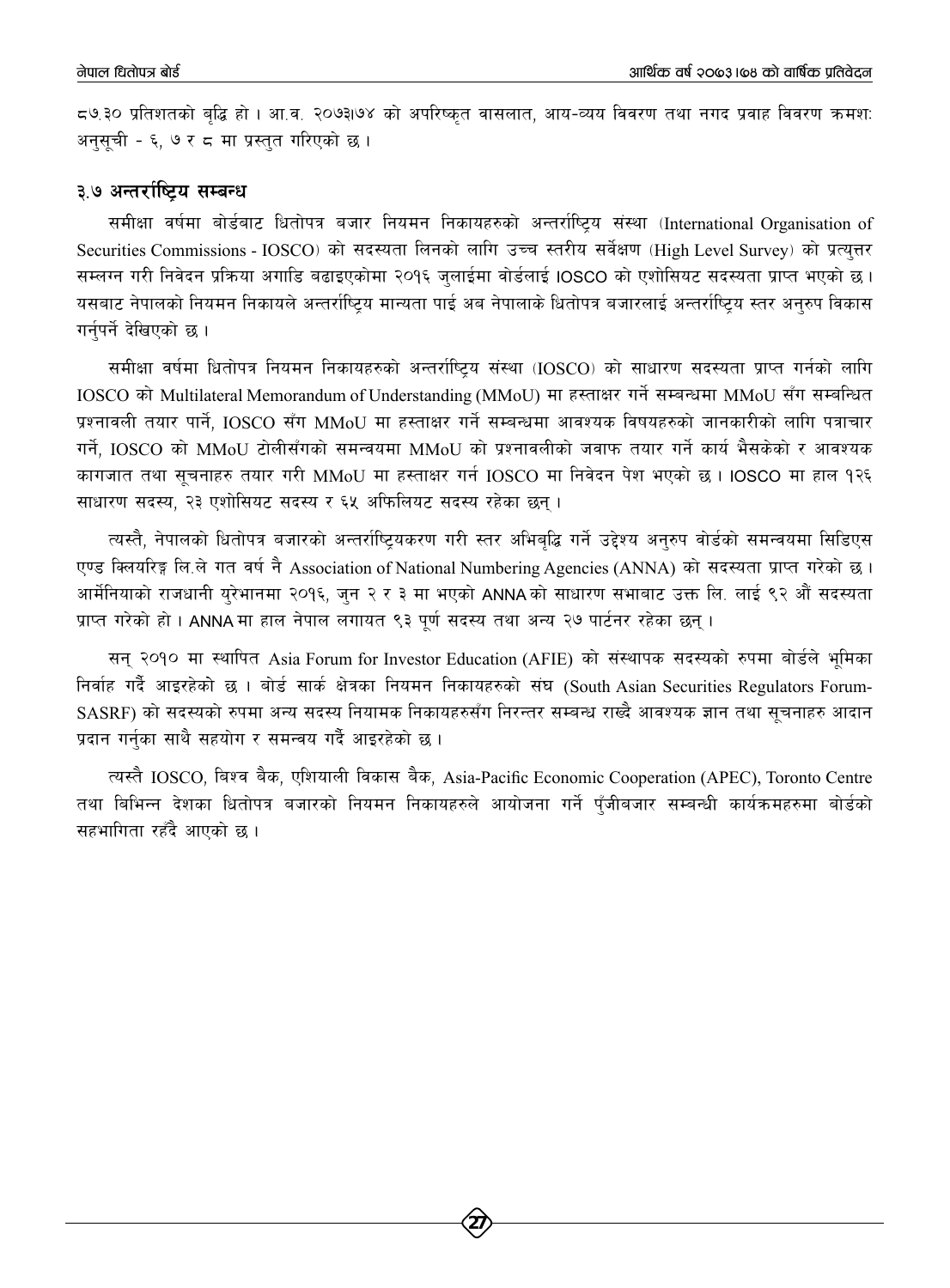८७.३० प्रतिशतको बद्धि हो । आ.व. २०७३।७४ को अपरिष्कृत वासलात, आय-व्यय विवरण तथा नगद प्रवाह विवरण क्रमश: अनसची - ६. ७ र ८ मा प्रस्तत गरिएको छ ।

#### ३.७ अन्तर्राष्टिय सम्बन्ध

समीक्षा वर्षमा बोर्डबाट धितोपत्र बजार नियमन निकायहरुको अन्तर्राष्ट्रिय संस्था (International Organisation of Securities Commissions - IOSCO) को सदस्यता लिनको लागि उच्च स्तरीय सर्वेक्षण (High Level Survey) को प्रत्युत्तर सम्लग्न गरी निवेदन प्रक्रिया अगाडि बढाइएकोमा २०१६ जुलाईमा वोर्डलाई IOSCO को एशोसियट सदस्यता प्राप्त भएको छ । यसबाट नेपालको नियमन निकायले अन्तर्राष्ट्रिय मान्यता पाई अब नेपालाके धितोपत्र बजारलाई अन्तर्राष्ट्रिय स्तर अनुरुप विकास गर्नपर्ने देखिएको छ ।

समीक्षा वर्षमा धितोपत्र नियमन निकायहरुको अन्तर्राष्ट्रिय संस्था (IOSCO) को साधारण सदस्यता प्राप्त गर्नको लागि IOSCO को Multilateral Memorandum of Understanding (MMoU) मा हस्ताक्षर गर्ने सम्बन्धमा MMoU सँग सम्बन्धित प्रश्नावली तयार पार्ने, IOSCO सँग MMoU मा हस्ताक्षर गर्ने सम्बन्धमा आवश्यक विषयहरुको जानकारीको लागि पत्राचार गर्ने, IOSCO को MMoU टोलीसँगको समन्वयमा MMoU को प्रश्नावलीको जवाफ तयार गर्ने कार्य भैसकेको र आवश्यक कागजात तथा सुचनाहरु तयार गरी MMoU मा हस्ताक्षर गर्न IOSCO मा निवेदन पेश भएको छ। IOSCO मा हाल १२६ साधारण सदस्य, २३ एशोसियट सदस्य र ६५ अफिलियट सदस्य रहेका छन्।

त्यस्तै, नेपालको धितोपत्र बजारको अन्तर्राष्ट्यिकरण गरी स्तर अभिबुद्धि गर्ने उद्देश्य अनुरुप वोर्डको समन्वयमा सिडिएस एण्ड क्लियरिङ्ग लि.ले गत वर्ष नै Association of National Numbering Agencies (ANNA) को सदस्यता प्राप्त गरेको छ। आर्मेनियाको राजधानी युरेभानमा २०१६, जुन २ र ३ मा भएको ANNA को साधारण सभाबाट उक्त लि. लाई ९२ औं सदस्यता प्राप्त गरेको हो। ANNA मा हाल नेपाल लगायत ९३ पूर्ण सदस्य तथा अन्य २७ पार्टनर रहेका छन्।

सन् २०१० मा स्थापित Asia Forum for Investor Education (AFIE) को संस्थापक सदस्यको रुपमा बोर्डले भूमिका निर्वाह गर्दै आइरहेको छ। बोर्ड सार्क क्षेत्रका नियमन निकायहरुको संघ (South Asian Securities Regulators Forum-SASRF) को सदस्यको रुपमा अन्य सदस्य नियामक निकायहरुसँग निरन्तर सम्बन्ध राख्दै आवश्यक ज्ञान तथा सूचनाहरु आदान प्रदान गर्नुका साथै सहयोग र समन्वय गर्दै आइरहेको छ।

त्यस्तै IOSCO, बिश्व बैक, एशियाली विकास बैक, Asia-Pacific Economic Cooperation (APEC), Toronto Centre तथा बिभिन्न देशका धितोपत्र बजारको नियमन निकायहरुले आयोजना गर्ने पँजीबजार सम्बन्धी कार्यक्रमहरुमा बोर्डको सहभागिता रहँदै आएको छ ।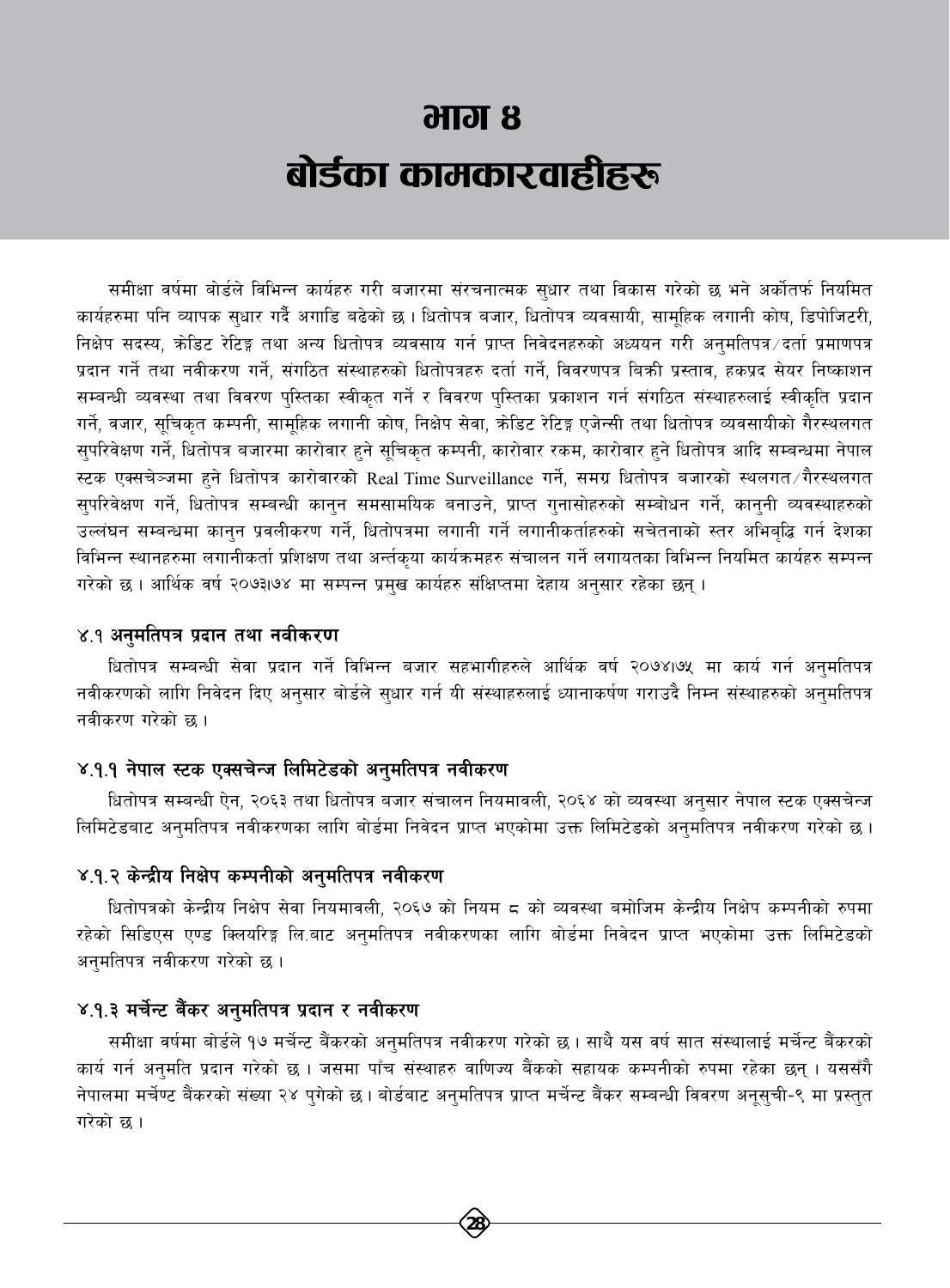# $<sub>3</sub> **H or 8**$ </sub> बोर्डका कामकारवाहीहरू

समीक्षा वर्षमा बोर्डले विभिन्न कार्यहरु गरी बजारमा संरचनात्मक सधार तथा विकास गरेको छ भने अर्कोतर्फ नियमित कार्यहरुमा पनि व्यापक सुधार गर्दै अगाडि बढेको छ। धितोपत्र बजार, धितोपत्र व्यवसायी, सामुहिक लगानी कोष, डिपोजिटरी, निक्षेप सदस्य, क्रेडिट रेटिङ्ग तथा अन्य धितोपत्र व्यवसाय गर्न प्राप्त निवेदनहरुको अध्ययन गरी अनुमतिपत्र दर्ता प्रमाणपत्र प्रदान गर्ने तथा नवीकरण गर्ने, संगठित संस्थाहरुको धितोपत्रहरु दर्ता गर्ने, विवरणपत्र बिक्री प्रस्ताव, हकप्रद सेयर निष्काशन सम्बन्धी व्यवस्था तथा विवरण पुस्तिका स्वीकृत गर्ने र विवरण पुस्तिका प्रकाशन गर्न संगठित संस्थाहरुलाई स्वीकृति प्रदान गर्ने, वजार, सुचिकृत कम्पनी, सामुहिक लगानी कोष, निक्षेप सेवा, क्रेडिट रेटिङ्ग एजेन्सी तथा धितोपत्र व्यवसायीको गैरस्थलगत सुपरिवेक्षण गर्ने, धितोपत्र बजारमा कारोवार हुने सूचिकृत कम्पनी, कारोवार रकम, कारोवार हुने धितोपत्र आदि सम्बन्धमा नेपाल स्टक एक्सचेञ्जमा हुने धितोपत्र कारोवारको Real Time Surveillance गर्ने, समग्र धितोपत्र बजारको स्थलगत गैरस्थलगत सुपरिवेक्षण गर्ने, धितोपत्र सम्बन्धी कानुन समसामयिक बनाउने, प्राप्त गुनासोहरुको सम्बोधन गर्ने, कानुनी व्यवस्थाहरुको उल्लंघन सम्बन्धमा कानून प्रवलीकरण गर्ने, धितोपत्रमा लगानी गर्ने लगानीकर्ताहरुको सचेतनाको स्तर अभिबद्धि गर्न देशका विभिन्न स्थानहरुमा लगानीकर्ता प्रशिक्षण तथा अर्न्तकुया कार्यक्रमहरु संचालन गर्ने लगायतका विभिन्न नियमित कार्यहरु सम्पन्न गरेको छ । आर्थिक वर्ष २०७३।७४ मा सम्पन्न प्रमुख कार्यहरु संक्षिप्तमा देहाय अनुसार रहेका छन् ।

#### ४.१ अनुमतिपत्र प्रदान तथा नवीकरण

धितोपत्र सम्बन्धी सेवा प्रदान गर्ने विभिन्न बजार सहभागीहरुले आर्थिक वर्ष २०७४।७५ मा कार्य गर्न अनुमतिपत्र नवीकरणको लागि निवेदन दिए अनुसार बोर्डले सुधार गर्न यी संस्थाहरुलाई ध्यानाकर्षण गराउदै निम्न संस्थाहरुको अनुमतिपत्र नवीकरण गरेको छ ।

#### ४.१.१ नेपाल स्टक एक्सचेन्ज लिमिटेडको अनुमतिपत्र नवीकरण

धितोपत्र सम्बन्धी ऐन, २०६३ तथा धितोपत्र बजार संचालन नियमावली, २०६४ को व्यवस्था अनुसार नेपाल स्टक एक्सचेन्ज लिमिटेडबाट अनुमतिपत्र नवीकरणका लागि बोर्डमा निवेदन प्राप्त भएकोमा उक्त लिमिटेडको अनुमतिपत्र नवीकरण गरेको छ।

#### ४.१.२ केन्द्रीय निक्षेप कम्पनीको अनुमतिपत्र नवीकरण

धितोपत्रको केन्द्रीय निक्षेप सेवा नियमावली, २०६७ को नियम ८ को व्यवस्था बमोजिम केन्द्रीय निक्षेप कम्पनीको रुपमा रहेको सिडिएस एण्ड क्लियरिङ्ग लि.बाट अनुमतिपत्र नवीकरणका लागि बोर्डमा निवेदन प्राप्त भएकोमा उक्त लिमिटेडको अनुमतिपत्र नवीकरण गरेको छ।

#### ४.१.३ मर्चेन्ट बैंकर अनुमतिपत्र प्रदान र नवीकरण

समीक्षा वर्षमा बोर्डले १७ मर्चेन्ट बैंकरको अनुमतिपत्र नवीकरण गरेको छ । साथै यस वर्ष सात संस्थालाई मर्चेन्ट बैंकरको कार्य गर्न अनुमति प्रदान गरेको छ । जसमा पाँच संस्थाहरु वाणिज्य बैंकको सहायक कम्पनीको रुपमा रहेका छन् । यससँगै नेपालमा मर्चेण्ट बैंकरको संख्या २४ पुगेको छ। बोर्डबाट अनुमतिपत्र प्राप्त मर्चेन्ट बैंकर सम्बन्धी विवरण अनूसुची-९ मा प्रस्तुत गरेको छ ।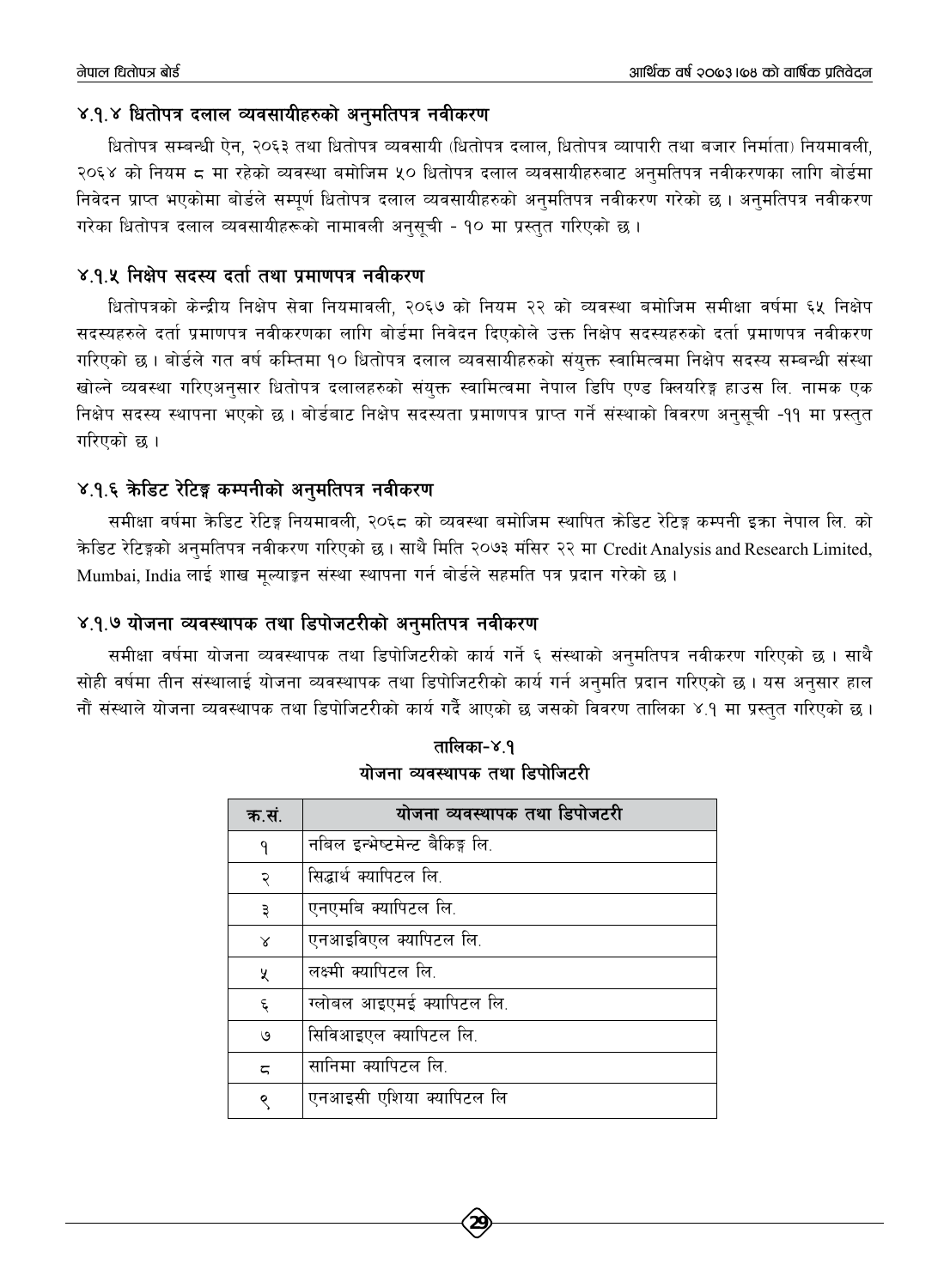#### ४.१.४ धितोपत्र दलाल व्यवसायीहरुको अनुमतिपत्र नवीकरण

धितोपत्र सम्बन्धी ऐन, २०६३ तथा धितोपत्र व्यवसायी (धितोपत्र दलाल, धितोपत्र व्यापारी तथा बजार निर्माता) नियमावली, २०६४ को नियम ८ मा रहेको व्यवस्था बमोजिम ५० धितोपत्र दलाल व्यवसायीहरुबाट अनुमतिपत्र नवीकरणका लागि बोर्डमा निवेदन प्राप्त भएकोमा बोर्डले सम्पर्ण धितोपत्र दलाल व्यवसायीहरुको अनुमतिपत्र नवीकरण गरेको छ। अनुमतिपत्र नवीकरण गरेका धितोपत्र दलाल व्यवसायीहरूको नामावली अनसची - १० मा प्रस्तत गरिएको छ ।

#### ४.१.४ निक्षेप सदस्य दर्ता तथा प्रमाणपत्र नवीकरण

धितोपत्रको केन्द्रीय निक्षेप सेवा नियमावली, २०६७ को नियम २२ को व्यवस्था बमोजिम समीक्षा वर्षमा ६५ निक्षेप सदस्यहरुले दर्ता प्रमाणपत्र नवीकरणका लागि बोर्डमा निवेदन दिएकोले उक्त निक्षेप सदस्यहरुको दर्ता प्रमाणपत्र नवीकरण गरिएको छ । बोर्डले गत वर्ष कम्तिमा १० धितोपत्र दलाल व्यवसायीहरुको संयुक्त स्वामित्वमा निक्षेप सदस्य सम्बन्धी संस्था खोल्ने व्यवस्था गरिएअनुसार धितोपत्र दलालहरुको संयुक्त स्वामित्वमा नेपाल डिपि एण्ड क्लियरिङ्ग हाउस लि. नामक एक निक्षेप सदस्य स्थापना भएको छ। बोर्डबाट निक्षेप सदस्यता प्रमाणपत्र प्राप्त गर्ने संस्थाको विवरण अनुसूची -११ मा प्रस्तुत गरिएको छ ।

#### ४.१.६ केडिट रेटिङ्ग कम्पनीको अनुमतिपत्र नवीकरण

समीक्षा वर्षमा केडिट रेटिङ्ग नियमावली. २०६८ को व्यवस्था बमोजिम स्थापित कोडिट रेटिङ्ग कम्पनी इका नेपाल लि. को केडिट रेटिङ्गको अनुमतिपत्र नवीकरण गरिएको छ। साथै मिति २०७३ मंसिर २२ मा Credit Analysis and Research Limited, Mumbai, India लाई शाख मुल्याङून संस्था स्थापना गर्न बोर्डले सहमति पत्र प्रदान गरेको छ।

#### ४.१.७ योजना व्यवस्थापक तथा डिपोजटरीको अनुमतिपत्र नवीकरण

समीक्षा वर्षमा योजना व्यवस्थापक तथा डिपोजिटरीको कार्य गर्ने ६ संस्थाको अनुमतिपत्र नवीकरण गरिएको छ । साथै सोही वर्षमा तीन संस्थालाई योजना व्यवस्थापक तथा डिपोजिटरीको कार्य गर्न अनुमति प्रदान गरिएको छ । यस अनुसार हाल नौं संस्थाले योजना व्यवस्थापक तथा डिपोजिटरीको कार्य गर्दै आएको छ जसको विवरण तालिका ४.१ मा प्रस्तुत गरिएको छ।

| क.सं.                   | योजना व्यवस्थापक तथा डिपोजटरी  |
|-------------------------|--------------------------------|
| ٩                       | नबिल इन्भेष्टमेन्ट बैकिङ्ग लि. |
| २                       | सिद्धार्थ क्यापिटल लि.         |
| ३                       | एनएमबि क्यापिटल लि.            |
| $\lambda$               | एनआइविएल क्यापिटल लि.          |
| X                       | लक्ष्मी क्यापिटल लि.           |
| $\boldsymbol{\xi}$      | ग्लोबल आइएमई क्यापिटल लि.      |
| ও                       | सिविआइएल क्यापिटल लि.          |
| $\overline{\mathbf{c}}$ | सानिमा क्यापिटल लि.            |
| Q                       | एनआइसी एशिया क्यापिटल लि       |

तालिका-४.१ योजना व्यवस्थापक तथा डिपोजिटरी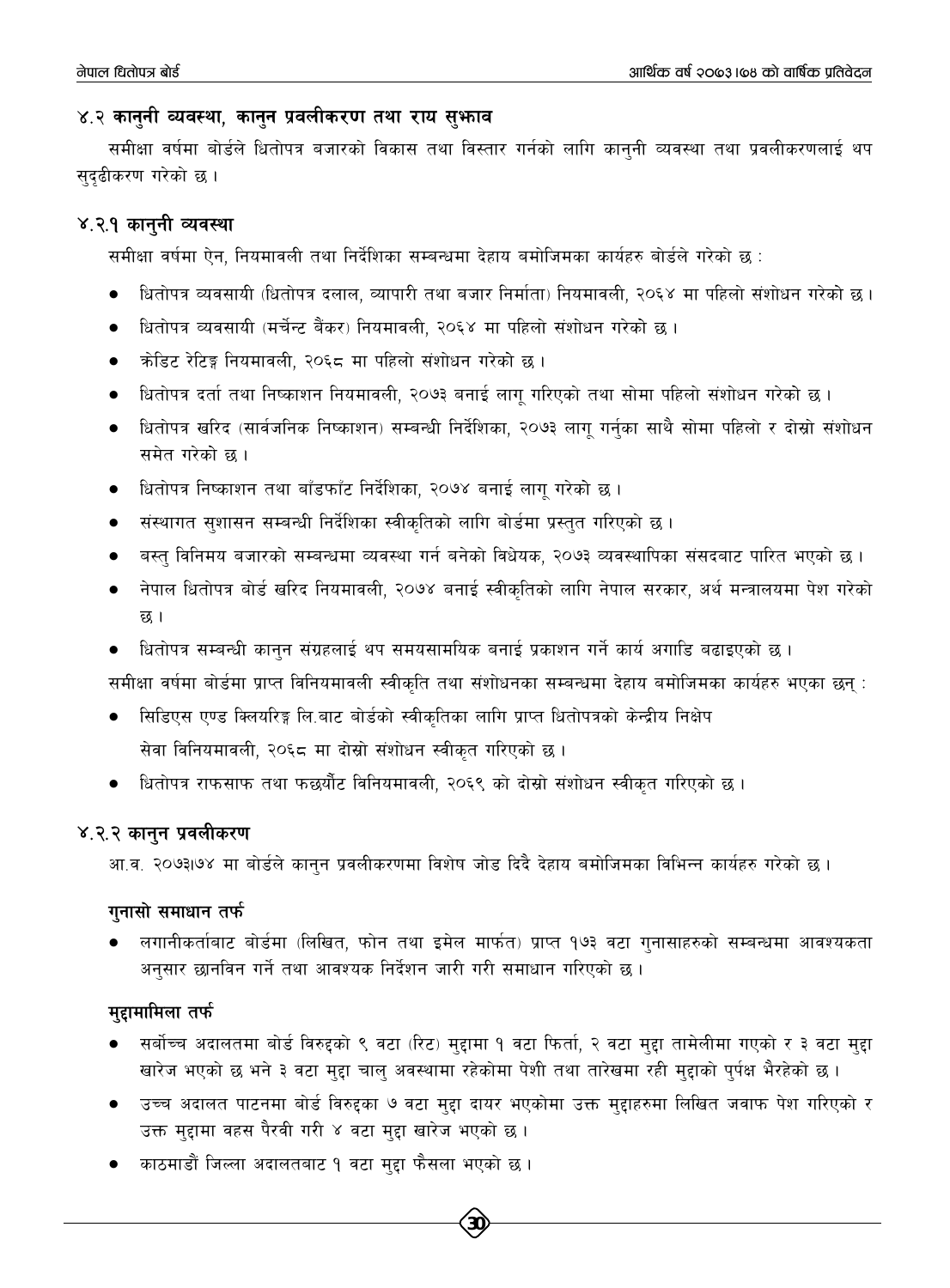#### ४.२ कानुनी व्यवस्था, कानुन प्रवलीकरण तथा राय सुभाव

समीक्षा वर्षमा बोर्डले धितोपत्र बजारको विकास तथा विस्तार गर्नको लागि कान्नी व्यवस्था तथा प्रवलीकरणलाई थप सदढीकरण गरेको छ।

#### ४.२.१ कानूनी व्यवस्था

समीक्षा वर्षमा ऐन, नियमावली तथा निर्देशिका सम्बन्धमा देहाय बमोजिमका कार्यहरु बोर्डले गरेको छ :

- धितोपत्र व्यवसायी (धितोपत्र दलाल, व्यापारी तथा बजार निर्माता) नियमावली, २०६४ मा पहिलो संशोधन गरेको छ।
- धितोपत्र व्यवसायी (मर्चेन्ट बैंकर) नियमावली, २०६४ मा पहिलो संशोधन गरेको छ।
- क्रोडिट रेटिङ्ग नियमावली, २०६८ मा पहिलो संशोधन गरेको छ।
- धितोपत्र दर्ता तथा निष्काशन नियमावली, २०७३ बनाई लागु गरिएको तथा सोमा पहिलो संशोधन गरेको छ ।  $\bullet$
- धितोपत्र खरिद (सार्वजनिक निष्काशन) सम्बन्धी निर्देशिका, २०७३ लागु गर्नुका साथै सोमा पहिलो र दोस्रो संशोधन समेत गरेको छ ।
- धितोपत्र निष्काशन तथा बाँडफाँट निर्देशिका, २०७४ बनाई लागु गरेको छ ।
- संस्थागत सुशासन सम्बन्धी निर्देशिका स्वीकृतिको लागि बोर्डमा प्रस्तुत गरिएको छ ।
- बस्त् विनिमय बजारको सम्बन्धमा व्यवस्था गर्न बनेको विधेयक, २०७३ व्यवस्थापिका संसदबाट पारित भएको छ ।
- नेपाल धितोपत्र बोर्ड खरिद नियमावली, २०७४ बनाई स्वीकृतिको लागि नेपाल सरकार, अर्थ मन्त्रालयमा पेश गरेको छ ।
- धितोपत्र सम्बन्धी कानुन संग्रहलाई थप समयसामयिक बनाई प्रकाशन गर्ने कार्य अगाडि बढाइएको छ ।

समीक्षा वर्षमा बोर्डमा प्राप्त विनियमावली स्वीकृति तथा संशोधनका सम्बन्धमा देहाय बमोजिमका कार्यहरु भएका छन् :

- सिडिएस एण्ड क्लियरिङ्ग लि.बाट बोर्डको स्वीकृतिका लागि प्राप्त धितोपत्रको केन्द्रीय निक्षेप सेवा विनियमावली, २०६८ मा दोस्रो संशोधन स्वीकृत गरिएको छ।
- धितोपत्र राफसाफ तथा फछर्यौट विनियमावली, २०६९ को दोस्रो संशोधन स्वीकृत गरिएको छ।

#### ४.२.२ कानुन प्रवलीकरण

आ.व. २०७३।७४ मा बोर्डले कानुन प्रवलीकरणमा विशेष जोड दिदै देहाय बमोजिमका विभिन्न कार्यहरु गरेको छ।

#### गनासो समाधान तर्फ

लगानीकर्ताबाट बोर्डमा (लिखित, फोन तथा इमेल मार्फत) प्राप्त १७३ वटा गुनासाहरुको सम्बन्धमा आवश्यकता अनुसार छानविन गर्ने तथा आवश्यक निर्देशन जारी गरी समाधान गरिएको छ ।

#### मद्दामामिला तर्फ

- सर्बोच्च अदालतमा बोर्ड विरुद्दको ९ वटा (रिट) मुद्दामा १ वटा फिर्ता, २ वटा मुद्दा तामेलीमा गएको र ३ वटा मुद्दा खारेज भएको छ भने ३ वटा मद्दा चालु अवस्थामा रहेकोमा पेशी तथा तारेखमा रही मुद्दाको पुर्पक्ष भैरहेको छ।
- उच्च अदालत पाटनमा बोर्ड विरुद्दका ७ वटा मुद्दा दायर भएकोमा उक्त मुद्दाहरुमा लिखित जवाफ पेश गरिएको र उक्त मुद्दामा वहस पैरवी गरी ४ वटा मुद्दा खारेज भएको छ।
- काठमाडौं जिल्ला अदालतबाट १ वटा मुद्दा फैसला भएको छ ।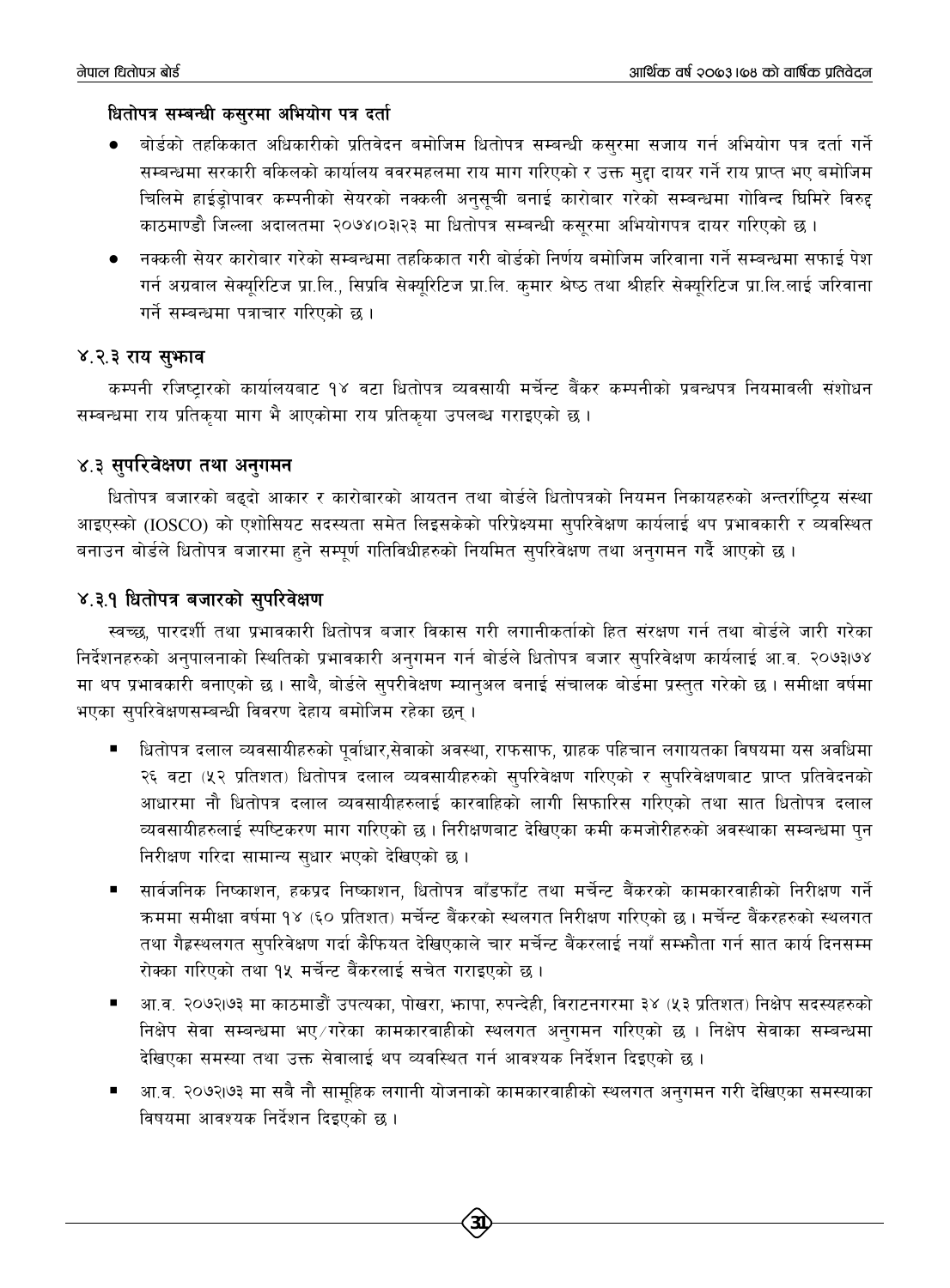#### धितोपत्र सम्बन्धी कसरमा अभियोग पत्र दर्ता

- बोर्डको तहकिकात अधिकारीको प्रतिवेदन बमोजिम धितोपत्र सम्बन्धी कसरमा सजाय गर्न अभियोग पत्र दर्ता गर्ने सम्बन्धमा सरकारी वकिलको कार्यालय ववरमहलमा राय माग गरिएको र उक्त मुद्दा दायर गर्ने राय प्राप्त भए बमोजिम चिलिमे हाईड़ोपावर कम्पनीको सेयरको नक्कली अनुसूची बनाई कारोबार गरेको सम्बन्धमा गोविन्द घिमिरे विरुद्द काठमाण्डौ जिल्ला अदालतमा २०७४।०३।२३ मा धितोपत्र सम्बन्धी कसरमा अभियोगपत्र दायर गरिएको छ ।
- नक्कली सेयर कारोबार गरेको सम्बन्धमा तहकिकात गरी बोर्डको निर्णय बमोजिम जरिवाना गर्ने सम्बन्धमा सफाई पेश गर्न अग्रवाल सेक्यूरिटिज प्रा.लि., सिप्रवि सेक्यूरिटिज प्रा.लि. कुमार श्रेष्ठ तथा श्रीहरि सेक्यूरिटिज प्रा.लि.लाई जरिवाना गर्ने सम्बन्धमा पत्राचार गरिएको छ ।

#### ४.२.३ राय सुभगव

कम्पनी रजिष्टारको कार्यालयबाट १४ वटा धितोपत्र व्यवसायी मर्चेन्ट बैंकर कम्पनीको प्रबन्धपत्र नियमावली संशोधन सम्बन्धमा राय प्रतिकया माग भै आएकोमा राय प्रतिकया उपलब्ध गराइएको छ।

#### ४.३ सुपरिवेक्षण तथा अनुगमन

धितोपत्र बजारको बढ्दो आकार र कारोबारको आयतन तथा बोर्डले धितोपत्रको नियमन निकायहरुको अन्तर्राष्ट्रिय संस्था आइएस्को (IOSCO) को एशोसियट सदस्यता समेत लिइसकेको परिप्रेक्ष्यमा सुपरिवेक्षण कार्यलाई थप प्रभावकारी र व्यवस्थित बनाउन बोर्डले धितोपत्र बजारमा हुने सम्पूर्ण गतिविधीहरुको नियमित सुपरिवेक्षण तथा अनुगमन गर्दै आएको छ ।

#### ४.३.१ धितोपत्र बजारको सुपरिवेक्षण

स्वच्छ, पारदर्शी तथा प्रभावकारी धितोपत्र बजार विकास गरी लगानीकर्ताको हित संरक्षण गर्न तथा बोर्डले जारी गरेका निर्देशनहरुको अनुपालनाको स्थितिको प्रभावकारी अनुगमन गर्न बोर्डले धितोपत्र बजार सुपरिवेक्षण कार्यलाई आ.व. २०७३।७४ मा थप प्रभावकारी बनाएको छ । साथै, बोर्डले सुपरीवेक्षण म्यानुअल बनाई संचालक बोर्डमा प्रस्तुत गरेको छ । समीक्षा वर्षमा भएका सपरिवेक्षणसम्बन्धी विवरण देहाय बमोजिम रहेका छन्।

- धितोपत्र दलाल व्यवसायीहरुको पूर्वाधार,सेवाको अवस्था, राफसाफ, ग्राहक पहिचान लगायतका विषयमा यस अवधिमा २६ वटा (५२ प्रतिशत) धितोपत्र दलाल व्यवसायीहरुको सुपरिवेक्षण गरिएको र सुपरिवेक्षणबाट प्राप्त प्रतिवेदनको आधारमा नौ धितोपत्र दलाल व्यवसायीहरुलाई कारवाहिको लागी सिफारिस गरिएको तथा सात धितोपत्र दलाल व्यवसायीहरुलाई स्पष्टिकरण माग गरिएको छ । निरीक्षणबाट देखिएका कमी कमजोरीहरुको अवस्थाका सम्बन्धमा पुन निरीक्षण गरिदा सामान्य सुधार भएको देखिएको छ।
- सार्वजनिक निष्काशन, हकप्रद निष्काशन, धितोपत्र बाँडफाँट तथा मर्चेन्ट बैंकरको कामकारवाहीको निरीक्षण गर्ने क्रममा समीक्षा वर्षमा १४ (६० प्रतिशत) मर्चेन्ट बैंकरको स्थलगत निरीक्षण गरिएको छ। मर्चेन्ट बैंकरहरुको स्थलगत तथा गैह्रस्थलगत सुपरिवेक्षण गर्दा कैफियत देखिएकाले चार मर्चेन्ट बैंकरलाई नयाँ सम्भोता गर्न सात कार्य दिनसम्म रोक्का गरिएको तथा १५ मर्चेन्ट बैंकरलाई सचेत गराइएको छ।
- आ.व. २०७२।७३ मा काठमाडौं उपत्यका, पोखरा, भापा, रुपन्देही, विराटनगरमा ३४ (५३ प्रतिशत) निक्षेप सदस्यहरुको निक्षेप सेवा सम्बन्धमा भए गरेका कामकारवाहीको स्थलगत अनुगमन गरिएको छ । निक्षेप सेवाका सम्बन्धमा देखिएका समस्या तथा उक्त सेवालाई थप व्यवस्थित गर्न आवश्यक निर्देशन दिइएको छ ।
- आ.व. २०७२।७३ मा सबै नौ सामहिक लगानी योजनाको कामकारवाहीको स्थलगत अनुगमन गरी देखिएका समस्याका विषयमा आवश्यक निर्देशन दिइएको छ।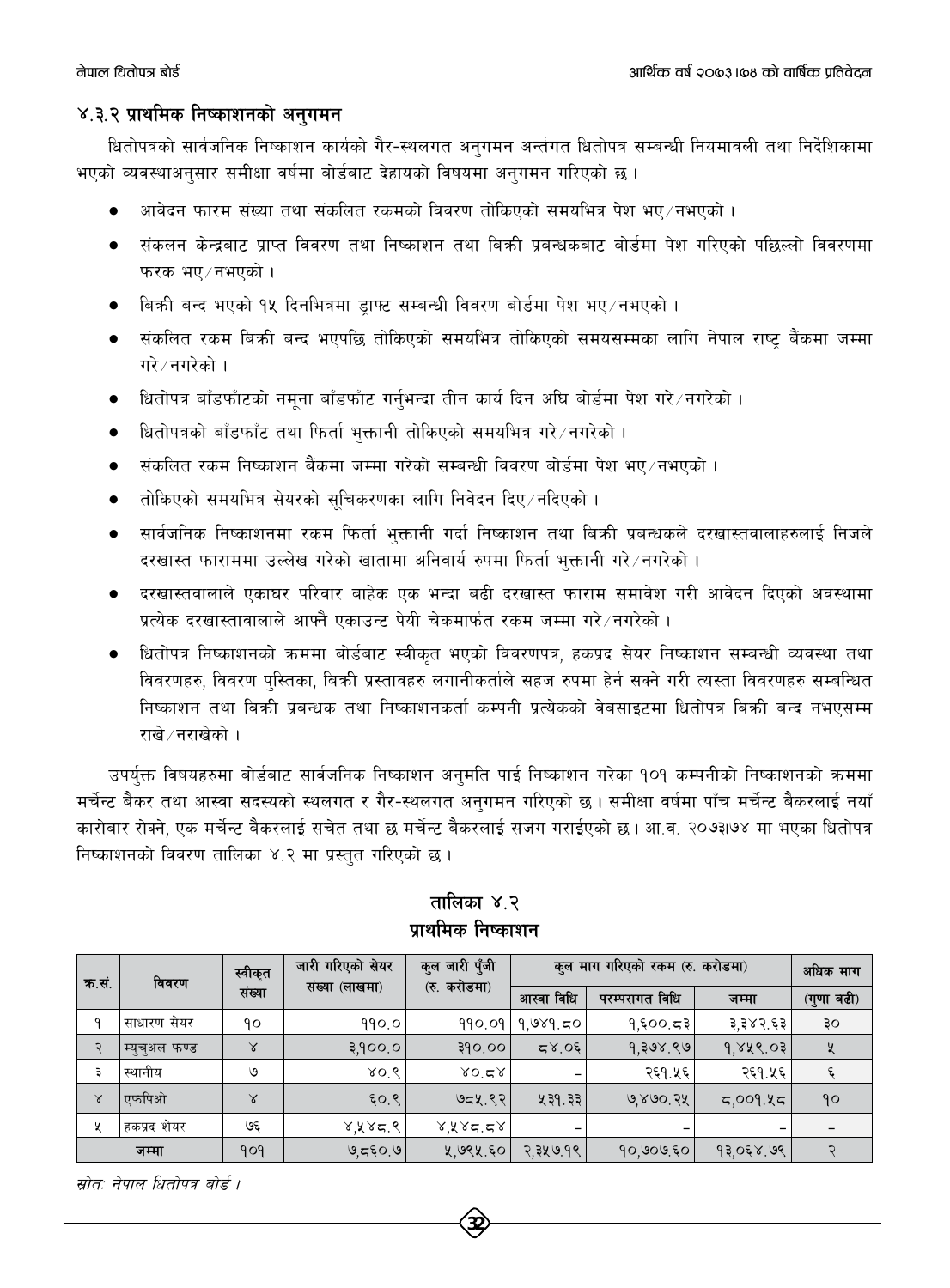#### ४.३.२ प्राथमिक निष्काशनको अनुगमन

धितोपत्रको सार्वजनिक निष्काशन कार्यको गैर-स्थलगत अनुगमन अर्न्तगत धितोपत्र सम्बन्धी नियमावली तथा निर्देशिकामा भएको व्यवस्थाअनुसार समीक्षा वर्षमा बोर्डबाट देहायको विषयमा अनुगमन गरिएको छ ।

- आवेदन फारम संख्या तथा संकलित रकमको विवरण तोकिएको समयभित्र पेश भए/नभएको ।
- संकलन केन्द्रबाट प्राप्त विवरण तथा निष्काशन तथा बिकी प्रबन्धकबाट बोर्डमा पेश गरिएको पछिल्लो विवरणमा फरक भए /नभएको ।
- विकी बन्द भएको १५ दिनभित्रमा डाफ्ट सम्बन्धी विवरण बोर्डमा पेश भए /नभएको ।
- संकलित रकम बिक्री बन्द भएपछि तोकिएको समयभित्र तोकिएको समयसम्मका लागि नेपाल राष्ट बैंकमा जम्मा गरे ∕ नगरेको ।
- धितोपत्र बाँडफाँटको नमूना बाँडफाँट गर्नुभन्दा तीन कार्य दिन अघि बोर्डमा पेश गरे /नगरेको ।
- धितोपत्रको बाँडफाँट तथा फिर्ता भुक्तानी तोकिएको समयभित्र गरे नगरेको ।
- संकलित रकम निष्काशन बैंकमा जम्मा गरेको सम्बन्धी विवरण बोर्डमा पेश भए⁄नभएको ।
- तोकिएको समयभित्र सेयरको सचिकरणका लागि निवेदन दिए ⁄ नदिएको ।
- सार्वजनिक निष्काशनमा रकम फिर्ता भुक्तानी गर्दा निष्काशन तथा बिक्री प्रबन्धकले दरखास्तवालाहरुलाई निजले दरखास्त फाराममा उल्लेख गरेको खातामा अनिवार्य रुपमा फिर्ता भुक्तानी गरे नगरेको ।
- दरखास्तवालाले एकाघर परिवार बाहेक एक भन्दा बढी दरखास्त फाराम समावेश गरी आवेदन दिएको अवस्थामा प्रत्येक दरखास्तावालाले आफ्नै एकाउन्ट पेयी चेकमार्फत रकम जम्मा गरे नगरेको ।
- धितोपत्र निष्काशनको क्रममा बोर्डबाट स्वीकृत भएको विवरणपत्र, हकप्रद सेयर निष्काशन सम्बन्धी व्यवस्था तथा विवरणहरु, विवरण पुस्तिका, बिक्री प्रस्तावहरु लगानीकर्ताले सहज रुपमा हेर्न सक्ने गरी त्यस्ता विवरणहरु सम्बन्धित निष्काशन तथा बिक्री प्रबन्धक तथा निष्काशनकर्ता कम्पनी प्रत्येकको वेबसाइटमा धितोपत्र बिक्री बन्द नभएसम्म राखे ⁄ नराखेको ।

उपर्युक्त विषयहरुमा बोर्डबाट सार्वजनिक निष्काशन अनुमति पाई निष्काशन गरेका १०१ कम्पनीको निष्काशनको क्रममा मर्चेन्ट बैकर तथा आस्वा सदस्यको स्थलगत र गैर-स्थलगत अनुगमन गरिएको छ । समीक्षा वर्षमा पाँच मर्चेन्ट बैकरलाई नयाँ कारोबार रोक्ने, एक मर्चेन्ट बैकरलाई सचेत तथा छ मर्चेन्ट बैकरलाई सजग गराईएको छ। आ.व. २०७३।७४ मा भएका धितोपत्र निष्काशनको विवरण तालिका ४.२ मा प्रस्तुत गरिएको छ।

| क.सं. | विवरण         | स्वीकृत<br>संख्या | जारी गरिएको सेयर<br>संख्या (लाखमा) | कुल जारी पुँजी<br>(रु. करोडमा) | कुल माग गरिएको रकम (रु. करोडमा) |                |           | अधिक माग   |
|-------|---------------|-------------------|------------------------------------|--------------------------------|---------------------------------|----------------|-----------|------------|
|       |               |                   |                                    |                                | आस्वा विधि                      | परम्परागत विधि | जम्मा     | (गुणा बढी) |
| a     | साधारण सेयर   | ۹٥                | 990.0                              |                                | $990.09$   9,989.50             | 9,500.53       | ३,३४२.६३  | ३०         |
| Ç     | म्युचुअल फण्ड | ४                 | ३,१००.० $\blacksquare$             | ३१०.०० $\mid$                  | 50.87                           | 9.308.80       | 9,848.03  | X          |
| ₹     | स्थानीय       | ७                 | 80.8                               | 80.58                          |                                 | २६१.५६         | २६१.५६    |            |
| Χ     | एफपिओ         | $\lambda$         | 6.97                               | ७८५.९२।                        | ५३१.३३                          | 9,890.24       | 5,009.85  | 90         |
| X     | हकप्रद शेयर   | چې                | ४,५४८.९                            | 8,8,8,7                        |                                 |                | -         |            |
|       | जम्मा         | <u> ૧૦૧</u>       | ७,८६०.७ $ $                        | ५,७९५.६० $\mid$                | २,३५७.१९                        | 90,909,50      | १३,०६४.७९ |            |

तालिका ४.२ प्राथमिक निष्काशन

स्रोत: नेपाल धितोपत्र बोर्ड ।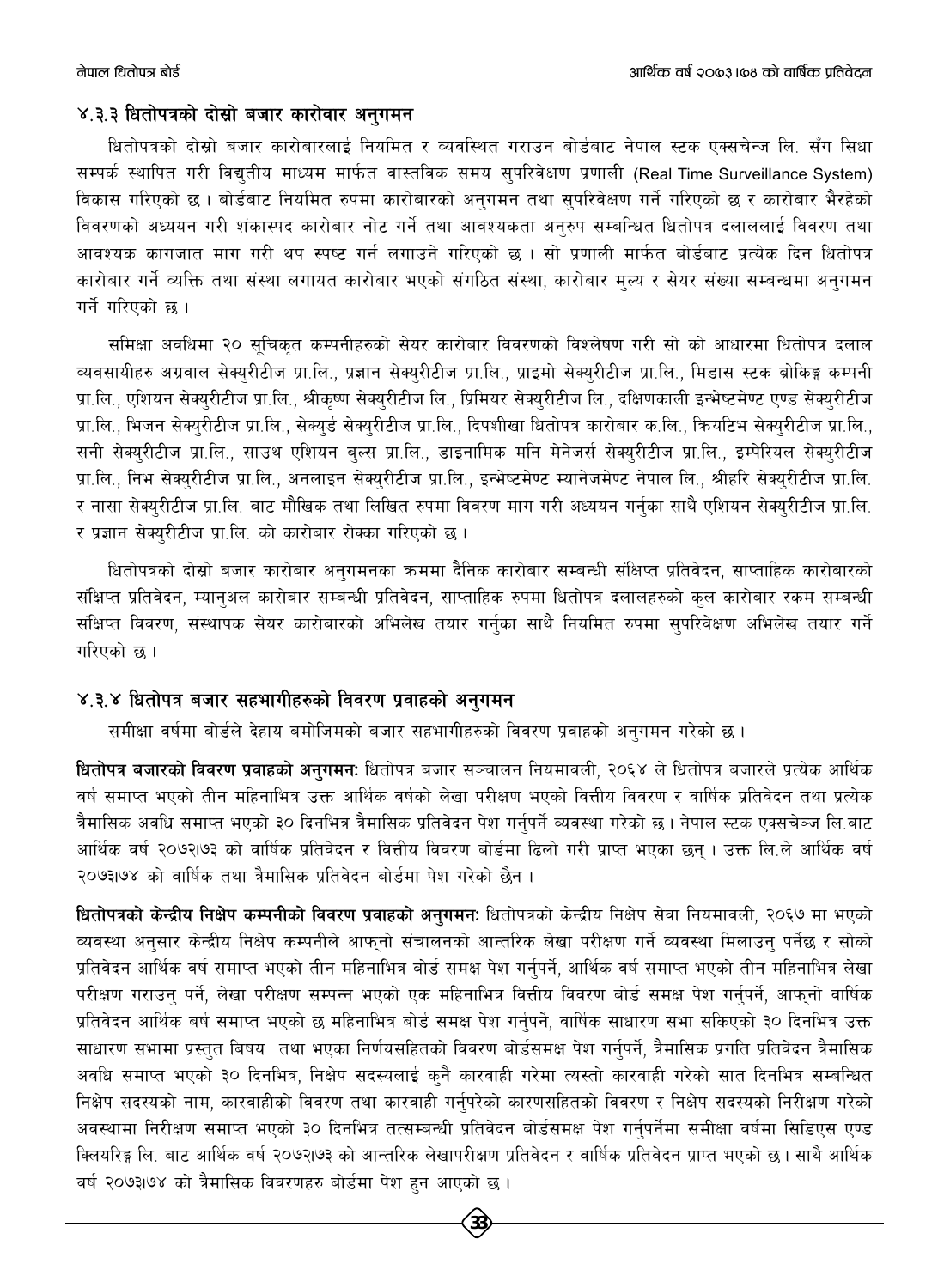#### ४.३.३ धितोपत्रको दोस्रो बजार कारोवार अनुगमन

धितोपत्रको दोस्रो बजार कारोबारलाई नियमित र व्यवस्थित गराउन बोर्डबाट नेपाल स्टक एक्सचेन्ज लि. सँग सिधा सम्पर्क स्थापित गरी विद्युतीय माध्यम मार्फत वास्तविक समय सुपरिवेक्षण प्रणाली (Real Time Surveillance System) विकास गरिएको छ । बोर्डबाट नियमित रुपमा कारोबारको अनुगमन तथा सुपरिवेक्षण गर्ने गरिएको छ र कारोबार भैरहेको विवरणको अध्ययन गरी शंकास्पद कारोबार नोट गर्ने तथा आवश्यकता अनरुप सम्बन्धित धितोपत्र दलाललाई विवरण तथा आवश्यक कागजात माग गरी थप स्पष्ट गर्न लगाउने गरिएको छ । सो प्रणाली मार्फत बोर्डबाट प्रत्येक दिन धितोपत्र कारोबार गर्ने व्यक्ति तथा संस्था लगायत कारोबार भएको संगठित संस्था, कारोबार मल्य र सेयर संख्या सम्बन्धमा अनगमन गर्ने गरिएको छ।

समिक्षा अवधिमा २० सुचिकृत कम्पनीहरुको सेयर कारोबार विवरणको विश्लेषण गरी सो को आधारमा धितोपत्र दलाल व्यवसायीहरु अग्रवाल सेक्युरीटीज प्रा.लि., प्रज्ञान सेक्युरीटीज प्रा.लि., प्राइमो सेक्युरीटीज प्रा.लि., मिडास स्टक ब्रोकिङ्ग कम्पनी प्रा.लि., एशियन सेक्युरीटीज प्रा.लि., श्रीकृष्ण सेक्युरीटीज लि., प्रिमियर सेक्युरीटीज लि., दक्षिणकाली इन्भेष्टमेण्ट एण्ड सेक्युरीटीज प्रा.लि., भिजन सेक्युरीटीज प्रा.लि., सेक्युर्ड सेक्युरीटीज प्रा.लि., दिपशीखा धितोपत्र कारोबार क.लि., क्रियटिभ सेक्युरीटीज प्रा.लि., सनी सेक्युरीटीज प्रा.लि., साउथ एशियन बुल्स प्रा.लि., डाइनामिक मनि मेनेजर्स सेक्युरीटीज प्रा.लि., इम्पेरियल सेक्युरीटीज प्रा.लि., निभ सेक्युरीटीज प्रा.लि., अनलाइन सेक्युरीटीज प्रा.लि., इन्भेष्टमेण्ट म्यानेजमेण्ट नेपाल लि., श्रीहरि सेक्युरीटीज प्रा.लि. र नासा सेक्युरीटीज प्रा.लि. बाट मौखिक तथा लिखित रुपमा विवरण माग गरी अध्ययन गर्नुका साथै एशियन सेक्युरीटीज प्रा.लि. र प्रज्ञान सेक्युरीटीज प्रा.लि. को कारोबार रोक्का गरिएको छ।

धितोपत्रको दोस्रो बजार कारोबार अनुगमनका क्रममा दैनिक कारोबार सम्बन्धी संक्षिप्त प्रतिवेदन, साप्ताहिक कारोबारको संक्षिप्त प्रतिवेदन, म्यानुअल कारोबार सम्बन्धी प्रतिवेदन, साप्ताहिक रुपमा धितोपत्र दलालहरुको कुल कारोबार रकम सम्बन्धी संक्षिप्त विवरण, संस्थापक सेयर कारोबारको अभिलेख तयार गर्नुका साथै नियमित रुपमा सुपरिवेक्षण अभिलेख तयार गर्ने गरिएको छ ।

#### ४.३.४ धितोपत्र बजार सहभागीहरुको विवरण प्रवाहको अनुगमन

समीक्षा वर्षमा बोर्डले देहाय बमोजिमको बजार सहभागीहरुको विवरण प्रवाहको अनुगमन गरेको छ ।

धितोपत्र बजारको विवरण प्रवाहको अनुगमनः धितोपत्र बजार सञ्चालन नियमावली, २०६४ ले धितोपत्र बजारले प्रत्येक आर्थिक वर्ष समाप्त भएको तीन महिनाभित्र उक्त आर्थिक वर्षको लेखा परीक्षण भएको वित्तीय विवरण र वार्षिक प्रतिवेदन तथा प्रत्येक त्रैमासिक अवधि समाप्त भएको ३० दिनभित्र त्रैमासिक प्रतिवेदन पेश गर्नुपर्ने व्यवस्था गरेको छ। नेपाल स्टक एक्सचेञ्ज लि.बाट आर्थिक वर्ष २०७२।७३ को वार्षिक प्रतिवेदन र वित्तीय विवरण बोर्डमा ढिलो गरी प्राप्त भएका छन । उक्त लि.ले आर्थिक वर्ष २०७३।७४ को वार्षिक तथा त्रैमासिक प्रतिवेदन बोर्डमा पेश गरेको छैन ।

धितोपत्रको केन्द्रीय निक्षेप कम्पनीको विवरण प्रवाहको अनगमन: धितोपत्रको केन्द्रीय निक्षेप सेवा नियमावली, २०६७ मा भएको व्यवस्था अनुसार केन्द्रीय निक्षेप कम्पनीले आफुनो संचालनको आन्तरिक लेखा परीक्षण गर्ने व्यवस्था मिलाउन् पर्नेछ र सोको प्रतिवेदन आर्थिक वर्ष समाप्त भएको तीन महिनाभित्र बोर्ड समक्ष पेश गर्नुपर्ने, आर्थिक वर्ष समाप्त भएको तीन महिनाभित्र लेखा परीक्षण गराउन् पर्ने, लेखा परीक्षण सम्पन्न भएको एक महिनाभित्र वित्तीय विवरण बोर्ड समक्ष पेश गर्न्पर्ने, आफ्नो वार्षिक प्रतिवेदन आर्थिक बर्ष समाप्त भएको छ महिनाभित्र बोर्ड समक्ष पेश गर्नुपर्ने, वार्षिक साधारण सभा सकिएको ३० दिनभित्र उक्त साधारण सभामा प्रस्तुत बिषय तथा भएका निर्णयसहितको विवरण बोर्डसमक्ष पेश गर्नुपर्ने, त्रैमासिक प्रगति प्रतिवेदन त्रैमासिक अवधि समाप्त भएको ३० दिनभित्र, निक्षेप सदस्यलाई कुनै कारवाही गरेमा त्यस्तो कारवाही गरेको सात दिनभित्र सम्बन्धित निक्षेप सदस्यको नाम, कारवाहीको विवरण तथा कारवाही गर्नुपरेको कारणसहितको विवरण र निक्षेप सदस्यको निरीक्षण गरेको अवस्थामा निरीक्षण समाप्त भएको ३० दिनभित्र तत्सम्बन्धी प्रतिवेदन बोर्डसमक्ष पेश गर्नुपर्नेमा समीक्षा वर्षमा सिडिएस एण्ड क्लियरिङ्ग लि. बाट आर्थिक वर्ष २०७२।७३ को आन्तरिक लेखापरीक्षण प्रतिवेदन र वार्षिक प्रतिवेदन प्राप्त भएको छ। साथै आर्थिक वर्ष २०७३1७४ को त्रैमासिक विवरणहरु बोर्डमा पेश हुन आएको छ।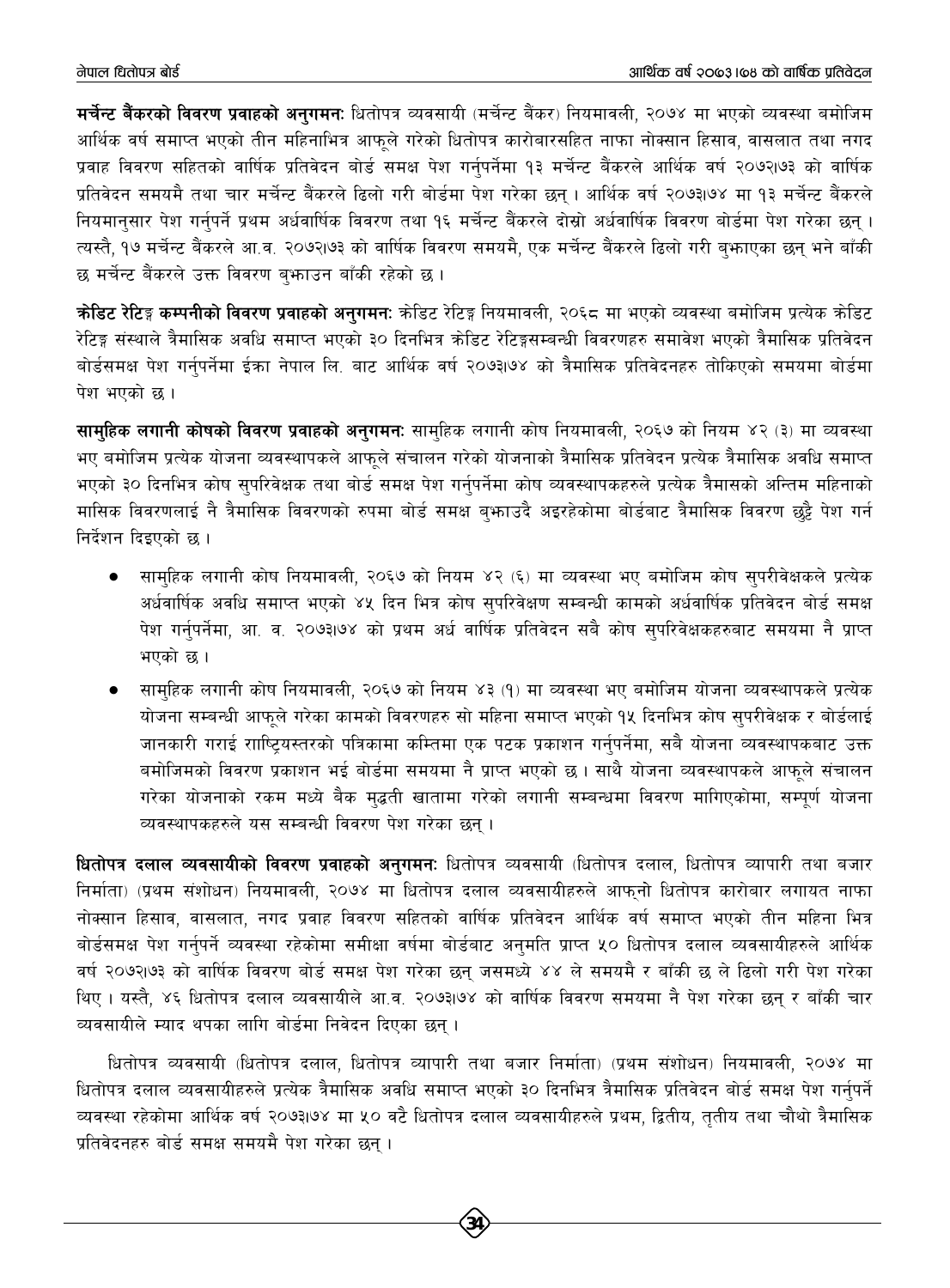**मर्चेन्ट बैंकरको विवरण प्रवाहको अनगमन:** धितोपत्र व्यवसायी (मर्चेन्ट बैंकर) नियमावली, २०७४ मा भएको व्यवस्था बमोजिम आर्थिक वर्ष समाप्त भएको तीन महिनाभित्र आफले गरेको धितोपत्र कारोबारसहित नाफा नोक्सान हिसाव, वासलात तथा नगद प्रवाह विवरण सहितको वार्षिक प्रतिवेदन बोर्ड समक्ष पेश गर्नुपर्नेमा १३ मर्चेन्ट बैंकरले आर्थिक वर्ष २०७२।७३ को वार्षिक प्रतिवेदन समयमै तथा चार मर्चेन्ट बैंकरले ढिलो गरी बोर्डमा पेश गरेका छन् । आर्थिक वर्ष २०७३।७४ मा १३ मर्चेन्ट बैंकरले नियमानुसार पेश गर्नुपर्ने प्रथम अर्धवार्षिक विवरण तथा १६ मर्चेन्ट बैंकरले दोस्रो अर्धवार्षिक विवरण बोर्डमा पेश गरेका छन् । त्यस्तै, १७ मर्चेन्ट बैंकरले आ.व. २०७२।७३ को वार्षिक विवरण समयमै, एक मर्चेन्ट बैंकरले ढिलो गरी ब्फाएका छन् भने बाँकी छ मर्चेन्ट बैंकरले उक्त विवरण ब़भाउन बाँकी रहेको छ।

**कोडिट रेटिङ्ग कम्पनीको विवरण प्रवाहको अनुगमन:** कोडिट रेटिङ्ग नियमावली, २०६८ मा भएको व्यवस्था बमोजिम प्रत्येक कोडिट रेटिङ्ग संस्थाले त्रैमासिक अवधि समाप्त भएको ३० दिनभित्र कोडिट रेटिङ्गसम्बन्धी विवरणहरु समावेश भएको त्रैमासिक प्रतिवेदन बोर्डसमक्ष पेश गर्नुपर्नेमा ईका नेपाल लि. बाट आर्थिक वर्ष २०७३।७४ को त्रैमासिक प्रतिवेदनहरु तोकिएको समयमा बोर्डमा पेश भएको छ।

**सामुहिक लगानी कोषको विवरण प्रवाहको अनुगमन:** सामुहिक लगानी कोष नियमावली, २०६७ को नियम ४२ (३) मा व्यवस्था भए बमोजिम प्रत्येक योजना व्यवस्थापकले आफुले संचालन गरेको योजनाको त्रैमासिक प्रतिवेदन प्रत्येक त्रैमासिक अवधि समाप्त भएको ३० दिनभित्र कोष सुपरिवेक्षक तथा बोर्ड समक्ष पेश गर्नुपर्नेमा कोष व्यवस्थापकहरुले प्रत्येक त्रैमासको अन्तिम महिनाको मासिक विवरणलाई नै त्रैमासिक विवरणको रुपमा बोर्ड समक्ष बु**फाउदै अइरहेकोमा बोर्डबाट त्रैमासिक विवर**ण छुट्टै पेश गर्न निर्देशन दिइएको छ ।

- सामहिक लगानी कोष नियमावली, २०६७ को नियम ४२ (६) मा व्यवस्था भए बमोजिम कोष सुपरीवेक्षकले प्रत्येक अर्धवार्षिक अवधि समाप्त भएको ४५ दिन भित्र कोष सुपरिवेक्षण सम्बन्धी कामको अर्धवार्षिक प्रतिवेदन बोर्ड समक्ष पेश गर्नुपर्नेमा, आ. व. २०७३।७४ को प्रथम अर्ध वार्षिक प्रतिवेदन सबै कोष सुपरिवेक्षकहरुबाट समयमा नै प्राप्त भएको छ।
- सामहिक लगानी कोष नियमावली, २०६७ को नियम ४३ (१) मा व्यवस्था भए बमोजिम योजना व्यवस्थापकले प्रत्येक योजना सम्बन्धी आफूले गरेका कामको विवरणहरु सो महिना समाप्त भएको १५ दिनभित्र कोष सुपरीवेक्षक र बोर्डलाई जानकारी गराई रााष्टियस्तरको पत्रिकामा कम्तिमा एक पटक प्रकाशन गर्नुपर्नेमा, सबै योजना व्यवस्थापकबाट उक्त बमोजिमको विवरण प्रकाशन भई बोर्डमा समयमा नै प्राप्त भएको छ। साथै योजना व्यवस्थापकले आफुले संचालन गरेका योजनाको रकम मध्ये बैक मुद्धती खातामा गरेको लगानी सम्बन्धमा विवरण मागिएकोमा, सम्पुर्ण योजना व्यवस्थापकहरुले यस सम्बन्धी विवरण पेश गरेका छन।

**धितोपत्र दलाल व्यवसायीको विवरण प्रवाहको अनुगमन:** धितोपत्र व्यवसायी (धितोपत्र दलाल, धितोपत्र व्यापारी तथा बजार निर्माता) (प्रथम संशोधन) नियमावली, २०७४ मा धितोपत्र दलाल व्यवसायीहरुले आफुनो धितोपत्र कारोबार लगायत नाफा नोक्सान हिसाव, वासलात, नगद प्रवाह विवरण सहितको वार्षिक प्रतिवेदन आर्थिक वर्ष समाप्त भएको तीन महिना भित्र बोर्डसमक्ष पेश गर्नुपर्ने व्यवस्था रहेकोमा समीक्षा वर्षमा बोर्डबाट अनुमति प्राप्त ५० धितोपत्र दलाल व्यवसायीहरुले आर्थिक वर्ष २०७२।७३ को वार्षिक विवरण बोर्ड समक्ष पेश गरेका छन् जसमध्ये ४४ ले समयमै र बाँकी छ ले ढिलो गरी पेश गरेका थिए । यस्तै, ४६ धितोपत्र दलाल व्यवसायीले आ.व. २०७३।७४ को वार्षिक विवरण समयमा नै पेश गरेका छन् र बाँकी चार व्यवसायीले म्याद थपका लागि बोर्डमा निवेदन दिएका छन्।

धितोपत्र व्यवसायी (धितोपत्र दलाल, धितोपत्र व्यापारी तथा बजार निर्माता) (प्रथम संशोधन) नियमावली, २०७४ मा धितोपत्र दलाल व्यवसायीहरुले प्रत्येक त्रैमासिक अवधि समाप्त भएको ३० दिनभित्र त्रैमासिक प्रतिवेदन बोर्ड समक्ष पेश गर्नुपर्ने व्यवस्था रहेकोमा आर्थिक वर्ष २०७३।७४ मा ५० वटै धितोपत्र दलाल व्यवसायीहरुले प्रथम, द्वितीय, ततीय तथा चौथो त्रैमासिक प्रतिवेदनहरु बोर्ड समक्ष समयमै पेश गरेका छन ।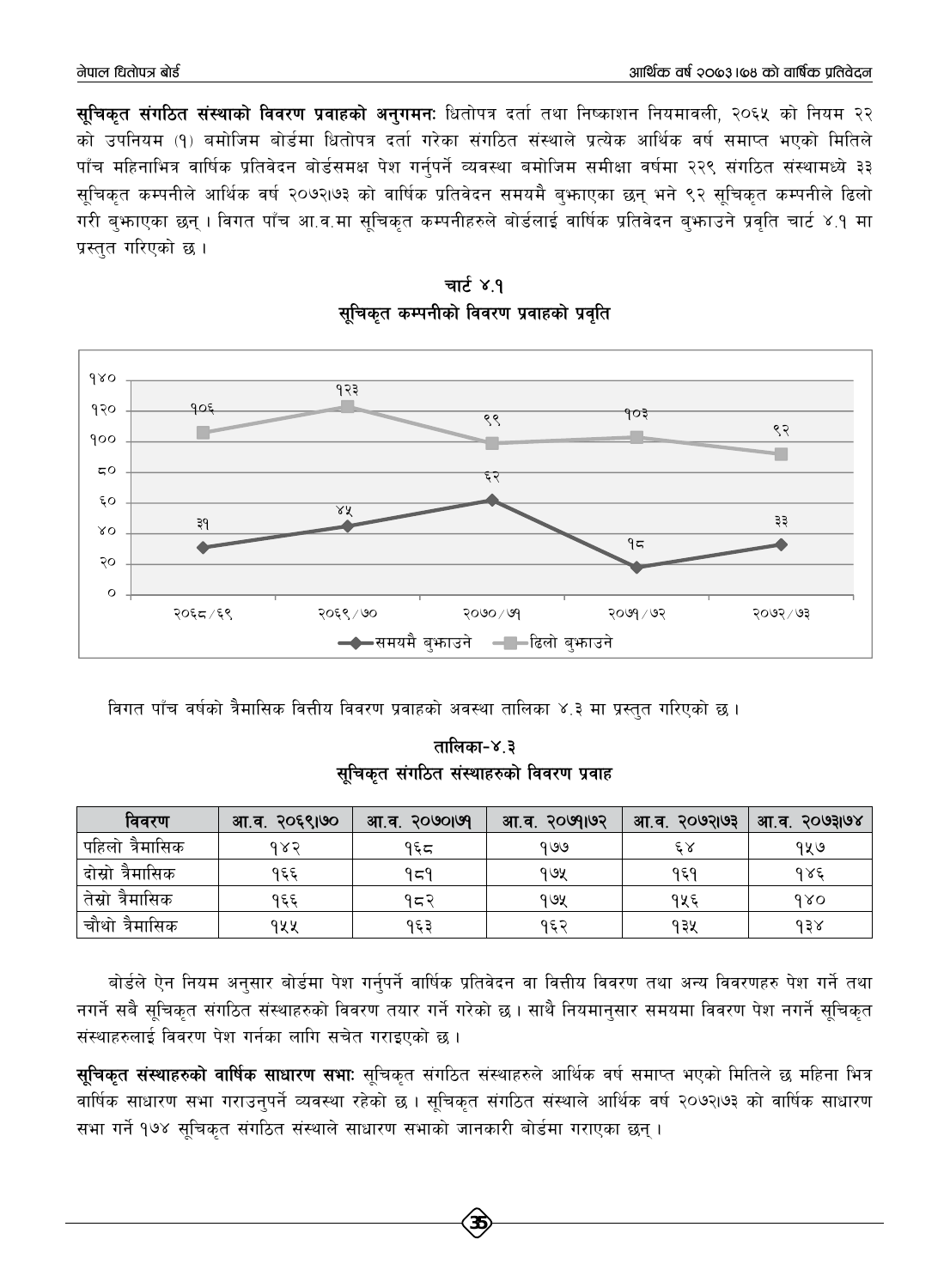**सचिकत संगठित संस्थाको विवरण प्रवाहको अनगमन:** धितोपत्र दर्ता तथा निष्काशन नियमावली, २०६५ को नियम २२ को उपनियम (१) बमोजिम बोर्डमा धितोपत्र दर्ता गरेका संगठित संस्थाले प्रत्येक आर्थिक वर्ष समाप्त भएको मितिले पाँच महिनाभित्र वार्षिक प्रतिवेदन बोर्डसमक्ष पेश गर्नुपर्ने व्यवस्था बमोजिम समीक्षा वर्षमा २२९ संगठित संस्थामध्ये ३३ सुचिकत कम्पनीले आर्थिक वर्ष २०७२।७३ को वार्षिक प्रतिवेदन समयमै बुभाएका छन् भने ९२ सचिकत कम्पनीले ढिलो गरी बुभ्राएका छन् । विगत पाँच आ.व.मा सूचिकृत कम्पनीहरुले बोर्डलाई वार्षिक प्रतिवेदन बुभ्राउने प्रवृति चार्ट ४.१ मा प्रस्तुत गरिएको छ।





विगत पाँच वर्षको त्रैमासिक वित्तीय विवरण प्रवाहको अवस्था तालिका ४.३ मा प्रस्तुत गरिएको छ।

तालिका-४.३ सचिकत संगठित संस्थाहरुको विवरण प्रवाह

| विवरण               | आ.व. २०६९।७० | <b>PUIOUOS</b><br>आ.व. | २०७१।७२<br>आ.व. | २०७२।७३<br>आ.व. | 5003108<br>आ.व. |
|---------------------|--------------|------------------------|-----------------|-----------------|-----------------|
| पहिलो त्रैमासिक     | १४२          | १६८                    | १७७             | ٤X              | १५७             |
| दोस्रो त्रैमासिक    | १६६          | १८१                    | १७५             | १६१             | १४६             |
| त्रैमासिक<br>तेस्रा | १६६          | १८२                    | १७५             | १५६             | 980             |
| चौथो त्रैमासिक      | १५५          | १६३                    | १६२             | १३५             | $\lambda$ 3     |

बोर्डले ऐन नियम अनुसार बोर्डमा पेश गर्नुपर्ने वार्षिक प्रतिवेदन वा वित्तीय विवरण तथा अन्य विवरणहरु पेश गर्ने तथा नगर्ने सबै सूचिकृत संगठित संस्थाहरुको विवरण तयार गर्ने गरेको छ । साथै नियमानुसार समयमा विवरण पेश नगर्ने सूचिकृत संस्थाहरुलाई विवरण पेश गर्नका लागि सचेत गराइएको छ।

**सुचिकृत संस्थाहरुको वार्षिक साधारण सभाः** सूचिकृत संगठित संस्थाहरुले आर्थिक वर्ष समाप्त भएको मितिले छ महिना भित्र वार्षिक साधारण सभा गराउनुपर्ने व्यवस्था रहेको छ । सूचिकृत संगठित संस्थाले आर्थिक वर्ष २०७२।७३ को वार्षिक साधारण सभा गर्ने १७४ सूचिकृत संगठित संस्थाले साधारण सभाको जानकारी बोर्डमा गराएका छन्।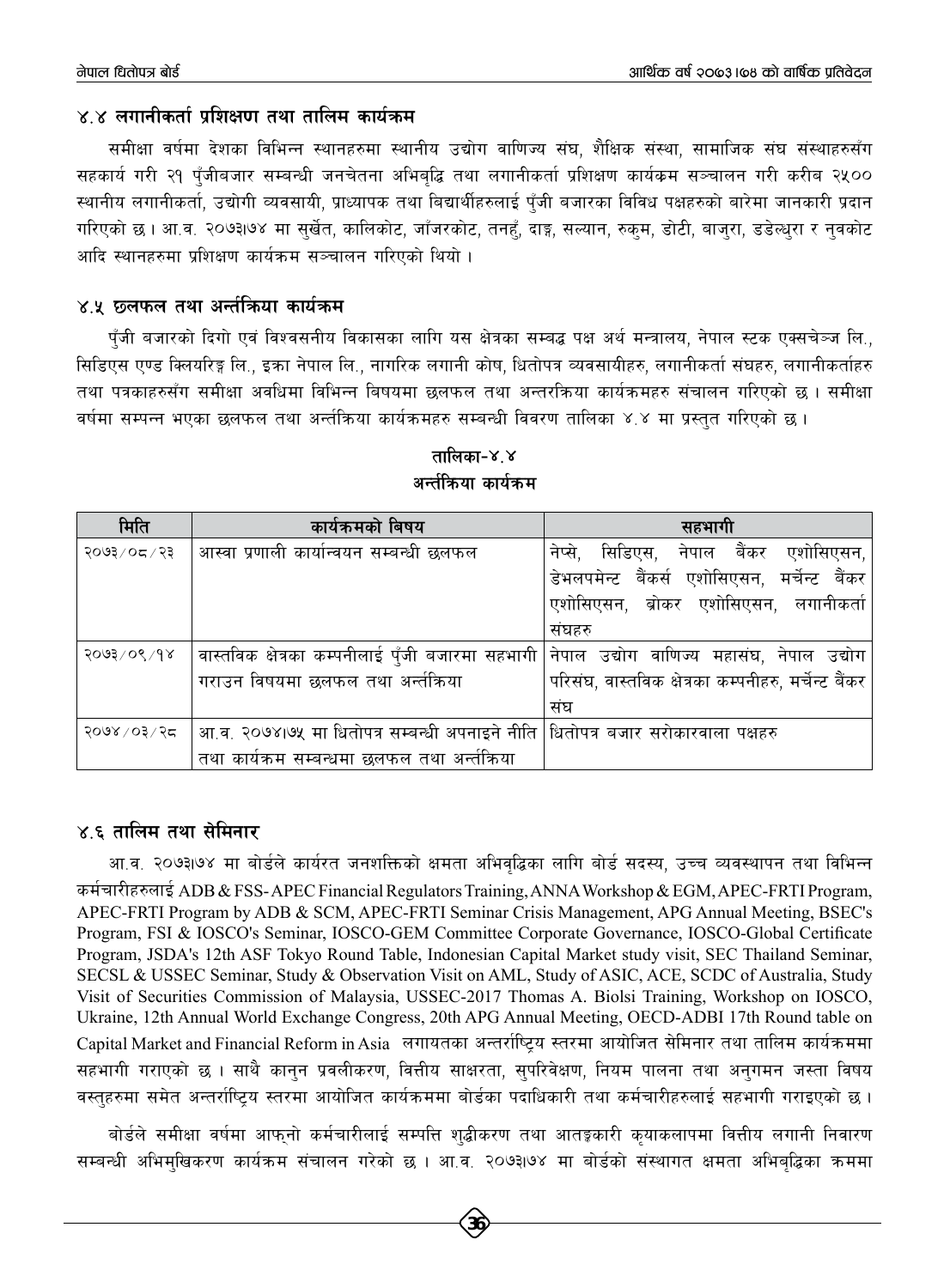#### $\times$  ४ लगानीकर्ता प्रशिक्षण तथा तालिम कार्यक्रम

समीक्षा वर्षमा देशका विभिन्न स्थानहरुमा स्थानीय उद्योग वाणिज्य संघ, शैक्षिक संस्था, सामाजिक संघ संस्थाहरुसँग सहकार्य गरी २१ पँजीबजार सम्बन्धी जनचेतना अभिबद्धि तथा लगानीकर्ता प्रशिक्षण कार्यक्रम सञ्चालन गरी करीब २५०० स्थानीय लगानीकर्ता, उद्योगी व्यवसायी, प्राध्यापक तथा बिद्यार्थीहरुलाई पँजी बजारका विविध पक्षहरुको बारेमा जानकारी प्रदान गरिएको छ । आ.व. २०७३।७४ मा सुर्खेत, कालिकोट, जाँजरकोट, तनहँ, दाङ्ग, सल्यान, रुकुम, डोटी, बाजुरा, डडेल्धुरा र नुवकोट आदि स्थानहरुमा प्रशिक्षण कार्यक्रम सञ्चालन गरिएको थियो ।

#### ४.५ छलफल तथा अर्न्तकिया कार्यक्रम

पँजी बजारको दिगो एवं विश्वसनीय विकासका लागि यस क्षेत्रका सम्बद्ध पक्ष अर्थ मन्त्रालय, नेपाल स्टक एक्सचेञ्ज लि., सिडिएस एण्ड क्लियरिङ्ग लि., इक्रा नेपाल लि., नागरिक लगानी कोष, धितोपत्र व्यवसायीहरु, लगानीकर्ता संघहरु, लगानीकर्ताहरु तथा पत्रकाहरुसँग समीक्षा अवधिमा विभिन्न बिषयमा छलफल तथा अन्तरक्रिया कार्यक्रमहरु संचालन गरिएको छ । समीक्षा वर्षमा सम्पन्न भएका छलफल तथा अर्न्तकिया कार्यक्रमहरु सम्बन्धी विवरण तालिका ४.४ मा प्रस्तुत गरिएको छ।

| मिति           | कार्यक्रमको बिषय                                                                 | सहभागी                                               |
|----------------|----------------------------------------------------------------------------------|------------------------------------------------------|
| २०७३/०८/२३     | आस्वा प्रणाली कार्यान्वयन सम्बन्धी छलफल                                          | नेप्से, सिडिएस, नेपाल बैंकर एशोसिएसन,                |
|                |                                                                                  | डेभलपमेन्ट बैंकर्स एशोसिएसन, मर्चेन्ट बैंकर          |
|                |                                                                                  | एशोसिएसन, ब्रोकर एशोसिएसन, लगानीकर्ता                |
|                |                                                                                  | संघहरु                                               |
| २०७३/०९/१४     | वास्तविक क्षेत्रका कम्पनीलाई पँजी बजारमा सहभागी                                  | नेपाल उद्योग वाणिज्य महासंघ, नेपाल उद्योग $\mid$     |
|                | गराउन विषयमा छलफल तथा अर्न्तक्रिया                                               | परिसंघ, वास्तविक क्षेत्रका कम्पनीहरु, मर्चेन्ट बैंकर |
|                |                                                                                  | संघ                                                  |
| २०७४ / ०३ / २८ | आ.व. २०७४।७५ मा धितोपत्र सम्बन्धी अपनाइने नीति  धितोपत्र बजार सरोकारवाला पक्षहरु |                                                      |
|                | तथा कार्यक्रम सम्बन्धमा छलफल तथा अर्न्तक्रिया                                    |                                                      |

#### तालिका-४,४ अर्न्तक्रिया कार्यक्रम

#### ४.६ तालिम तथा सेमिनार

आ.व. २०७३।७४ मा बोर्डले कार्यरत जनशक्तिको क्षमता अभिवद्धिका लागि बोर्ड सदस्य, उच्च व्यवस्थापन तथा विभिन्न कर्मचारीहरुलाई ADB & FSS-APEC Financial Regulators Training, ANNA Workshop & EGM, APEC-FRTI Program, APEC-FRTI Program by ADB & SCM, APEC-FRTI Seminar Crisis Management, APG Annual Meeting, BSEC's Program, FSI & IOSCO's Seminar, IOSCO-GEM Committee Corporate Governance, IOSCO-Global Certificate Program, JSDA's 12th ASF Tokyo Round Table, Indonesian Capital Market study visit, SEC Thailand Seminar, SECSL & USSEC Seminar, Study & Observation Visit on AML, Study of ASIC, ACE, SCDC of Australia, Study Visit of Securities Commission of Malaysia, USSEC-2017 Thomas A. Biolsi Training, Workshop on IOSCO, Ukraine, 12th Annual World Exchange Congress, 20th APG Annual Meeting, OECD-ADBI 17th Round table on Capital Market and Financial Reform in Asia लगायतका अन्तर्राष्ट्रिय स्तरमा आयोजित सेमिनार तथा तालिम कार्यक्रममा सहभागी गराएको छ । साथै कानुन प्रवलीकरण, वित्तीय साक्षरता, सुपरिवेक्षण, नियम पालना तथा अनुगमन जस्ता विषय वस्तुहरुमा समेत अन्तर्राष्ट्रिय स्तरमा आयोजित कार्यक्रममा बोर्डका पदाधिकारी तथा कर्मचारीहरुलाई सहभागी गराइएको छ।

बोर्डले समीक्षा वर्षमा आफ्**नो कर्मचारीलाई सम्पत्ति श्**द्धीकरण तथा आतङ्गकारी कृयाकलापमा वित्तीय लगानी निवारण सम्बन्धी अभिमुखिकरण कार्यक्रम संचालन गरेको छ । आ.व. २०७३।७४ मा बोर्डको संस्थागत क्षमता अभिबुद्धिका क्रममा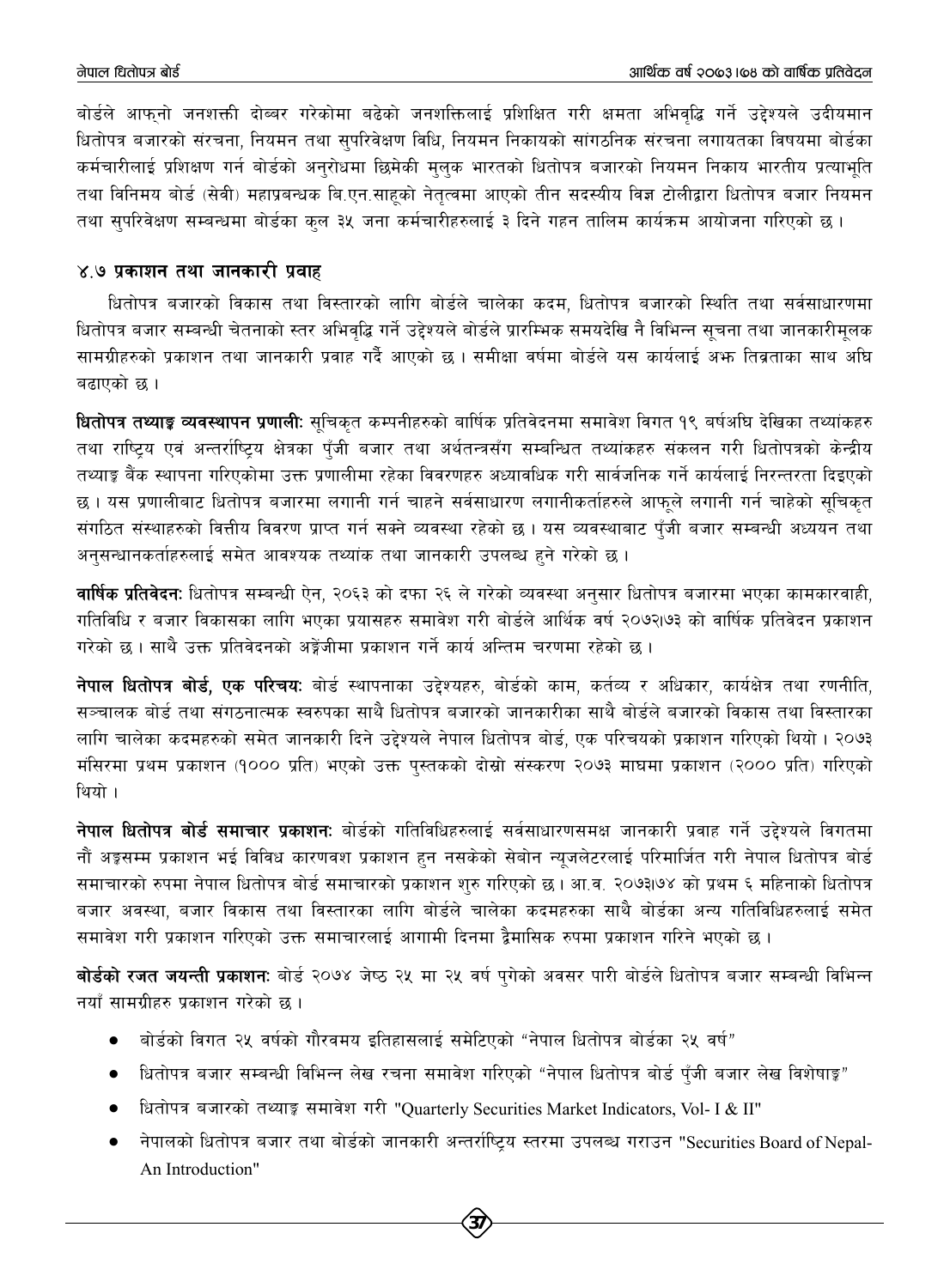बोर्डले आफनो जनशक्ती दोब्बर गरेकोमा बढेको जनशक्तिलाई प्रशिक्षित गरी क्षमता अभिवद्धि गर्ने उद्देश्यले उदीयमान धितोपत्र बजारको संरचना, नियमन तथा सपरिवेक्षण विधि, नियमन निकायको सांगठनिक संरचना लगायतका विषयमा बोर्डका कर्मचारीलाई प्रशिक्षण गर्न बोर्डको अनुरोधमा छिमेकी मुलक भारतको धितोपत्र बजारको नियमन निकाय भारतीय प्रत्याभुति तथा विनिमय बोर्ड (सेवी) महाप्रबन्धक बि.एन.साहको नेतत्वमा आएको तीन सदस्यीय विज्ञ टोलीद्वारा धितोपत्र बजार नियमन तथा सुपरिवेक्षण सम्बन्धमा बोर्डका कुल ३५ जना कर्मचारीहरुलाई ३ दिने गहन तालिम कार्यक्रम आयोजना गरिएको छ।

#### ४.७ प्रकाशन तथा जानकारी प्रवाह

धितोपत्र बजारको विकास तथा विस्तारको लागि बोर्डले चालेका कदम, धितोपत्र बजारको स्थिति तथा सर्वसाधारणमा धितोपत्र बजार सम्बन्धी चेतनाको स्तर अभिवद्धि गर्ने उद्देश्यले बोर्डले प्रारम्भिक समयदेखि नै विभिन्न सूचना तथा जानकारीमुलक सामग्रीहरुको प्रकाशन तथा जानकारी प्रवाह गर्दै आएको छ । समीक्षा वर्षमा बोर्डले यस कार्यलाई अभ्रु तिव्रताका साथ अघि बढाएको छ।

<mark>धितोपत्र तथ्याङ्क व्यवस्थापन प्रणाली</mark>: सुचिकृत कम्पनीहरुको बार्षिक प्रतिवेदनमा समावेश विगत १९ बर्षअघि देखिका तथ्यांकहरु तथा राष्टिय एवं अन्तर्राष्टिय क्षेत्रका पुँजी बजार तथा अर्थतन्त्रसँग सम्बन्धित तथ्यांकहरु संकलन गरी धितोपत्रको केन्द्रीय तथ्याङ्क बैंक स्थापना गरिएकोमा उक्त प्रणालीमा रहेका विवरणहरु अध्यावधिक गरी सार्वजनिक गर्ने कार्यलाई निरन्तरता दिइएको छ । यस प्रणालीबाट धितोपत्र बजारमा लगानी गर्न चाहने सर्वसाधारण लगानीकर्ताहरुले आफुले लगानी गर्न चाहेको सुचिकुत संगठित संस्थाहरुको वित्तीय विवरण प्राप्त गर्न सक्ने व्यवस्था रहेको छ। यस व्यवस्थाबाट पुँजी बजार सम्बन्धी अध्ययन तथा अनुसन्धानकर्ताहरुलाई समेत आवश्यक तथ्यांक तथा जानकारी उपलब्ध हुने गरेको छ ।

**वार्षिक प्रतिवेदनः** धितोपत्र सम्बन्धी ऐन, २०६३ को दफा २६ ले गरेको व्यवस्था अनुसार धितोपत्र बजारमा भएका कामकारवाही, गतिविधि र बजार विकासका लागि भएका प्रयासहरु समावेश गरी बोर्डले आर्थिक वर्ष २०७२।७३ को वार्षिक प्रतिवेदन प्रकाशन गरेको छ । साथै उक्त प्रतिवेदनको अङ्रेंजीमा प्रकाशन गर्ने कार्य अन्तिम चरणमा रहेको छ ।

नेपाल धितोपत्र बोर्ड, एक परिचयः बोर्ड स्थापनाका उद्देश्यहरु, बोर्डको काम, कर्तव्य र अधिकार, कार्यक्षेत्र तथा रणनीति, सञ्चालक बोर्ड तथा संगठनात्मक स्वरुपका साथै धितोपत्र बजारको जानकारीका साथै बोर्डले बजारको विकास तथा विस्तारका लागि चालेका कदमहरुको समेत जानकारी दिने उद्देश्यले नेपाल धितोपत्र बोर्ड, एक परिचयको प्रकाशन गरिएको थियो। २०७३ मंसिरमा प्रथम प्रकाशन (१००० प्रति) भएको उक्त पुस्तकको दोस्रो संस्करण २०७३ माघमा प्रकाशन (२००० प्रति) गरिएको थियो ।

नेपाल धितोपत्र बोर्ड समाचार प्रकाशनः बोर्डको गतिविधिहरुलाई सर्वसाधारणसमक्ष जानकारी प्रवाह गर्ने उद्देश्यले विगतमा नौं अङ्कसम्म प्रकाशन भई विविध कारणवश प्रकाशन हुन नसकेको सेबोन न्युजलेटरलाई परिमार्जित गरी नेपाल धितोपत्र बोर्ड समाचारको रुपमा नेपाल धितोपत्र बोर्ड समाचारको प्रकाशन शुरु गरिएको छ। आ.व. २०७३।७४ को प्रथम ६ महिनाको धितोपत्र बजार अवस्था, बजार विकास तथा विस्तारका लागि बोर्डले चालेका कदमहरुका साथै बोर्डका अन्य गतिविधिहरुलाई समेत समावेश गरी प्रकाशन गरिएको उक्त समाचारलाई आगामी दिनमा द्वैमासिक रुपमा प्रकाशन गरिने भएको छ ।

**बोर्डको रजत जयन्ती प्रकाशनः** बोर्ड २०७४ जेष्ठ २५ मा २५ वर्ष पगेको अवसर पारी बोर्डले धितोपत्र बजार सम्बन्धी विभिन्न नयाँ सामग्रीहरु प्रकाशन गरेको छ ।

- बोर्डको विगत २५ वर्षको गौरवमय इतिहासलाई समेटिएको "नेपाल धितोपत्र बोर्डका २५ वर्ष"  $\bullet$
- धितोपत्र बजार सम्बन्धी विभिन्न लेख रचना समावेश गरिएको "नेपाल धितोपत्र बोर्ड पँजी बजार लेख विशेषाङ्क"
- धितोपत्र बजारको तथ्याङ्क समावेश गरी "Quarterly Securities Market Indicators, Vol- I & II"
- नेपालको धितोपत्र बजार तथा बोर्डको जानकारी अन्तर्राष्ट्रिय स्तरमा उपलब्ध गराउन "Securities Board of Nepal-An Introduction"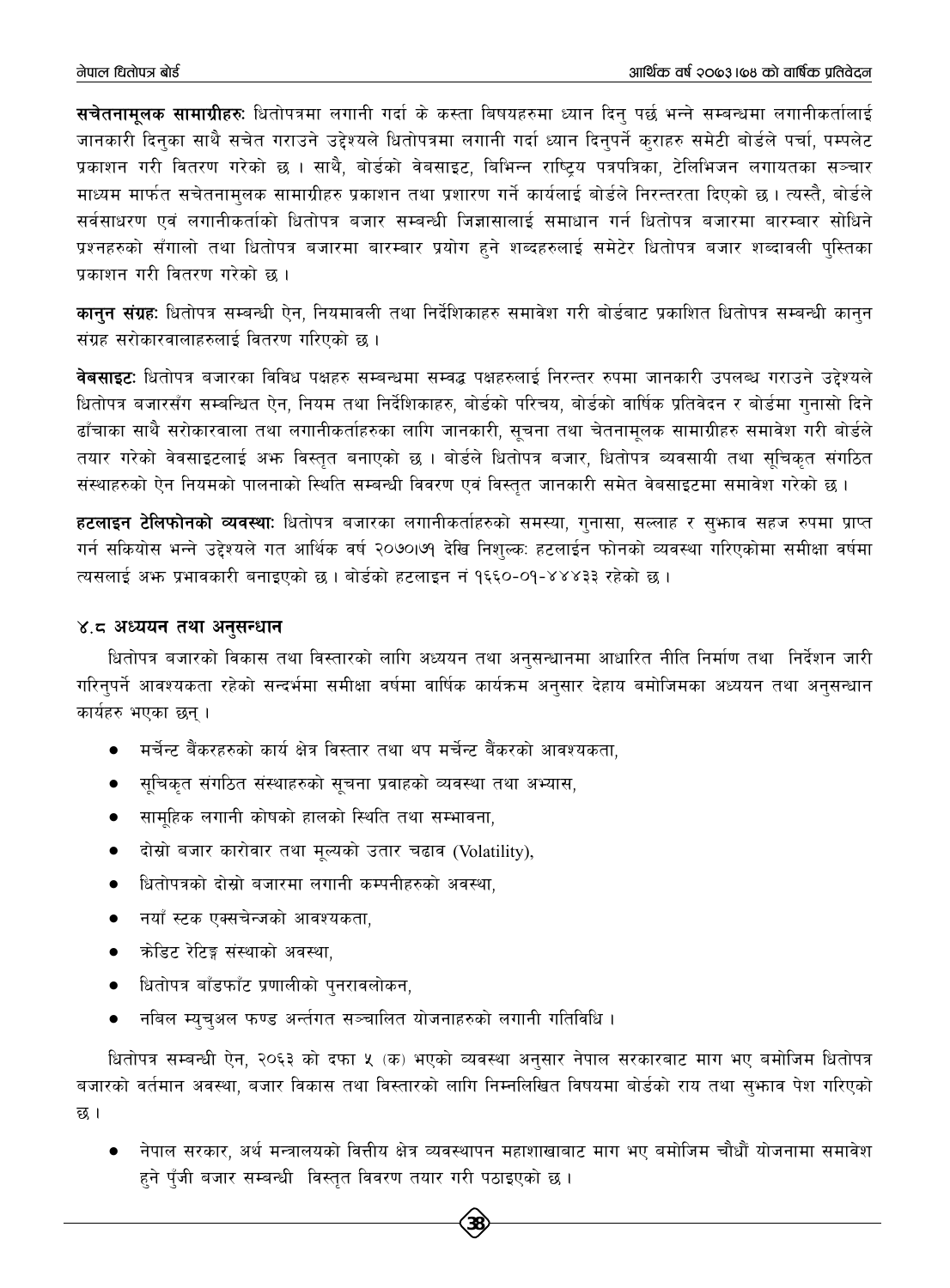**सचेतनामलक सामाग्रीहरुः** धितोपत्रमा लगानी गर्दा के कस्ता बिषयहरुमा ध्यान दिन् पर्छ भन्ने सम्बन्धमा लगानीकर्तालाई जानकारी दिनका साथै सचेत गराउने उद्देश्यले धितोपत्रमा लगानी गर्दा ध्यान दिनपर्ने कराहरु समेटी बोर्डले पर्चा, पम्पलेट प्रकाशन गरी वितरण गरेको छ । साथै, बोर्डको वेबसाइट, बिभिन्न राष्टिय पत्रपत्रिका, टेलिभिजन लगायतका सञ्चार माध्यम मार्फत सचेतनामुलक सामाग्रीहरु प्रकाशन तथा प्रशारण गर्ने कार्यलाई बोर्डले निरन्तरता दिएको छ। त्यस्तै, बोर्डले सर्वसाधरण एवं लगानीकर्ताको धितोपत्र बजार सम्बन्धी जिज्ञासालाई समाधान गर्न धितोपत्र बजारमा बारम्बार सोधिने प्रश्नहरुको सँगालो तथा धितोपत्र बजारमा बारम्बार प्रयोग हुने शब्दहरुलाई समेटेर धितोपत्र बजार शब्दावली पुस्तिका प्रकाशन गरी वितरण गरेको छ ।

**कानन संग्रह:** धितोपत्र सम्बन्धी ऐन, नियमावली तथा निर्देशिकाहरु समावेश गरी बोर्डबाट प्रकाशित धितोपत्र सम्बन्धी कानुन संग्रह सरोकारवालाहरुलाई वितरण गरिएको छ।

**वेबसाइटः** धितोपत्र बजारका विविध पक्षहरु सम्बन्धमा सम्वद्ध पक्षहरुलाई निरन्तर रुपमा जानकारी उपलब्ध गराउने उद्देश्यले धितोपत्र बजारसँग सम्बन्धित ऐन, नियम तथा निर्देशिकाहरु, बोर्डको परिचय, बोर्डको वार्षिक प्रतिवेदन र बोर्डमा गनासो दिने ढाँचाका साथै सरोकारवाला तथा लगानीकर्ताहरुका लागि जानकारी, सूचना तथा चेतनामूलक सामाग्रीहरु समावेश गरी बोर्डले तयार गरेको वेवसाइटलाई अफ्र विस्तुत बनाएको छ । बोर्डले धितोपत्र बजार, धितोपत्र ब्यवसायी तथा सुचिक्त संगठित संस्थाहरुको ऐन नियमको पालनाको स्थिति सम्बन्धी विवरण एवं विस्तुत जानकारी समेत वेबसाइटमा समावेश गरेको छ।

हटलाइन टेलिफोनको व्यवस्थाः धितोपत्र बजारका लगानीकर्ताहरुको समस्या, गुनासा, सल्लाह र सुभाव सहज रुपमा प्राप्त गर्न सकियोस भन्ने उद्देश्यले गत आर्थिक वर्ष २०७०।७१ देखि निशुल्क: हटलाईन फोनको व्यवस्था गरिएकोमा समीक्षा वर्षमा त्यसलाई अफ्त प्रभावकारी बनाइएको छ। बोर्डको हटलाइन नं १६६०-०१-४४४३३ रहेको छ।

#### ४.८ अध्ययन तथा अनुसन्धान

धितोपत्र बजारको विकास तथा विस्तारको लागि अध्ययन तथा अनुसन्धानमा आधारित नीति निर्माण तथा निर्देशन जारी गरिन्पर्ने आवश्यकता रहेको सन्दर्भमा समीक्षा वर्षमा वार्षिक कार्यक्रम अनुसार देहाय बमोजिमका अध्ययन तथा अनुसन्धान कार्यहरु भएका छन ।

- मर्चेन्ट बैंकरहरुको कार्य क्षेत्र विस्तार तथा थप मर्चेन्ट बैंकरको आवश्यकता,
- सुचिकृत संगठित संस्थाहरुको सुचना प्रवाहको व्यवस्था तथा अभ्यास,
- सामुहिक लगानी कोषको हालको स्थिति तथा सम्भावना,
- दोस्रो बजार कारोवार तथा मूल्यको उतार चढाव (Volatility),
- धितोपत्रको दोस्रो बजारमा लगानी कम्पनीहरुको अवस्था,
- नयाँ स्टक एक्सचेन्जको आवश्यकता,
- क्रोडिट रेटिङ्ग संस्थाको अवस्था,
- धितोपत्र बाँडफाँट प्रणालीको पुनरावलोकन,
- नबिल म्यूचुअल फण्ड अर्न्तगत सञ्चालित योजनाहरुको लगानी गतिविधि ।

धितोपत्र सम्बन्धी ऐन, २०६३ को दफा ५ (क) भएको व्यवस्था अनुसार नेपाल सरकारबाट माग भए बमोजिम धितोपत्र बजारको वर्तमान अवस्था, बजार विकास तथा विस्तारको लागि निम्नलिखित विषयमा बोर्डको राय तथा सुभ्राव पेश गरिएको छ ।

नेपाल सरकार, अर्थ मन्त्रालयको वित्तीय क्षेत्र व्यवस्थापन महाशाखाबाट माग भए बमोजिम चौधौँ योजनामा समावेश  $\bullet$ हने पँजी बजार सम्बन्धी विस्तृत विवरण तयार गरी पठाइएको छ ।

38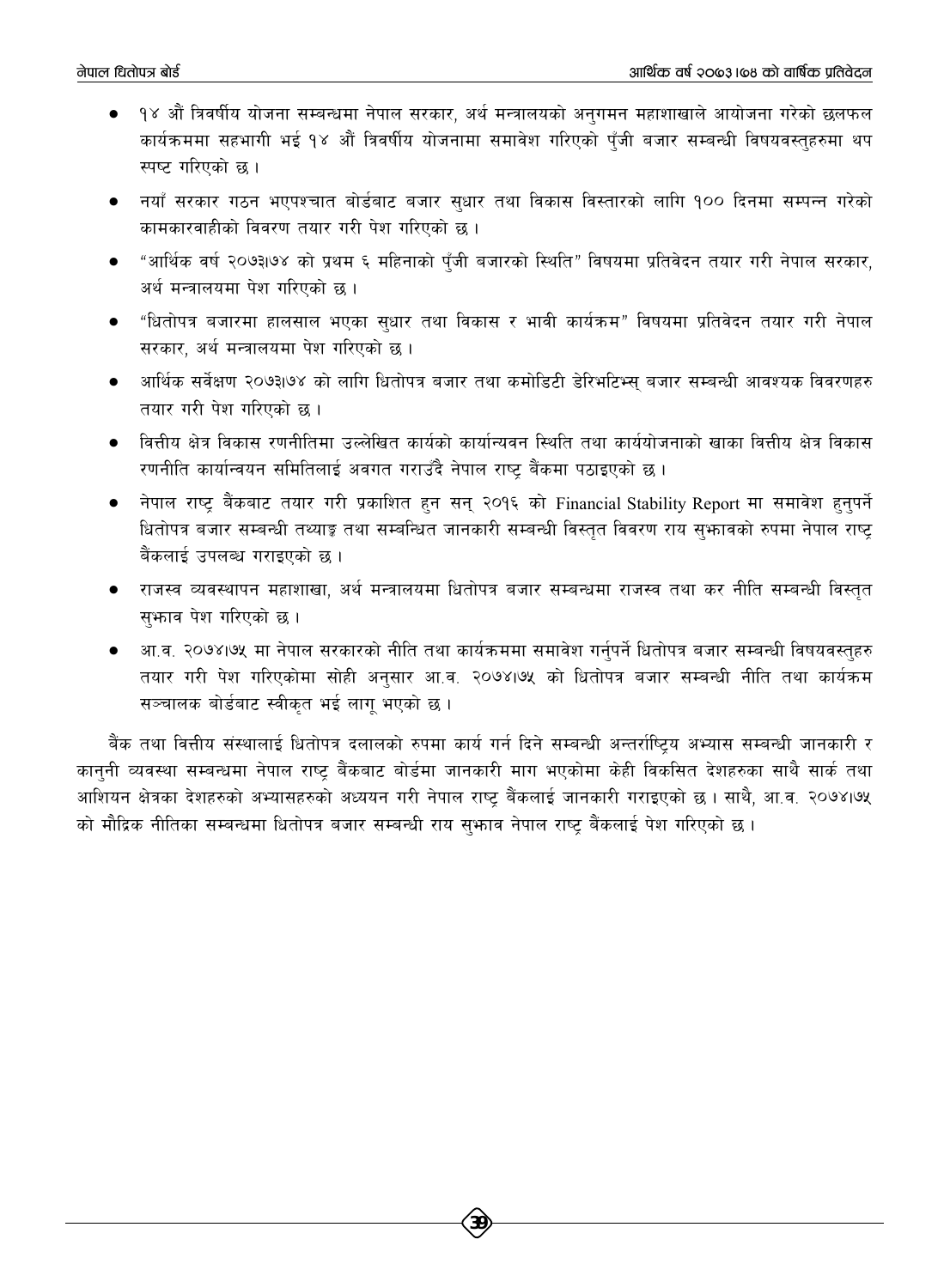- $\bullet$ १४ औँ त्रिवर्षीय योजना सम्बन्धमा नेपाल सरकार, अर्थ मन्त्रालयको अनुगमन महाशाखाले आयोजना गरेको छलफल कार्यक्रममा सहभागी भई १४ औं त्रिवर्षीय योजनामा समावेश गरिएको पँजी बजार सम्बन्धी विषयवस्तहरुमा थप स्पष्ट गरिएको छ।
- नयाँ सरकार गठन भएपश्चात बोर्डबाट बजार सुधार तथा विकास विस्तारको लागि १०० दिनमा सम्पन्न गरेको कामकारवाहीको विवरण तयार गरी पेश गरिएको छ ।
- "आर्थिक वर्ष २०७३।७४ को प्रथम ६ महिनाको पँजी बजारको स्थिति" विषयमा प्रतिवेदन तयार गरी नेपाल सरकार. अर्थ मन्त्रालयमा पेश गरिएको छ ।
- "धितोपत्र बजारमा हालसाल भएका सुधार तथा विकास र भावी कार्यक्रम" विषयमा प्रतिवेदन तयार गरी नेपाल सरकार, अर्थ मन्त्रालयमा पेश गरिएको छ।
- आर्थिक सर्वेक्षण २०७३।७४ को लागि धितोपत्र बजार तथा कमोडिटी डेरिभटिभ्स बजार सम्बन्धी आवश्यक विवरणहरु तयार गरी पेश गरिएको छ।
- वित्तीय क्षेत्र विकास रणनीतिमा उल्लेखित कार्यको कार्यान्यवन स्थिति तथा कार्ययोजनाको खाका वित्तीय क्षेत्र विकास रणनीति कार्यान्वयन समितिलाई अवगत गराउँदै नेपाल राष्ट् बैंकमा पठाइएको छ ।
- नेपाल राष्ट्र बैंकबाट तयार गरी प्रकाशित हुन सन् २०१६ को Financial Stability Report मा समावेश हुनुपर्ने धितोपत्र बजार सम्बन्धी तथ्याङ्क तथा सम्बन्धित जानकारी सम्बन्धी विस्तुत विवरण राय सुभ्रावको रुपमा नेपाल राष्ट् बैंकलाई उपलब्ध गराइएको छ ।
- राजस्व व्यवस्थापन महाशाखा, अर्थ मन्त्रालयमा धितोपत्र बजार सम्बन्धमा राजस्व तथा कर नीति सम्बन्धी विस्तुत सुभगव पेश गरिएको छ।
- आ.व. २०७४।७५ मा नेपाल सरकारको नीति तथा कार्यक्रममा समावेश गर्नुपर्ने धितोपत्र बजार सम्बन्धी विषयवस्तुहरु तयार गरी पेश गरिएकोमा सोही अनुसार आ.व. २०७४।७५ को धितोपत्र बजार सम्बन्धी नीति तथा कार्यक्रम सञ्चालक बोर्डबाट स्वीकृत भई लागू भएको छ।

बैंक तथा वित्तीय संस्थालाई धितोपत्र दलालको रुपमा कार्य गर्न दिने सम्बन्धी अन्तर्राष्ट्रिय अभ्यास सम्बन्धी जानकारी र कानुनी व्यवस्था सम्बन्धमा नेपाल राष्ट्र बैंकबाट बोर्डमा जानकारी माग भएकोमा केही विकसित देशहरुका साथै सार्क तथा आशियन क्षेत्रका देशहरुको अभ्यासहरुको अध्ययन गरी नेपाल राष्ट बैंकलाई जानकारी गराइएको छ । साथै, आ.व. २०७४।७५ को मौद्रिक नीतिका सम्बन्धमा धितोपत्र बजार सम्बन्धी राय सुभाव नेपाल राष्ट् बैंकलाई पेश गरिएको छ।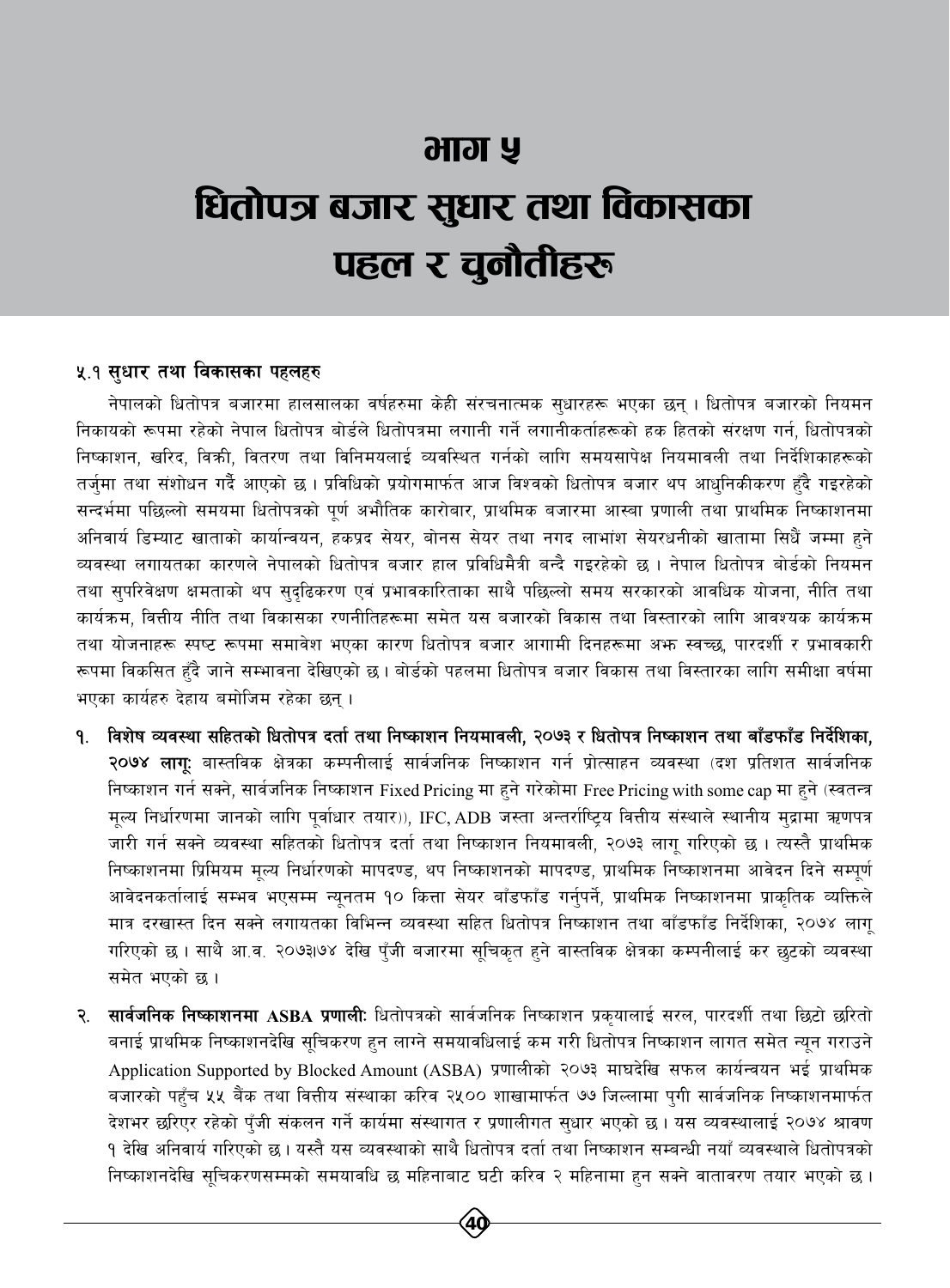# आग ५ धितोपत्र बजार सुधार तथा विकासका पहल र चुनौतीहरू

#### ५.१ सधार तथा विकासका पहलहरु

नेपालको धितोपत्र बजारमा हालसालका वर्षहरुमा केही संरचनात्मक सुधारहरू भएका छन् । धितोपत्र बजारको नियमन निकायको रूपमा रहेको नेपाल धितोपत्र बोर्डले धितोपत्रमा लगानी गर्ने लगानीकर्ताहरूको हक हितको संरक्षण गर्न, धितोपत्रको निष्काशन, खरिद, विक्री, वितरण तथा विनिमयलाई व्यवस्थित गर्नको लागि समयसापेक्ष नियमावली तथा निर्देशिकाहरूको तर्जमा तथा संशोधन गर्दै आएको छ । प्रविधिको प्रयोगमार्फत आज विश्वको धितोपत्र बजार थप आधुनिकीकरण हुँदै गइरहेको सन्दर्भमा पछिल्लो समयमा धितोपत्रको पूर्ण अभौतिक कारोबार, प्राथमिक बजारमा आस्बा प्रणाली तथा प्राथमिक निष्काशनमा अनिवार्य डिम्याट खाताको कार्यान्वयन, हकप्रद सेयर, बोनस सेयर तथा नगद लाभांश सेयरधनीको खातामा सिधैं जम्मा हुने व्यवस्था लगायतका कारणले नेपालको धितोपत्र बजार हाल प्रविधिमैत्री बन्दै गइरहेको छ । नेपाल धितोपत्र बोर्डको नियमन तथा सुपरिवेक्षण क्षमताको थप सुदुढिकरण एवं प्रभावकारिताका साथै पछिल्लो समय सरकारको आवधिक योजना, नीति तथा कार्यक्रम, वित्तीय नीति तथा विकासका रणनीतिहरूमा समेत यस बजारको विकास तथा विस्तारको लागि आवश्यक कार्यक्रम तथा योजनाहरू स्पष्ट रूपमा समावेश भएका कारण धितोपत्र बजार आगामी दिनहरूमा अभ्रु स्वच्छ, पारदर्शी र प्रभावकारी रूपमा विकसित हुँदै जाने सम्भावना देखिएको छ । बोर्डको पहलमा धितोपत्र बजार विकास तथा विस्तारका लागि समीक्षा वर्षमा भएका कार्यहरु देहाय बमोजिम रहेका छन्।

- १. विशेष व्यवस्था सहितको धितोपत्र दर्ता तथा निष्काशन नियमावली, २०७३ र धितोपत्र निष्काशन तथा बाँडफाँड निर्देशिका, २०७४ लाग: बास्तविक क्षेत्रका कम्पनीलाई सार्वजनिक निष्काशन गर्न प्रोत्साहन व्यवस्था (दश प्रतिशत सार्वजनिक निष्काशन गर्न सक्ने, सार्वजनिक निष्काशन Fixed Pricing मा हुने गरेकोमा Free Pricing with some cap मा हुने (स्वतन्त्र मूल्य निर्धारणमा जानको लागि पूर्वाधार तयार)), IFC, ADB जस्ता अन्तर्राष्ट्रिय वित्तीय संस्थाले स्थानीय मुद्रामा ऋणपत्र जारी गर्न सक्ने व्यवस्था सहितको धितोपत्र दर्ता तथा निष्काशन नियमावली, २०७३ लागु गरिएको छ । त्यस्तै प्राथमिक निष्काशनमा प्रिमियम मुल्य निर्धारणको मापदण्ड, थप निष्काशनको मापदण्ड, प्राथमिक निष्काशनमा आवेदन दिने सम्पूर्ण आवेदनकर्तालाई सम्भव भएसम्म न्यूनतम १० कित्ता सेयर बाँडफाँड गर्नुपर्ने, प्राथमिक निष्काशनमा प्राकृतिक व्यक्तिले मात्र दरखास्त दिन सक्ने लगायतका विभिन्न व्यवस्था सहित धितोपत्र निष्काशन तथा बाँडफाँड निर्देशिका, २०७४ लाग् गरिएको छ । साथै आ.व. २०७३।७४ देखि पुँजी बजारमा सूचिकृत हुने वास्तविक क्षेत्रका कम्पनीलाई कर छुटको व्यवस्था समेत भएको छ ।
- २. सार्वजनिक निष्काशनमा ASBA प्रणाली: धितोपत्रको सार्वजनिक निष्काशन प्रकुयालाई सरल, पारदर्शी तथा छिटो छरितो बनाई प्राथमिक निष्काशनदेखि सूचिकरण हुन लाग्ने समयावधिलाई कम गरी धितोपत्र निष्काशन लागत समेत न्यून गराउने Application Supported by Blocked Amount (ASBA) प्रणालीको २०७३ माघदेखि सफल कार्यन्वयन भई प्राथमिक बजारको पहुँच ५५ बैंक तथा वित्तीय संस्थाका करिव २५०० शाखामार्फत ७७ जिल्लामा पुगी सार्वजनिक निष्काशनमार्फत देशभर छरिएर रहेको पुँजी संकलन गर्ने कार्यमा संस्थागत र प्रणालीगत सुधार भएको छ । यस व्यवस्थालाई २०७४ श्रावण १ देखि अनिवार्य गरिएको छ। यस्तै यस व्यवस्थाको साथै धितोपत्र दर्ता तथा निष्काशन सम्बन्धी नयाँ व्यवस्थाले धितोपत्रको निष्काशनदेखि सुचिकरणसम्मको समयावधि छ महिनाबाट घटी करिव २ महिनामा हुन सक्ने वातावरण तयार भएको छ।

 $40 \,$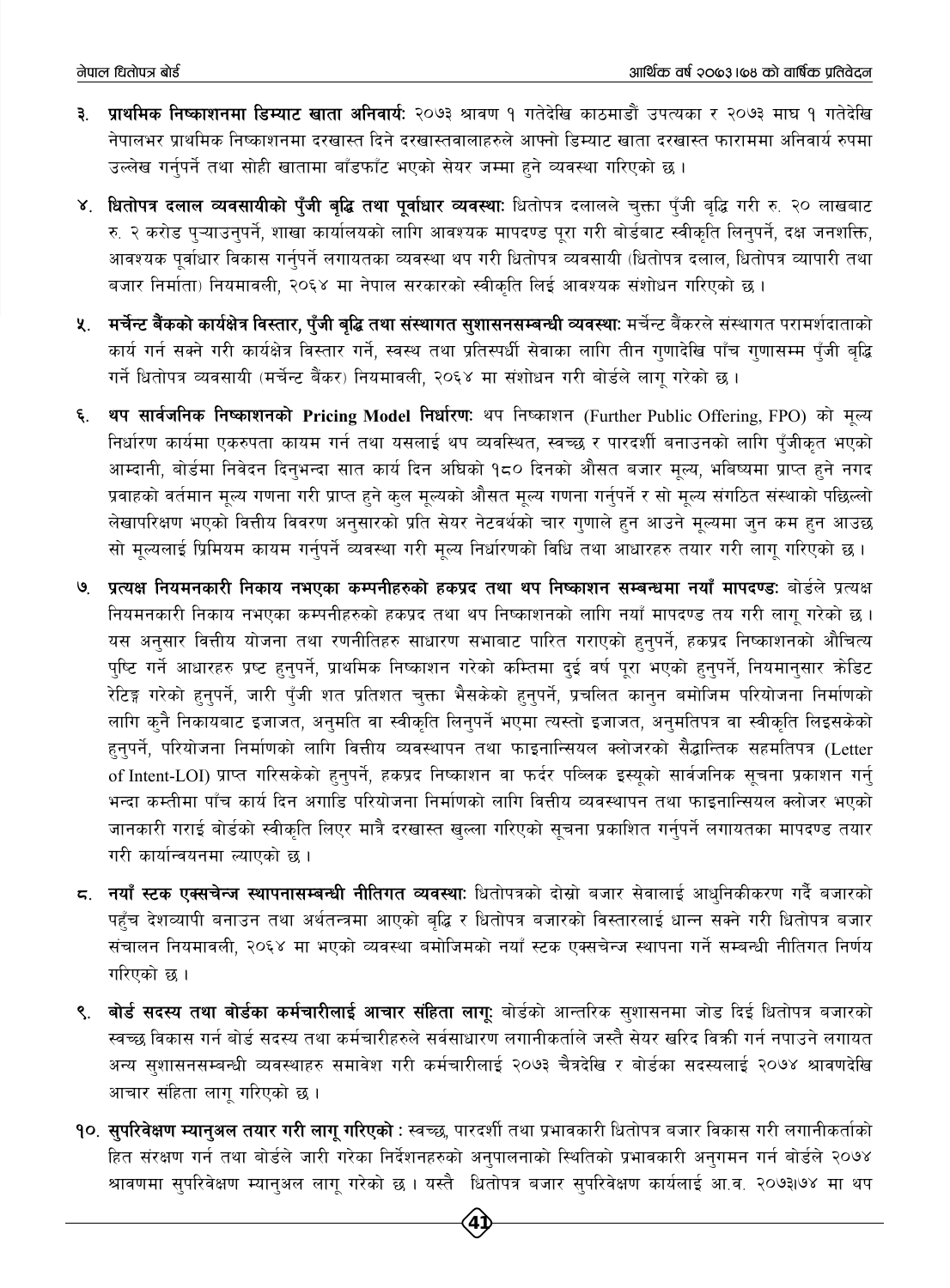- **३. प्राथमिक निष्काशनमा डिम्याट खाता अनिवार्यः** २०७३ श्रावण १ गतेदेखि काठमाडौं उपत्यका र २०७३ माघ १ गतेदेखि नेपालभर प्राथमिक निष्काशनमा दरखास्त दिने दरखास्तवालाहरुले आफ्नो डिम्याट खाता दरखास्त फाराममा अनिवार्य रुपमा उल्लेख गर्नुपर्ने तथा सोही खातामा बाँडफाँट भएको सेयर जम्मा हुने व्यवस्था गरिएको छ।
- ४. धितोपत्र दलाल व्यवसायीको पुँजी बुद्धि तथा पूर्वाधार व्यवस्थाः धितोपत्र दलालले चुक्ता पुँजी बुद्धि गरी रु. २० लाखबाट रु. २ करोड पुऱ्याउनुपर्ने, शाखा कार्यालयको लागि आवश्यक मापदण्ड पूरा गरी बोर्डबाट स्वीकृति लिनुपर्ने, दक्ष जनशक्ति, आवश्यक पुर्वाधार विकास गर्नुपर्ने लगायतका व्यवस्था थप गरी धितोपत्र व्यवसायी (धितोपत्र दलाल, धितोपत्र व्यापारी तथा बजार निर्माता) नियमावली, २०६४ मा नेपाल सरकारको स्वीकृति लिई आवश्यक संशोधन गरिएको छ ।
- ५. मर्चेन्ट बैंकको कार्यक्षेत्र विस्तार, पुँजी बृद्धि तथा संस्थागत सुशासनसम्बन्धी व्यवस्थाः मर्चेन्ट बैंकरले संस्थागत परामर्शदाताको कार्य गर्न सक्ने गरी कार्यक्षेत्र विस्तार गर्ने, स्वस्थ तथा प्रतिस्पर्धी सेवाका लागि तीन गणादेखि पाँच गणासम्म पँजी बद्धि गर्ने धितोपत्र व्यवसायी (मर्चेन्ट बैंकर) नियमावली, २०६४ मा संशोधन गरी बोर्डले लागू गरेको छ ।
- थप सार्वजनिक निष्काशनको Pricing Model निर्धारण: थप निष्काशन (Further Public Offering, FPO) को मूल्य ६. निर्धारण कार्यमा एकरुपता कायम गर्न तथा यसलाई थप व्यवस्थित, स्वच्छ र पारदर्शी बनाउनको लागि पुँजीकृत भएको आम्दानी, बोर्डमा निवेदन दिनुभन्दा सात कार्य दिन अघिको १८० दिनको औसत बजार मुल्य, भबिष्यमा प्राप्त हुने नगद प्रवाहको वर्तमान मूल्य गणना गरी प्राप्त हुने कुल मूल्यको औसत मूल्य गणना गर्नुपर्ने र सो मूल्य संगठित संस्थाको पछिल्लो लेखापरिक्षण भएको वित्तीय विवरण अनुसारको प्रति सेयर नेटवर्थको चार गणाले हुन आउने मुल्यमा जुन कम हुन आउछ सो मुल्यलाई प्रिमियम कायम गर्नुपर्ने व्यवस्था गरी मुल्य निर्धारणको विधि तथा आधारहरु तयार गरी लागु गरिएको छ।
- प्रत्यक्ष नियमनकारी निकाय नभएका कम्पनीहरुको हकप्रद तथा थप निष्काशन सम्बन्धमा नयाँ मापदण्डः बोर्डले प्रत्यक्ष  $\mathcal{G}$ नियमनकारी निकाय नभएका कम्पनीहरुको हकप्रद तथा थप निष्काशनको लागि नयाँ मापदण्ड तय गरी लागु गरेको छ। यस अनुसार वित्तीय योजना तथा रणनीतिहरु साधारण सभाबाट पारित गराएको हुनुपर्ने, हकप्रद निष्काशनको औचित्य पुष्टि गर्ने आधारहरु प्रष्ट हुनुपर्ने, प्राथमिक निष्काशन गरेको कम्तिमा दुई वर्ष पुरा भएको हुनुपर्ने, नियमानुसार क्रोडिट रेटिङ्ग गरेको हन्**पर्ने, जारी पुँजी शत प्रतिशत चुक्ता भैस**केको हन्**पर्ने, प्रचलित कान्**न बमोजिम परियोजना निर्माणको लागि कुनै निकायबाट इजाजत, अनुमति वा स्वीकृति लिनुपर्ने भएमा त्यस्तो इजाजत, अनुमतिपत्र वा स्वीकृति लिइसकेको हुनुपर्ने, परियोजना निर्माणको लागि वित्तीय व्यवस्थापन तथा फाइनान्सियल क्लोजरको सैद्धान्तिक सहमतिपत्र (Letter of Intent-LOI) प्राप्त गरिसकेको हुनुपर्ने, हकप्रद निष्काशन वा फर्दर पब्लिक इस्यूको सार्वजनिक सूचना प्रकाशन गर्न भन्दा कम्तीमा पाँच कार्य दिन अगाडि परियोजना निर्माणको लागि वित्तीय व्यवस्थापन तथा फाइनान्सियल क्लोजर भएको जानकारी गराई बोर्डको स्वीकृति लिएर मात्रै दरखास्त खल्ला गरिएको सूचना प्रकाशित गर्नुपर्ने लगायतका मापदण्ड तयार गरी कार्यान्वयनमा ल्याएको छ।
- 5. नयाँ स्टक एक्सचेन्ज स्थापनासम्बन्धी नीतिगत व्यवस्थाः धितोपत्रको दोस्रो बजार सेवालाई आधुनिकीकरण गर्दै बजारको पहुँच देशव्यापी बनाउन तथा अर्थतन्त्रमा आएको बुद्धि र धितोपत्र बजारको विस्तारलाई धान्न सक्ने गरी धितोपत्र बजार संचालन नियमावली, २०६४ मा भएको व्यवस्था बमोजिमको नयाँ स्टक एक्सचेन्ज स्थापना गर्ने सम्बन्धी नीतिगत निर्णय गरिएको छ।
- बोर्ड सदस्य तथा बोर्डका कर्मचारीलाई आचार संहिता लागू: बोर्डको आन्तरिक सुशासनमा जोड दिई धितोपत्र बजारको ९. स्वच्छ विकास गर्न बोर्ड सदस्य तथा कर्मचारीहरुले सर्वसाधारण लगानीकर्ताले जस्तै सेयर खरिद विकी गर्न नपाउने लगायत अन्य सुशासनसम्बन्धी व्यवस्थाहरु समावेश गरी कर्मचारीलाई २०७३ चैत्रदेखि र बोर्डका सदस्यलाई २०७४ श्रावणदेखि आचार संहिता लागु गरिएको छ।
- १०. सुपरिवेक्षण म्यानुअल तयार गरी लागू गरिएको : स्वच्छ, पारदर्शी तथा प्रभावकारी धितोपत्र बजार विकास गरी लगानीकर्ताको हित संरक्षण गर्न तथा बोर्डले जारी गरेका निर्देशनहरुको अनुपालनाको स्थितिको प्रभावकारी अनुगमन गर्न बोर्डले २०७४ श्रावणमा सुपरिवेक्षण म्यानुअल लागू गरेको छ । यस्तै धितोपत्र बजार सुपरिवेक्षण कार्यलाई आ.व. २०७३।७४ मा थप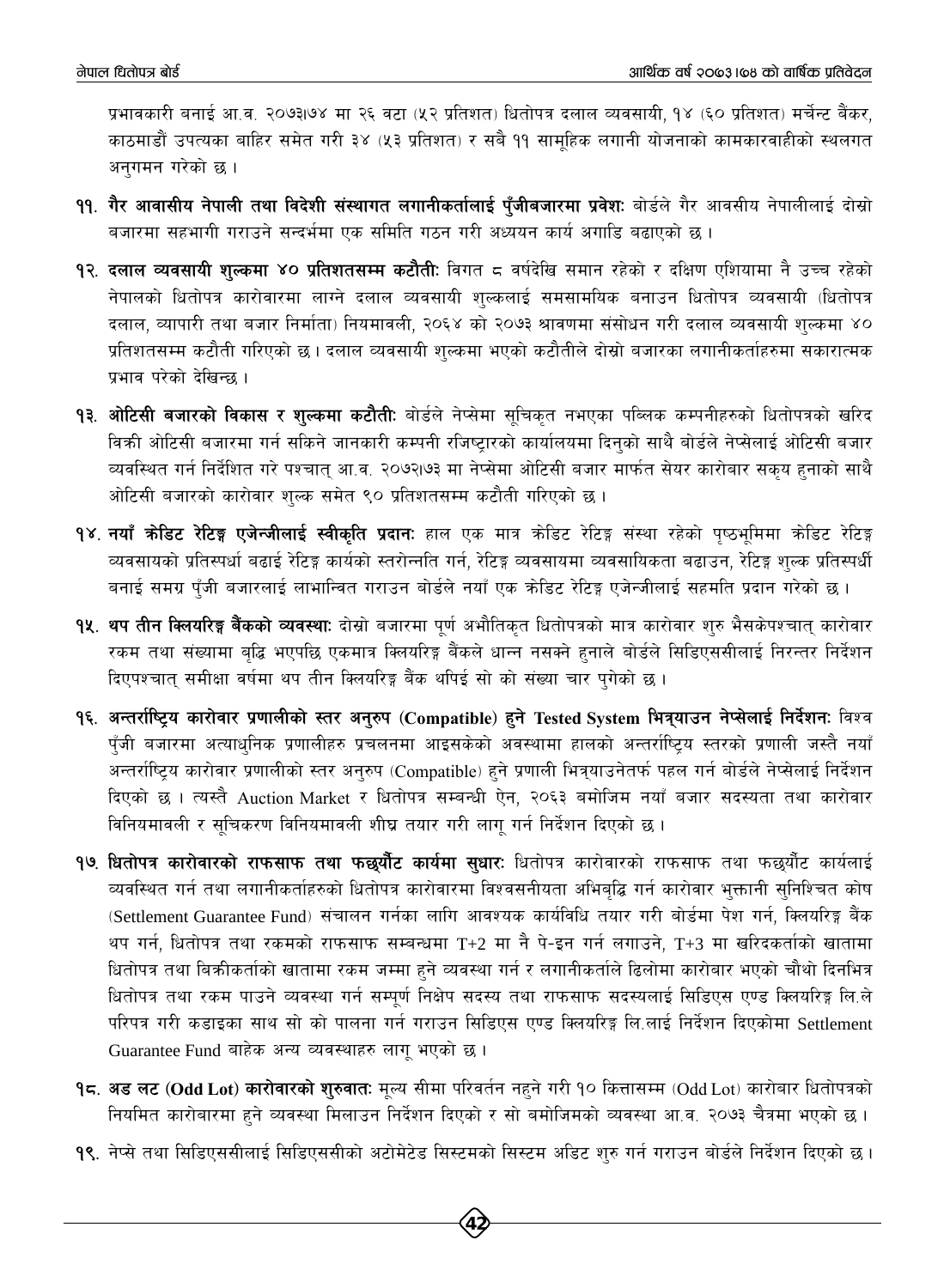प्रभावकारी बनाई आ.व. २०७३।७४ मा २६ वटा (५२ प्रतिशत) धितोपत्र दलाल व्यवसायी, १४ (६० प्रतिशत) मर्चेन्ट बैंकर, काठमाडौं उपत्यका बाहिर समेत गरी ३४ (५३ प्रतिशत) र सबै ११ सामहिक लगानी योजनाको कामकारवाहीको स्थलगत अनगमन गरेको छ ।

- ११. गैर आवासीय नेपाली तथा विदेशी संस्थागत लगानीकर्तालाई पुँजीबजारमा प्रवेशः बोर्डले गैर आवसीय नेपालीलाई दोस्रो बजारमा सहभागी गराउने सन्दर्भमा एक समिति गठन गरी अध्ययन कार्य अगाडि बढाएको छ।
- 9२. **दलाल व्यवसायी शल्कमा ४० प्रतिशतसम्म कटौतीः** विगत ८ वर्षदेखि समान रहेको र दक्षिण एशियामा नै उच्च रहेको नेपालको धितोपत्र कारोवारमा लाग्ने दलाल व्यवसायी शुल्कलाई समसामयिक बनाउन धितोपत्र व्यवसायी (धितोपत्र दलाल, व्यापारी तथा बजार निर्माता) नियमावली, २०६४ को २०७३ श्रावणमा संसोधन गरी दलाल व्यवसायी शुल्कमा ४० प्रतिशतसम्म कटौती गरिएको छ । दलाल व्यवसायी शुल्कमा भएको कटौतीले दोस्रो बजारका लगानीकर्ताहरुमा सकारात्मक प्रभाव परेको देखिन्छ ।
- **१३. ओटिसी बजारको विकास र शुल्कमा कटौती:** बोर्डले नेप्सेमा सुचिकृत नभएका पब्लिक कम्पनीहरुको धितोपत्रको खरिद विकी ओटिसी बजारमा गर्न सकिने जानकारी कम्पनी रजिष्ट्रारको कार्यालयमा दिन्को साथै बोर्डले नेप्सेलाई ओटिसी बजार व्यवस्थित गर्न निर्देशित गरे पश्चात् आ.व. २०७२।७३ मा नेप्सेमा ओटिसी बजार मार्फत सेयर कारोबार सकय हुनाको साथै ओटिसी बजारको कारोवार शुल्क समेत ९० प्रतिशतसम्म कटौती गरिएको छ।
- **१४. नयाँ क्रेडिट रेटिङ्ग एजेन्जीलाई स्वीकृति प्रदानः** हाल एक मात्र क्रेडिट रेटिङ्ग संस्था रहेको पृष्ठभूमिमा क्रेडिट रेटिङ्ग व्यवसायको प्रतिस्पर्धा बढाई रेटिङ्ग कार्यको स्तरोन्नति गर्न, रेटिङ्ग व्यवसायमा व्यवसायिकता बढाउन, रेटिङ्ग शुल्क प्रतिस्पर्धी बनाई समग्र पँजी बजारलाई लाभान्वित गराउन बोर्डले नयाँ एक कोडिट रेटिङ्ग एजेन्जीलाई सहमति प्रदान गरेको छ ।
- <mark>१५. थप तीन क्लियरिङ्ग बैंकको व्यवस्था</mark>: दोस्रो बजारमा पर्ण अभौतिकत धितोपत्रको मात्र कारोवार शुरु भैसकेपश्चात् कारोवार रकम तथा संख्यामा बृद्धि भएपछि एकमात्र क्लियरिङ्ग बैंकले धान्न नसक्ने हुनाले बोर्डले सिडिएससीलाई निरन्तर निर्देशन दिएपश्चात् समीक्षा वर्षमा थप तीन क्लियरिङ्ग बैंक थपिई सो को संख्या चार पुगेको छ।
- १६. अन्तर्राष्ट्रिय कारोवार प्रणालीको स्तर अनुरुप (Compatible) हुने Tested System भित्र्याउन नेप्सेलाई निर्देशनः विश्व पूँजी बजारमा अत्याधुनिक प्रणालीहरु प्रचलनमा आइसकेको अवस्थामा हालको अन्तर्राष्ट्रिय स्तरको प्रणाली जस्तै नयाँ अन्तर्राष्ट्रिय कारोवार प्रणालीको स्तर अनुरुप (Compatible) हुने प्रणाली भित्र्याउनेतर्फ पहल गर्न बोर्डले नेप्सेलाई निर्देशन दिएको छ । त्यस्तै Auction Market र धितोपत्र सम्बन्धी ऐन, २०६३ बमोजिम नयाँ बजार सदस्यता तथा कारोवार विनियमावली र सुचिकरण विनियमावली शीघ्र तयार गरी लागु गर्न निर्देशन दिएको छ ।
- १७. धितोपत्र कारोवारको राफसाफ तथा फछुर्यौट कार्यमा सुधारः धितोपत्र कारोवारको राफसाफ तथा फछुर्यौट कार्यलाई व्यवस्थित गर्न तथा लगानीकर्ताहरुको धितोपत्र कारोवारमा विश्वसनीयता अभिबुद्धि गर्न कारोवार भुक्तानी सुनिश्चित कोष (Settlement Guarantee Fund) संचालन गर्नका लागि आवश्यक कार्यविधि तयार गरी बोर्डमा पेश गर्न, क्लियरिङ्ग बैंक थप गर्न, धितोपत्र तथा रकमको राफसाफ सम्बन्धमा T+2 मा नै पे-इन गर्न लगाउने, T+3 मा खरिदकर्ताको खातामा धितोपत्र तथा बिक्रीकर्ताको खातामा रकम जम्मा हुने व्यवस्था गर्न र लगानीकर्ताले ढिलोमा कारोबार भएको चौथो दिनभित्र धितोपत्र तथा रकम पाउने व्यवस्था गर्न सम्पूर्ण निक्षेप सदस्य तथा राफसाफ सदस्यलाई सिडिएस एण्ड क्लियरिङ्ग लि.ले परिपत्र गरी कडाइका साथ सो को पालना गर्न गराउन सिडिएस एण्ड क्लियरिङ्ग लि.लाई निर्देशन दिएकोमा Settlement Guarantee Fund बाहेक अन्य व्यवस्थाहरु लागू भएको छ।
- १८. अड लट (Odd Lot) कारोवारको शुरुवात: मूल्य सीमा परिवर्तन नहने गरी १० कित्तासम्म (Odd Lot) कारोबार धितोपत्रको नियमित कारोबारमा हुने व्यवस्था मिलाउन निर्देशन दिएको र सो बमोजिमको व्यवस्था आ.व. २०७३ चैत्रमा भएको छ ।
- 9९. नेप्से तथा सिडिएससीलाई सिडिएससीको अटोमेटेड सिस्टमको सिस्टम अडिट शुरु गर्न गराउन बोर्डले निर्देशन दिएको छ ।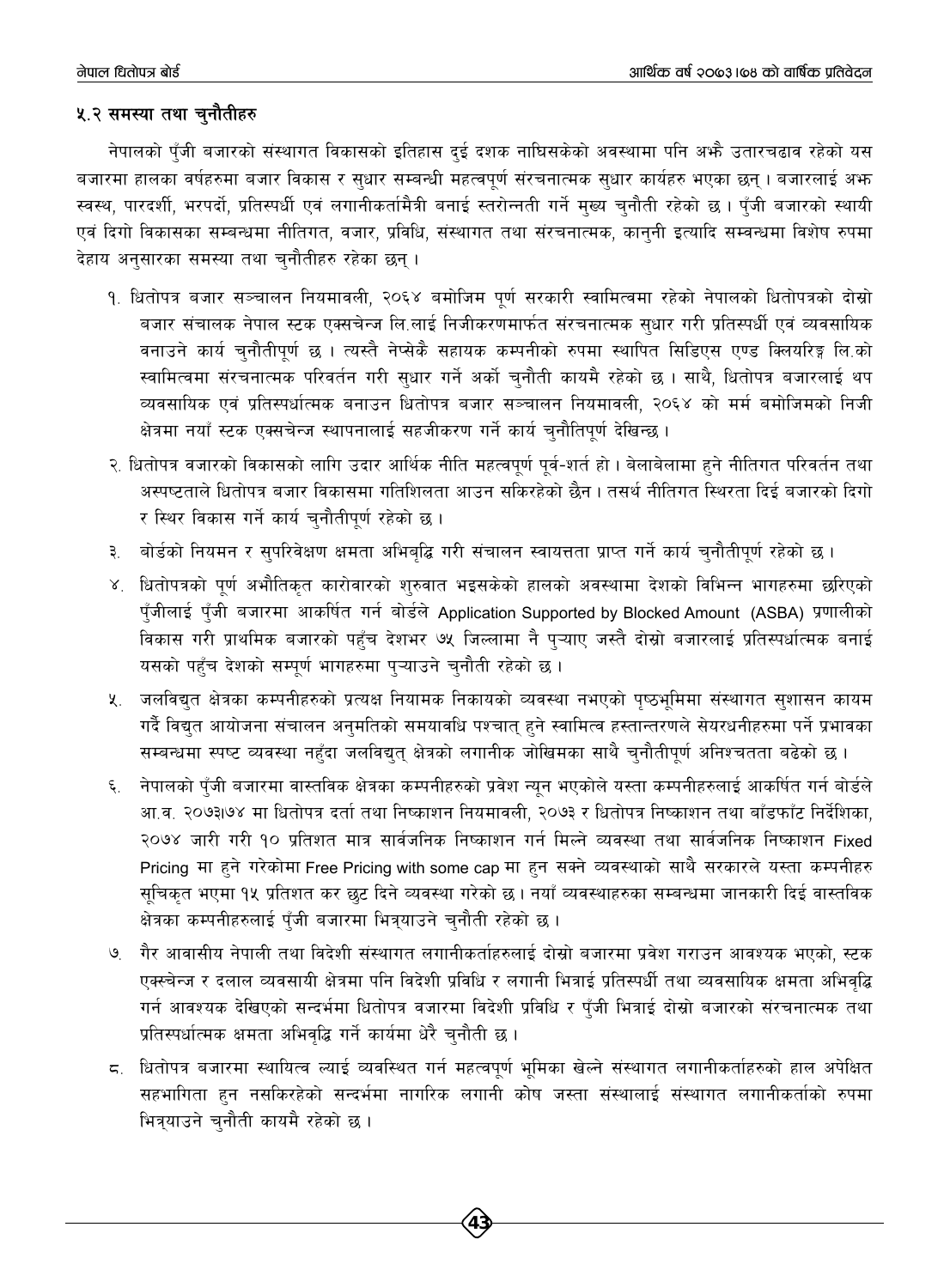#### ५.२ समस्या तथा चुनौतीहरु

नेपालको पुँजी बजारको संस्थागत विकासको इतिहास दुई दशक नाघिसकेको अवस्थामा पनि अभै उतारचढाव रहेको यस बजारमा हालका वर्षहरुमा बजार विकास र सुधार सम्बन्धी महत्वपूर्ण संरचनात्मक सुधार कार्यहरु भएका छन् । बजारलाई अफ स्वस्थ, पारदर्शी, भरपर्दो, प्रतिस्पर्धी एवं लगानीकर्तामैत्री बनाई स्तरोन्नती गर्ने मुख्य चुनौती रहेको छ । पँजी बजारको स्थायी एवं दिगो विकासका सम्बन्धमा नीतिगत, वजार, प्रविधि, संस्थागत तथा संरचनात्मक, कान्नी इत्यादि सम्वन्धमा विशेष रुपमा देहाय अनुसारका समस्या तथा चुनौतीहरु रहेका छन् ।

- १. धितोपत्र बजार सञ्चालन नियमावली, २०६४ बमोजिम पूर्ण सरकारी स्वामित्वमा रहेको नेपालको धितोपत्रको दोस्रो बजार संचालक नेपाल स्टक एक्सचेन्ज लि.लाई निजीकरणमार्फत संरचनात्मक सुधार गरी प्रतिस्पर्धी एवं व्यवसायिक वनाउने कार्य चुनौतीपूर्ण छ । त्यस्तै नेप्सेकै सहायक कम्पनीको रुपमा स्थापित सिडिएस एण्ड क्लियरिङ्ग लि.को स्वामित्वमा संरचनात्मक परिवर्तन गरी सुधार गर्ने अर्को चुनौती कायमै रहेको छ । साथै, धितोपत्र बजारलाई थप व्यवसायिक एवं प्रतिस्पर्धात्मक बनाउन धितोपत्र बजार सञ्चालन नियमावली, २०६४ को मर्म बमोजिमको निजी क्षेत्रमा नयाँ स्टक एक्सचेन्ज स्थापनालाई सहजीकरण गर्ने कार्य चुनौतिपूर्ण देखिन्छ।
- २. धितोपत्र वजारको विकासको लागि उदार आर्थिक नीति महत्वपूर्ण पूर्व-शर्त हो । बेलाबेलामा हुने नीतिगत परिवर्तन तथा अस्पष्टताले धितोपत्र बजार विकासमा गतिशिलता आउन सकिरहेको छैन । तसर्थ नीतिगत स्थिरता दिई बजारको दिगो र स्थिर विकास गर्ने कार्य चुनौतीपूर्ण रहेको छ।
- बोर्डको नियमन र सुपरिवेक्षण क्षमता अभिबृद्धि गरी संचालन स्वायत्तता प्राप्त गर्ने कार्य चुनौतीपूर्ण रहेको छ । ३.
- ४. धितोपत्रको पूर्ण अभौतिकृत कारोवारको शुरुवात भइसकेको हालको अवस्थामा देशको विभिन्न भागहरुमा छरिएको पुँजीलाई पुँजी बजारमा आकर्षित गर्न बोर्डले Application Supported by Blocked Amount (ASBA) प्रणालीको विकास गरी प्राथमिक बजारको पहुँच देशभर ७५ जिल्लामा नै पुऱ्याए जस्तै दोस्रो बजारलाई प्रतिस्पर्धात्मक बनाई यसको पहुँच देशको सम्पूर्ण भागहरुमा पुऱ्याउने चुनौती रहेको छ।
- ५. जलविद्युत क्षेत्रका कम्पनीहरुको प्रत्यक्ष नियामक निकायको व्यवस्था नभएको पुष्ठभूमिमा संस्थागत सुशासन कायम गर्दै विद्युत आयोजना संचालन अनुमतिको समयावधि पश्चात् हुने स्वामित्व हस्तान्तरणले सेयरधनीहरुमा पर्ने प्रभावका सम्बन्धमा स्पष्ट व्यवस्था नहुँदा जलविद्युत् क्षेत्रको लगानीक जोखिमका साथै चुनौतीपूर्ण अनिश्चतता बढेको छ ।
- नेपालको पुँजी बजारमा वास्तविक क्षेत्रका कम्पनीहरुको प्रवेश न्युन भएकोले यस्ता कम्पनीहरुलाई आकर्षित गर्न बोर्डले ६. आ.व. २०७३।७४ मा धितोपत्र दर्ता तथा निष्काशन नियमावली, २०७३ र धितोपत्र निष्काशन तथा बाँडफाँट निर्देशिका, २०७४ जारी गरी १० प्रतिशत मात्र सार्वजनिक निष्काशन गर्न मिल्ने व्यवस्था तथा सार्वजनिक निष्काशन Fixed Pricing मा हुने गरेकोमा Free Pricing with some cap मा हुन सक्ने व्यवस्थाको साथै सरकारले यस्ता कम्पनीहरु सूचिकृत भएमा १५ प्रतिशत कर छुट दिने व्यवस्था गरेको छ । नयाँ व्यवस्थाहरुका सम्बन्धमा जानकारी दिई वास्तविक क्षेत्रका कम्पनीहरुलाई पुँजी बजारमा भित्र्याउने चुनौती रहेको छ ।
- गैर आवासीय नेपाली तथा विदेशी संस्थागत लगानीकर्ताहरुलाई दोस्रो बजारमा प्रवेश गराउन आवश्यक भएको, स्टक ৩ एक्स्चेन्ज र दलाल व्यवसायी क्षेत्रमा पनि विदेशी प्रविधि र लगानी भित्राई प्रतिस्पर्धी तथा व्यवसायिक क्षमता अभिवृद्धि गर्न आवश्यक देखिएको सन्दर्भमा धितोपत्र वजारमा विदेशी प्रविधि र पुँजी भित्राई दोस्रो बजारको संरचनात्मक तथा प्रतिस्पर्धात्मक क्षमता अभिवृद्धि गर्ने कार्यमा धेरै चुनौती छ।
- ८. धितोपत्र बजारमा स्थायित्व ल्याई व्यवस्थित गर्न महत्वपूर्ण भूमिका खेल्ने संस्थागत लगानीकर्ताहरुको हाल अपेक्षित सहभागिता हुन नसकिरहेको सन्दर्भमा नागरिक लगानी कोष जस्ता संस्थालाई संस्थागत लगानीकर्ताको रुपमा भित्रयाउने चनौती कायमै रहेको छ।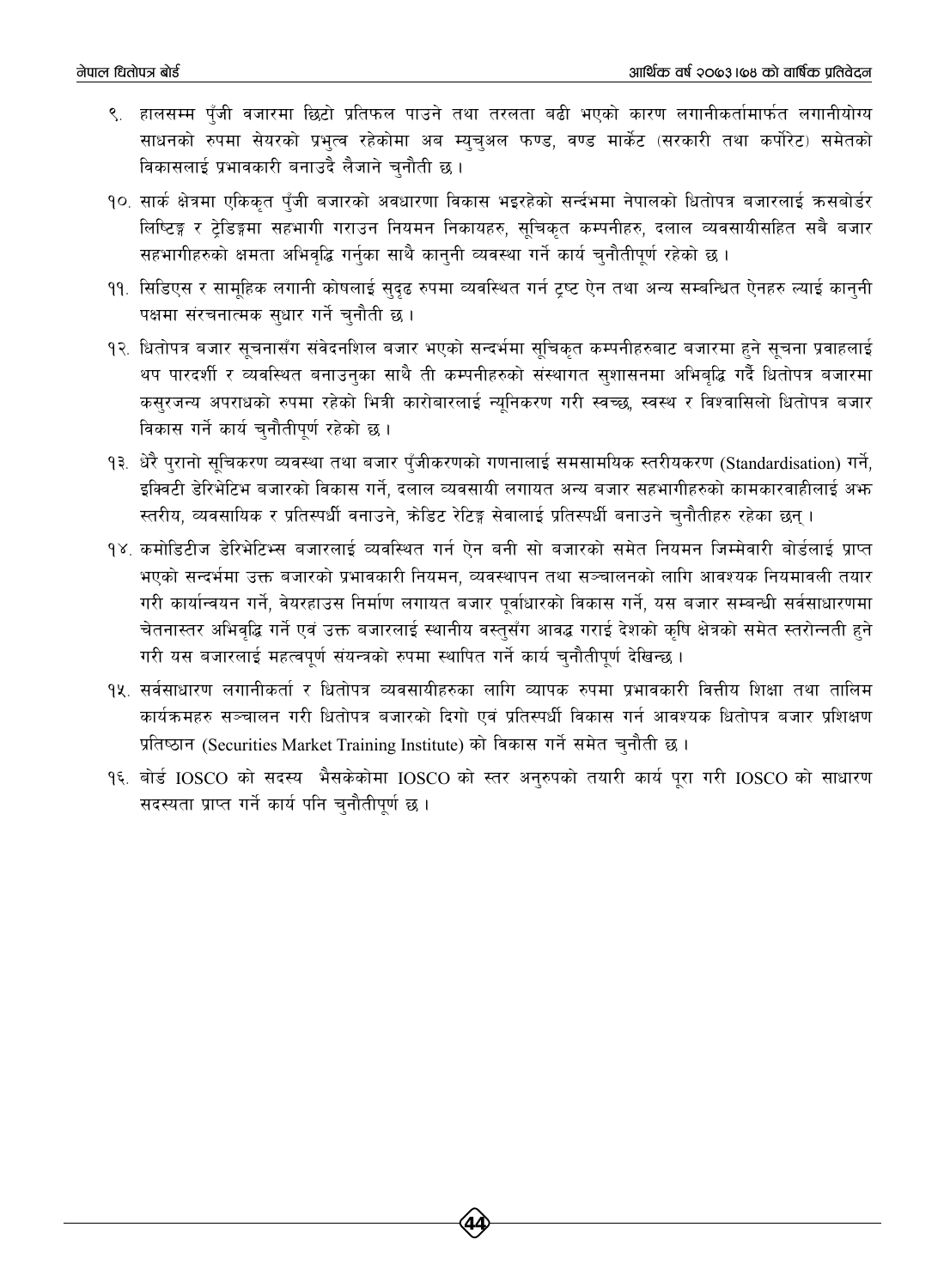- ९. हालसम्म पँजी वजारमा छिटो प्रतिफल पाउने तथा तरलता बढी भएको कारण लगानीकर्तामार्फत लगानीयोग्य साधनको रुपमा सेयरको प्रभत्व रहेकोमा अब म्यचअल फण्ड, वण्ड मार्केट (सरकारी तथा कर्पोरेट) समेतको विकासलाई प्रभावकारी बनाउदै लैजाने चुनौती छ।
- १०. सार्क क्षेत्रमा एकिकृत पुँजी बजारको अवधारणा विकास भइरहेको सर्न्दभमा नेपालको धितोपत्र बजारलाई कसबोर्डर लिष्टिङ्ग र ट्रेडिङ्गमा सहभागी गराउन नियमन निकायहरु, सुचिकृत कम्पनीहरु, दलाल व्यवसायीसहित सबै बजार सहभागीहरुको क्षमता अभिवृद्धि गर्नुका साथै कानुनी व्यवस्था गर्ने कार्य चुनौतीपूर्ण रहेको छ।
- ११. सिडिएस र सामहिक लगानी कोषलाई सुदृढ रुपमा व्यवस्थित गर्न ट्रष्ट ऐन तथा अन्य सम्बन्धित ऐनहरु ल्याई कानुनी पक्षमा संरचनात्मक सुधार गर्ने चुनौती छ ।
- १२. धितोपत्र बजार सूचनासँग संवेदनशिल बजार भएको सन्दर्भमा सूचिकृत कम्पनीहरुबाट बजारमा हुने सूचना प्रवाहलाई थप पारदर्शी र व्यवस्थित बनाउनुका साथै ती कम्पनीहरुको संस्थागत सुशासनमा अभिबुद्धि गर्दै धितोपत्र बजारमा कसुरजन्य अपराधको रुपमा रहेको भित्री कारोबारलाई न्यूनिकरण गरी स्वच्छ, स्वस्थ र विश्वासिलो धितोपत्र बजार विकास गर्ने कार्य चुनौतीपूर्ण रहेको छ।
- १३. धेरै पुरानो सूचिकरण व्यवस्था तथा बजार पुँजीकरणको गणनालाई समसामयिक स्तरीयकरण (Standardisation) गर्ने, इक्विटी डेरिभेटिभ बजारको विकास गर्ने, दलाल व्यवसायी लगायत अन्य बजार सहभागीहरुको कामकारवाहीलाई अभ स्तरीय, व्यवसायिक र प्रतिस्पर्धी वनाउने, क्रेडिट रेटिङ्ग सेवालाई प्रतिस्पर्धी बनाउने चुनौतीहरु रहेका छन् ।
- १४. कमोडिटीज डेरिभेटिभ्स बजारलाई व्यवस्थित गर्न ऐन बनी सो बजारको समेत नियमन जिम्मेवारी बोर्डलाई प्राप्त भएको सन्दर्भमा उक्त बजारको प्रभावकारी नियमन, व्यवस्थापन तथा सञ्चालनको लागि आवश्यक नियमावली तयार गरी कार्यान्वयन गर्ने, वेयरहाउस निर्माण लगायत बजार पूर्वाधारको विकास गर्ने, यस बजार सम्बन्धी सर्वसाधारणमा चेतनास्तर अभिवृद्धि गर्ने एवं उक्त बजारलाई स्थानीय वस्तुसँग आवद्ध गराई देशको कृषि क्षेत्रको समेत स्तरोन्नती हने गरी यस बजारलाई महत्वपर्ण संयन्त्रको रुपमा स्थापित गर्ने कार्य चनौतीपर्ण देखिन्छ ।
- १४. सर्वसाधारण लगानीकर्ता र धितोपत्र व्यवसायीहरुका लागि व्यापक रुपमा प्रभावकारी वित्तीय शिक्षा तथा तालिम कार्यक्रमहरु सञ्चालन गरी धितोपत्र बजारको दिगो एवं प्रतिस्पर्धी विकास गर्न आवश्यक धितोपत्र बजार प्रशिक्षण प्रतिष्ठान (Securities Market Training Institute) को विकास गर्ने समेत चुनौती छ।
- १६. बोर्ड IOSCO को सदस्य भैसकेकोमा IOSCO को स्तर अनुरुपको तयारी कार्य पूरा गरी IOSCO को साधारण सदस्यता प्राप्त गर्ने कार्य पनि चुनौतीपूर्ण छ।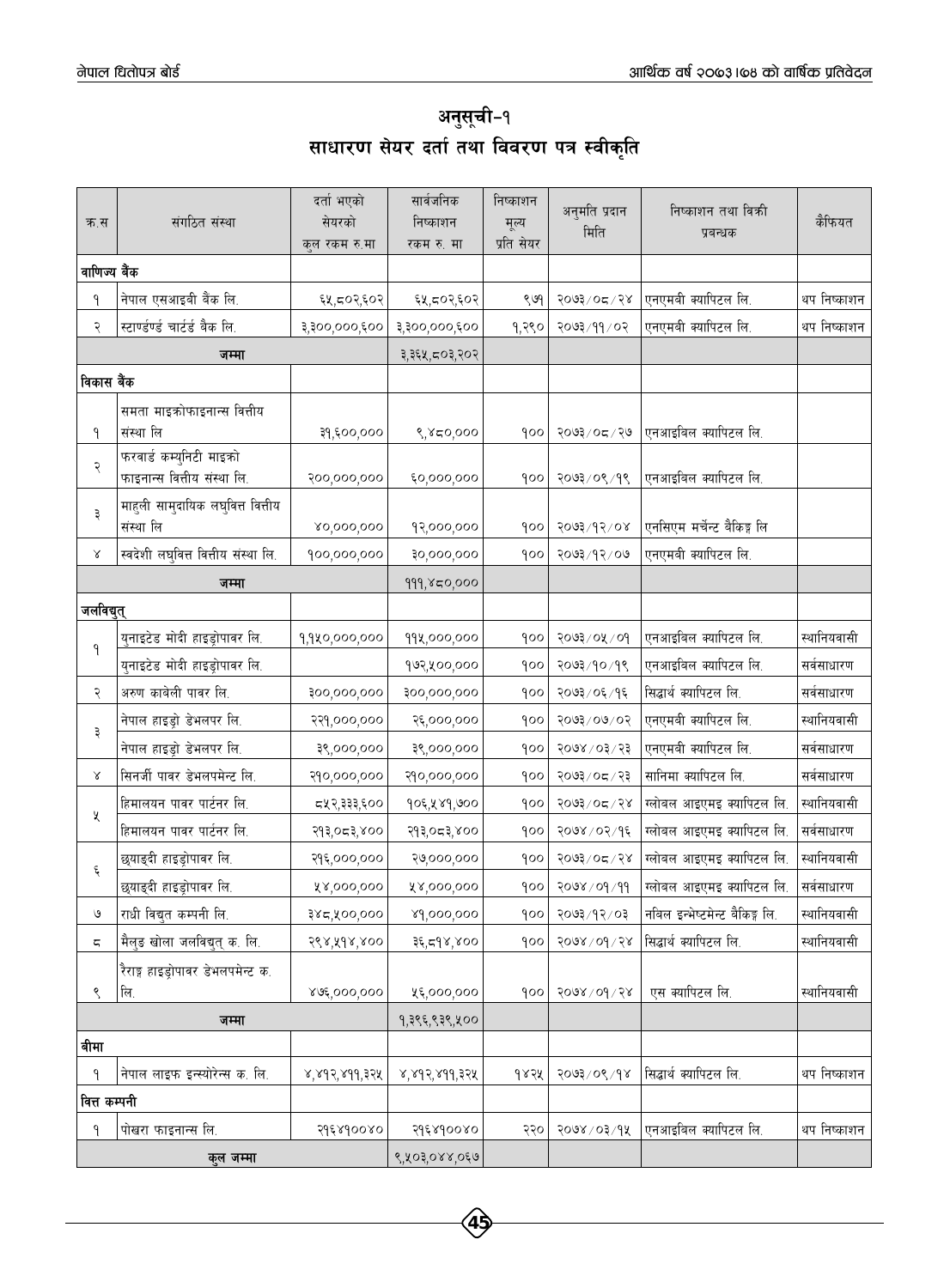अनुसूची-१ साधारण सेयर दर्ता तथा विवरण पत्र स्वीकृति

| क.स          | संगठित संस्था                                          | दर्ता भएको<br>सेयरको<br>कुल रकम रु.मा | सार्वजनिक<br>निष्काशन<br>रकम रु. मा | निष्काशन<br>मूल्य<br>प्रति सेयर | अनुमति प्रदान<br>मिति | निष्काशन तथा विक्री<br>प्रबन्धक | कैफियत      |
|--------------|--------------------------------------------------------|---------------------------------------|-------------------------------------|---------------------------------|-----------------------|---------------------------------|-------------|
| वाणिज्य बैंक |                                                        |                                       |                                     |                                 |                       |                                 |             |
| ۹            | नेपाल एसआइबी बैंक लि.                                  | ६५,८०२,६०२                            | ६५,८०२,६०२                          | ९७१                             | २०७३/०८/२४            | एनएमबी क्यापिटल लि.             | थप निष्काशन |
| २            | स्टाण्डण्डं चार्टर्ड बैक लि.                           | ३,३००,०००,६००                         | ३,३००,०००,६००                       | १,२९०                           | २०७३/११/०२            | एनएमबी क्यापिटल लि.             | थप निष्काशन |
|              | जम्मा                                                  |                                       | ३,३६५,८०३,२०२                       |                                 |                       |                                 |             |
| विकास बैंक   |                                                        |                                       |                                     |                                 |                       |                                 |             |
|              | समता माइक्रोफाइनान्स वित्तीय                           |                                       |                                     |                                 |                       |                                 |             |
| ۹            | संस्था लि                                              | ३१,६००,०००                            | 8,850,000                           | १००                             | २०७३ ⁄ ०८ ⁄ २७        | एनआइबिल क्यापिटल लि.            |             |
| २            | फरवार्ड कम्युनिटी माइको<br>फाइनान्स वित्तीय संस्था लि. | २००,०००,०००                           | ६०,०००,०००                          | १००                             | २०७३/०९/१९            | एनआइबिल क्यापिटल लि.            |             |
| ३            | माहुली सामुदायिक लघुवित्त वित्तीय<br>संस्था लि         | 80,000,000                            | १२,०००,०००                          | १००                             | $500$ 3/9 $200$       | एनसिएम मर्चेन्ट बैकिङ्ग लि      |             |
| Χ            | स्वदेशी लघुवित्त वित्तीय संस्था लि.                    | 900,000,000                           | 30,000,000                          | १००                             | २०७३/१२/०७            | एनएमबी क्यापिटल लि.             |             |
|              | जम्मा                                                  |                                       | 999, ४८०,०००                        |                                 |                       |                                 |             |
| जलविद्युत्   |                                                        |                                       |                                     |                                 |                       |                                 |             |
|              | युनाइटेड मोदी हाइड्रोपावर लि.                          |                                       |                                     | १००                             | २०७३/०५/०१            | एनआइबिल क्यापिटल लि.            | स्थानियवासी |
| ۹            | युनाइटेड मोदी हाइड्रोपावर लि.                          | 9,940,000,000                         | 99x,000,000<br>१७२,५००,०००          | १००                             | २०७३/१०/१९            | एनआइबिल क्यापिटल लि.            | सर्वसाधारण  |
| २            | अरुण काबेली पावर लि.                                   | ३००,०००,०००                           | ३००,०००,०००                         | १००                             | २०७३/०६/१६            | सिद्धार्थ क्यापिटल लि.          | सर्वसाधारण  |
|              | नेपाल हाइड्रो डेभलपर लि.                               | २२१,०००,०००                           | २६,०००,०००                          | १००                             | २०७३/०७/०२            | एनएमबी क्यापिटल लि.             | स्थानियवासी |
| ३            | नेपाल हाइड्रो डेभलपर लि.                               | ३९,०००,०००                            | ३९,०००,०००                          | १००                             | २०७४ / ०३ / २३        | एनएमबी क्यापिटल लि.             | सर्वसाधारण  |
| Χ            | सिनर्जी पावर डेभलपमेन्ट लि.                            | २१०,०००,०००                           | २१०,०००,०००                         | १००                             | २०७३/०८/२३            | सानिमा क्यापिटल लि.             | सर्वसाधारण  |
|              | हिमालयन पावर पार्टनर लि.                               | द्र्ष् २,३३३,६००                      | १०६,५४१,७००                         | १००                             | २०७३/०८/२४            | ग्लोबल आइएमइ क्यापिटल लि.       | स्थानियवासी |
| χ            | हिमालयन पावर पार्टनर लि.                               | २१३,०८३,४००                           | २१३,०८३,४००                         | १००                             | २०७४ / ०२ / १६        | ग्लोबल आइएमइ क्यापिटल लि.       | सर्वसाधारण  |
|              | छ्याङ्दी हाइड्रोपावर लि.                               | २१६,०००,०००                           | २७,०००,०००                          | १००                             | २०७३/०८/२४            | ग्लोबल आइएमइ क्यापिटल लि.       | स्थानियवासी |
| ६            | छ्याङ्दी हाइड्रोपावर लि.                               | ५४,०००,०००                            | ५४,०००,०००                          | १००                             | २०७४ / ०१ / ११        | ग्लोबल आइएमइ क्यापिटल लि.       | सर्वसाधारण  |
| ও            | राधी विद्युत कम्पनी लि.                                | ३४८,५००,०००                           | 89,000,000                          | १००                             | २०७३/१२/०३            | नबिल इन्भेष्टमेन्ट बैकिङ्ग लि.  | स्थानियवासी |
| ζ            | मैलुङ खोला जलविद्युत् क. लि.                           | २९४,५१४,४००                           | ३६,द१४,४००                          | १००                             | $800$ / $600$ / $800$ | सिद्धार्थ क्यापिटल लि.          | स्थानियवासी |
| ९            | रैराङ्ग हाइड्रोपावर डेभलपमेन्ट क.<br>लि.               | ४७६,०००,०००                           | ५६,०००,०००                          | १००                             | 5008/001/58           | एस क्यापिटल लि.                 | स्थानियवासी |
|              | जम्मा                                                  |                                       | १,३९६,९३९,५००                       |                                 |                       |                                 |             |
| बीमा         |                                                        |                                       |                                     |                                 |                       |                                 |             |
| ۹            | नेपाल लाइफ इन्स्योरेन्स क. लि.                         | ४,४१२,४११,३२५                         | ४,४१२,४११,३२५                       | १४२५                            | $80,90$ / $800$       | सिद्धार्थ क्यापिटल लि.          | थप निष्काशन |
| वित्त कम्पनी |                                                        |                                       |                                     |                                 |                       |                                 |             |
| ۹            | पोखरा फाइनान्स लि.                                     | २१६४१००४०                             | २१६४१००४०                           | २२०                             | २०७४ / ०३/१५          | एनआइबिल क्यापिटल लि.            | थप निष्काशन |
|              | कल जम्मा                                               |                                       | 8,403,088,089                       |                                 |                       |                                 |             |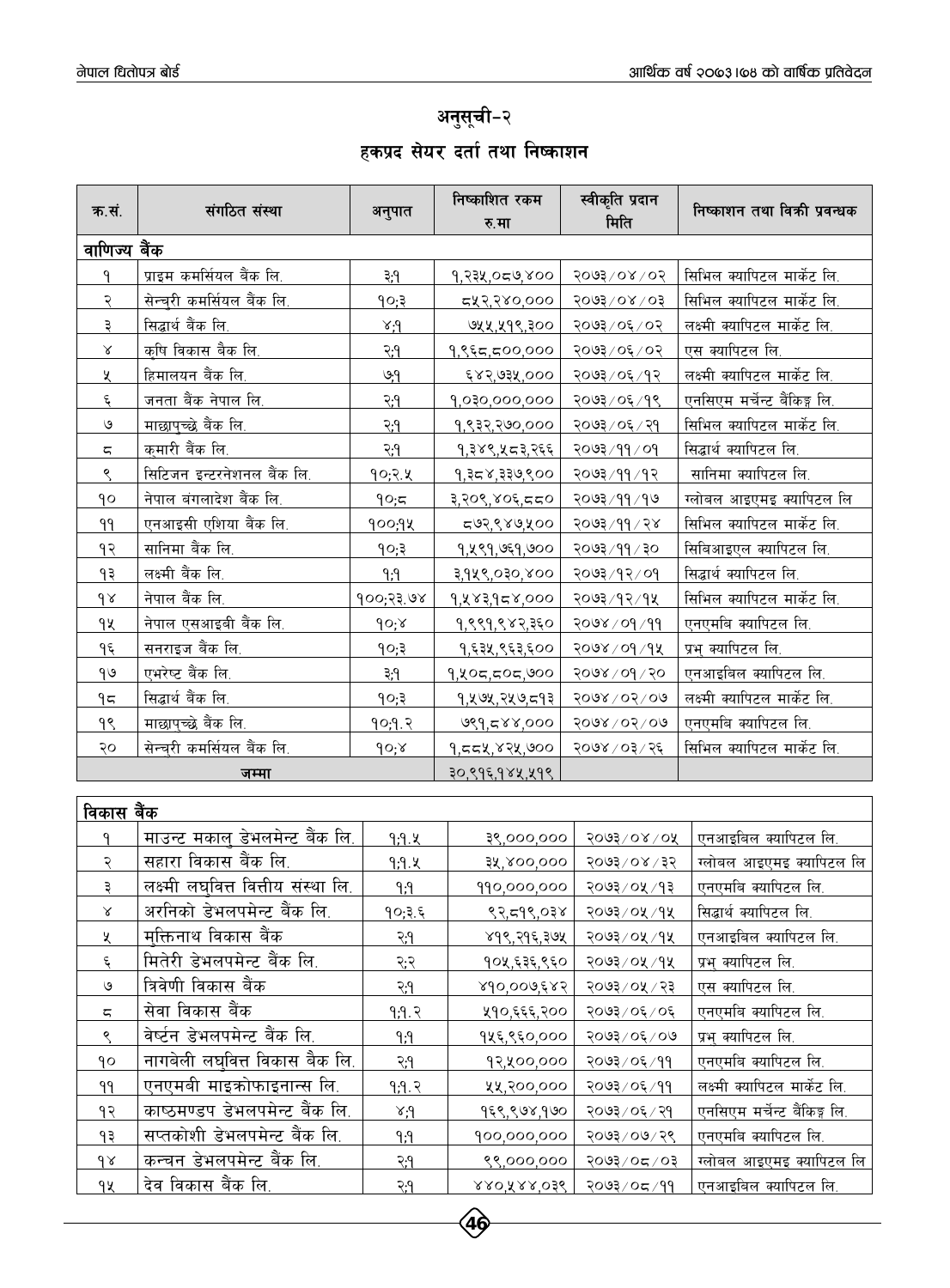## अनुसूची-२ हकप्रद सेयर दर्ता तथा निष्काशन

| क.सं.                    | संगठित संस्था                              | अनुपात        | निष्काशित रकम<br>रु.मा | स्वीकृति प्रदान<br>मिति     | निष्काशन तथा विकी प्रवन्धक          |
|--------------------------|--------------------------------------------|---------------|------------------------|-----------------------------|-------------------------------------|
| <u>वाणिज्य बैंक</u>      |                                            |               |                        |                             |                                     |
| ۹                        | <u>प्राइम कमर्सियल बैंक लि.</u>            | ३,१           | 9, २३५, ०८७, ४००       | $50/80/\sqrt{5005}$         | सिभिल क्यापिटल मार्केट लि.          |
| <u>२</u>                 | सेन्च्री कमर्सियल बैंक लि.                 | १०;३          | 543,380,000            | $50/80/\sqrt{5605}$         | सिभिल क्यापिटल मार्केट लि.          |
| ३                        | <u>सिद्धार्थ बैंक लि.</u>                  | $\gamma$      | <u>७५५,५१९,३०० </u>    | २०७३/०६/०२                  | <u>लक्ष्मी क्यापिटल मार्केट लि.</u> |
| $\propto$                | कृषि विकास बैक लि.                         | २.१           | १,९६८,८००,०००          | २०७३/०६/०२                  | <u>एस क्यापिटल लि.</u>              |
| X                        | हिमालयन बैंक लि.                           | ७,१           | ६४२,७३५,०००            | २०७३/०६/१२                  | लक्ष्मी <u>क्यापिटल मार्केट लि.</u> |
| $\epsilon$               | जनता बैंक नेपाल लि.                        | <u>२.१</u>    | 9,030,000,000          | २०७३/०६/१९                  | एनसिएम मर्चेन्ट बैंकिङ्ग लि.        |
| $\mathcal{O}$            | माछापुच्छे बैंक लि.                        | २.१           | १,९३२,२७०,०००          | २०७३/०६/२१                  | सिभिल क्यापिटल मार्केट लि.          |
| ς                        | <u>कुमारी बैंक लि.</u>                     | २.१           | १,३४९,५८३,२६६          | <u>२०७३/११/०१</u>           | <u>सिद्धार्थ क्यापिटल लि.</u>       |
| $\varsigma$              | सिटिजन इन्टरनेशनल बैंक लि.                 | 90;२.५        | १,३८४,३३७,९००          | २०७३/११/१२                  | <u>सानिमा क्यापिटल लि.</u>          |
| ٩o                       | नेपाल बंगलादेश बैंक लि.                    | 90;5          | <u>३,२०९,४०६,८८०</u>   | २०७३/११/१७                  | <u>ग्लोबल आइएमइ क्यापिटल लि</u>     |
| 99                       | <u>एनआइसी एशिया बैंक लि.</u>               | <u>१००;१५</u> | <u>८७२,९४७,५००</u>     | <u>२०७३/११/२४</u>           | <u>सिभिल क्यापिटल मार्केट लि.</u>   |
| 93                       | सानिमा बैंक लि.                            | 90;3          | 9, 4 89, 659, 600      | २०७३/११/३०                  | सिबिआइएल क्यापिटल लि.               |
| 93                       | लक्ष्मी बैंक लि.                           | ۹;۹           | <u>३,१५९,०३०,४०० </u>  | <u>२०७३/१२/०१</u>           | <u>सिद्धार्थ क्यापिटल लि.</u>       |
| $d \lambda$              | नेपाल बैंक लि.                             | १००;२३.७४     | 9, 483, 958, 000       | २०७३/१२/१५                  | सिभिल क्यापिटल मार्केट लि.          |
| 94                       | <u>नेपाल एसआइबी बैंक लि.</u>               | 90;8          | 9, ९९१, ९४२, ३६०       | २०७४ / ०१ / ११              | <u>एनएमबि क्यापिटल लि.</u>          |
| <u>مي</u>                | <u>सनराइज बैंक लि.</u>                     | 90;3          | <u>१,६३५,९६३,६०० </u>  | २०७४/०१/१५                  | <u>प्रभ् क्यापिटल लि.</u>           |
| 90                       | <u>एभरेष्ट बैंक लि.</u>                    | ३;१           | 9, 205, 505, 900       | $5000 \times 100 \times 50$ | <u>एनआइबिल क्यापिटल लि.</u>         |
| ۹ς                       | <u>सिद्धार्थ बैंक लि.</u>                  | 90;3          | <u>१,५७५,२५७,८१३</u>   | २०७४ / ०२ / ०७              | <u>लक्ष्मी क्यापिटल मार्केट लि.</u> |
| <u>99</u>                | माछापुच्छे बैंक लि.                        | 90,9.2        | <u>७९१,८४४,००० </u>    | 2008/050/00                 | <u>एनएमबि क्यापिटल लि.</u>          |
| २०                       | सेन्च्री कमर्सियल बैंक लि.                 | 90;8          | १,८८५,४२५,७००          | २०७४/०३/२६                  | <u>सिभिल क्यापिटल मार्केट लि.</u>   |
|                          | जम्मा                                      |               | ३०,९१६,१४५,५१९         |                             |                                     |
|                          |                                            |               |                        |                             |                                     |
| <u>विकास बैंक</u>        |                                            |               |                        |                             |                                     |
| $\mathsf{P}$             | माउन्ट मकाल् डेभलमेन्ट बैंक लि.            | <u>9;9.k</u>  | ३९,०००,०००             | $5003$ / 08/08              | <u>एनआइबिल क्यापिटल लि.</u>         |
| २                        | सहारा विकास बैंक लि.                       | 9.9.4         | ३५,४००,०००             | २०७३/०४/३२                  | <u>ग्लोबल आइएमइ क्यापिटल लि</u>     |
| ३                        | लक्ष्म <u>ी लघवित्त वित्तीय संस्था लि.</u> | <u>۹٫۹</u>    | 990,000,000            | २०७३ / ०५ / १३              | <u>एनएमबि क्यापिटल</u> लि.          |
| $\propto$                | अरनिको डेभलपमेन्ट बैंक लि.                 | १०;३.६        | 83,598,038             | २०७३/०५/१५                  | सिद्धार्थ क्यापिटल लि.              |
| X                        | मुक्तिनाथ विकास बैंक                       | २:१           | ४१९,२१६,३७५            | २०७३/०५/१५                  | एनआइबिल क्यापिटल लि.                |
| $\boldsymbol{\xi}$       | मितेरी डेभलपमेन्ट बैंक लि.                 | २:२           | १०५,६३६,९६०            | २०७३/०५/१५                  | प्रभ क्यापिटल लि.                   |
| $\mathcal{O}$            | त्रिवेणी विकास बैंक                        | २:१           | 890,009,882            | २०७३ / ०५ / २३              | एस क्यापिटल लि.                     |
| $\overline{\mathsf{c}},$ | सेवा विकास बैंक                            | 9.9.2         | ५१०,६६६,२००            | २०७३/०६/०६                  | एनएमबि क्यापिटल लि.                 |
| $\mathcal{S}$            | वेर्ष्टन डेभलपमेन्ट बैंक लि.               | $\rho$        | १५६,९६०,०००            | २०७३/०६/०७                  | प्रभ् क्यापिटल लि.                  |
| ٩o                       | नागबेली ल <u>घवित्त विकास बैक लि.</u>      | २:१           | १२,५००,०००             | २०७३/०६/११                  | एनएमबि क्यापिटल लि.                 |
| ٩٩                       | एनएमबी माइक्रोफाइनान्स लि.                 | 9.9.2         | ५५,२००,०००             | २०७३/०६/११                  | लक्ष्मी क्यापिटल मार्केट लि.        |
| १२                       | काष्ठमण्डप डेभलपमेन्ट बैंक लि.             | $\gamma$      | १६९,९७४,१७०            | २०७३/०६/२१                  | एनसिएम मर्चेन्ट बैंकिङ्ग लि.        |
| 59                       | सप्तकोशी डेभलपमेन्ट बैंक लि.               | $\rho, \rho$  | 900,000,000            | २०७३/०७/२९                  | एनएमबि क्यापिटल लि.                 |
| $\delta$                 | कन्चन डेभलपमेन्ट बैंक लि.                  | २;१           | ९९,०००,०००             | $50 \times 50 \times 500$   | ग्लोबल आइएमइ क्यापिटल लि            |
| qx                       | देव विकास बैंक लि.                         | २;१           | 880, 888, 038          | २०७३/०८/११                  | एनआइबिल क्यापिटल लि.                |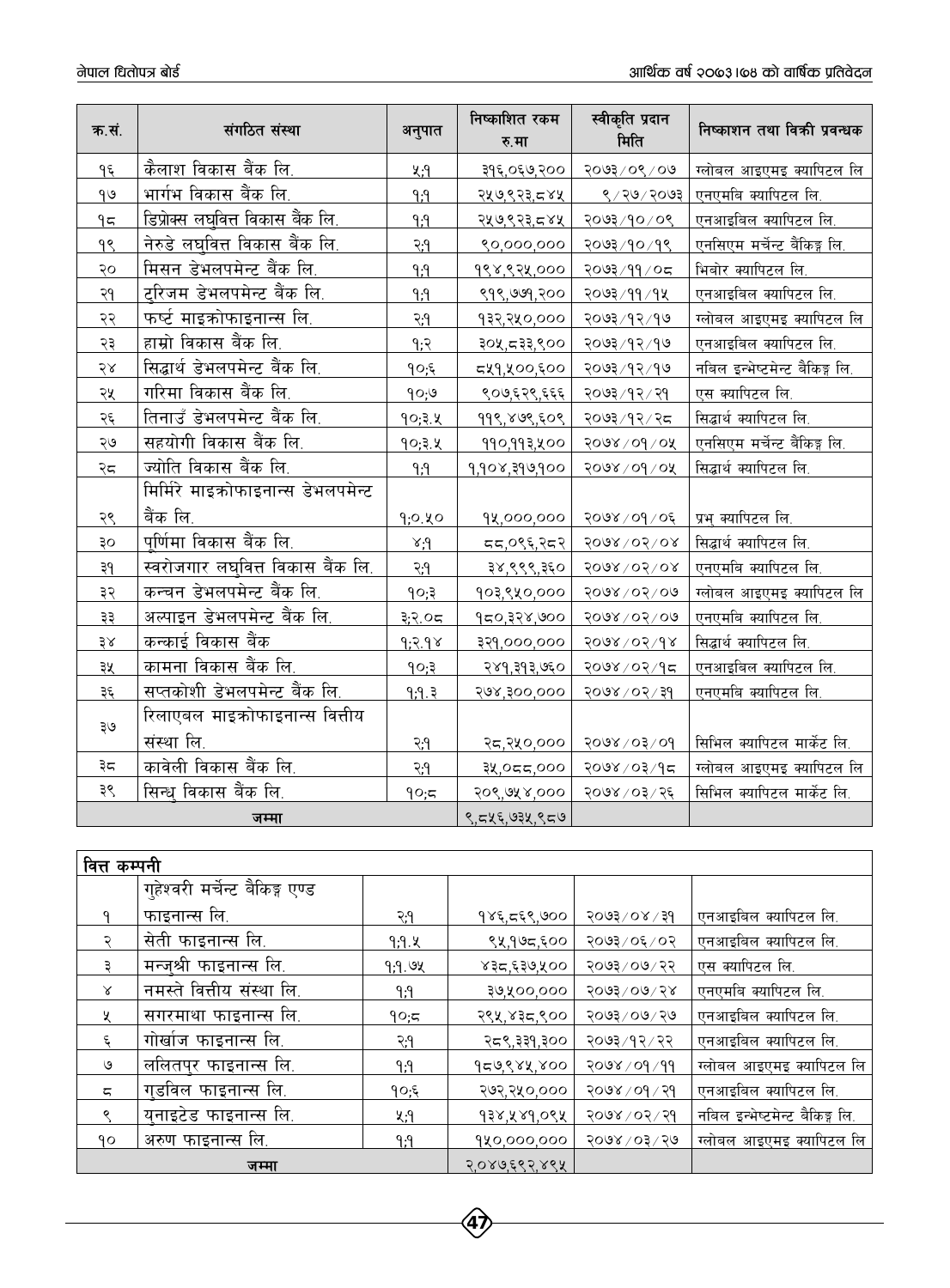| क.सं.         | संगठित संस्था                            | अनुपात              | निष्काशित रकम<br>रु.मा  | स्वीकृति प्रदान<br>मिति   | निष्काशन तथा विकी प्रवन्धक            |
|---------------|------------------------------------------|---------------------|-------------------------|---------------------------|---------------------------------------|
| $9\xi$        | कैलाश विकास बैंक लि.                     | ሂ;ባ                 | ३१६,०६७,२००             | २०७३/०९/०७                | ग्लोबल आइएमइ क्यापिटल लि              |
| 90            | भार्गभ विकास बैंक लि.                    | $\rho,\rho$         | २५७,९२३,८४५             | 8/20/5003                 | एनएमबि क्यापिटल लि.                   |
| ۹ς            | <u>डिप्रोक्स लघुवित्त विकास बैंक लि.</u> | ۹;۹                 | २५७,९२३,८४५             | २०७३/१०/०९                | एनआइबिल क्यापिटल लि.                  |
| 9S            | नेरुडे लघुवित्त विकास बैंक लि.           | २.१                 | ९०,०००,०००              | २०७३/१०/१९                | एनसिएम मर्चेन्ट बैंकिङ्ग लि.          |
| २०            | मिसन डेभलपमेन्ट बैंक लि.                 | P;P                 | १९४,९२५,०००             | २०७३/११/०८                | भिबोर क्यापिटल लि.                    |
| २१            | ट्रिजम डेभलपमेन्ट बैंक लि.               | P;P                 | ९१९,७७१,२००             | २०७३/११/१५                | एनआइबिल क्यापिटल लि.                  |
| २२            | फर्ष्ट माइक्रोफाइनान्स लि.               | २.१                 | १३२,२५०,०००             | २०७३/१२/१७                | ग्लोबल आइएमइ क्यापिटल लि              |
| २३            | हाम्रो विकास बैंक लि.                    | 9:5                 | ३०५,८३३,९००             | २०७३/१२/१७                | <u>एनआइबिल क्यापिटल लि.</u>           |
| $58$          | <u>सिद्धार्थ डेभलपमेन्ट बैंक लि.</u>     | 90;5                | <u>द्रप्र१,५००,६०० </u> | २०७३/१२/१७                | <u>नबिल इन्भेष्टमेन्ट बैकिङ्ग लि.</u> |
| २५            | <u>गरिमा विकास बैंक लि.</u>              | 90,9                | ९०७,६२९,६६६             | २०७३/१२/२१                | <u>एस क्यापिटल लि.</u>                |
| २६            | तिनाउँ डेभलपमेन्ट बैंक लि.               | <u>१०;३.५</u>       | 998,808,508             | २०७३/१२/२८                | <u>सिद्धार्थ क्यापिटल लि.</u>         |
| २७            | <u>सहयोगी विकास बैंक लि.</u>             | 90,3.4              | 990,993,400             | 2008/00/08                | <u>एनसिएम मर्चेन्ट बैंकिङ्ग लि.</u>   |
| २८            | ज्योति विकास बैंक लि.                    | P;P                 | 9,908,396,900           | 2008/00/08                | <u>सिद्धार्थ क्यापिटल लि.</u>         |
|               | मिर्मिरे माइक्रोफाइनान्स डेभलपमेन्ट      |                     |                         |                           |                                       |
| २९            | बैंक लि.                                 | 9:0.40              | 9x,000,000              | २०७४/०१/०६                | <u>प्रभु क्यापिटल लि.</u>             |
| ३०            | <u>पूर्णिमा विकास बैंक लि.</u>           | $\gamma$ . $\gamma$ | दद,०९६,२द२              | $5008$ / 05/08            | सिद्धार्थ क्यापिटल लि.                |
| ३१            | <u>स्वरोजगार लघुवित्त विकास बैंक लि.</u> | २.१                 | ३४,९९९,३६०              | <u>२०७४/०२/०४</u>         | <u>एनएमबि क्यापिटल लि.</u>            |
| ३२            | कन्चन डेभलपमेन्ट बैंक लि.                | 90;3                | १०३,९५०,०००             | 2008/02/09                | ग्लोबल आइएमइ क्यापिटल लि              |
| ३३            | अल्पाइन डेभलपमेन्ट बैंक लि.              | ३;२.०८              | 950, 828, 900           | 2008/05/00                | एनएमबि क्यापिटल लि.                   |
| $\lambda \xi$ | कन्काई विकास बैंक                        | 9.2.98              | ३२१,०००,०००             | 8008/05/98                | सिद्धार्थ क्यापिटल लि.                |
| ३५            | कामना विकास बैंक लि.                     | 90;3                | २४१,३१३,७६०             | २०७४/०२/१८                | एनआइबिल क्यापिटल लि.                  |
| ३६            | सप्तकोशी डेभलपमेन्ट बैंक लि.             | 9.9.3               | २७४,३००,०००             | $95 \times 90 \times 900$ | एनएमबि क्यापिटल लि.                   |
| ३७            | रिलाएबल माइक्रोफाइनान्स वित्तीय          |                     |                         |                           |                                       |
|               | संस्था लि.                               | २.१                 | २ <u>८,२५०,०००</u>      | $90 \times 50 \times 800$ | <u>सिभिल क्यापिटल मार्केट लि.</u>     |
| ३८            | कावेली विकास बैंक लि.                    | २:१                 | २५,०८८,०००              | २०७४/०३/१८                | ग्लोबल आइएमइ क्यापिटल लि              |
| ३९            | सिन्ध विकास बैंक लि.                     | 90;5                | २०९,७५४,०००             | २०७४ / ०३ / २६            | <u>सिभिल क्यापिटल मार्केट लि.</u>     |
| जम्मा         |                                          |                     | ९,८५६,७३५,९८७           |                           |                                       |

| <u>वित्त कम्पनी</u> |                                 |                |                     |                |                                 |  |  |
|---------------------|---------------------------------|----------------|---------------------|----------------|---------------------------------|--|--|
|                     | गुहेश्वरी मर्चेन्ट बैकिङ्ग एण्ड |                |                     |                |                                 |  |  |
| ٩                   | फाइनान्स लि.                    | २:१            | <u>१४६,द६९,७०० </u> | २०७३ / ०४ / ३१ | <u> एनआइबिल क्यापिटल लि.</u>    |  |  |
| २                   | <u>सेती फाइनान्स लि.</u>        | 9,9.X          | ९५,१७८,६००          | २०७३/०६/०२     | <u> एनआइबिल क्यापिटल लि.</u>    |  |  |
| ३                   | <u>मन्ज्श्री फाइनान्स लि.</u>   | <u>9;9. ७५</u> | ४३८,६३७,५००         | २०७३/०७/२२     | एस क्यापिटल लि.                 |  |  |
| Χ                   | नमस्ते वित्तीय संस्था लि.       | የ;የ            | ३७,५००,०००          | $5003$ or $58$ | एनएमबि क्यापिटल लि.             |  |  |
| ५                   | सगरमाथा फाइनान्स लि.            | 90;5           | २९५,४३८,९००         | २०७३ ⁄ ०७ ⁄ २७ | <u>एनआइबिल क्यापिटल लि.</u>     |  |  |
| $\boldsymbol{\xi}$  | <u>गोखोज फाइनान्स लि.</u>       | २:१            | २८९,३३१,३००         | २०७३/१२/२२     | <u>एनआइबिल क्यापिटल लि.</u>     |  |  |
| ৩                   | <u>ललितपुर फाइनान्स लि.</u>     | የ;የ            | <u>१८७९४५,४०० </u>  | 2098/09/99     | <u>ग्लोबल आइएमइ क्यापिटल लि</u> |  |  |
| ς                   | <u>गुडविल फाइनान्स लि.</u>      | १०;६           | २७२,२५०,०००         | २०७४ / ०१ / २१ | एनआइबिल क्यापिटल लि.            |  |  |
| ९                   | <u>युनाइटेड फाइनान्स लि.</u>    | <u>ሂ;ባ</u>     | १३४,५४१,०९५         | २०७४ / ०२ / २१ | नबिल इन्भेष्टमेन्ट बैकिङ्ग लि.  |  |  |
| ۹٥                  | अरुण फाइनान्स लि.               | ۹;۹            | 920,000,000         | २०७४ / ०३ / २७ | <u>ग्लोबल आइएमइ क्यापिटल लि</u> |  |  |
|                     | जम्मा                           |                | २,०४७,६९२,४९५       |                |                                 |  |  |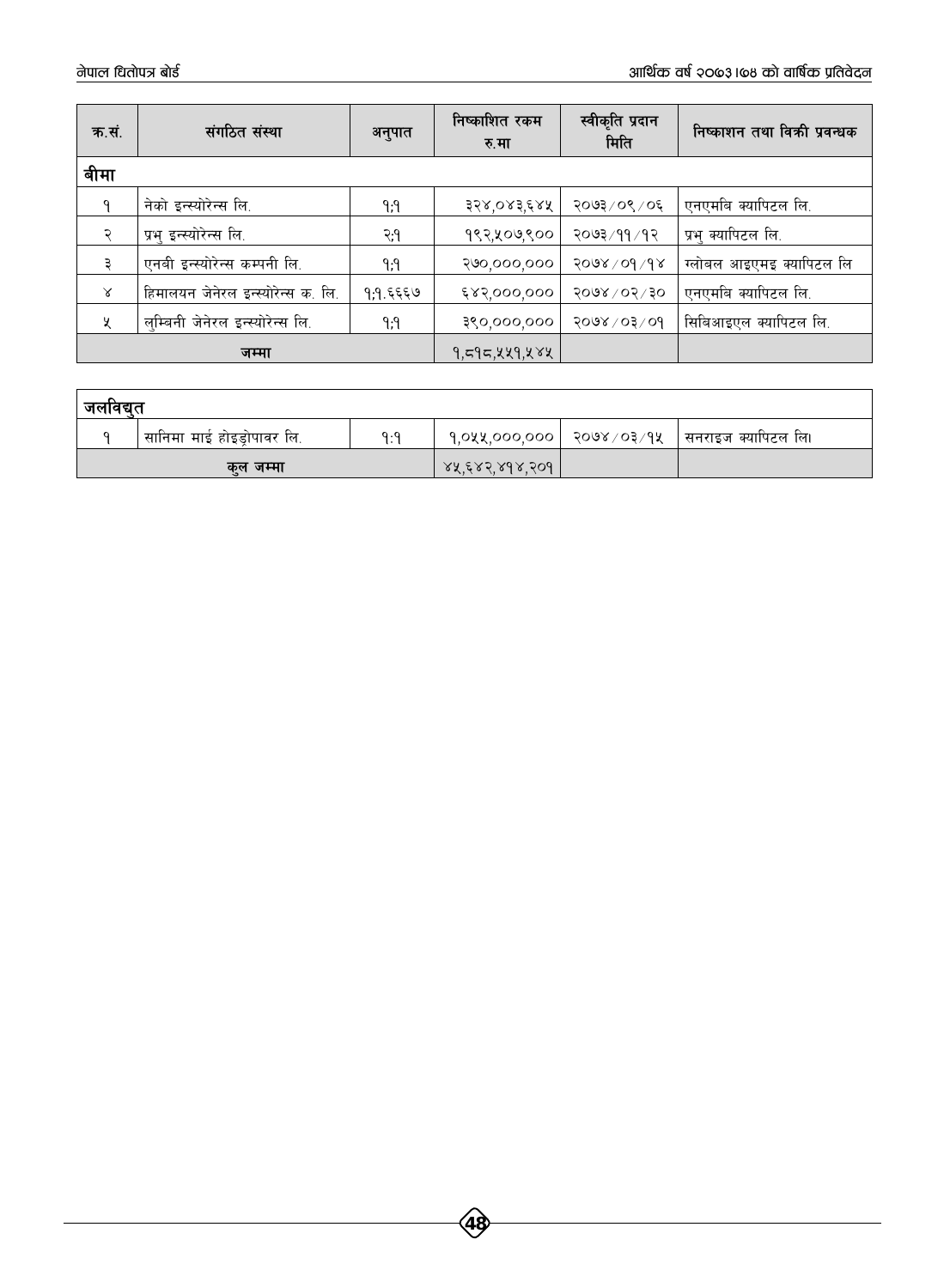| क.सं.     | संगठित संस्था                      | अनुपात   | निष्काशित रकम<br>रु.मा | स्वीकृति प्रदान<br>मिति | निष्काशन तथा विकी प्रवन्धक |
|-----------|------------------------------------|----------|------------------------|-------------------------|----------------------------|
| बीमा      |                                    |          |                        |                         |                            |
|           | नेको इन्स्योरेन्स लि.              | ۹;۹      | ३२४,०४३,६४५            | २०७३/०९/०६              | एनएमबि क्यापिटल लि.        |
|           | प्रभु इन्स्योरेन्स लि.             | २.१      | १९२,५०७,९००            | २०७३ ⁄ ११ ⁄ १२          | प्रभु क्यापिटल लि.         |
|           | एनबी इन्स्योरेन्स कम्पनी लि.       | ۹;۹      | २७०,०००,०००            | 5008/00/18              | ग्लोबल आइएमइ क्यापिटल लि   |
| $\lambda$ | हिमालयन जेनेरल इन्स्योरेन्स क. लि. | १,१.६६६७ | ६४२,०००,०००            | $5000 \times 10^{15}$   | एनएमबि क्यापिटल लि.        |
| X         | लम्बिनी जेनेरल इन्स्योरेन्स लि.    | ۹;۹      | ३९०,०००,०००            | $6008 \times 10^{2}$    | सिबिआइएल क्यापिटल लि.      |
|           | जम्मा                              |          | १,८१८,५५१,५४५          |                         |                            |

| जलावद्यत |                              |             |                  |  |                                                        |  |  |
|----------|------------------------------|-------------|------------------|--|--------------------------------------------------------|--|--|
|          | ' सानिमा माई होइड्रोपावर लि. | $Q \cdot Q$ |                  |  | . १,०५५,०००,००० ∣ २०७४ ⁄ ०३ ⁄ १५ ∣ सनराइज क्यापिटल लि। |  |  |
| कल जम्मा |                              |             | 88. ERS 898. SO9 |  |                                                        |  |  |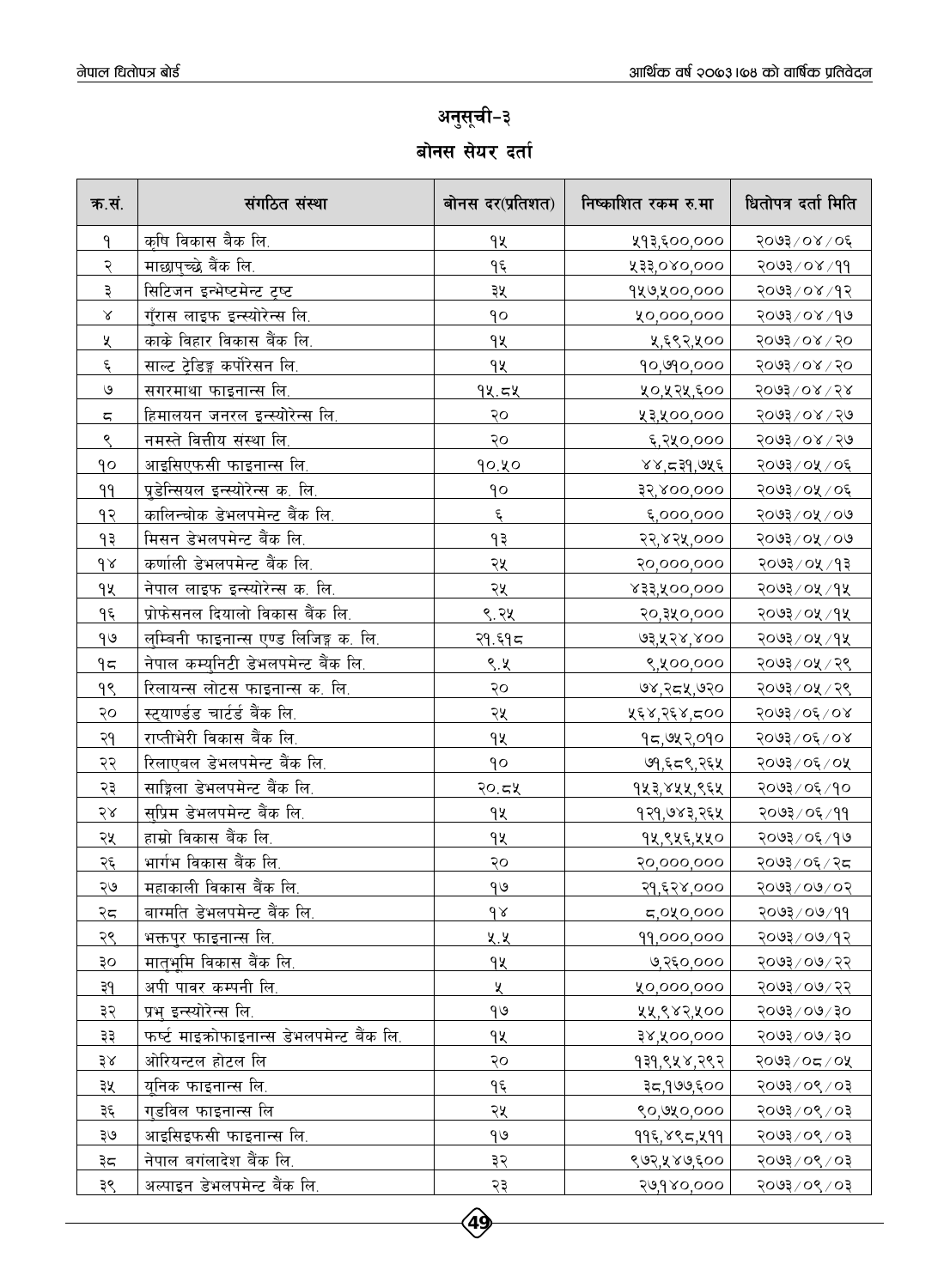### अनुसूची-३ बोनस सेयर दर्ता

| क.सं.         | संगठित संस्था                                | बोनस दर(प्रतिशत)   | निष्काशित रकम रु.मा  | धितोपत्र दर्ता मिति               |
|---------------|----------------------------------------------|--------------------|----------------------|-----------------------------------|
| ٩             | कृषि विकास बैक लि.                           | १५                 | ५१३,६००,०००          | २०७३/०४/०६                        |
| २             | माछापुच्छे बैंक लि.                          | <u>مع</u>          | 233,080,000          | $99 \times 00$ $199$              |
| ३             | सिटिजन इन्भेष्टमेन्ट ट्रष्ट                  | ३५                 | १५७,५००,०००          | २०७३/०४/१२                        |
| $\propto$     | <u>गुँरास लाइफ इन्स्योरेन्स लि.</u>          | qo                 | ५०,०००,०००           | $80,800$ $200$                    |
| ५             | काके विहार विकास बैंक लि.                    | qy                 | ५,६९२,५००            | $500$ ३/०४/२०                     |
| $\epsilon$    | साल्ट ट्रेडिङ्ग कर्पोरेसन लि.                | <u>१५</u>          | 90,990,000           | 2003/08/50                        |
| $\mathcal{O}$ | <u>सगरमाथा फाइनान्स लि.</u>                  | 94.54              | ५०,५२५,६००           | $5003$ or $58$                    |
| ς             | हिमालयन जनरल इन्स्योरेन्स लि.                | २०                 | ५३,५००,०००           | २०७३/०४/२७                        |
| ९             | <u>नमस्ते वित्तीय संस्था लि.</u>             | २०                 | ६,२५०,०००            | २०७३/०४/२७                        |
| ٩o            | आइसिएफसी फाइनान्स लि.                        | 90.40              | ४४,८३१,७५६           | २०७३/०५/०६                        |
| 99            | प्रडेन्सियल इन्स्योरेन्स क. लि.              | ٩o                 | 32,800,000           | २०७३/०५/०६                        |
| <u>م ک</u>    | कालिन्चोक डेभलपमेन्ट बैंक लि.                | $\boldsymbol{\xi}$ | ६,०००,०००            | २०७३/०५/०७                        |
| १३            | मिसन डेभलपमेन्ट बैंक लि.                     | ۹₹                 | २२,४२५,०००           | २०७३/०५/०७                        |
| $d \lambda$   | कर्णाली डेभलपमेन्ट बैंक लि.                  | २५                 | २०,०००,०००           | २०७३/०५/१३                        |
| 94            | नेपाल लाइफ इन्स्योरेन्स क. लि.               | २५                 | 833,400,000          | २०७३/०५/१५                        |
| $9\xi$        | प्रोफेसनल दियालो विकास बैंक लि.              | <u>९.२५</u>        | २०,३५०,०००           | <u>२०७३/०५/१५</u>                 |
| $\theta$      | <u>लुम्बिनी फाइनान्स एण्ड लिजिङ्ग क. लि.</u> | <u>२१.६१८ </u>     | 93, 428, 800         | २०७३/०५/१५                        |
| 95            | नेपाल कम्युनिटी डेभलपमेन्ट बैंक लि.          | ९.५                | ९,५००,०००            | २०७३/०५/२९                        |
| <u>99</u>     | <u>रिलायन्स लोटस फाइनान्स क. लि.</u>         | २०                 | ७४,२८५,७२०           | <u>२०७३/०५/२९</u>                 |
| २०            | <u>स्ट्याण्डंड चार्टर्ड बैंक लि.</u>         | २५                 | ५६४,२६४,८००          | 5003/06/08                        |
| २१            | राप्तीभेरी विकास बैंक लि.                    | 9 <u>y</u>         | १८,७५२,०१०           | 50,92,06,08                       |
| <u>२२</u>     | रिलाएबल डेभलपमेन्ट बैंक लि.                  | $\overline{\rho}$  | ७१,६८९,२६५           | २०७३/०६/०५                        |
| २३            | साङ्गिला डेभलपमेन्ट बैंक लि.                 | २०.८५              | <u>१५३,४५५,९६५ </u>  | २०७३/०६/१०                        |
| २४            | <u>सुप्रिम डेभलपमेन्ट बैंक लि.</u>           | qy                 | <u>१२१,७४३,२६५ </u>  | २०७३ <u>/०६/११</u>                |
| <u>२५</u>     | <u>हाम्रो विकास बैंक लि.</u>                 | qy                 | १५,९५६,५५०           | २०७३/०६/१७                        |
| २६            | भार्गभ विकास बैंक लि.                        | २०                 | २०,०००,०००           | २०७३/०६/२८                        |
| २७            | महाकाली विकास बैंक लि.                       | $\theta$           | २१,६२४,०००           | २०७३/०७/०२                        |
| २८            | बाग्मति डेभलपमेन्ट बैंक लि.                  | 98                 | 5,040,000            | २०७३/०७/११                        |
| २९            | <u>भक्तपुर फाइनान्स लि.</u>                  | ५.५                | 99,000,000           | २०७३/०७/१२                        |
| ३०            | मात <u>ुभूमि विकास बैंक लि.</u>              | qy                 | ७,२६०,०००            | २०७३/०७/२२                        |
| ३१            | अपी पावर कम्पनी लि.                          | X                  | 10,000,000           | २०७३/०७/२२                        |
| ३२            | प्रभ् इन्स्योरेन्स लि.                       | $\theta$           | ५५,९४२,५००           | $05/00 \times 500$                |
| ३३            | फर्ष्ट माइक्रोफाइनान्स डेभलपमेन्ट बैंक लि.   | ٩X                 | ३४,५००,०००           | $OS \setminus 8OS \setminus 58OS$ |
| 38            | ओरियन्टल होटल लि                             | २०                 | <u>१३१,९५४,२९२ </u>  | २०७३/०८/०५                        |
| ३५            | युनिक फाइनान्स लि.                           | ۹६                 | ३८,१७७,६००           | १०७३/०९/०३                        |
| ३६            | गडविल फाइनान्स लि                            | २५                 | ९०,७५०,०००           | १०७३/०९/०३                        |
| ३७            | आइसिइफसी <u>फाइनान्स लि.</u>                 | $\theta$           | <u> ११६,४९८,५११ </u> | <u> १०७३/०९/०३</u>                |
| ३८            | नेपाल बगंलादेश बैंक लि.                      | ३२                 | ९७२,५४७,६००          | २०७३ ⁄ ०९ ⁄ ०३                    |
| ३९            | अल्पाइन डेभलपमेन्ट बैंक लि.                  | २३                 | २७,१४०,०००           | $50 \times 20 \times 5005$        |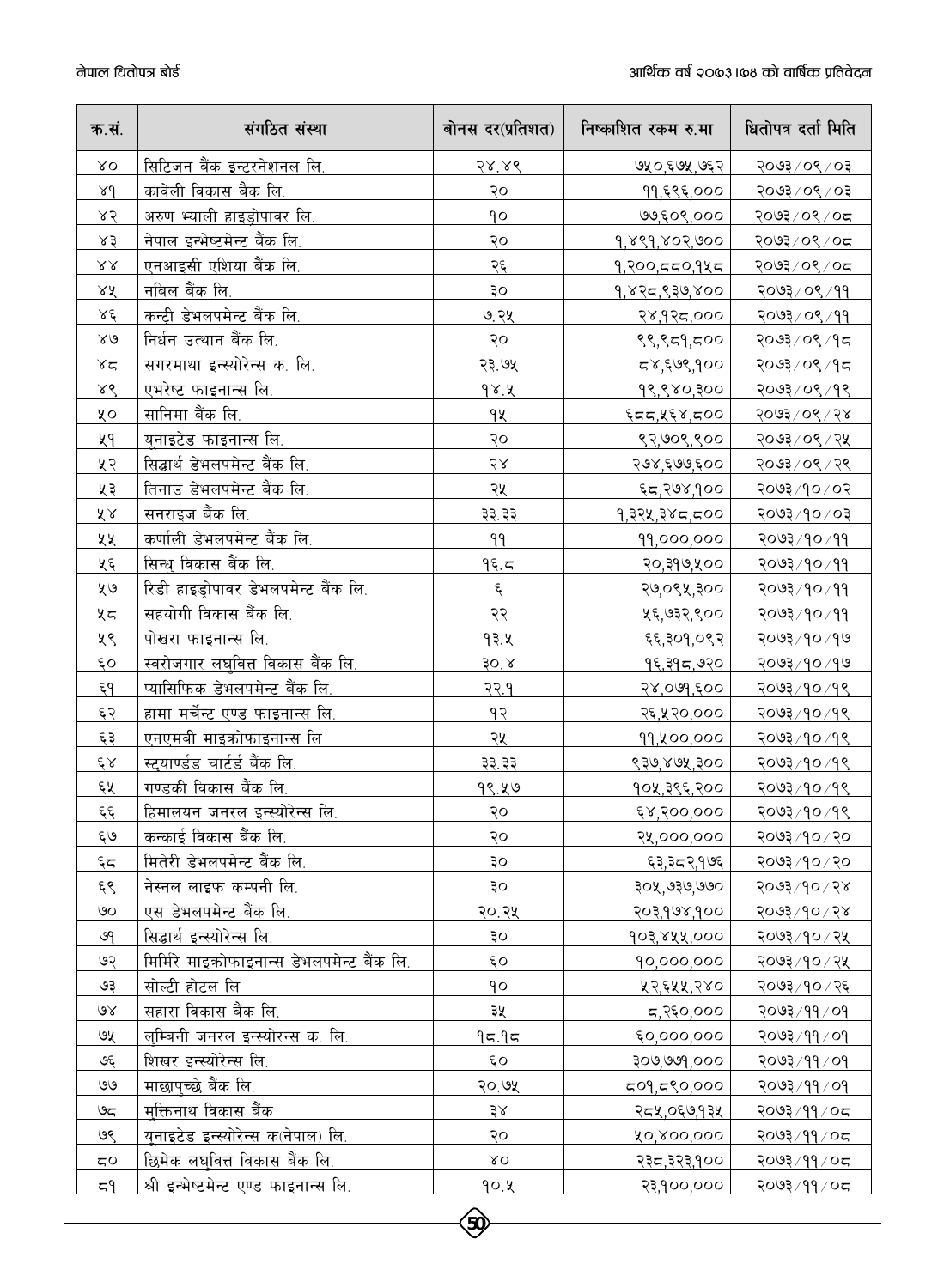| क.सं.                         | संगठित संस्था                                | बोनस दर(प्रतिशत) | निष्काशित रकम रु.मा | धितोपत्र दर्ता मिति                         |
|-------------------------------|----------------------------------------------|------------------|---------------------|---------------------------------------------|
| XO                            | सिटिजन बैंक इन्टरनेशनल लि.                   | 58.86            | ७५०,६७५,७६२         | २०७३/०९/०३                                  |
| 84                            | कावेली विकास बैंक लि.                        | २०               | ११,६९६,०००          | २०७३/०९/०३                                  |
| 85                            | अरुण भ्याली हाइड्रोपावर लि.                  | qo               | ७७,६०९,०००          | २०७३/०९/०८                                  |
| x3                            | नेपाल इन्भेष्टमेन्ट बैंक लि.                 | २०               | 9,889,802,900       | २०७३/०९/०८                                  |
| $\lambda\lambda$              | एनआइसी एशिया बैंक लि.                        | २६               | 9,200,550,945       | २०७३/०९/०८                                  |
| 28                            | नबिल बैंक लि.                                | οξ               | 9,825,930,800       | २०७३/०९/११                                  |
| $\lambda \xi$                 | कन्ट्री डेभलपमेन्ट बैंक लि.                  | ७.२५             | २४,१२८,०००          | २०७३/०९/११                                  |
| $\lambda\mathrel{\mathsf{G}}$ | निर्धन उत्थान बैंक लि.                       | २०               | १९,९८१,८००          | २०७३/०९/१८                                  |
| $x^2$                         | सगरमाथा इन्स्योरेन्स क. लि.                  | २३.७५            | ८४,६७९,१००          | २०७३/०९/१८                                  |
| 88                            | <u>एभरेष्ट फाइनान्स लि.</u>                  | 98.4             | 98,880,300          | २०७३/०९/१९                                  |
| χo                            | सानिमा बैंक लि.                              | ٩X               | 55,85,750           | <u>२०७३/०९/२४</u>                           |
| ५१                            | यूनाइटेड फाइनान्स लि.                        | २०               | ९२,७०९,९००          | २०७३/०९/२५                                  |
| ५२                            | सिद्धार्थ डेभलपमेन्ट बैंक लि.                | 58               | २७४,६७७,६००         | २०७३/०९/२९                                  |
| ५३                            | तिनाउ डेभलपमेन्ट बैंक लि.                    | २५               | ६८,२७४,१००          | २०७३/१०/०२                                  |
| ४४                            | सनराइज बैंक लि.                              | ३३.३३            | १,३२५,३४८,८००       | १०७३/१०/०३                                  |
| ५५                            | कर्णाली डेभलपमेन्ट बैंक लि.                  | 99               | 99,000,000          | २०७३/१०/११                                  |
| प्र६                          | सिन्ध विकास बैंक लि.                         | 95.5             | २०,३१७,५००          | <u>२०७३/१०/११</u>                           |
| ५७                            | रिडी हाइड़ोपावर डेभलपमेन्ट बैंक लि.          | $\xi$            | २७,०९५,३००          | २०७३/१०/११                                  |
| ५८                            | सहयोगी विकास बैंक लि.                        | २२               | ५६,७३२,९००          | २०७३/१०/११                                  |
| ५९                            | <u>पोखरा फाइनान्स लि.</u>                    | 93.4             | <u>६६,३०१,०९२ </u>  | २०७३/१०/१७                                  |
| $\epsilon$ o                  | स्वरोजगार लघ्वित <u>्त विकास बैंक लि.</u>    | 30.8             | १६,३१८,७२०          | <u>२०७३/१०/१७</u>                           |
| $\xi$ 9                       | प्यासिफिक डेभलपमेन्ट बैंक लि.                | <u>२२.१</u>      | २४,०७१,६००          | <u>१०७३/१०/१९</u>                           |
| ६२                            | हामा मर्चेन्ट एण्ड फाइनान्स लि.              | 93               | २६,५२०,०००          | <u>१०७३/१०/१९</u>                           |
| ६३                            | <u>एनएमबी माइक्रोफाइनान्स लि</u>             | २५               | 99, 400,000         | <u>२०७३/१०/१९</u>                           |
| $\xi$ $\times$                | <u>स्ट्याण्डंड चार्टर्ड बैंक लि.</u>         | ३३.३३            | ९३७,४७५,३००         | २०७३/१०/१९                                  |
| ६५                            | गण्डकी विकास बैंक लि.                        | <u>१९.५७</u>     | १०५,३९६,२००         | २०७३/१०/१९                                  |
| $\xi$                         | <u>हिमालयन जनरल इन्स्योरेन्स लि.</u>         | २०               | <u>६४,२००,०००</u>   | <u>२०७३/१०/१९</u>                           |
| ६७                            | कन्काई विकास बैंक लि.                        | २०               | २५,०००,०००          | २०७३/१०/२०                                  |
| $\xi$                         | मितेरी डेभलपमेन्ट बैंक लि.                   | ३०               | ६३,३८२,१७६          | २०७३/१०/२०                                  |
| ६९                            | नेस्नल लाइफ कम्पनी लि.                       | ОĘ               | २०५,७३७,७७०         | 80,06/500                                   |
| ৩০                            | एस डेभलपमेन्ट बैंक लि.                       | २०.२५            | २०३,१७४,१००         | $800$ २०१                                   |
| ७१                            | सिद्धार्थ इन्स्योरेन्स लि.                   | ३०               | 903,822,000         | २०७३/१०/२५                                  |
| ७२                            | मिर्मिरे माइक्रोफाइनान्स डेभलपमेन्ट बैंक लि. | ξO               | 90,000,000          | २०७३/१०/२५                                  |
| ७३                            | सोल्टी होटल लि                               | qo               | ५२,६५५,२४०          | २०७३/१०/२६                                  |
| $\mathcal{A}$                 | सहारा विकास बैंक लि.                         | ३५               | ८,२६०,०००           | $PO \setminus PP \setminus \mathcal{FO}$ ार |
| ७५                            | लम्बिनी जनरल इन्स्योरन्स क. लि.              | 95.95            | 60,000,000          | $90 \times 99 \times 500$                   |
| چې                            | शिखर इन्स्योरेन्स लि.                        | ६o               | २०७,७७१,०००         | २०७३ ⁄ ११ ⁄ ०१                              |
| 99                            | माछापच्छे बैंक लि.                           | २०.७५            | 509,590,000         | $PO \setminus PP \setminus \mathcal{FO}$    |
| ಅದ                            | मकत्तिनाथ विकास बैंक                         | 38               | २८५,०६७,१३५         | २०७३/११/०८                                  |
| ७९                            | यनाइटेड इन्स्योरेन्स क(नेपाल) लि.            | २०               | ४०,४००,०००          | २०७३/११/०८                                  |
| 50                            | छिमेक लघुवित्त विकास बैंक लि.                | $\lambda$ O      | २३८,३२३,१००         | २०७३/११/०८                                  |
| 59                            | श्री इन्भेष्टमेन्ट एण्ड फाइनान्स लि.         | 90.X             | २३,१००,०००          | २०७३/११/०८                                  |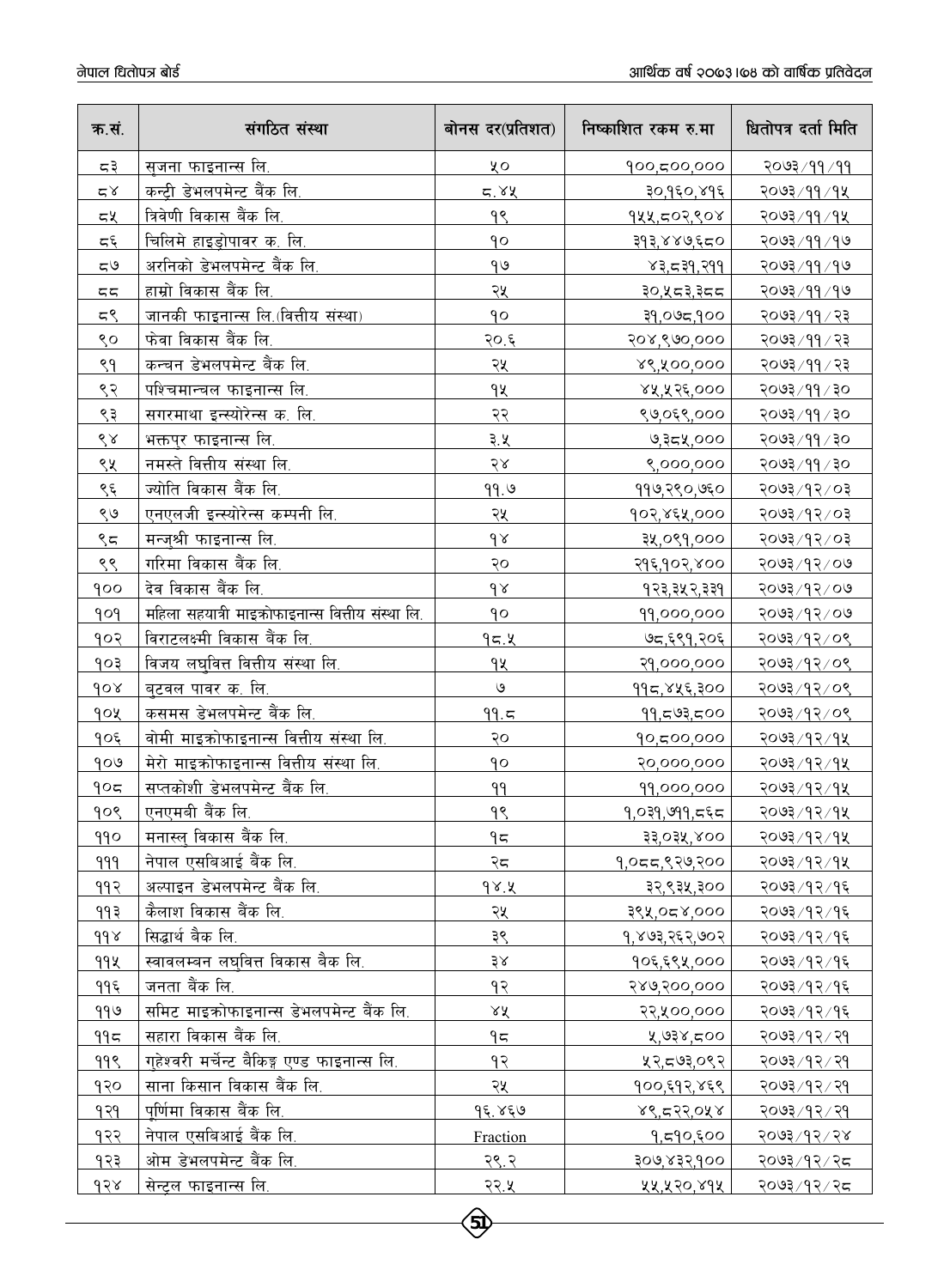| क.सं.                | संगठित संस्था                                     | बोनस दर(प्रतिशत) | निष्काशित रकम रु.मा  | धितोपत्र दर्ता मिति   |
|----------------------|---------------------------------------------------|------------------|----------------------|-----------------------|
| ಧ३                   | सजना फाइनान्स लि.                                 | ५०               | 900,500,000          | २०७३/११/११            |
| $\simeq$ $\times$    | कन्ट्री डेभलपमेन्ट बैंक लि.                       | 5.82             | ३०,१६०,४१६           | २०७३/११/१५            |
| ८५                   | त्रिवेणी विकास बैंक लि.                           | ٩Ś               | १५५,८०२,९०४          | २०७३/११/१५            |
| $\varsigma$ پ        | चिलिमे हाइड़ोपावर क. लि.                          | qo               | ३१३,४४७,६८०          | २०७३ / ११ / १७        |
| 50                   | अरनिको डेभलपमेन्ट बैंक लि.                        | 99               | 83,539,799           | २०७३ / ११ / १७        |
| 55                   | हाम्रो विकास बैंक लि.                             | २५               | ३०,५८३,३८८           | २०७३/११/१७            |
| 55                   | जानकी फाइनान्स लि. (वित्तीय संस्था)               | 90               | 000,580,95           | <u>२०७३/११/२३</u>     |
| ९०                   | फेवा विकास बैंक लि.                               | २०.६             | २०४,९७०,०००          | २०७३ / ११ / २३        |
| ९१                   | कन्चन डेभलपमेन्ट बैंक लि.                         | २५               | ४९,५००,०००           | २०७३/११/२३            |
| ९२                   | पश्चिमान्चल फाइनान्स लि.                          | qy               | ४५,५२६,०००           | ०६ \ ११ \ ६७०२        |
| ९३                   | सगरमाथा इन्स्योरेन्स क. लि.                       | २२               | ९७,०६९,०००           | ०६ \ ११ \ ६७०९        |
| $\mathcal{S} \times$ | भक्तपुर फाइनान्स लि.                              | <u>३.५</u>       | ७,३८५,०००            | ०६ \ ११ \ ६७०२        |
| ९५                   | नमस्ते वित्तीय संस्था लि.                         | २४               | ९,०००,०००            | ०६ \ ११ \ ६७०२        |
| <u>९</u> ६           | ज्योति विकास बैंक लि.                             | 99.9             | ११७,२९०,७६०          | <u> १०७३/१२/०३</u>    |
| ९७                   | एनएलजी इन्स्योरेन्स कम्पनी लि.                    | २५               | १०२,४६५,०००          | ३०७३/१२/०३            |
| ९८                   | मन्ज्श्री फाइनान्स लि.                            | $\delta$         | ३५,०९१,०००           | <u> ६०५३/१२/०३</u>    |
| ९९                   | गरिमा विकास बैंक लि.                              | २०               | २१६,१०२,४००          | २०७३/१२/०७            |
| goo                  | देव विकास बैंक लि.                                | $\delta$         | १२३,३५२,३३१          | २०७३/१२/०७            |
| 909                  | महिला सहयात्री माइक्रोफाइनान्स वित्तीय संस्था लि. | qo               | 99,000,000           | २०७३/१२/०७            |
| १०२                  | विराटलक्ष्मी विकास बैंक लि.                       | 95.8             | ७८,६९१,२०६           | २०७३/१२/०९            |
| १०३                  | विजय लघवित्त वित्तीय संस्था लि.                   | qy               | २१,०००,०००           | २०७३/१२/०९            |
| 60x                  | बुटवल पावर क. लि.                                 | $\mathcal{O}$    | ११८,४५६,३००          | <u>२०७३/१२/०९</u>     |
| goy                  | कसमस डेभलपमेन्ट बैंक लि.                          | 99.5             | 99,593,500           | २०७३/१२/०९            |
| १०६                  | <u>वोमी माइक्रोफाइनान्स वित्तीय संस्था लि.</u>    | २०               | 90,500,000           | २०७३/१२/१५            |
| 909                  | मेरो माइक्रोफाइनान्स वित्तीय संस्था लि.           | qο               | २०,०००,०००           | २०७३ / १२ / १४        |
| 905                  | सप्तकोशी डेभलपमेन्ट बैंक लि.                      | 99               | 99,000,000           | २०७३/१२/१५            |
| १०९                  | एनएमबी बैंक लि.                                   | <u>१९</u>        | <u>१,०३१,७११,८६८</u> | २०७३/१२/१५            |
| 990                  | मनास्ल् विकास बैंक लि.                            | 95               | 33,034,800           | २०७३/१२/१५            |
| 999                  | नेपाल एसबिआई बैंक लि.                             | २८               | १,०८८,९२७,२००        | २०७३/१२/१५            |
| ११२                  | अल्पाइन डेभलपमेन्ट बैंक लि.                       | 98.8             | ३२,९३५,३००           | २०७३ / १२ / १६        |
| ११३                  | कैलाश विकास बैंक लि.                              | २५               | ०००,४,२०१,४१         | २०७३/१२/१६            |
| d d x                | सिद्धार्थ बैक लि.                                 | ३९               | 9,803,252,002        | २०७३ / १२ / १६        |
| 992                  | स्वावलम्बन लघ्वित्त विकास बैक लि.                 | 38               | १०६,६९५,०००          | २०७३ ⁄ १२ ⁄ १६        |
| ११६                  | जनता बैंक लि.                                     | १२               | 989,900,000          | २०७३ ⁄ १२ ⁄ १६        |
| 990                  | समिट माइकोफाइनान्स डेभलपमेन्ट बैंक लि.            | ४५               | २२,५००,०००           | २०७३/१२/१६            |
| 995                  | सहारा विकास बैंक लि.                              | 95               | $007$ ×30,           | २०७३ / १२ / २१        |
| ११९                  | गुहेश्वरी मर्चेन्ट बैकिङ्ग एण्ड फाइनान्स लि.      | १२               | ५२,द७३,०९२           | <u>२०७३/१२/२१</u>     |
| १२०                  | साना किसान विकास बैंक लि.                         | २५               | १००,६१२,४६९          | २०७३ / १२ / २१        |
| १२१                  | पूर्णिमा विकास बैंक लि.                           | 95.859           | 88,522,088           | <u>२०७३ / १२ / २१</u> |
| १२२                  | <u>नेपाल एसबिआई बैंक</u> लि.                      | Fraction         | १,८१०,६००            | २०७३/१२/२४            |
| १२३                  | ओम डेभलपमेन्ट बैंक लि.                            | २९.२             | २०७,४३२,१००          | २०७३ ⁄ १२ ⁄ २८        |
| dS                   | सेन्ट्रल फाइनान्स लि.                             | <u>२२.५ </u>     | 22, 20, 892          | २०७३ / १२ / २८        |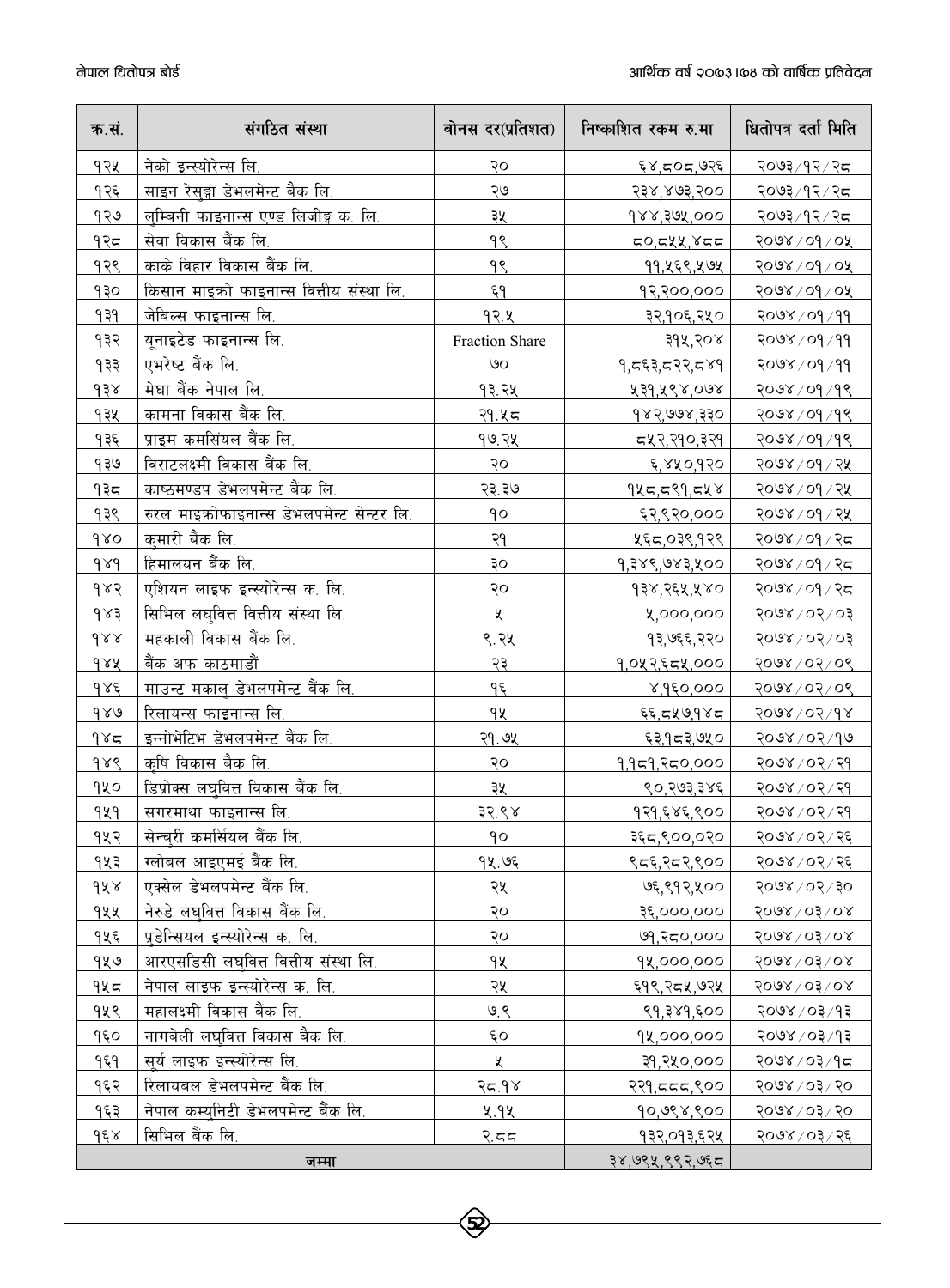| क.सं.              | संगठित संस्था                              | बोनस दर(प्रतिशत) | निष्काशित रकम रु.मा     | धितोपत्र दर्ता मिति              |
|--------------------|--------------------------------------------|------------------|-------------------------|----------------------------------|
| १२५                | नेको इन्स्योरेन्स लि.                      | २०               | ६४,द०द,७२६              | २०७३ ⁄ १२ ⁄ २८                   |
| १२६                | साइन रेसुङ्गा डेभलमेन्ट बैंक लि.           | ২७               | २३४,४७३,२००             | <u>२०७३/१२/२८ </u>               |
| १२७                | लुम्बिनी फाइनान्स एण्ड लिजीङ्ग क. लि.      | ३५               | 988,302,000             | २०७३ ⁄ १२ ⁄ २८                   |
| १२८                | सेवा विकास बैंक लि.                        | 99               | 50,544,855              | २०७४ / ०१ / ०५                   |
| १२९                | काके विहार विकास बैंक लि.                  | 98               | ११,५६९,५७५              | २०७४ / ०१ / ०५                   |
| १३०                | किसान माइको फाइनान्स वित्तीय संस्था लि.    | ६٩               | १२,२००,०००              | २०७४ / ०१ / ०५                   |
| ۹३१                | जेबिल्स फाइनान्स लि.                       | १२.५             | ३२,१०६,२५०              | २०७४/०१/११                       |
| १३२                | यनाइटेड फाइनान्स लि.                       | Fraction Share   | ३१५,२०४                 | 2008/09/99                       |
| १३३                | एभरेष्ट बैंक लि.                           | ७०               | १,८६३,८२२,८४१           | २०७४ / ०१ / ११                   |
| 938                | मेघा बैंक नेपाल लि.                        | 93.24            | ४३१,५९४,०७४             | २०७४ / ०१ / १९                   |
| १३५                | कामना विकास बैंक लि.                       | <u>२१.५८</u>     | १४२,७७४,३३०             | २०७४ / ०१ / १९                   |
| १३६                | प्राइम कमसिंयल बैंक लि.                    | <u>१७.२५ </u>    | <u>द्रप्र२,२१०,३२१ </u> | २०७४ / ०१ / १९                   |
| 930                | विराटलक्ष्मी विकास बैंक लि.                | २०               | ६,४५०,१२०               | २०७४ / ०१ / २५                   |
| १३८                | काष्ठमण्डप डेभलपमेन्ट बैंक लि.             | २३.३७            | १५८,८९१,८५४             | २०७४ / ०१ / २५                   |
| १३९                | रुरल माइक्रोफाइनान्स डेभलपमेन्ट सेन्टर लि. | 90               | ६२,९२०,०००              | २०७४ / ०१ / २५                   |
| 980                | कुमारी बैंक लि.                            | २१               | ५६८,०३९,१२९             | २०७४ / ०१ / २८                   |
| $d\lambda d$       | हिमालयन बैंक लि.                           | ३०               | 9,३४९,७४३,५००           | २०७४ / ०१ / २८                   |
| 983                | एशियन लाइफ इन्स्योरेन्स क. लि.             | २०               | १३४,२६५,५४०             | २०७४ / ०१ / २८                   |
| $\delta$ $\lambda$ | सिभिल लघ्वित्त वित्तीय संस्था लि.          | ৼ                | ४,०००,०००               | 50/50/8005                       |
| $\delta x$         | महकाली विकास बैंक लि.                      | ९.२५             | १३,७६६,२२०              | $50/20$ /05/05                   |
| dAA                | बैंक अफ काठमाडौं                           | २३               | १,०५२,६८५,०००           | २०७४ / ०२ / ०९                   |
| $d$ s $\xi$        | माउन्ट मकाल् डेभलपमेन्ट बैंक लि.           | ٩६               | 8,950,000               | २०७४/०२/०९                       |
| 980                | रिलायन्स फाइनान्स लि.                      | qų               | ६६,दप्र७,१४द            | 8008/05/98                       |
| 985                | इन्नोभेटिभ डेभलपमेन्ट बैंक लि.             | २१.७५            | <u>६३,१८३,७५० </u>      | २०७४ / ०२ / १७                   |
| 988                | कृषि विकास बैक लि.                         | २०               | 9,959,२८०,०००           | २०७४ / ०२ / २१                   |
| qyo                | डिप्रोक्स लघ्वित्त विकास बैंक लि.          | ३५               | ९०,२७३,३४६              | २०७४ / ०२ / २१                   |
| <u>929</u>         | <u>सगरमाथा फाइनान्स लि.</u>                | <u>३२.९४</u>     | १२१,६४६,९००             | २० <u>७४ / ०२ / २१</u>           |
| १५२                | सेन्चरी कमर्सियल बैंक लि.                  | qo               | ३६८,९००,०२०             | २०७४ / ०२ / २६                   |
| १५३                | ग्लोबल आइएमई बैंक लि.                      | १५.७६            | ९८६,२८२,९००             | २०७४/०२/२६                       |
| 9X x               | एक्सेल डेभलपमेन्ट बैंक लि.                 | २५               | ७६,९१२,५००              | $05 \sqrt{20} \times 00$         |
| १५५                | नेरुडे लघुवित्त विकास बैंक लि.             | २०               | २६,०००,०००              | $5008 \times 0308$               |
| १५६                | प्रडेन्सियल इन्स्योरेन्स क. लि.            | २०               | ७१,२८०,०००              | $5008 \times 03 \times 08$       |
| १५७                | आरएसडिसी लघवित्त वित्तीय संस्था लि.        | ٩X               | 92,000,000              | $5008 \times 0308$               |
| १५८                | <u>नेपाल लाइफ इन्स्यो</u> रेन्स क. लि.     | २५               | ६१९,२८५,७२५             | $5008 \setminus 03 \setminus 08$ |
| १५९                | महालक्ष्मी विकास बैंक लि.                  | 9.8              | ९१,३४१,६००              | २०७४ / ०३ / १३                   |
| 950                | नागबेली लघवित्त विकास बैंक लि.             | $\epsilon$ o     | 92,000,000              | १०७४ / ०३/१३                     |
| १६१                | सूर्य लाइफ इन्स्योरेन्स लि.                | X                | ३१,२५०,०००              | २०७४ ⁄ ०३ ⁄ १८                   |
| १६२                | रिलायबल डेभलपमेन्ट बैंक लि.                | २८.१४            | २२१,ददद,९००             | 098 / 20                         |
| १६३                | नेपाल कम्यनिटी डेभलपमेन्ट बैंक लि.         | <b>y.9k</b>      | 90,098,900              | 098 / 20                         |
| $d \epsilon$       | सिभिल बैंक लि.                             | <u>२.दद</u>      | १३२,०१३,६२५             | २०७४ / ०३ / २६                   |
|                    | जम्मा                                      |                  | ३४,७९५,९९२,७६८          |                                  |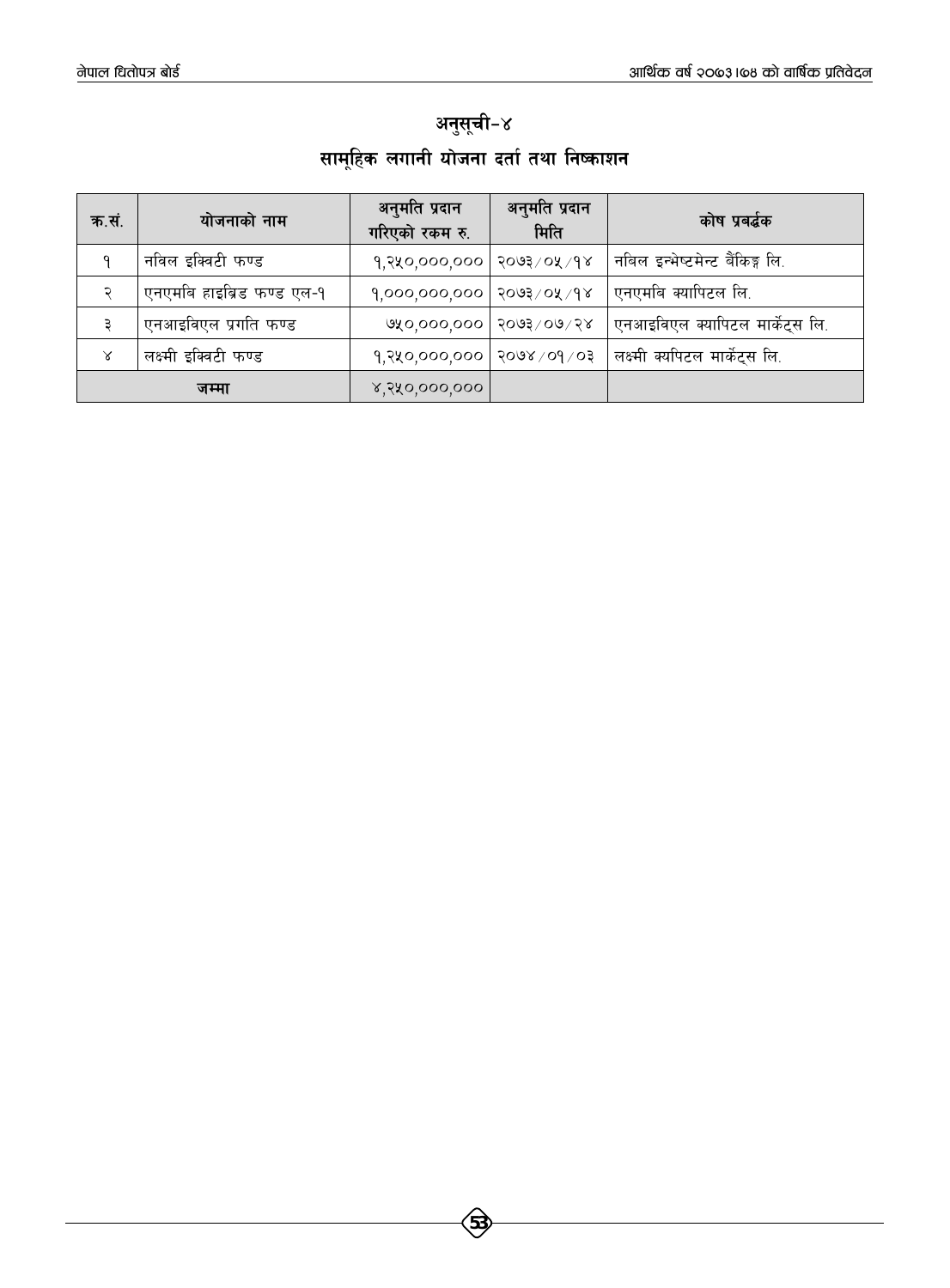## अनुसूची-४ सामूहिक लगानी योजना दर्ता तथा निष्काशन

| क.सं. | योजनाको नाम               | अनुमति प्रदान<br>गरिएको रकम रु.        | अनुमति प्रदान<br>मिति | कोष प्रबर्द्धक                  |
|-------|---------------------------|----------------------------------------|-----------------------|---------------------------------|
|       | नविल इक्विटी फण्ड         | 9,980,000,000                          | ∣ २०७३ ⁄ ०५ ⁄ १४      | नबिल इन्भेष्टमेन्ट बैंकिङ्ग लि. |
|       | एनएमबि हाइब्रिड फण्ड एल-१ | $9,000,000,000$  २०७३/०५/१४            |                       | एनएमबि क्यापिटल लि.             |
|       | एनआइविएल प्रगति फण्ड      | $\alpha$ ४०,०००,०००   २०७३ $\times$ ०७ |                       | एनआइविएल क्यापिटल मार्केट्स लि. |
| Χ     | लक्ष्मी इक्विटी फण्ड      | $9,880,000,000$   3008 $\sqrt{09}$     |                       | लक्ष्मी क्यपिटल मार्केट्स लि.   |
|       | जम्मा                     | ४,२५०,०००,०००                          |                       |                                 |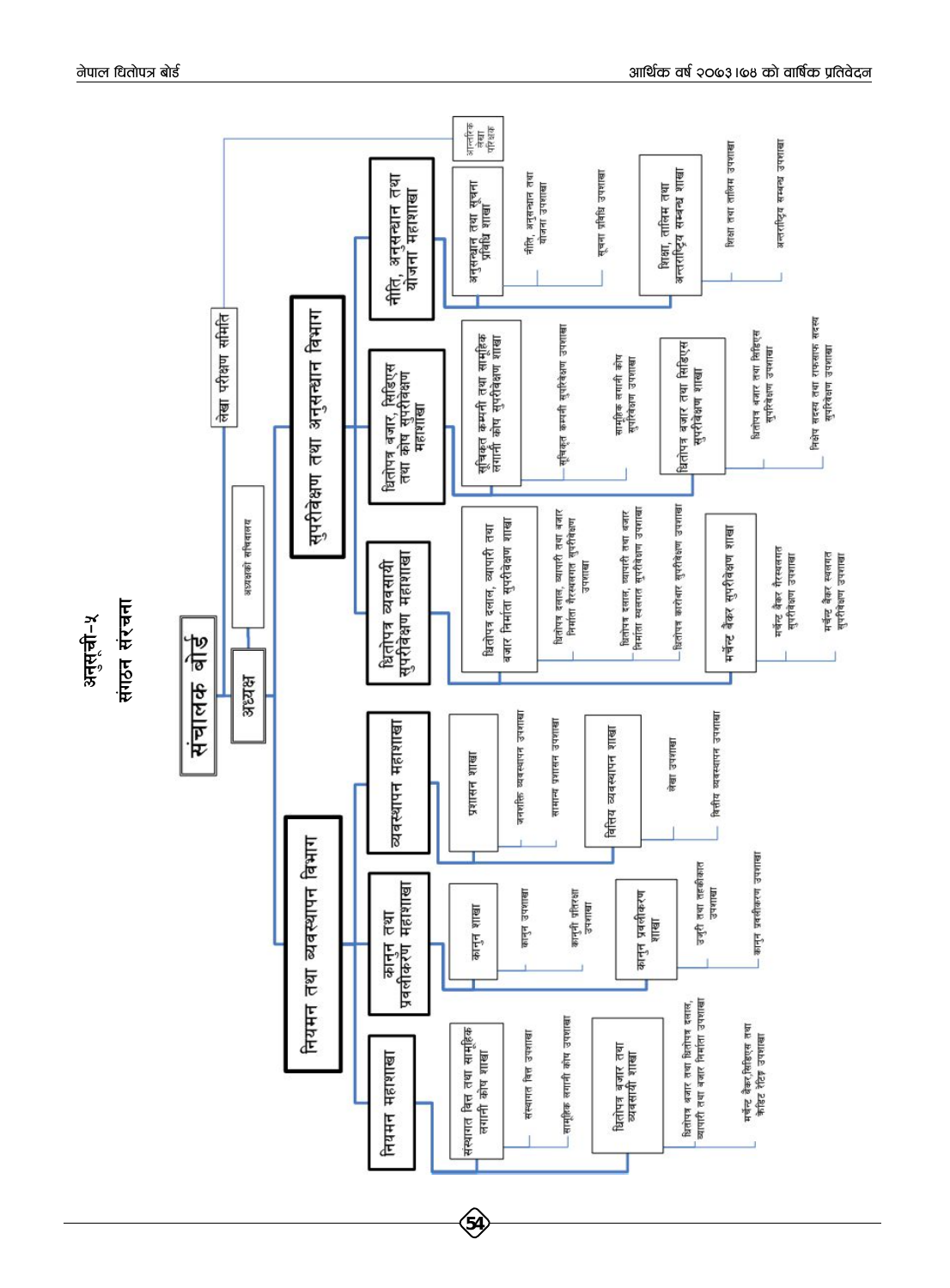

नेपाल धितोपत्र बोर्ड

अनुसूची-५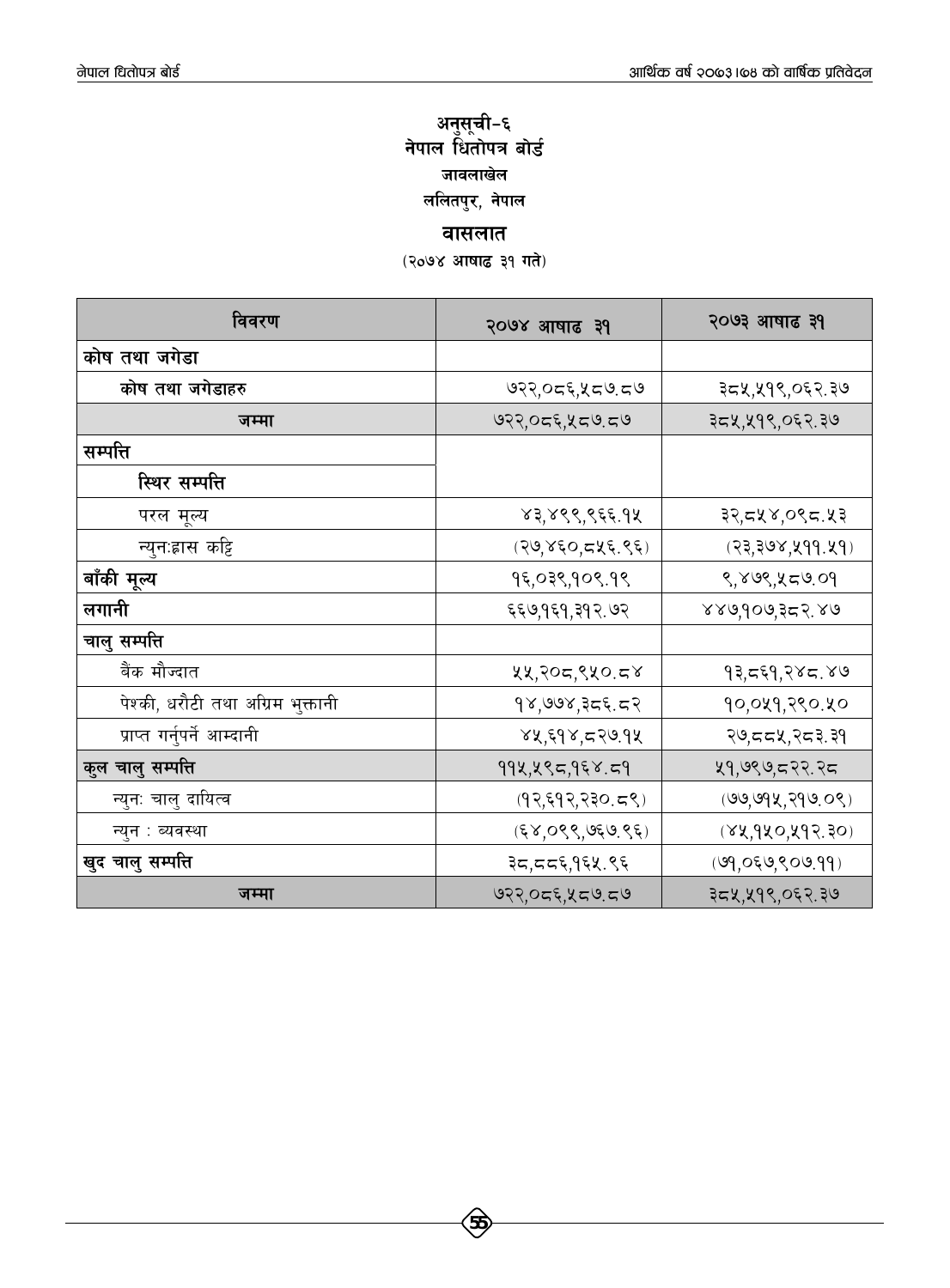### <mark>अनुसूची–</mark>६ नेपाल धितोपत्र <mark>बो</mark>र्ड <u>जावलाखेल</u> ललितपुर, नेपाल

**a**ासलात

(२०७४ आषाढ ३१ गते)

| विवरण                             | २०७४ आषाढ ३१    | २०७३ आषाढ ३१      |
|-----------------------------------|-----------------|-------------------|
| कोष तथा जगेडा                     |                 |                   |
| कोष तथा जगेडाहरु                  | ७२२,०द६,५द७.द७  | ३८५,५१९,०६२.३७    |
| जम्मा                             | ७२२,०द६,५द७.द७  | ३८५,५१९,०६२.३७    |
| सम्पत्ति                          |                 |                   |
| स्थिर सम्पत्ति                    |                 |                   |
| परल मूल्य                         | ४३,४९९,९६६.१५   | ३२,द५४,०९द.५३     |
| न्युन:ह्रास कट्टि                 | (२७,४६०,८५६.९६) | (२३,३७४,५११.५१)   |
| बाँकी मूल्य                       | १६,०३९,१०९.१९   | ९,४७९,५८७.०१      |
| लगानी                             | ६६७,१६१,३१२.७२  | ४४७,१०७,३८२.४७    |
| चालु सम्पत्ति                     |                 |                   |
| बैंक मौज्दात                      | ५५,२०८,९५०.८४   | १३,द६१,२४द.४७     |
| पेश्की, धरौटी तथा अग्रिम भुक्तानी | १४,७७४,३८६.८२   | १०,०५१,२९०.५०     |
| प्राप्त गर्नुपर्ने आम्दानी        | ४५,६१४,८२७.१४   | २७,८८५,२८३.३१     |
| कुल चालु सम्पत्ति                 | ११५,५९८,१६४.८१  | ५१,७९७,८२२.२८     |
| न्युन: चालु दायित्व               | (9,59,730.58)   | (99, 994, 799.08) |
| न्युन : ब्यवस्था                  | (58,099,950,95) | (84,940,497,30)   |
| खुद चालु सम्पत्ति                 | ३८,८८६,१६५.९६   | (99,059,809.99)   |
| जम्मा                             | ७२२,०द६,५द७.द७  | ३८५,५१९,०६२.३७    |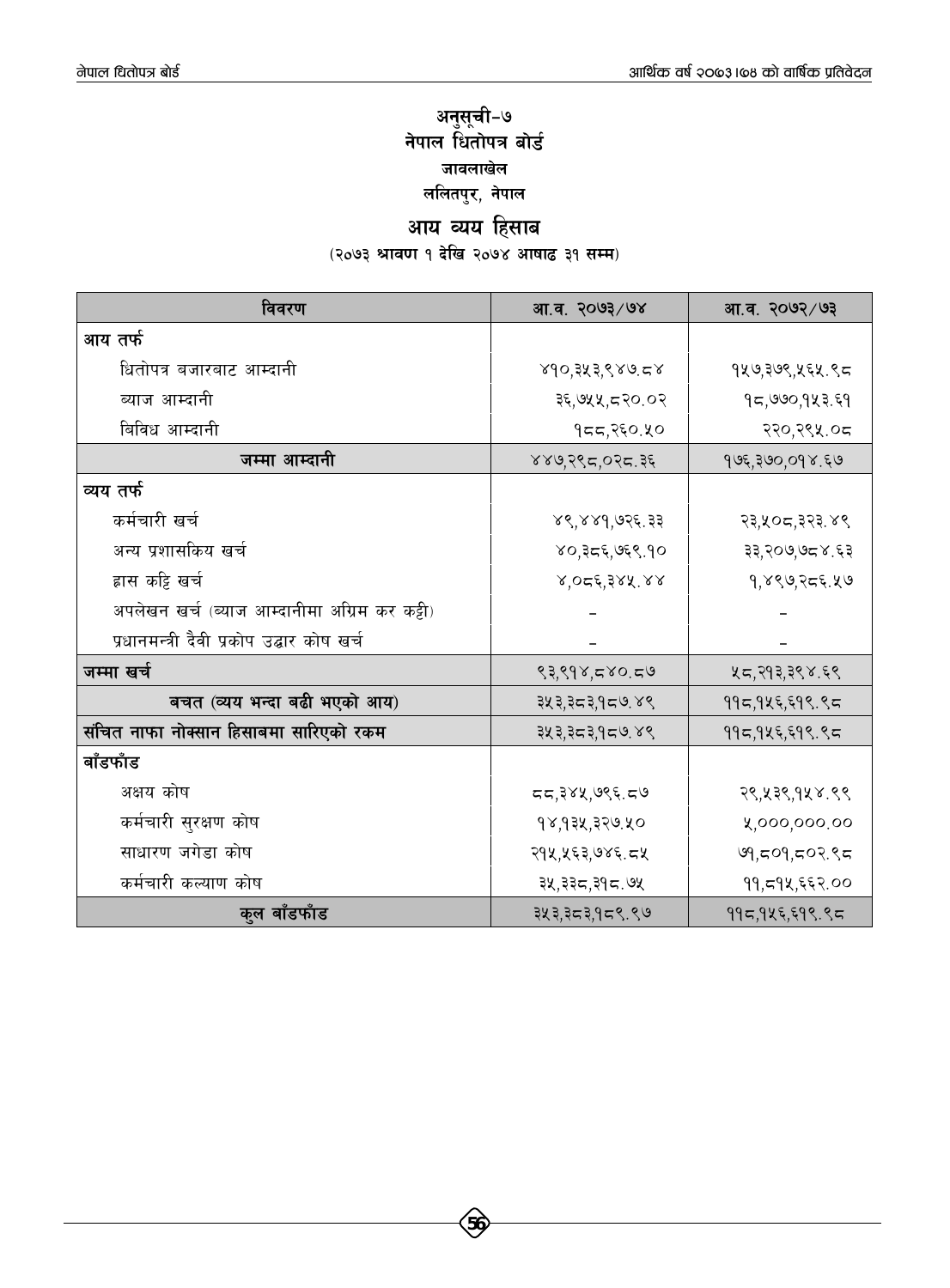### अनुसूची–७ नेपाल धितोपत्र बोर्<mark>ड</mark> <u>जावलाखेल</u> ललितपुर, नेपाल

# आय व्यय हिसाब

.<br>(२०७३ श्रावण १ देखि २०७४ आषाढ ३१ सम्म)

| विवरण                                         | आ.व. २०७३/७४   | आ.व. २०७२/७३   |
|-----------------------------------------------|----------------|----------------|
| आय तर्फ                                       |                |                |
| धितोपत्र बजारबाट आम्दानी                      | ४१०,३५३,९४७.८४ | १५७,३७९,५६५.९८ |
| ब्याज आम्दानी                                 | ३६,७५५,८२०.०२  | १८,७७०,१५३.६१  |
| बिविध आम्दानी                                 | १८८,२६०.५०     | २२०,२९५.०८     |
| जम्मा आम्दानी                                 | ४४७,२९८,०२८.३६ | १७६,३७०,०१४.६७ |
| व्यय तर्फ                                     |                |                |
| कर्मचारी खर्च                                 | ४९,४४१,७२६.३३  | २३,५०८,३२३.४९  |
| अन्य प्रशासकिय खर्च                           | ४०,३द६,७६९.१०  | ३३,२०७,७८४.६३  |
| ह्रास कट्टि खर्च                              | 8,056,388.88   | १,४९७,२८६.५७   |
| अपलेखन खर्च (ब्याज आम्दानीमा अग्रिम कर कट्टी) |                |                |
| प्रधानमन्त्री दैवी प्रकोप उद्बार कोष खर्च     |                |                |
| जम्मा खर्च                                    | ९३,९१४,८४०.८७  | ५८,२१३,३९४.६९  |
| बचत (व्यय भन्दा बढी भएको आय)                  | ३५३,३८३,१८७.४९ | ११८,१५६,६१९.९८ |
| संचित नाफा नोक्सान हिसाबमा सारिएको रकम        | ३५३,३८३,१८७.४९ | ११८,१५६,६१९.९८ |
| बाँडफाँड                                      |                |                |
| अक्षय कोष                                     | दद,३४५,७९६.द७  | २९,५३९,१५४.९९  |
| कर्मचारी सुरक्षण कोष                          | १४,१३५,३२७.५०  | ५,०००,०००.००   |
| साधारण जगेडा कोष                              | २१५,५६३,७४६.८५ | ७१,८०१,८०२.९८  |
| कर्मचारी कल्याण कोष                           | ३५,३३८,३१८.७५  | ११,८१४,६६२.००  |
| कुल बाँडफाँड                                  | ३५३,३८३,१८९.९७ | ११८,१५६,६१९.९८ |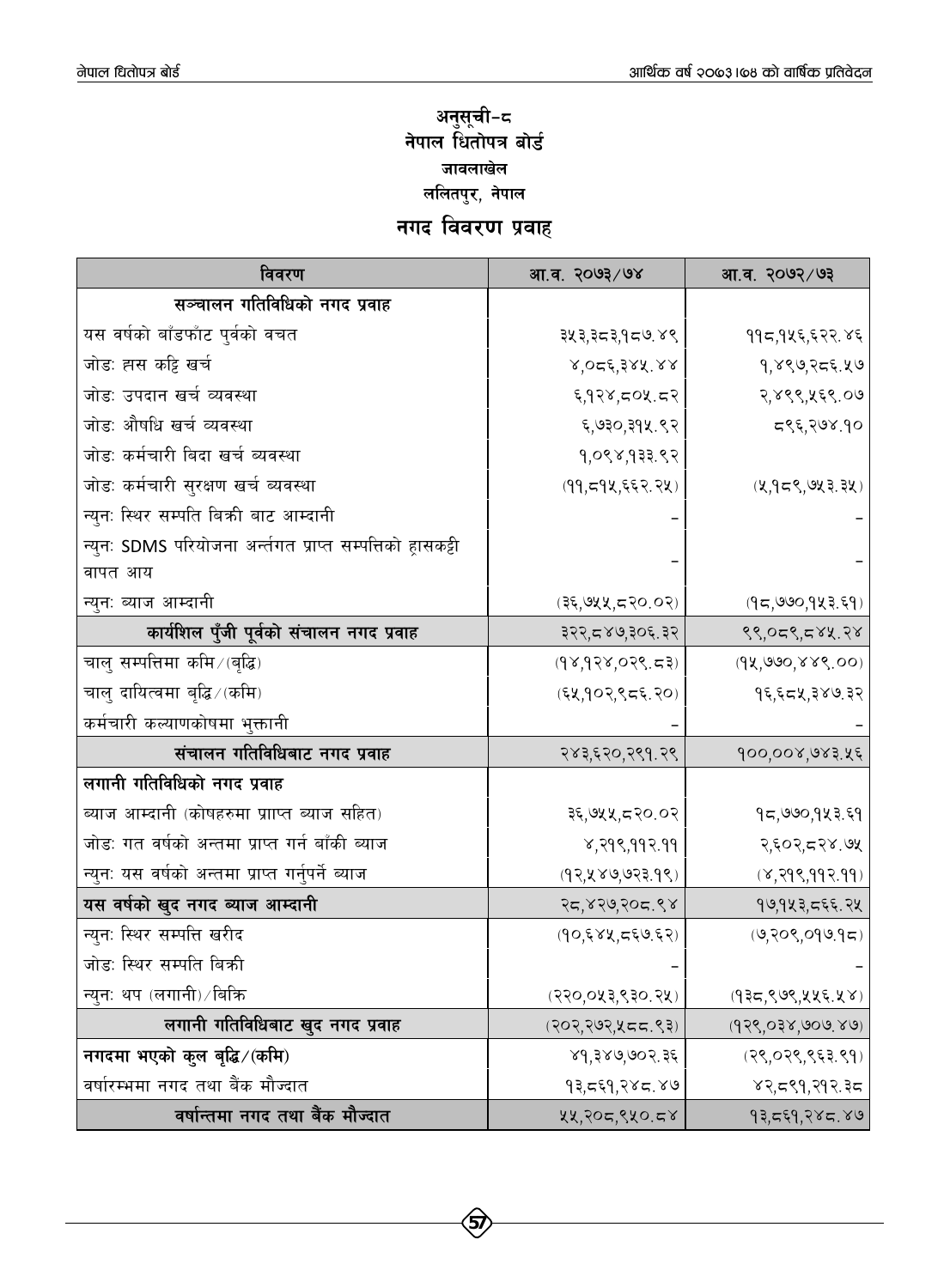### अनुसूची−<mark>द</mark> नेपाल धितोपत्र बोर्<mark>ड</mark> <u>जावलाखेल</u> ललितपुर, नेपाल

### **नगद विवरण प्रवाह**

| विवरण                                                       | आ.व. २०७३/७४       | आ.व. २०७२/७३        |
|-------------------------------------------------------------|--------------------|---------------------|
| सञ्चालन गतिविधिको नगद प्रवाह                                |                    |                     |
| यस वर्षको बाँडफाँट पुर्वको वचत                              | ३५३,३८३,१८७.४९     | ११८,१५६,६२२.४६      |
| जोड: ह्मस कट्टि खर्च                                        | ४,०८६,३४५.४४       | १,४९७,२८६.५७        |
| जोडः उपदान खर्च व्यवस्था                                    | ६,१२४,८०५.८२       | २,४९९,५६९.०७        |
| जोडः औषधि खर्च व्यवस्था                                     | ६,७३०,३१४.९२       | द९६,२७४.१०          |
| जोडः कर्मचारी बिदा खर्च ब्यवस्था                            | 9,088,933.82       |                     |
| जोडः कर्मचारी सुरक्षण खर्च ब्यवस्था                         | (99, 594, 552.74)  | (2,955,923.32)      |
| न्युन: स्थिर सम्पति बिक्री बाट आम्दानी                      |                    |                     |
| न्युनः SDMS परियोजना अर्न्तगत प्राप्त सम्पत्तिको ह्रासकट्टी |                    |                     |
| वापत आय                                                     |                    |                     |
| न्युन: ब्याज आम्दानी                                        | (३६,७५५,८२०.०२)    | (95,990,983,59)     |
| कार्यशिल पुँजी पूर्वको संचालन नगद प्रवाह                    | ३२२,८४७,३०६.३२     | ९९,०८९,८४५.२४       |
| चालु सम्पत्तिमा कमि ∕ (बृद्धि)                              | (98,988,088,58)    | (9x,990,888,00)     |
| चालु दायित्वमा बृद्धि ⁄ (कमि)                               | (54,902,955,20)    | १६,६८५,३४७.३२       |
| कर्मचारी कल्याणकोषमा भुक्तानी                               |                    |                     |
| संचालन गतिविधिबाट नगद प्रवाह                                | २४३,६२०,२९१.२९     | १००,००४,७४३.५६      |
| लगानी गतिविधिको नगद प्रवाह                                  |                    |                     |
| ब्याज आम्दानी (कोषहरुमा प्रााप्त ब्याज सहित)                | ३६,७५५,८२०.०२      | १८,७७०,१५३.६१       |
| जोड: गत वर्षको अन्तमा प्राप्त गर्न बाँकी ब्याज              | 8,998,998.99       | २,६०२,८२४.७५        |
| न्युनः यस वर्षको अन्तमा प्राप्त गर्नुपर्ने ब्याज            | (92, 889, 923, 98) | (8, 298, 998.99)    |
| यस वर्षको खुद नगद ब्याज आम्दानी                             | २८,४२७,२०८.९४      | १७,१५३,८६६.२५       |
| न्युनः स्थिर सम्पत्ति खरीद                                  | (90,684,560.62)    | (9, 208, 099.95)    |
| जोडः स्थिर सम्पति बिक्री                                    |                    |                     |
| न्युन: थप (लगानी) ∕ बिक्रि                                  | (२२०,०५३,९३०.२५)   | (935, 898, 225, 28) |
| लगानी गतिविधिबाट खुद नगद प्रवाह                             | (२०२,२७२,५८८.९३)   | (938,038,909,89)    |
| नगदमा भएको कुल बृद्धि/(कमि)                                 | ४१,३४७,७०२.३६      | (28,028,853.89)     |
| वर्षारम्भमा नगद तथा बैंक मौज्दात                            | १३,८६१,२४८.४७      | ४२,८९१,२१२.३८       |
| वर्षान्तमा नगद तथा बैंक मौज्दात                             | ५५,२०८,९५०.८४      | १३,८६१,२४८.४७       |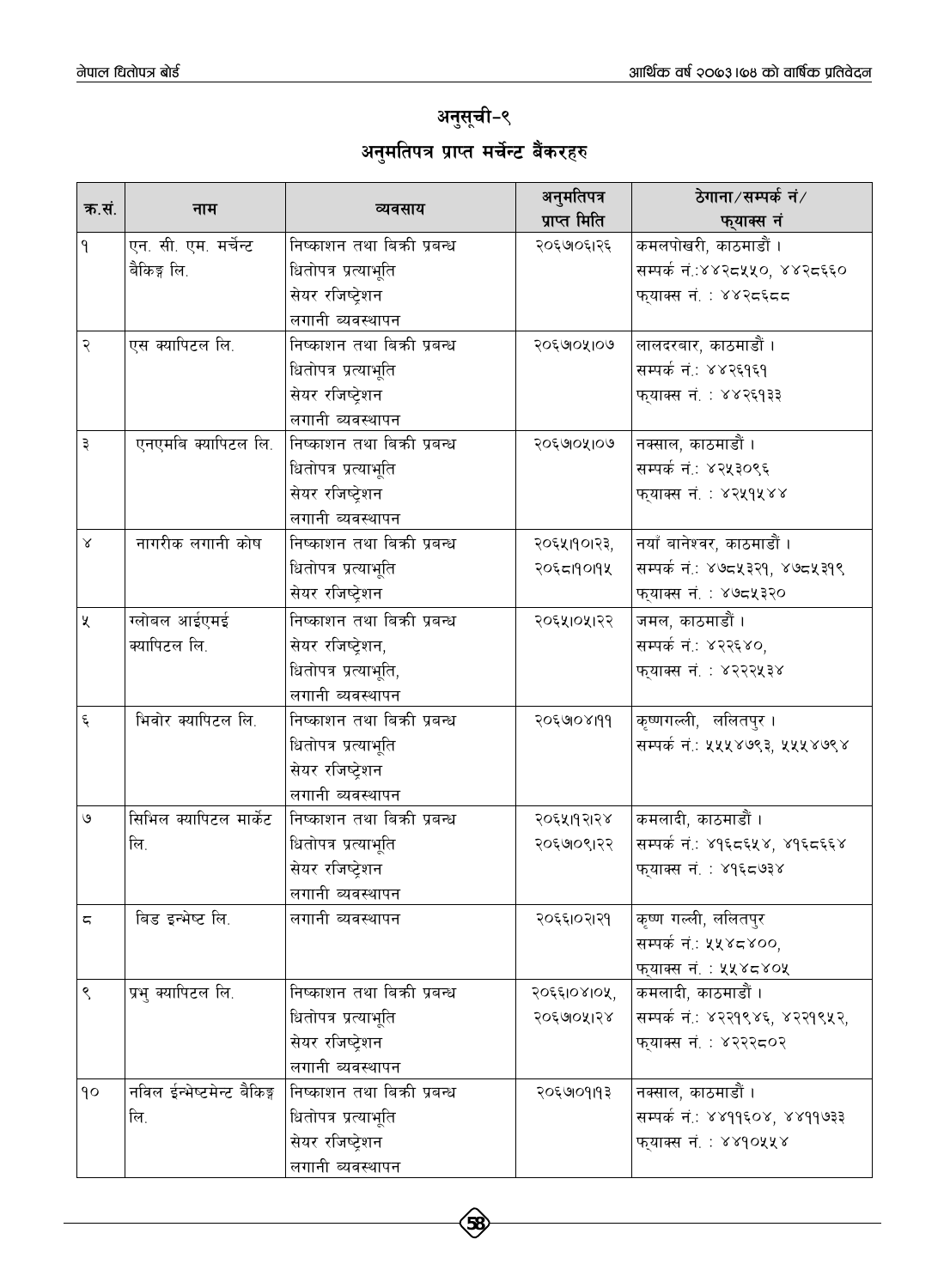## अनुसूची-९ अनुमतिपत्र प्राप्त म<mark>र्चेन्ट बैंकर</mark>हरु

| क.सं.                   |                            |                             | अनुमतिपत्र   | ठेगाना∕सम्पर्क नं∕             |
|-------------------------|----------------------------|-----------------------------|--------------|--------------------------------|
|                         | नाम                        | व्यवसाय                     | प्राप्त मिति | फ्याक्स नं                     |
| $\mathsf{P}$            | एन. सी. एम. मर्चेन्ट       | निष्काशन तथा बिकी प्रबन्ध   | २०६७७६१२६    | कमलपोखरी, काठमाडौं ।           |
|                         | बैकिङ्ग लि.                | धितोपत्र प्रत्याभूति        |              | सम्पर्क नं.:४४२८५५०, ४४२८६६०   |
|                         |                            | सेयर रजिष्ट्रेशन            |              | फ्याक्स नं. : ४४२द६दद          |
|                         |                            | लगानी व्यवस्थापन            |              |                                |
| २                       | एस क्यापिटल लि.            | निष्काशन तथा बिकी प्रबन्ध   | २०६७०५१०७    | लालदरबार, काठमाडौं ।           |
|                         |                            | धितोपत्र प्रत्याभूति        |              | सम्पर्क नं.: ४४२६१६१           |
|                         |                            | सेयर रजिष्ट्रेशन            |              | फ्याक्स नं. : ४४२६१३३          |
|                         |                            | लगानी व्यवस्थापन            |              |                                |
| ३                       | एनएमबि क्यापिटल लि.        | निष्काशन तथा बिक्री प्रबन्ध | २०६७०५१०७    | नक्साल, काठमाडौं ।             |
|                         |                            | धितोपत्र प्रत्याभूति        |              | सम्पर्क नं.: ४२५३०९६           |
|                         |                            | सेयर रजिष्ट्रेशन            |              | फ्याक्स नं. : ४२५१५४४          |
|                         |                            | लगानी व्यवस्थापन            |              |                                |
| $\propto$               | नागरीक लगानी कोष           | निष्काशन तथा बिक्री प्रबन्ध | २०६५११०१२३,  | नयाँ बानेश्वर, काठमाडौं ।      |
|                         |                            | धितोपत्र प्रत्याभूति        | २०६८19019५   | सम्पर्क नं.: ४७८५३२१, ४७८५३१९  |
|                         |                            | सेयर रजिष्ट्रेशन            |              | फ्याक्स नं. : ४७८५३२०          |
| $\chi$                  | ग्लोबल आईएमई               | निष्काशन तथा बिक्री प्रबन्ध | २०६५1०५1२२   | जमल, काठमाडौं ।                |
|                         | क्यापिटल लि.               | सेयर रजिष्ट्रेशन,           |              | सम्पर्क नं.: ४२२६४०,           |
|                         |                            | धितोपत्र प्रत्याभूति,       |              | फुयाक्स नं. : ४२२२५३४          |
|                         |                            | लगानी ब्यवस्थापन            |              |                                |
| $\boldsymbol{\xi}$      | भिवोर क्यापिटल लि.         | निष्काशन तथा बिक्री प्रबन्ध | २०६७०४१११    | कृष्णगल्ली, ललितपुर ।          |
|                         |                            | धितोपत्र प्रत्याभूति        |              | सम्पर्क नं.: ५५५४७९३, ५५५४७९४  |
|                         |                            | सेयर रजिष्ट्रेशन            |              |                                |
|                         |                            | लगानी व्यवस्थापन            |              |                                |
| ৩                       | सिभिल क्यापिटल मार्केट     | निष्काशन तथा बिक्री प्रबन्ध | २०६५११२१४    | कमलादी, काठमाडौं ।             |
|                         | लि.                        | धितोपत्र प्रत्याभूति        | २०६७०९१२२    | सम्पर्क नं.: ४१६८६५४, ४१६८६६४  |
|                         |                            | सेयर रजिष्ट्रेशन            |              | फ्याक्स नं. : ४१६८७३४          |
|                         |                            | लगानी व्यवस्थापन            |              |                                |
| $\overline{\mathsf{C}}$ | बिड इन्भेष्ट लि.           | लगानी ब्यवस्थापन            | २०६६1०२1२१   | कृष्ण गल्ली, ललितपुर           |
|                         |                            |                             |              | सम्पर्क नं.: ५५४८४००,          |
|                         |                            |                             |              | फुयाक्स नं. : ५५४८४०५          |
| ९                       | प्रभु क्यापिटल लि.         | निष्काशन तथा बिक्री प्रबन्ध | २०६६10४10५,  | कमलादी, काठमाडौं ।             |
|                         |                            | धितोपत्र प्रत्याभूति        | २०६७०५१२४    | सम्पर्क नं.: ४२२१९४६, ४२२१९५२, |
|                         |                            | सेयर रजिष्ट्रेशन            |              | फ्याक्स नं. : ४२२२८०२          |
|                         |                            | लगानी व्यवस्थापन            |              |                                |
| $\mathsf{q}\circ$       | नविल ईन्भेष्टमेन्ट बैकिङ्ग | निष्काशन तथा बिक्री प्रबन्ध | २०६७०१११३    | नक्साल, काठमाडौं ।             |
|                         | लि.                        | धितोपत्र प्रत्याभूति        |              | सम्पर्क नं.: ४४११६०४, ४४११७३३  |
|                         |                            | सेयर रजिष्टेशन              |              | फुयाक्स नं. : ४४१०५५४          |
|                         |                            | लगानी व्यवस्थापन            |              |                                |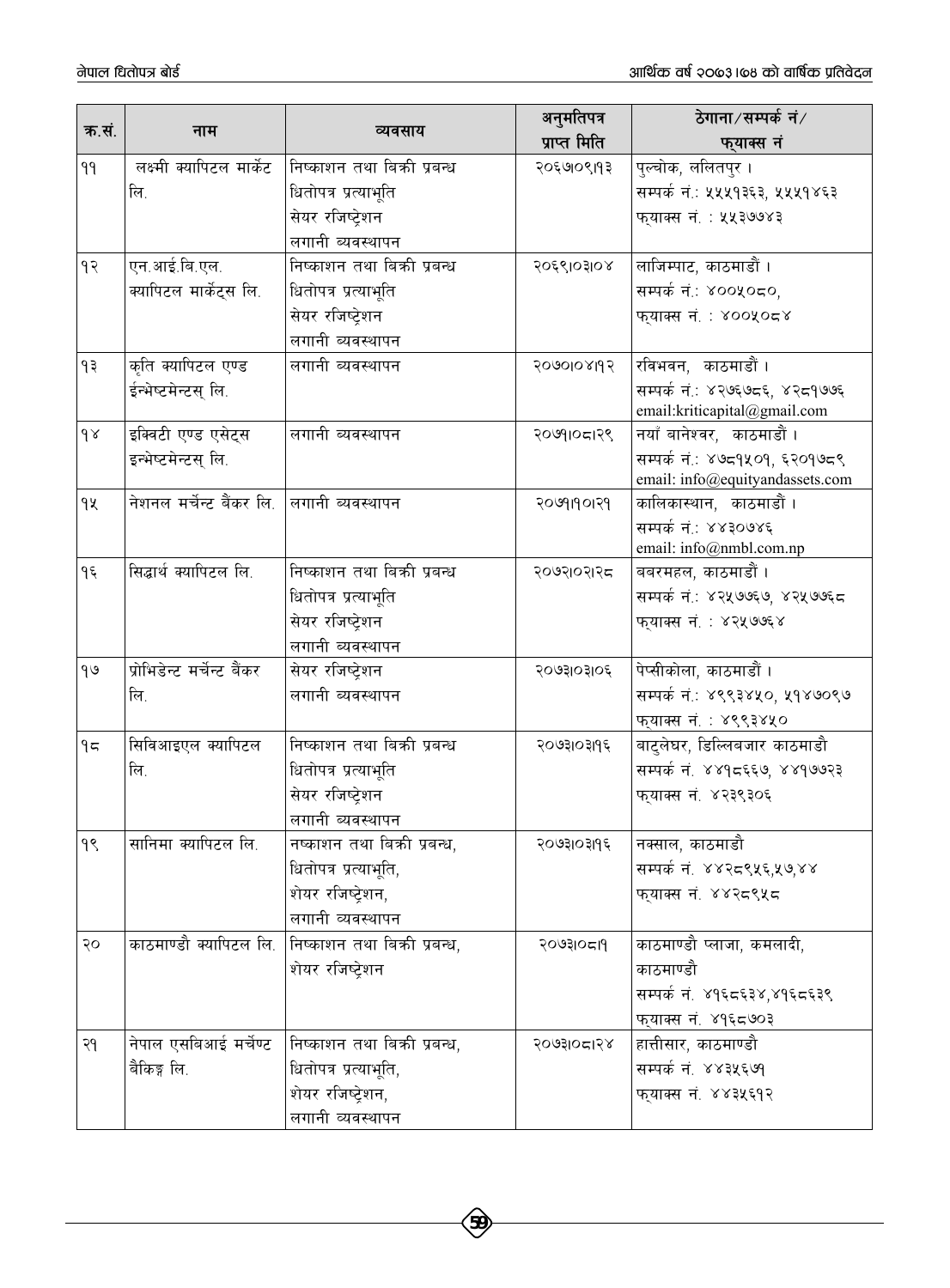|          |                                            |                              | अनुमतिपत्र   | ठेगाना∕सम्पर्क नं∕                              |
|----------|--------------------------------------------|------------------------------|--------------|-------------------------------------------------|
| क.सं.    | नाम                                        | व्यवसाय                      | प्राप्त मिति | फुयाक्स नं                                      |
| 99       | लक्ष्मी क्यापिटल मार्केट                   | निष्काशन तथा बिक्री प्रबन्ध  | २०६७७९११३    | पुल्चोक, ललितपुर ।                              |
|          | लि.                                        | धितोपत्र प्रत्याभूति         |              | सम्पर्क नं.: ५५५१३६३, ५५५१४६३                   |
|          |                                            | सेयर रजिष्ट्रेशन             |              | फुयाक्स नं. : ५५३७७४३                           |
|          |                                            | लगानी ब्यवस्थापन             |              |                                                 |
| 93       | एन.आई.बि.एल.                               | निष्काशन तथा बिक्री प्रबन्ध  | २०६९1०३1०४   | लाजिम्पाट, काठमाडौं ।                           |
|          | क्यापिटल मार्केट्स लि.                     | धितोपत्र प्रत्याभूति         |              | सम्पर्क नं.: ४००५०८०,                           |
|          |                                            | सेयर रजिष्ट्रेशन             |              | फुयाक्स नं. : ४००५०८४                           |
|          |                                            | लगानी ब्यवस्थापन             |              |                                                 |
| ۹३       | कृति क्यापिटल एण्ड                         | लगानी ब्यवस्थापन             | 7000108197   | रविभवन, काठमाडौं ।                              |
|          | ईन्भेष्टमेन्टस् लि.                        |                              |              | सम्पर्क नं.: ४२७६७८६, ४२८१७७६                   |
|          |                                            |                              |              | email:kriticapital@gmail.com                    |
| $\gamma$ | इक्विटी एण्ड एसेट्स                        | लगानी ब्यवस्थापन             | २०७१।०८।२९   | नयाँ बानेश्वर, काठमाडौं ।                       |
|          | इन्भेष्टमेन्टस् लि.                        |                              |              | सम्पर्क नं.: ४७८१५०१, ६२०१७८९                   |
|          |                                            |                              |              | email: info@equityandassets.com                 |
| qy       | नेशनल मर्चेन्ट बैंकर लि. तलगानी ब्यवस्थापन |                              | २०७१।१०।२१   | कालिकास्थान, काठमाडौं ।                         |
|          |                                            |                              |              | सम्पर्क नं.: ४४३०७४६<br>email: info@nmbl.com.np |
| ۹६       | सिद्धार्थ क्यापिटल लि.                     | निष्काशन तथा बिक्री प्रबन्ध  | २०७२१०२१२८   | बबरमहल, काठमाडौं ।                              |
|          |                                            | धितोपत्र प्रत्याभूति         |              | सम्पर्क नं.: ४२५७७६७, ४२५७७६८                   |
|          |                                            | सेयर रजिष्ट्रेशन             |              | फ्याक्स नं. : ४२५७७६४                           |
|          |                                            | लगानी ब्यवस्थापन             |              |                                                 |
| 99       | प्रोभिडेन्ट मर्चेन्ट बैंकर                 | सेयर रजिष्ट्रेशन             | २०७३१०३१०६   | पेप्सीकोला, काठमाडौं ।                          |
|          | लि.                                        | लगानी ब्यवस्थापन             |              | सम्पर्क नं.: ४९९३४५०, ५१४७०९७                   |
|          |                                            |                              |              | फुयाक्स नं. : ४९९३४५०                           |
| 95       | सिविआइएल क्यापिटल                          | निष्काशन तथा बिकी प्रबन्ध    | २०७३१०३१९६   | बाटुलेघर, डिल्लिबजार काठमाडौ                    |
|          | लि.                                        | धितोपत्र प्रत्याभूति         |              | सम्पर्क नं. ४४१८६६७, ४४१७७२३                    |
|          |                                            | सेयर रजिष्ट्रेशन             |              | फुयाक्स नं. ४२३९३०६                             |
|          |                                            | लगानी ब्यवस्थापन             |              |                                                 |
| ٩Ś       | सानिमा क्यापिटल लि.                        | नष्काशन तथा बिक्री प्रबन्ध,  | २०७३।०३।१६   | नक्साल, काठमाडौ                                 |
|          |                                            | धितोपत्र प्रत्याभूति,        |              | सम्पर्क नं. ४४२८९५६,५७,४४                       |
|          |                                            | शेयर रजिष्ट्रेशन,            |              | फुयाक्स नं. ४४२८९५८                             |
|          |                                            | लगानी व्यवस्थापन             |              |                                                 |
| २०       | काठमाण्डौ क्यापिटल लि.                     | निष्काशन तथा बिकी प्रबन्ध,   | २०७३१०८१९    | काठमाण्डौ प्लाजा, कमलादी,                       |
|          |                                            | शेयर रजिष्टेशन               |              | काठमाण्डौ                                       |
|          |                                            |                              |              | सम्पर्क नं. ४१६८६३४,४१६८६३९                     |
|          |                                            |                              |              | फुयाक्स नं. ४१६८७०३                             |
| २१       | नेपाल एसबिआई मर्चेण्ट                      | निष्काशन तथा बिक्री प्रबन्ध, | २०७३१०८१२४   | हात्तीसार, काठमाण्डौ                            |
|          | बैकिङ्ग लि.                                | धितोपत्र प्रत्याभूति,        |              | सम्पर्क नं. ४४३५६७१                             |
|          |                                            | शेयर रजिष्ट्रेशन,            |              | फ्याक्स नं. ४४३५६१२                             |
|          |                                            | लगानी व्यवस्थापन             |              |                                                 |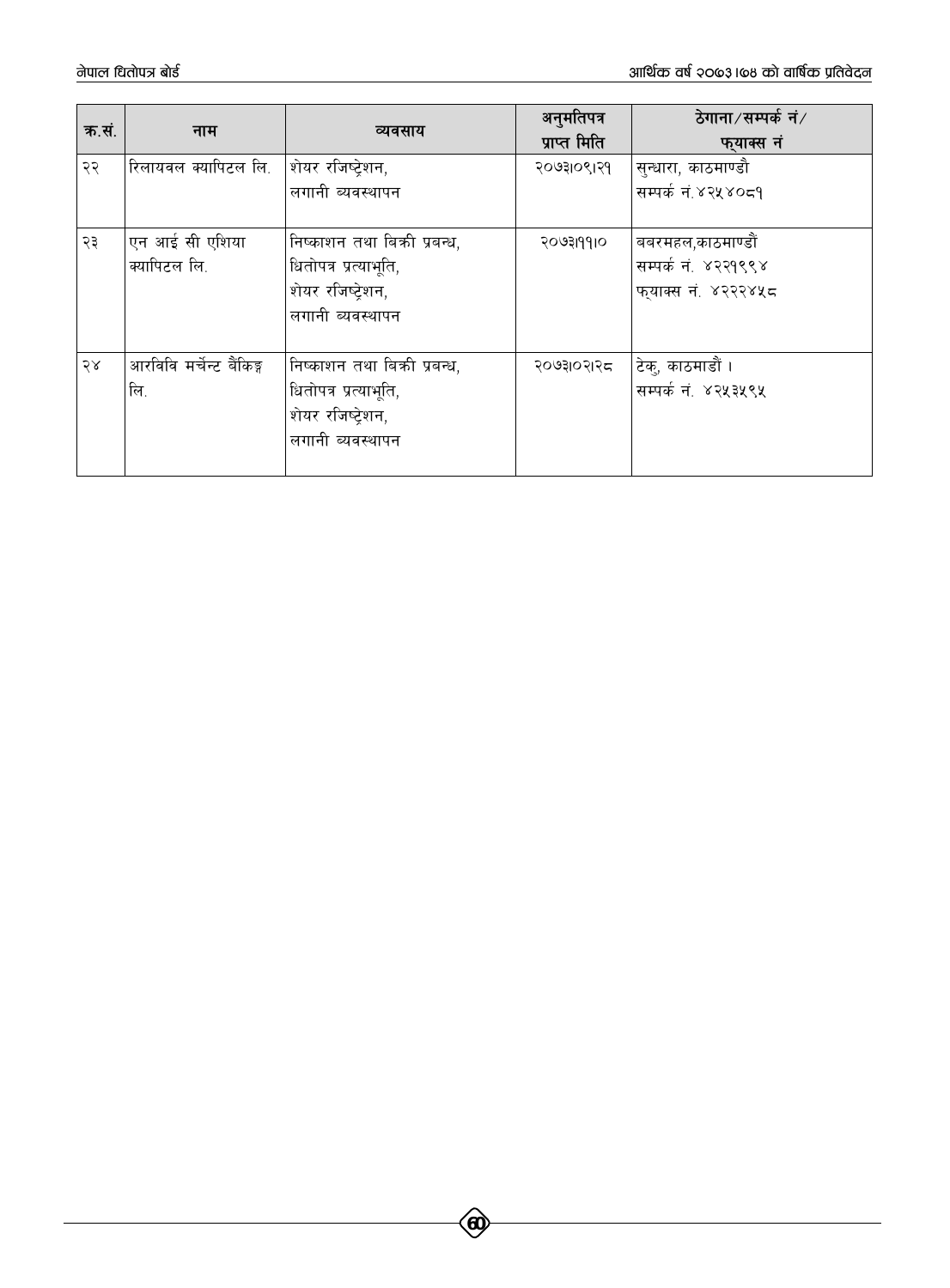| क.सं. | नाम                      | व्यवसाय                      | अनुमतिपत्र<br>प्राप्त मिति | ठेगाना∕सम्पर्क नं∕<br>फ्याक्स नं |
|-------|--------------------------|------------------------------|----------------------------|----------------------------------|
| २२    | रिलायवल क्यापिटल लि.     | शेयर रजिष्टेशन,              | २०७३१०९१२१                 | सुन्धारा, काठमाण्डौ              |
|       |                          | लगानी ब्यवस्थापन             |                            | सम्पर्क नं.४२५४०८१               |
| २३    | एन आई सी एशिया           | निष्काशन तथा बिक्री प्रबन्ध, | २०७३।१११०                  | बबरमहल,काठमाण्डौं                |
|       | क्यापिटल लि.             | धितोपत्र प्रत्याभूति,        |                            | सम्पर्क नं. ४२२१९९४              |
|       |                          | शेयर रजिष्टेशन,              |                            | फुयाक्स नं. ४२२२४५८              |
|       |                          | लगानी ब्यवस्थापन             |                            |                                  |
| 58    | आरविवि मर्चेन्ट बैंकिङ्ग | निष्काशन तथा बिक्री प्रबन्ध, | २०७३।०२।२८                 | टेक्, काठमाडौं ।                 |
|       | लि.                      | धितोपत्र प्रत्याभूति,        |                            | सम्पर्क नं. ४२५३५९५              |
|       |                          | शेयर रजिष्ट्रेशन,            |                            |                                  |
|       |                          | लगानी ब्यवस्थापन             |                            |                                  |
|       |                          |                              |                            |                                  |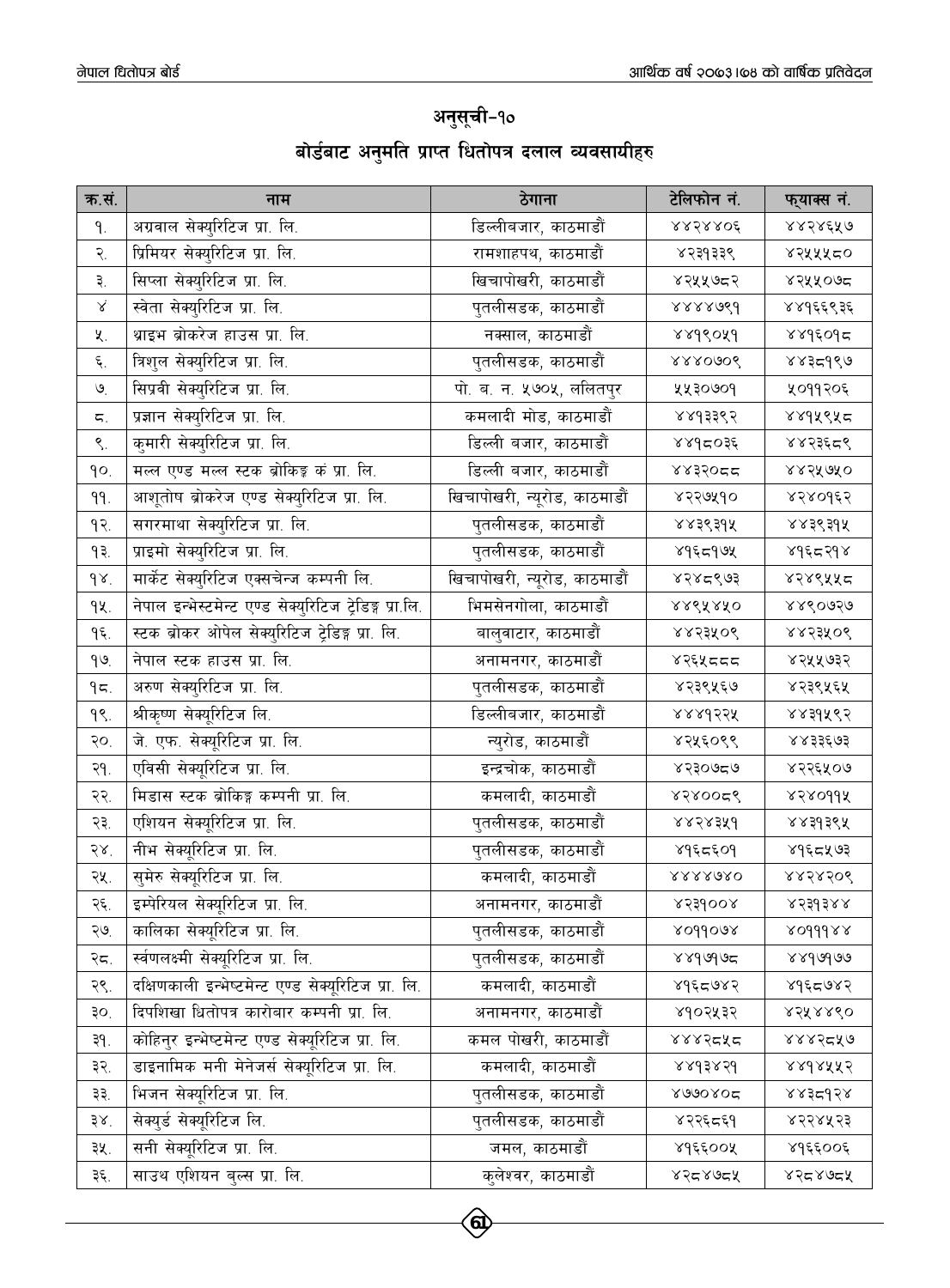| अनुसूची-१० |  |  |  |  |                                                   |
|------------|--|--|--|--|---------------------------------------------------|
|            |  |  |  |  | बोर्डबाट अनुमति प्राप्त धितोपत्र दलाल व्यवसायीहरु |

| क.सं.               | नाम                                                     | ठेगाना                       | टेलिफोन नं.    | फ्याक्स नं.           |
|---------------------|---------------------------------------------------------|------------------------------|----------------|-----------------------|
| ۹.                  | अग्रवाल सेक्युरिटिज प्रा. लि.                           | डिल्लीबजार, काठमाडौं         | <b>RRSRROÉ</b> | ४४२४६५७               |
| २.                  | प्रिमियर सेक्युरिटिज प्रा. लि.                          | रामशाहपथ, काठमाडौं           | ४२३१३३९        | ४२५५५८०               |
| ३.                  | सिप्ला सेक्युरिटिज प्रा. लि.                            | खिचापोखरी, काठमाडौं          | ४२५५७८२        | ४२५५०७८               |
| Χ                   | स्वेता सेक्युरिटिज प्रा. लि.                            | पुतलीसडक, काठमाडौं           | 8888089        | ४४१६६९३६              |
| 义.                  | थ्राइभ ब्रोकरेज हाउस प्रा. लि.                          | नक्साल, काठमाडौं             | 8899049        | ४४१६०१८               |
| ٤.                  | त्रिशुल सेक्युरिटिज प्रा. लि.                           | पुतलीसडक, काठमाडौं           | 888090g        | ४४३८१९७               |
| $\mathcal{O}_\cdot$ | सिप्रवी सेक्युरिटिज प्रा. लि.                           | पो. ब. न. ५७०५, ललितपुर      | ५५३०७०१        | ५०११२०६               |
| ς.                  | प्रज्ञान सेक्युरिटिज प्रा. लि.                          | कमलादी मोड, काठमाडौं         | ४४१३३९२        | ४४१५९५८               |
| ९.                  | कुमारी सेक्युरिटिज प्रा. लि.                            | डिल्ली बजार, काठमाडौं        | ४४१८०३६        | ४४२३६८९               |
| qo.                 | मल्ल एण्ड मल्ल स्टक ब्रोकिङ्क कं प्रा. लि.              | डिल्ली बजार, काठमाडौं        | ssassa         | ४४२५७५०               |
| 99.                 | आशूतोष ब्रोकरेज एण्ड सेक्युरिटिज प्रा. लि.              | खिचापोखरी, न्यूरोड, काठमाडौं | ४२२७५१०        | ४२४०१६२               |
| $9$ २.              | सगरमाथा सेक्युरिटिज प्रा. लि.                           | पुतलीसडक, काठमाडौं           | 883398         | ४४३९३१५               |
| ۹₹.                 | प्राइमो सेक्युरिटिज प्रा. लि.                           | पुतलीसडक, काठमाडौं           | 895599         | <b>89 تو د ځ</b> ه په |
| 98.                 | मार्केट सेक्युरिटिज एक्सचेन्ज कम्पनी लि.                | खिचापोखरी, न्यूरोड, काठमाडौं | ४२४८९७३        | ४२४९५५८               |
| 94.                 | नेपाल इन्भेस्टमेन्ट एण्ड सेक्युरिटिज ट्रेडिङ्ग प्रा.लि. | भिमसेनगोला, काठमाडौं         | <b>RRSARKO</b> | ४४९०७२७               |
| $\epsilon$          | स्टक ब्रोकर ओपेल सेक्युरिटिज ट्रेडिङ्ग प्रा. लि.        | बालुवाटार, काठमाडौं          | <b>xxssxos</b> | <b>xxssxod</b>        |
| 99                  | नेपाल स्टक हाउस प्रा. लि.                               | अनामनगर, काठमाडौं            | ४२६५८८८        | ४२५५७३२               |
| 95.                 | अरुण सेक्युरिटिज प्रा. लि.                              | पुतलीसडक, काठमाडौं           | ४२३९५६७        | ४२३९५६५               |
| $9$ .               | श्रीकृष्ण सेक्यूरिटिज लि.                               | डिल्लीबजार, काठमाडौं         | <b>RARdssk</b> | ४४३१५९२               |
| २०.                 | जे. एफ. सेक्यूरिटिज प्रा. लि.                           | न्युरोड, काठमाडौं            | ४२५६०९९        | ४४३३६७३               |
| २१.                 | एविसी सेक्यूरिटिज प्रा. लि.                             | इन्द्रचोक, काठमाडौं          | ४२३०७८७        | ४२२६५०७               |
| २२.                 | मिडास स्टक ब्रोकिङ्ग कम्पनी प्रा. लि.                   | कमलादी, काठमाडौं             | 8500026        | <b>xzxoqqx</b>        |
| २३.                 | एशियन सेक्यूरिटिज प्रा. लि.                             | पुतलीसडक, काठमाडौं           | xxsxsxd        | ४४३१३९५               |
| $58^{\circ}$        | नीभ सेक्यूरिटिज प्रा. लि.                               | पुतलीसडक, काठमाडौं           | ४१६८६०१        | ४१६८५७३               |
| २५.                 | सुमेरु सेक्यूरिटिज प्रा. लि.                            | कमलादी, काठमाडौं             | $8888680$      | ४४२४२०९               |
| २६.                 | इम्पेरियल सेक्यूरिटिज प्रा. लि.                         | अनामनगर, काठमाडौं            | xssdoox        | $855658$              |
| ২७.                 | कालिका सेक्यूरिटिज प्रा. लि.                            | पुतलीसडक, काठमाडौं           | xoddoax        | x0dddax               |
| २८.                 | र्स्वणलक्ष्मी सेक्यूरिटिज प्रा. लि.                     | पुतलीसडक, काठमाडौं           | 8899905        | 889606                |
| २९.                 | दक्षिणकाली इन्भेष्टमेन्ट एण्ड सेक्यूरिटिज प्रा. लि.     | कमलादी, काठमाडौं             | 8955982        | ४१६८७४२               |
| ₹o.                 | दिपशिखा धितोपत्र कारोबार कम्पनी प्रा. लि.               | अनामनगर, काठमाडौं            | ४१०२५३२        | ४२५४४९०               |
| ३१.                 | कोहिन्र इन्भेष्टमेन्ट एण्ड सेक्यूरिटिज प्रा. लि.        | कमल पोखरी, काठमाडौं          | १४४२८५८        | ४४४२८५७               |
| ३२.                 | डाइनामिक मनी मेनेजर्स सेक्यूरिटिज प्रा. लि.             | कमलादी, काठमाडौं             | 889389         | 8898XX2               |
| ३३.                 | भिजन सेक्यूरिटिज प्रा. लि.                              | पुतलीसडक, काठमाडौं           | X0000002       | 8835958               |
| ३४.                 | सेक्युर्ड सेक्यूरिटिज लि.                               | पुतलीसडक, काठमाडौं           | ४२२६८६१        | ४२२४५२३               |
| ३५.                 | सनी सेक्यूरिटिज प्रा. लि.                               | जमल, काठमाडौं                | ४१६६००५        | ४१६६००६               |
| ३६.                 | साउथ एशियन बुल्स प्रा. लि.                              | कुलेश्वर, काठमाडौं           | محذ محمدة      | محمدهدها              |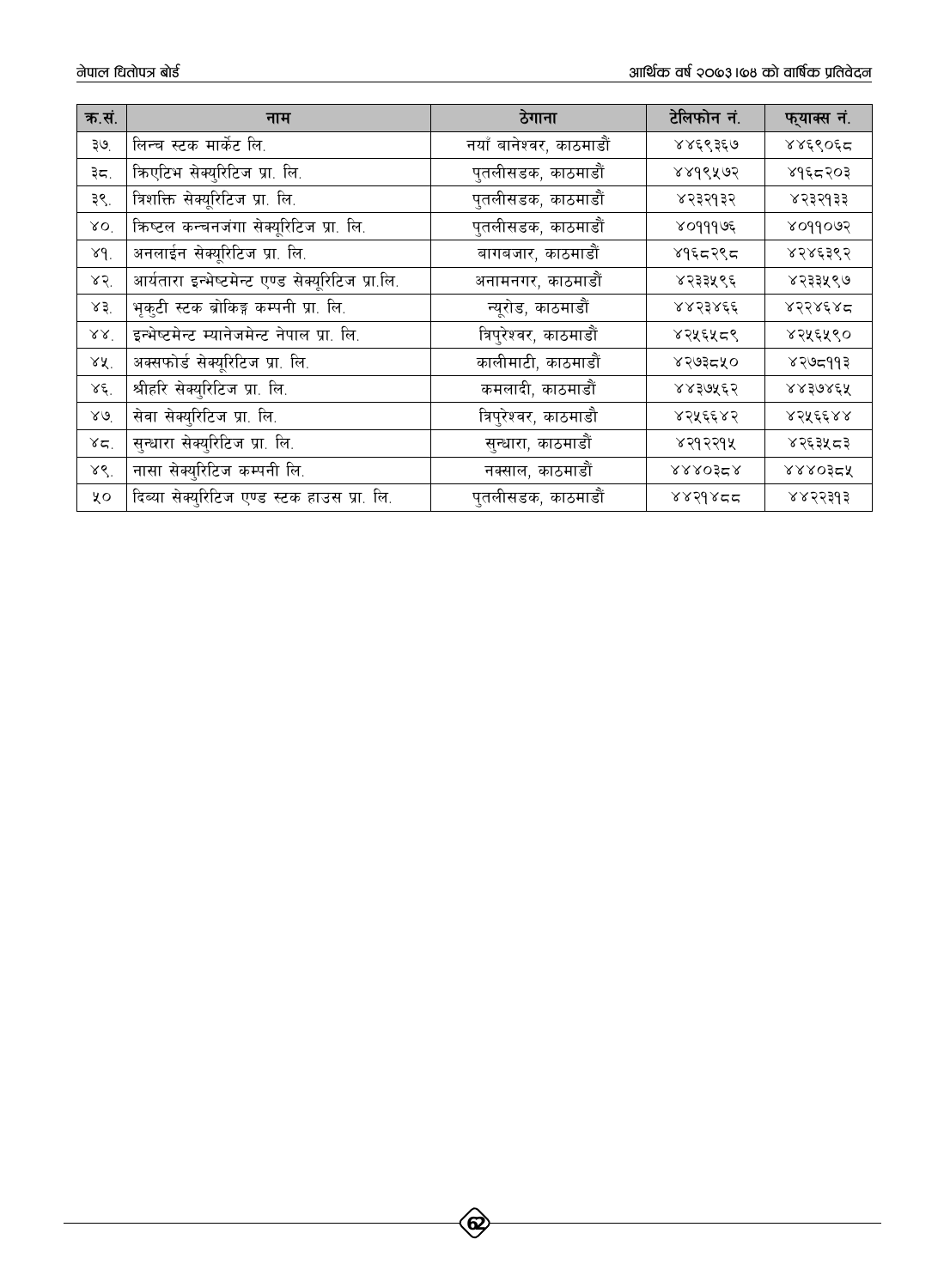| क.सं.          | नाम                                              | ठेगाना                  | टेलिफोन नं.    | फ्याक्स नं.    |
|----------------|--------------------------------------------------|-------------------------|----------------|----------------|
| ३७.            | लिन्च स्टक मार्केट लि.                           | नयाँ बानेश्वर, काठमाडौं | ४४६९३६७        | ४४६९०६८        |
| ३८.            | किएटिभ सेक्युरिटिज प्रा. लि.                     | पुतलीसडक, काठमाडौं      | ४४१९५७२        | ४१६८२०३        |
| ३९.            | त्रिशक्ति सेक्यूरिटिज प्रा. लि.                  | पुतलीसडक, काठमाडौं      | ४२३२१३२        | ४२३२१३३        |
| XO             | क्रिष्टल कन्चनजंगा सेक्यूरिटिज प्रा. लि.         | पुतलीसडक, काठमाडौं      | ४०१११७६        | soddoas        |
| 89.            | अनलाईन सेक्यूरिटिज प्रा. लि.                     | बागबजार, काठमाडौं       | ४१६८२९८        | ४२४६३९२        |
| 85             | आर्यतारा इन्भेष्टमेन्ट एण्ड सेक्यूरिटिज प्रा.लि. | अनामनगर, काठमाडौं       | ४२३३५९६        | ४२३३५९७        |
| x3             | भृकुटी स्टक ब्रोकिङ्ग कम्पनी प्रा. लि.           | न्यूरोड, काठमाडौं       | ४४२३४६६        | ४२२४६४८        |
| $88^{\degree}$ | इन्भेष्टमेन्ट म्यानेजमेन्ट नेपाल प्रा. लि.       | त्रिपुरेश्वर, काठमाडौं  | ४२५६५८९        | ४२५६५९०        |
| ४X.            | अक्सफोर्ड सेक्यूरिटिज प्रा. लि.                  | कालीमाटी, काठमाडौं      | ४२७३८५०        | ४२७८११३        |
| $\lambda \xi$  | श्रीहरि सेक्युरिटिज प्रा. लि.                    | कमलादी, काठमाडौं        | ४४३७५६२        | <b>RREAREX</b> |
| $26^{\circ}$   | सेवा सेक्युरिटिज प्रा. लि.                       | त्रिपुरेश्वर, काठमाडौ   | ४२५६६४२        | ४२५६६४४        |
| 85.            | सुन्धारा सेक्युरिटिज प्रा. लि.                   | सुन्धारा, काठमाडौं      | ४२१२२१५        | ४२६३५८३        |
| ४९.            | नासा सेक्युरिटिज कम्पनी लि.                      | नक्साल, काठमाडौं        | <b>RRROŚER</b> | <b>RAROSEX</b> |
| ५०             | दिब्या सेक्युरिटिज एण्ड स्टक हाउस प्रा. लि.      | पुतलीसडक, काठमाडौं      | 8889855        | ४४२२३१३        |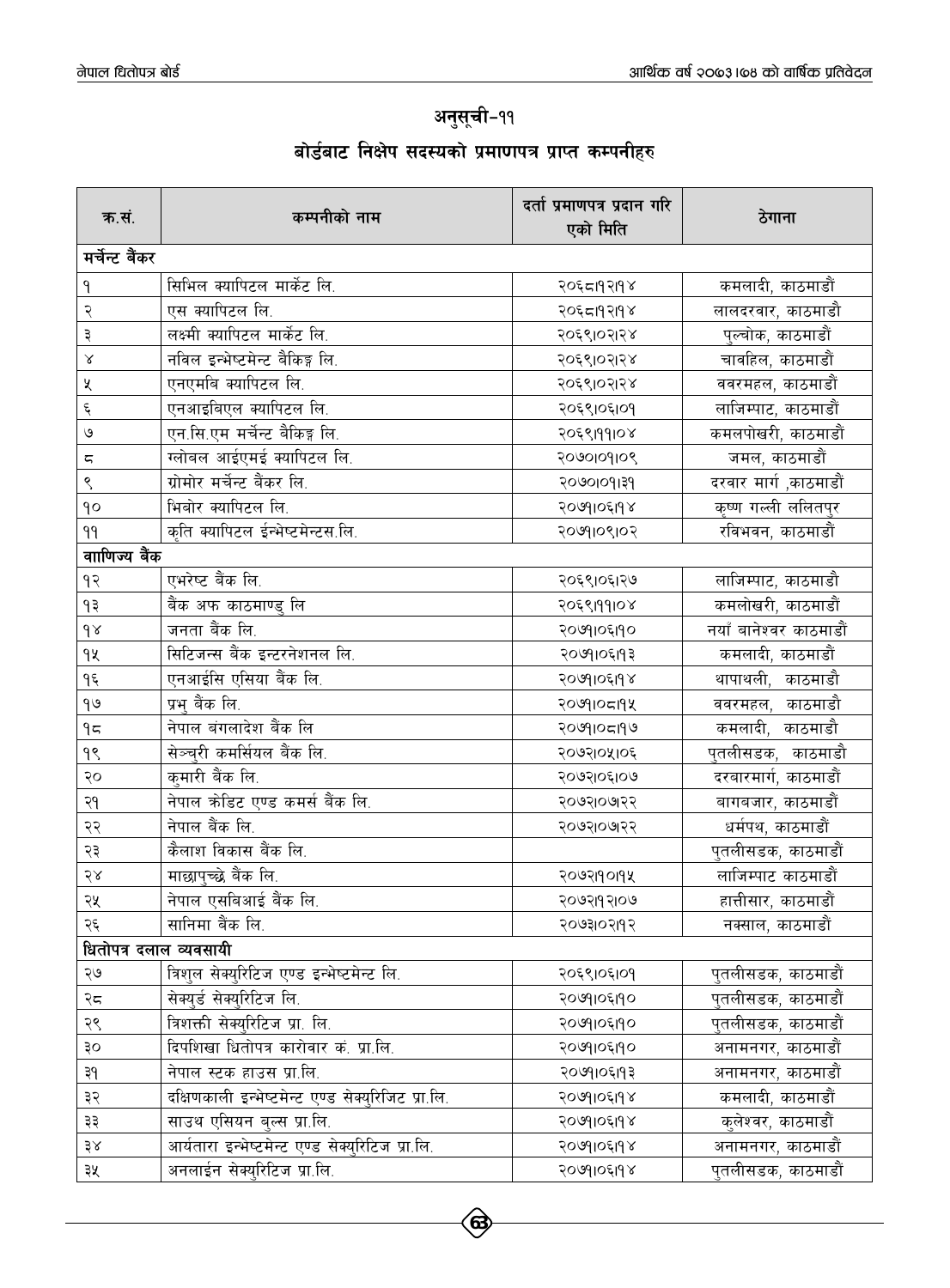### अनुसूची-११

### बोर्डबाट निक्षेप सदस्यको प्रमाणपत्र प्राप्त कम्पनीहर<mark>ु</mark>

| क.सं.                | कम्पनीको नाम                                       | दर्ता प्रमाणपत्र प्रदान गरि<br>एको मिति | ठेगाना                 |
|----------------------|----------------------------------------------------|-----------------------------------------|------------------------|
| मर्चेन्ट बैंकर       |                                                    |                                         |                        |
| ٩                    | सिभिल क्यापिटल मार्केट लि.                         | २०६८19२19४                              | कमलादी, काठमाडौं       |
| २                    | एस क्यापिटल लि.                                    | २०६८।१२।१४                              | लालदरवार, काठमाडौ      |
| ३                    | लक्ष्मी क्यापिटल मार्केट लि.                       | २०६९।०२।२४                              | पुल्चोक, काठमाडौं      |
| Χ                    | नविल इन्भेष्टमेन्ट बैकिङ्ग लि.                     | २०६९।०२।२४                              | चावहिल, काठमाडौं       |
| X                    | एनएमबि क्यापिटल लि.                                | २०६९।०२।२४                              | ववरमहल, काठमाडौं       |
| ٤                    | एनआइबिएल क्यापिटल लि.                              | २०६९।०६।०१                              | लाजिम्पाट, काठमाडौं    |
| ও                    | एन.सि.एम मर्चेन्ट बैकिङ्ग लि.                      | २०६९।११।०४                              | कमलपोखरी, काठमाडौं     |
| ς                    | ग्लोबल आईएमई क्यापिटल लि.                          | 20100108                                | जमल, काठमाडौं          |
| ९                    | ग्रोमोर मर्चेन्ट बैंकर लि.                         | २०७०१०११३१                              | दरवार मार्ग ,काठमाडौं  |
| qο                   | भिबोर क्यापिटल लि.                                 | २०७१।०६।१४                              | कृष्ण गल्ली ललितपुर    |
| 99                   | कृति क्यापिटल ईन्भेष्टमेन्टस.लि.                   | २०७१।०९।०२                              | रविभवन, काठमाडौं       |
| वााणिज्य बैंक        |                                                    |                                         |                        |
| $\overline{9}$       | एभरेष्ट बैंक लि.                                   | २०६९।०६।२७                              | लाजिम्पाट, काठमाडौ     |
| ۹₹                   | बैंक अफ काठमाण्डु लि                               | २०६९।११।०४                              | कमलोखरी, काठमाडौं      |
| $\gamma$             | जनता बैंक लि.                                      | २०७१।०६।१०                              | नयाँ बानेश्वर काठमाडौं |
| qų                   | सिटिजन्स बैंक इन्टरनेशनल लि.                       | २०७१।०६।१३                              | कमलादी, काठमाडौं       |
| ۹६                   | एनआईसि एसिया बैंक लि.                              | २०७१।०६।१४                              | थापाथली, काठमाडौ       |
| $\theta$             | प्रभु बैंक लि.                                     | २०७११०८११५                              | ववरमहल, काठमाडौ        |
| ۹ς                   | नेपाल बंगलादेश बैंक लि                             | २०७१।०८१९७                              | कमलादी, काठमाडौ        |
| ۹९                   | सेञ्चरी कमर्सियल बैंक लि.                          | २०७२।०५।०६                              | पुतलीसडक, काठमाडौ      |
| २०                   | कुमारी बैंक लि.                                    | २०७२।०६।०७                              | दरबारमार्ग, काठमाडौं   |
| २१                   | नेपाल क्रेडिट एण्ड कमर्स बैंक लि.                  | २०७२।०७१२२                              | बागबजार, काठमाडौं      |
| २२                   | नेपाल बैंक लि.                                     | २०७२।०७१२२                              | धर्मपथ, काठमाडौं       |
| २३                   | कैलाश विकास बैंक लि.                               |                                         | पुतलीसडक, काठमाडौं     |
| $58$                 | माछापच्छे बैंक लि.                                 | २०७२19०19५                              | लाजिम्पाट काठमाडौं     |
| २५                   | नेपाल एसबिआई बैंक लि.                              | २०७२।१२।०७                              | हात्तीसार, काठमाडौं    |
| २६                   | सानिमा बैंक लि.                                    | २०७३१०२११२                              | नक्साल, काठमाडौं       |
|                      | धितोपत्र दलाल व्यवसायी                             |                                         |                        |
| २७                   | त्रिशल सेक्युरिटिज एण्ड इन्भेष्टमेन्ट लि.          | २०६९।०६।०१                              | पुतलीसडक, काठमाडौं     |
| २८                   | सेक्यर्ड सेक्युरिटिज लि.                           | २०७१।०६।१०                              | पुतलीसडक, काठमाडौं     |
| २९                   | त्रिशक्ती सेक्युरिटिज प्रा. लि.                    | २०७१।०६।१०                              | पुतलीसडक, काठमाडौं     |
| ३०                   | दिपशिखा धितोपत्र कारोवार कं. प्रा.लि.              | २०७१।०६।१०                              | अनामनगर, काठमाडौं      |
| ३१                   | नेपाल स्टक हाउस प्रा.लि.                           | २०७१।०६।१३                              | अनामनगर, काठमाडौं      |
| ३२                   | दक्षिणकाली इन्भेष्टमेन्ट एण्ड सेक्युरिजिट प्रा.लि. | २०७१।०६।१४                              | कमलादी, काठमाडौं       |
| ३३                   | साउथ एसियन बुल्स प्रा.लि.                          | २०७११०६११४                              | कुलेश्वर, काठमाडौं     |
| $\frac{1}{2}\lambda$ | आर्यतारा इन्भेष्टमेन्ट एण्ड सेक्युरिटिज प्रा.लि.   | २०७११०६११४                              | अनामनगर, काठमाडौं      |
| ३५                   | अनलाईन सेक्युरिटिज प्रा.लि.                        | २०७११०६११४                              | पुतलीसडक, काठमाडौं     |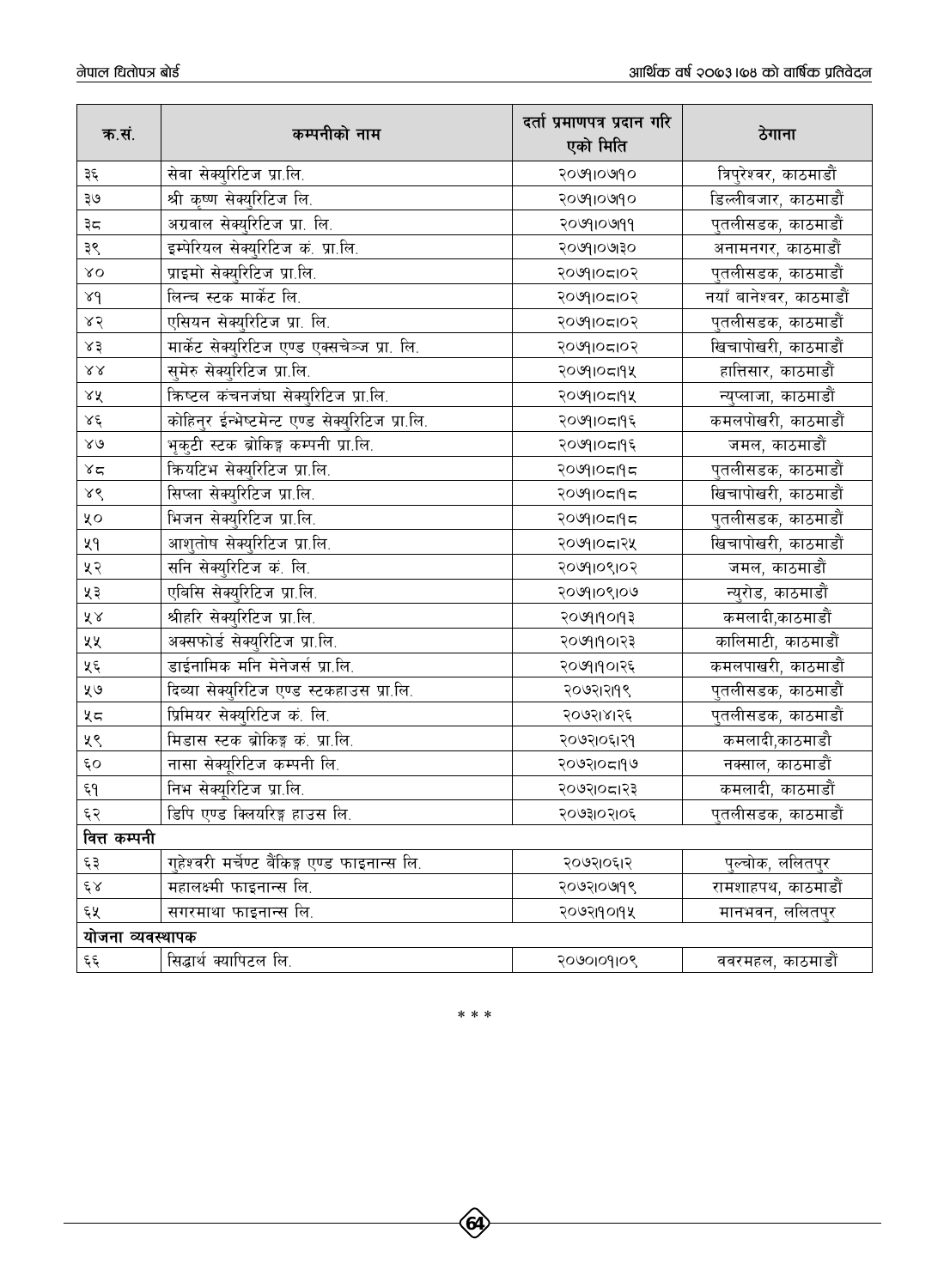| क.सं.            | कम्पनीको नाम                                    | दर्ता प्रमाणपत्र प्रदान गरि<br>एको मिति | ठेगाना                     |
|------------------|-------------------------------------------------|-----------------------------------------|----------------------------|
| ३६               | सेवा सेक्युरिटिज प्रा.लि.                       | २०७१।०७१०                               | त्रिपुरेश्वर, काठमाडौं     |
| ३७               | श्री कृष्ण सेक्युरिटिज लि.                      | २०७१।०७१०                               | डिल्लीबजार, काठमाडौं       |
| ३८               | अग्रवाल सेक्युरिटिज प्रा. लि.                   | २०७१।०७११                               | पुतलीसडक, काठमाडौं         |
| ३९               | इम्पेरियल सेक्युरिटिज कं. प्रा.लि.              | २०७१।०७१३०                              | अनामनगर, काठमाडौं          |
| $80^{\circ}$     | प्राइमो सेक्युरिटिज प्रा.लि.                    | २०७१।०८।०२                              | पुतली <u>सडक,</u> काठमाडौं |
| λd               | लिन्च स्टक मार्केट लि.                          | २०७१।०८।०२                              | नयाँ बानेश्वर, काठमाडौं    |
| $x \zeta$        | एसियन सेक्युरिटिज प्रा. लि.                     | २०७१।०८।०२                              | पुतलीसडक, काठमाडौं         |
| $\lesssim 3$     | मार्केट सेक्युरिटिज एण्ड एक्सचेञ्ज प्रा. लि.    | २०७१।०८।०२                              | खिचापोखरी, काठमाडौं        |
| $\lambda\lambda$ | सुमेरु सेक्युरिटिज प्रा.लि.                     | २०७१।०८११५                              | हात्तिसार, काठमाडौं        |
| ΧX               | क्रिष्टल कंचनजंघा सेक्युरिटिज प्रा.लि.          | २०७११०८११५                              | न्युप्लाजा, काठमाडौं       |
| $\lambda \xi$    | कोहिन्र ईन्भेष्टमेन्ट एण्ड सेक्युरिटिज प्रा.लि. | २०७१।०८।१६                              | कमलपोखरी, काठमाडौं         |
| $80^{\circ}$     | भृकुटी स्टक ब्रोकिङ्ग कम्पनी प्रा.लि.           | २०७१।०८१९६                              | जमल, काठमाडौं              |
| $\propto$        | क्रियटिभ सेक्युरिटिज प्रा.लि.                   | २०७१।०८११८                              | पुतलीसडक, काठमाडौं         |
| ४९               | सिप्ला सेक्युरिटिज प्रा.लि.                     | २०७१।०८११८                              | खिचापोखरी, काठमाडौं        |
| ųο               | भिजन सेक्युरिटिज प्रा.लि.                       | २०७१।०८११८                              | पुतलीसडक, काठमाडौं         |
| ५१               | आशुतोष सेक्युरिटिज प्रा.लि.                     | २०७१।०८।२५                              | खिचापोखरी, काठमाडौं        |
| ५२               | सनि सेक्युरिटिज कं. लि.                         | २०७१।०९।०२                              | जमल, काठमाडौं              |
| ५३               | एबिसि सेक्युरिटिज प्रा.लि.                      | २०७१।०९।०७                              | न्युरोड, काठमाडौं          |
| ४४               | श्रीहरि सेक्युरिटिज प्रा.लि.                    | २०७१।१०११३                              | कमलादी,काठमाडौं            |
| ५५               | अक्सफोर्ड सेक्युरिटिज प्रा.लि.                  | २०७१।१०।२३                              | कालिमाटी, काठमाडौं         |
| ५६               | डाईनामिक मनि मेनेजर्स प्रा.लि.                  | २०७१।१०।२६                              | कमलपाखरी, काठमाडौं         |
| ५७               | दिब्या सेक्युरिटिज एण्ड स्टकहाउस प्रा.लि.       | २०७२।२११९                               | पुतलीसडक, काठमाडौं         |
| くち               | प्रिमियर सेक्युरिटिज कं. लि.                    | २०७२।४।२६                               | पुतलीसडक, काठमाडौं         |
| ५९               | मिडास स्टक ब्रोकिङ्ग कं. प्रा.लि.               | २०७२।०६।२१                              | कमलादी,काठमाडौ             |
| $\epsilon$ o     | नासा सेक्यूरिटिज कम्पनी लि.                     | २०७२।०८१९७                              | नक्साल, काठमाडौं           |
| ξ٩               | निभ सेक्यूरिटिज प्रा.लि.                        | २०७२१०८१२३                              | कमलादी, काठमाडौं           |
| 59               | डिपि एण्ड क्लियरिङ्ग हाउस लि.                   | २०७३।०२।०६                              | पुतलीसडक, काठमाडौं         |
| वित्त कम्पनी     |                                                 |                                         |                            |
| $\xi$ $\xi$      | गुहेश्वरी मर्चेण्ट बैंकिङ्ग एण्ड फाइनान्स लि.   | २०७२।०६।२                               | पुल्चोक, ललितपुर           |
| $\xi \lambda$    | महालक्ष्मी फाइनान्स लि.                         | २०७२।०७१९                               | रामशाहपथ, काठमाडौं         |
| ६५               | सगरमाथा फाइनान्स लि.                            | २०७२19०19५                              | मानभवन, ललितपुर            |
| योजना व्यवस्थापक |                                                 |                                         |                            |
| $\epsilon$       | सिद्धार्थ क्यापिटल लि.                          | 20100108                                | ववरमहल, काठमाडौं           |

 $***$